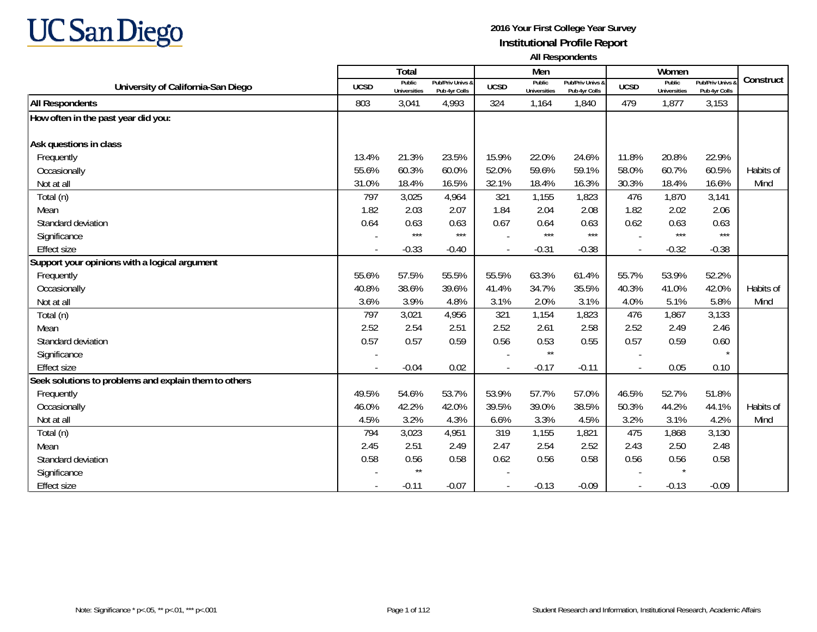

|                                                       |             | Total                         |                                   |             | Men                           |                                   |                | Women                         |                                        |           |
|-------------------------------------------------------|-------------|-------------------------------|-----------------------------------|-------------|-------------------------------|-----------------------------------|----------------|-------------------------------|----------------------------------------|-----------|
| University of California-San Diego                    | <b>UCSD</b> | Public<br><b>Universities</b> | Pub/Priv Univs &<br>Pub 4yr Colls | <b>UCSD</b> | Public<br><b>Universities</b> | Pub/Priv Univs &<br>Pub 4yr Colls | <b>UCSD</b>    | Public<br><b>Universities</b> | <b>Pub/Priv Univs</b><br>Pub 4yr Colls | Construct |
| <b>All Respondents</b>                                | 803         | 3,041                         | 4,993                             | 324         | 1,164                         | 1,840                             | 479            | 1,877                         | 3,153                                  |           |
| How often in the past year did you:                   |             |                               |                                   |             |                               |                                   |                |                               |                                        |           |
|                                                       |             |                               |                                   |             |                               |                                   |                |                               |                                        |           |
| Ask questions in class                                |             |                               |                                   |             |                               |                                   |                |                               |                                        |           |
| Frequently                                            | 13.4%       | 21.3%                         | 23.5%                             | 15.9%       | 22.0%                         | 24.6%                             | 11.8%          | 20.8%                         | 22.9%                                  |           |
| Occasionally                                          | 55.6%       | 60.3%                         | 60.0%                             | 52.0%       | 59.6%                         | 59.1%                             | 58.0%          | 60.7%                         | 60.5%                                  | Habits of |
| Not at all                                            | 31.0%       | 18.4%                         | 16.5%                             | 32.1%       | 18.4%                         | 16.3%                             | 30.3%          | 18.4%                         | 16.6%                                  | Mind      |
| Total (n)                                             | 797         | 3,025                         | 4,964                             | 321         | 1,155                         | 1,823                             | 476            | 1,870                         | 3,141                                  |           |
| Mean                                                  | 1.82        | 2.03                          | 2.07                              | 1.84        | 2.04                          | 2.08                              | 1.82           | 2.02                          | 2.06                                   |           |
| Standard deviation                                    | 0.64        | 0.63                          | 0.63                              | 0.67        | 0.64                          | 0.63                              | 0.62           | 0.63                          | 0.63                                   |           |
| Significance                                          |             | $***$                         | $***$                             |             | $***$                         | $***$                             |                | $***$                         | $***$                                  |           |
| <b>Effect size</b>                                    | $\sim$      | $-0.33$                       | $-0.40$                           |             | $-0.31$                       | $-0.38$                           | $\blacksquare$ | $-0.32$                       | $-0.38$                                |           |
| Support your opinions with a logical argument         |             |                               |                                   |             |                               |                                   |                |                               |                                        |           |
| Frequently                                            | 55.6%       | 57.5%                         | 55.5%                             | 55.5%       | 63.3%                         | 61.4%                             | 55.7%          | 53.9%                         | 52.2%                                  |           |
| Occasionally                                          | 40.8%       | 38.6%                         | 39.6%                             | 41.4%       | 34.7%                         | 35.5%                             | 40.3%          | 41.0%                         | 42.0%                                  | Habits of |
| Not at all                                            | 3.6%        | 3.9%                          | 4.8%                              | 3.1%        | 2.0%                          | 3.1%                              | 4.0%           | 5.1%                          | 5.8%                                   | Mind      |
| Total (n)                                             | 797         | 3,021                         | 4,956                             | 321         | 1,154                         | 1,823                             | 476            | 1,867                         | 3,133                                  |           |
| Mean                                                  | 2.52        | 2.54                          | 2.51                              | 2.52        | 2.61                          | 2.58                              | 2.52           | 2.49                          | 2.46                                   |           |
| Standard deviation                                    | 0.57        | 0.57                          | 0.59                              | 0.56        | 0.53                          | 0.55                              | 0.57           | 0.59                          | 0.60                                   |           |
| Significance                                          |             |                               |                                   |             | $\star\star$                  |                                   |                |                               | $\star$                                |           |
| <b>Effect size</b>                                    |             | $-0.04$                       | 0.02                              |             | $-0.17$                       | $-0.11$                           | $\overline{a}$ | 0.05                          | 0.10                                   |           |
| Seek solutions to problems and explain them to others |             |                               |                                   |             |                               |                                   |                |                               |                                        |           |
| Frequently                                            | 49.5%       | 54.6%                         | 53.7%                             | 53.9%       | 57.7%                         | 57.0%                             | 46.5%          | 52.7%                         | 51.8%                                  |           |
| Occasionally                                          | 46.0%       | 42.2%                         | 42.0%                             | 39.5%       | 39.0%                         | 38.5%                             | 50.3%          | 44.2%                         | 44.1%                                  | Habits of |
| Not at all                                            | 4.5%        | 3.2%                          | 4.3%                              | 6.6%        | 3.3%                          | 4.5%                              | 3.2%           | 3.1%                          | 4.2%                                   | Mind      |
| Total (n)                                             | 794         | 3,023                         | 4,951                             | 319         | 1,155                         | 1,821                             | 475            | 1,868                         | 3,130                                  |           |
| Mean                                                  | 2.45        | 2.51                          | 2.49                              | 2.47        | 2.54                          | 2.52                              | 2.43           | 2.50                          | 2.48                                   |           |
| Standard deviation                                    | 0.58        | 0.56                          | 0.58                              | 0.62        | 0.56                          | 0.58                              | 0.56           | 0.56                          | 0.58                                   |           |
| Significance                                          |             | $\star\star$                  |                                   |             |                               |                                   |                |                               |                                        |           |
| <b>Effect size</b>                                    | $\sim$      | $-0.11$                       | $-0.07$                           |             | $-0.13$                       | $-0.09$                           |                | $-0.13$                       | $-0.09$                                |           |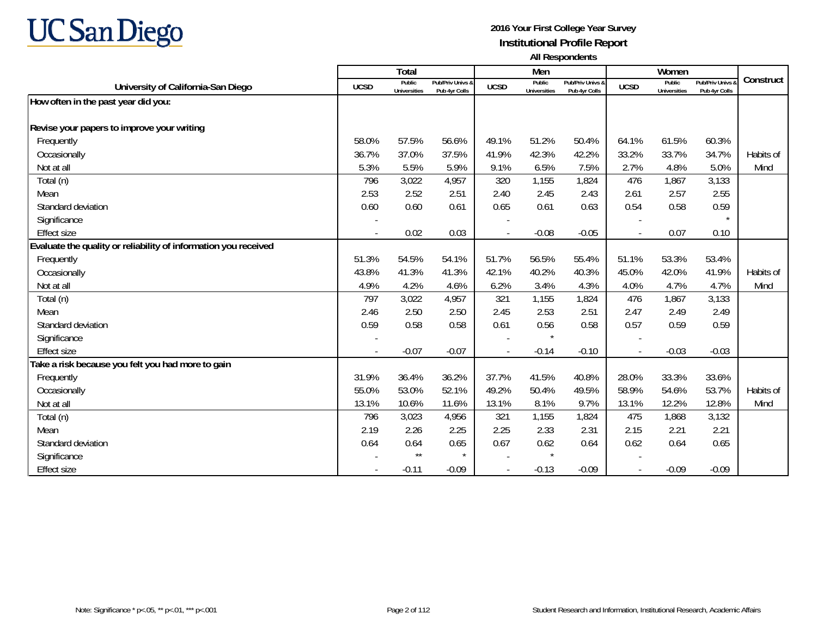

|                                                                 |             | <b>Total</b>                  |                                   |             | Men                           |                                   |                          | Women                         |                                        |           |
|-----------------------------------------------------------------|-------------|-------------------------------|-----------------------------------|-------------|-------------------------------|-----------------------------------|--------------------------|-------------------------------|----------------------------------------|-----------|
| University of California-San Diego                              | <b>UCSD</b> | Public<br><b>Universities</b> | Pub/Priv Univs &<br>Pub 4yr Colls | <b>UCSD</b> | Public<br><b>Universities</b> | Pub/Priv Univs &<br>Pub 4yr Colls | <b>UCSD</b>              | Public<br><b>Universities</b> | <b>Pub/Priv Univs</b><br>Pub 4yr Colls | Construct |
| How often in the past year did you:                             |             |                               |                                   |             |                               |                                   |                          |                               |                                        |           |
|                                                                 |             |                               |                                   |             |                               |                                   |                          |                               |                                        |           |
| Revise your papers to improve your writing                      |             |                               |                                   |             |                               |                                   |                          |                               |                                        |           |
| Frequently                                                      | 58.0%       | 57.5%                         | 56.6%                             | 49.1%       | 51.2%                         | 50.4%                             | 64.1%                    | 61.5%                         | 60.3%                                  |           |
| Occasionally                                                    | 36.7%       | 37.0%                         | 37.5%                             | 41.9%       | 42.3%                         | 42.2%                             | 33.2%                    | 33.7%                         | 34.7%                                  | Habits of |
| Not at all                                                      | 5.3%        | 5.5%                          | 5.9%                              | 9.1%        | 6.5%                          | 7.5%                              | 2.7%                     | 4.8%                          | 5.0%                                   | Mind      |
| Total (n)                                                       | 796         | 3,022                         | 4,957                             | 320         | 1,155                         | 1,824                             | 476                      | 1,867                         | 3,133                                  |           |
| Mean                                                            | 2.53        | 2.52                          | 2.51                              | 2.40        | 2.45                          | 2.43                              | 2.61                     | 2.57                          | 2.55                                   |           |
| Standard deviation                                              | 0.60        | 0.60                          | 0.61                              | 0.65        | 0.61                          | 0.63                              | 0.54                     | 0.58                          | 0.59                                   |           |
| Significance                                                    |             |                               |                                   |             |                               |                                   |                          |                               |                                        |           |
| <b>Effect size</b>                                              |             | 0.02                          | 0.03                              |             | $-0.08$                       | $-0.05$                           | $\blacksquare$           | 0.07                          | 0.10                                   |           |
| Evaluate the quality or reliability of information you received |             |                               |                                   |             |                               |                                   |                          |                               |                                        |           |
| Frequently                                                      | 51.3%       | 54.5%                         | 54.1%                             | 51.7%       | 56.5%                         | 55.4%                             | 51.1%                    | 53.3%                         | 53.4%                                  |           |
| Occasionally                                                    | 43.8%       | 41.3%                         | 41.3%                             | 42.1%       | 40.2%                         | 40.3%                             | 45.0%                    | 42.0%                         | 41.9%                                  | Habits of |
| Not at all                                                      | 4.9%        | 4.2%                          | 4.6%                              | 6.2%        | 3.4%                          | 4.3%                              | 4.0%                     | 4.7%                          | 4.7%                                   | Mind      |
| Total (n)                                                       | 797         | 3,022                         | 4,957                             | 321         | 1,155                         | 1,824                             | 476                      | 1,867                         | 3,133                                  |           |
| Mean                                                            | 2.46        | 2.50                          | 2.50                              | 2.45        | 2.53                          | 2.51                              | 2.47                     | 2.49                          | 2.49                                   |           |
| Standard deviation                                              | 0.59        | 0.58                          | 0.58                              | 0.61        | 0.56                          | 0.58                              | 0.57                     | 0.59                          | 0.59                                   |           |
| Significance                                                    |             |                               |                                   |             |                               |                                   |                          |                               |                                        |           |
| <b>Effect size</b>                                              |             | $-0.07$                       | $-0.07$                           |             | $-0.14$                       | $-0.10$                           | $\overline{\phantom{a}}$ | $-0.03$                       | $-0.03$                                |           |
| Take a risk because you felt you had more to gain               |             |                               |                                   |             |                               |                                   |                          |                               |                                        |           |
| Frequently                                                      | 31.9%       | 36.4%                         | 36.2%                             | 37.7%       | 41.5%                         | 40.8%                             | 28.0%                    | 33.3%                         | 33.6%                                  |           |
| Occasionally                                                    | 55.0%       | 53.0%                         | 52.1%                             | 49.2%       | 50.4%                         | 49.5%                             | 58.9%                    | 54.6%                         | 53.7%                                  | Habits of |
| Not at all                                                      | 13.1%       | 10.6%                         | 11.6%                             | 13.1%       | 8.1%                          | 9.7%                              | 13.1%                    | 12.2%                         | 12.8%                                  | Mind      |
| Total (n)                                                       | 796         | 3,023                         | 4,956                             | 321         | 1,155                         | 1,824                             | 475                      | 1,868                         | 3,132                                  |           |
| Mean                                                            | 2.19        | 2.26                          | 2.25                              | 2.25        | 2.33                          | 2.31                              | 2.15                     | 2.21                          | 2.21                                   |           |
| Standard deviation                                              | 0.64        | 0.64                          | 0.65                              | 0.67        | 0.62                          | 0.64                              | 0.62                     | 0.64                          | 0.65                                   |           |
| Significance                                                    |             | $\star\star$                  | $\star$                           |             | $\star$                       |                                   |                          |                               |                                        |           |
| <b>Effect size</b>                                              |             | $-0.11$                       | $-0.09$                           |             | $-0.13$                       | $-0.09$                           |                          | $-0.09$                       | $-0.09$                                |           |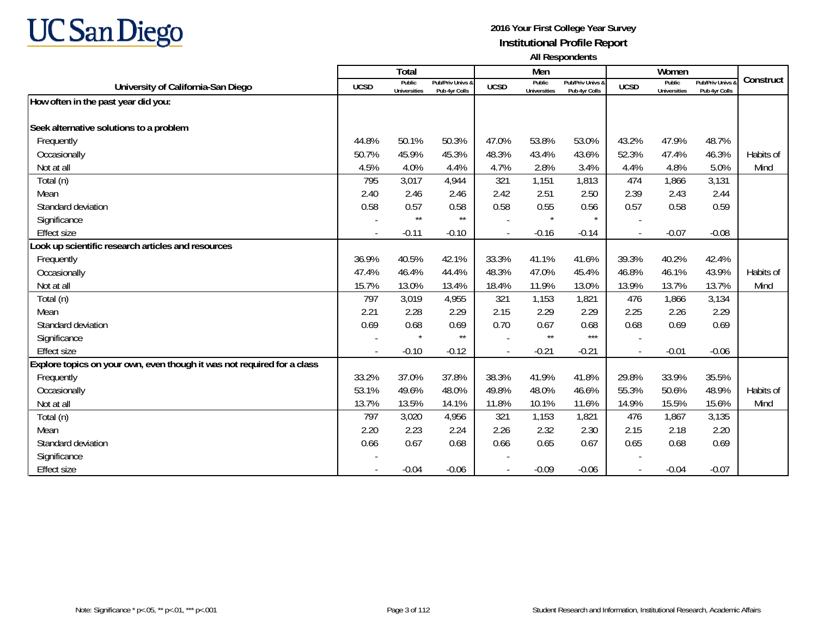

|                                                                         |                          | <b>Total</b>                  |                                   |             | Men                           |                                   |                          | Women                         |                                        |           |
|-------------------------------------------------------------------------|--------------------------|-------------------------------|-----------------------------------|-------------|-------------------------------|-----------------------------------|--------------------------|-------------------------------|----------------------------------------|-----------|
| University of California-San Diego                                      | <b>UCSD</b>              | Public<br><b>Universities</b> | Pub/Priv Univs &<br>Pub 4yr Colls | <b>UCSD</b> | Public<br><b>Universities</b> | Pub/Priv Univs &<br>Pub 4yr Colls | <b>UCSD</b>              | Public<br><b>Universities</b> | <b>Pub/Priv Univs</b><br>Pub 4yr Colls | Construct |
| How often in the past year did you:                                     |                          |                               |                                   |             |                               |                                   |                          |                               |                                        |           |
|                                                                         |                          |                               |                                   |             |                               |                                   |                          |                               |                                        |           |
| Seek alternative solutions to a problem                                 |                          |                               |                                   |             |                               |                                   |                          |                               |                                        |           |
| Frequently                                                              | 44.8%                    | 50.1%                         | 50.3%                             | 47.0%       | 53.8%                         | 53.0%                             | 43.2%                    | 47.9%                         | 48.7%                                  |           |
| Occasionally                                                            | 50.7%                    | 45.9%                         | 45.3%                             | 48.3%       | 43.4%                         | 43.6%                             | 52.3%                    | 47.4%                         | 46.3%                                  | Habits of |
| Not at all                                                              | 4.5%                     | 4.0%                          | 4.4%                              | 4.7%        | 2.8%                          | 3.4%                              | 4.4%                     | 4.8%                          | 5.0%                                   | Mind      |
| Total (n)                                                               | 795                      | 3,017                         | 4,944                             | 321         | 1,151                         | 1,813                             | 474                      | 1,866                         | 3,131                                  |           |
| Mean                                                                    | 2.40                     | 2.46                          | 2.46                              | 2.42        | 2.51                          | 2.50                              | 2.39                     | 2.43                          | 2.44                                   |           |
| Standard deviation                                                      | 0.58                     | 0.57                          | 0.58                              | 0.58        | 0.55                          | 0.56                              | 0.57                     | 0.58                          | 0.59                                   |           |
| Significance                                                            |                          | $\star\star$                  | $\star\star$                      |             | $\star$                       |                                   |                          |                               |                                        |           |
| <b>Effect size</b>                                                      | $\overline{\phantom{a}}$ | $-0.11$                       | $-0.10$                           |             | $-0.16$                       | $-0.14$                           | $\overline{\phantom{a}}$ | $-0.07$                       | $-0.08$                                |           |
| Look up scientific research articles and resources                      |                          |                               |                                   |             |                               |                                   |                          |                               |                                        |           |
| Frequently                                                              | 36.9%                    | 40.5%                         | 42.1%                             | 33.3%       | 41.1%                         | 41.6%                             | 39.3%                    | 40.2%                         | 42.4%                                  |           |
| Occasionally                                                            | 47.4%                    | 46.4%                         | 44.4%                             | 48.3%       | 47.0%                         | 45.4%                             | 46.8%                    | 46.1%                         | 43.9%                                  | Habits of |
| Not at all                                                              | 15.7%                    | 13.0%                         | 13.4%                             | 18.4%       | 11.9%                         | 13.0%                             | 13.9%                    | 13.7%                         | 13.7%                                  | Mind      |
| Total (n)                                                               | 797                      | 3,019                         | 4,955                             | 321         | 1,153                         | 1,821                             | 476                      | 1,866                         | 3,134                                  |           |
| Mean                                                                    | 2.21                     | 2.28                          | 2.29                              | 2.15        | 2.29                          | 2.29                              | 2.25                     | 2.26                          | 2.29                                   |           |
| Standard deviation                                                      | 0.69                     | 0.68                          | 0.69                              | 0.70        | 0.67                          | 0.68                              | 0.68                     | 0.69                          | 0.69                                   |           |
| Significance                                                            |                          |                               | $\star\star$                      |             | $\star\star$                  | $***$                             |                          |                               |                                        |           |
| <b>Effect size</b>                                                      |                          | $-0.10$                       | $-0.12$                           | $\sim$      | $-0.21$                       | $-0.21$                           | $\sim$                   | $-0.01$                       | $-0.06$                                |           |
| Explore topics on your own, even though it was not required for a class |                          |                               |                                   |             |                               |                                   |                          |                               |                                        |           |
| Frequently                                                              | 33.2%                    | 37.0%                         | 37.8%                             | 38.3%       | 41.9%                         | 41.8%                             | 29.8%                    | 33.9%                         | 35.5%                                  |           |
| Occasionally                                                            | 53.1%                    | 49.6%                         | 48.0%                             | 49.8%       | 48.0%                         | 46.6%                             | 55.3%                    | 50.6%                         | 48.9%                                  | Habits of |
| Not at all                                                              | 13.7%                    | 13.5%                         | 14.1%                             | 11.8%       | 10.1%                         | 11.6%                             | 14.9%                    | 15.5%                         | 15.6%                                  | Mind      |
| Total (n)                                                               | 797                      | 3,020                         | 4,956                             | 321         | 1,153                         | 1,821                             | 476                      | 1,867                         | 3,135                                  |           |
| Mean                                                                    | 2.20                     | 2.23                          | 2.24                              | 2.26        | 2.32                          | 2.30                              | 2.15                     | 2.18                          | 2.20                                   |           |
| Standard deviation                                                      | 0.66                     | 0.67                          | 0.68                              | 0.66        | 0.65                          | 0.67                              | 0.65                     | 0.68                          | 0.69                                   |           |
| Significance                                                            |                          |                               |                                   |             |                               |                                   |                          |                               |                                        |           |
| Effect size                                                             |                          | $-0.04$                       | $-0.06$                           |             | $-0.09$                       | $-0.06$                           |                          | $-0.04$                       | $-0.07$                                |           |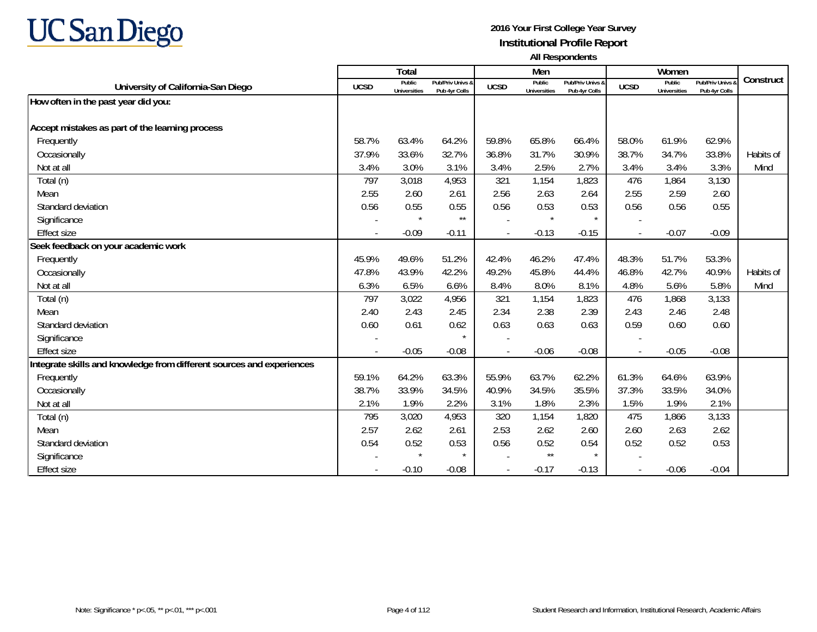# **UC San Diego**

|                                                                       |                | <b>Total</b>                  |                                   |             | Men                           |                                   |             | Women                         |                                        |           |
|-----------------------------------------------------------------------|----------------|-------------------------------|-----------------------------------|-------------|-------------------------------|-----------------------------------|-------------|-------------------------------|----------------------------------------|-----------|
| University of California-San Diego                                    | <b>UCSD</b>    | Public<br><b>Universities</b> | Pub/Priv Univs &<br>Pub 4yr Colls | <b>UCSD</b> | Public<br><b>Universities</b> | Pub/Priv Univs &<br>Pub 4yr Colls | <b>UCSD</b> | Public<br><b>Universities</b> | <b>Pub/Priv Univs</b><br>Pub 4yr Colls | Construct |
| How often in the past year did you:                                   |                |                               |                                   |             |                               |                                   |             |                               |                                        |           |
|                                                                       |                |                               |                                   |             |                               |                                   |             |                               |                                        |           |
| Accept mistakes as part of the learning process                       |                |                               |                                   |             |                               |                                   |             |                               |                                        |           |
| Frequently                                                            | 58.7%          | 63.4%                         | 64.2%                             | 59.8%       | 65.8%                         | 66.4%                             | 58.0%       | 61.9%                         | 62.9%                                  |           |
| Occasionally                                                          | 37.9%          | 33.6%                         | 32.7%                             | 36.8%       | 31.7%                         | 30.9%                             | 38.7%       | 34.7%                         | 33.8%                                  | Habits of |
| Not at all                                                            | 3.4%           | 3.0%                          | 3.1%                              | 3.4%        | 2.5%                          | 2.7%                              | 3.4%        | 3.4%                          | 3.3%                                   | Mind      |
| Total (n)                                                             | 797            | 3,018                         | 4,953                             | 321         | 1,154                         | 1,823                             | 476         | 1,864                         | 3,130                                  |           |
| Mean                                                                  | 2.55           | 2.60                          | 2.61                              | 2.56        | 2.63                          | 2.64                              | 2.55        | 2.59                          | 2.60                                   |           |
| Standard deviation                                                    | 0.56           | 0.55                          | 0.55                              | 0.56        | 0.53                          | 0.53                              | 0.56        | 0.56                          | 0.55                                   |           |
| Significance                                                          |                | $\star$                       | $\star\star$                      |             | $\star$                       | $\star$                           |             |                               |                                        |           |
| <b>Effect size</b>                                                    |                | $-0.09$                       | $-0.11$                           | $\sim$      | $-0.13$                       | $-0.15$                           |             | $-0.07$                       | $-0.09$                                |           |
| Seek feedback on your academic work                                   |                |                               |                                   |             |                               |                                   |             |                               |                                        |           |
| Frequently                                                            | 45.9%          | 49.6%                         | 51.2%                             | 42.4%       | 46.2%                         | 47.4%                             | 48.3%       | 51.7%                         | 53.3%                                  |           |
| Occasionally                                                          | 47.8%          | 43.9%                         | 42.2%                             | 49.2%       | 45.8%                         | 44.4%                             | 46.8%       | 42.7%                         | 40.9%                                  | Habits of |
| Not at all                                                            | 6.3%           | 6.5%                          | 6.6%                              | 8.4%        | 8.0%                          | 8.1%                              | 4.8%        | 5.6%                          | 5.8%                                   | Mind      |
| Total (n)                                                             | 797            | 3,022                         | 4,956                             | 321         | 1,154                         | 1,823                             | 476         | 1,868                         | 3,133                                  |           |
| Mean                                                                  | 2.40           | 2.43                          | 2.45                              | 2.34        | 2.38                          | 2.39                              | 2.43        | 2.46                          | 2.48                                   |           |
| Standard deviation                                                    | 0.60           | 0.61                          | 0.62                              | 0.63        | 0.63                          | 0.63                              | 0.59        | 0.60                          | 0.60                                   |           |
| Significance                                                          |                |                               |                                   |             |                               |                                   |             |                               |                                        |           |
| <b>Effect size</b>                                                    | $\blacksquare$ | $-0.05$                       | $-0.08$                           |             | $-0.06$                       | $-0.08$                           |             | $-0.05$                       | $-0.08$                                |           |
| Integrate skills and knowledge from different sources and experiences |                |                               |                                   |             |                               |                                   |             |                               |                                        |           |
| Frequently                                                            | 59.1%          | 64.2%                         | 63.3%                             | 55.9%       | 63.7%                         | 62.2%                             | 61.3%       | 64.6%                         | 63.9%                                  |           |
| Occasionally                                                          | 38.7%          | 33.9%                         | 34.5%                             | 40.9%       | 34.5%                         | 35.5%                             | 37.3%       | 33.5%                         | 34.0%                                  |           |
| Not at all                                                            | 2.1%           | 1.9%                          | 2.2%                              | 3.1%        | 1.8%                          | 2.3%                              | 1.5%        | 1.9%                          | 2.1%                                   |           |
| Total (n)                                                             | 795            | 3,020                         | 4,953                             | 320         | 1,154                         | 1,820                             | 475         | 1,866                         | 3,133                                  |           |
| Mean                                                                  | 2.57           | 2.62                          | 2.61                              | 2.53        | 2.62                          | 2.60                              | 2.60        | 2.63                          | 2.62                                   |           |
| Standard deviation                                                    | 0.54           | 0.52                          | 0.53                              | 0.56        | 0.52                          | 0.54                              | 0.52        | 0.52                          | 0.53                                   |           |
| Significance                                                          |                | $\star$                       | $\star$                           |             | $\star\star$                  | $\star$                           |             |                               |                                        |           |
| <b>Effect size</b>                                                    |                | $-0.10$                       | $-0.08$                           |             | $-0.17$                       | $-0.13$                           |             | $-0.06$                       | $-0.04$                                |           |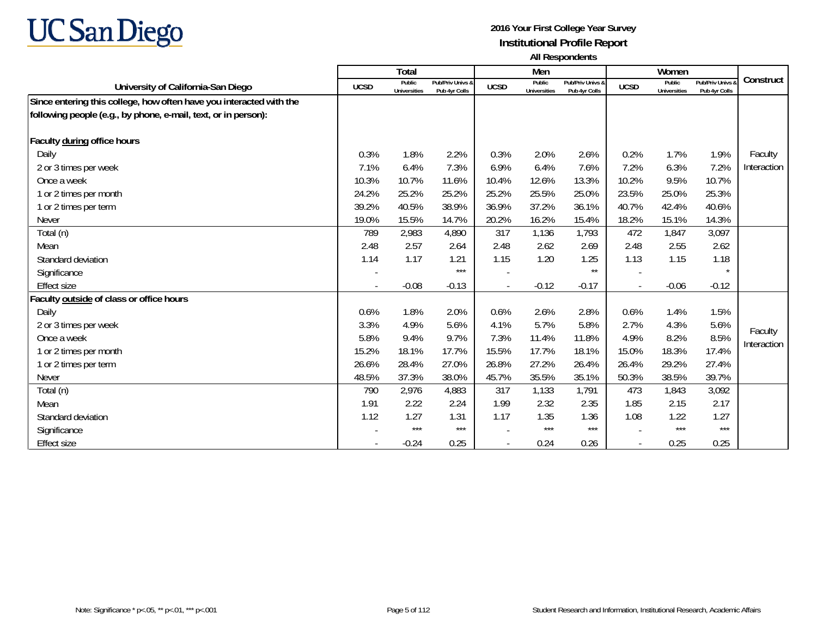

|                                                                     |             | Total                         |                                   |             | Men                           |                                   |                | Women                         |                                 |             |
|---------------------------------------------------------------------|-------------|-------------------------------|-----------------------------------|-------------|-------------------------------|-----------------------------------|----------------|-------------------------------|---------------------------------|-------------|
| University of California-San Diego                                  | <b>UCSD</b> | Public<br><b>Universities</b> | Pub/Priv Univs &<br>Pub 4yr Colls | <b>UCSD</b> | Public<br><b>Universities</b> | Pub/Priv Univs &<br>Pub 4yr Colls | <b>UCSD</b>    | Public<br><b>Universities</b> | Pub/Priv Univs<br>Pub 4yr Colls | Construct   |
| Since entering this college, how often have you interacted with the |             |                               |                                   |             |                               |                                   |                |                               |                                 |             |
| following people (e.g., by phone, e-mail, text, or in person):      |             |                               |                                   |             |                               |                                   |                |                               |                                 |             |
|                                                                     |             |                               |                                   |             |                               |                                   |                |                               |                                 |             |
| Faculty during office hours                                         |             |                               |                                   |             |                               |                                   |                |                               |                                 |             |
| Daily                                                               | 0.3%        | 1.8%                          | 2.2%                              | 0.3%        | 2.0%                          | 2.6%                              | 0.2%           | 1.7%                          | 1.9%                            | Faculty     |
| 2 or 3 times per week                                               | 7.1%        | 6.4%                          | 7.3%                              | 6.9%        | 6.4%                          | 7.6%                              | 7.2%           | 6.3%                          | 7.2%                            | Interaction |
| Once a week                                                         | 10.3%       | 10.7%                         | 11.6%                             | 10.4%       | 12.6%                         | 13.3%                             | 10.2%          | 9.5%                          | 10.7%                           |             |
| 1 or 2 times per month                                              | 24.2%       | 25.2%                         | 25.2%                             | 25.2%       | 25.5%                         | 25.0%                             | 23.5%          | 25.0%                         | 25.3%                           |             |
| 1 or 2 times per term                                               | 39.2%       | 40.5%                         | 38.9%                             | 36.9%       | 37.2%                         | 36.1%                             | 40.7%          | 42.4%                         | 40.6%                           |             |
| <b>Never</b>                                                        | 19.0%       | 15.5%                         | 14.7%                             | 20.2%       | 16.2%                         | 15.4%                             | 18.2%          | 15.1%                         | 14.3%                           |             |
| Total (n)                                                           | 789         | 2,983                         | 4,890                             | 317         | 1,136                         | 1,793                             | 472            | 1,847                         | 3,097                           |             |
| Mean                                                                | 2.48        | 2.57                          | 2.64                              | 2.48        | 2.62                          | 2.69                              | 2.48           | 2.55                          | 2.62                            |             |
| Standard deviation                                                  | 1.14        | 1.17                          | 1.21                              | 1.15        | 1.20                          | 1.25                              | 1.13           | 1.15                          | 1.18                            |             |
| Significance                                                        |             |                               | $***$                             |             |                               | $\star\star$                      |                |                               |                                 |             |
| <b>Effect size</b>                                                  |             | $-0.08$                       | $-0.13$                           |             | $-0.12$                       | $-0.17$                           | $\blacksquare$ | $-0.06$                       | $-0.12$                         |             |
| Faculty outside of class or office hours                            |             |                               |                                   |             |                               |                                   |                |                               |                                 |             |
| Daily                                                               | 0.6%        | 1.8%                          | 2.0%                              | 0.6%        | 2.6%                          | 2.8%                              | 0.6%           | 1.4%                          | 1.5%                            |             |
| 2 or 3 times per week                                               | 3.3%        | 4.9%                          | 5.6%                              | 4.1%        | 5.7%                          | 5.8%                              | 2.7%           | 4.3%                          | 5.6%                            | Faculty     |
| Once a week                                                         | 5.8%        | 9.4%                          | 9.7%                              | 7.3%        | 11.4%                         | 11.8%                             | 4.9%           | 8.2%                          | 8.5%                            | Interaction |
| 1 or 2 times per month                                              | 15.2%       | 18.1%                         | 17.7%                             | 15.5%       | 17.7%                         | 18.1%                             | 15.0%          | 18.3%                         | 17.4%                           |             |
| 1 or 2 times per term                                               | 26.6%       | 28.4%                         | 27.0%                             | 26.8%       | 27.2%                         | 26.4%                             | 26.4%          | 29.2%                         | 27.4%                           |             |
| <b>Never</b>                                                        | 48.5%       | 37.3%                         | 38.0%                             | 45.7%       | 35.5%                         | 35.1%                             | 50.3%          | 38.5%                         | 39.7%                           |             |
| Total (n)                                                           | 790         | 2,976                         | 4,883                             | 317         | 1,133                         | 1,791                             | 473            | 1,843                         | 3,092                           |             |
| Mean                                                                | 1.91        | 2.22                          | 2.24                              | 1.99        | 2.32                          | 2.35                              | 1.85           | 2.15                          | 2.17                            |             |
| Standard deviation                                                  | 1.12        | 1.27                          | 1.31                              | 1.17        | 1.35                          | 1.36                              | 1.08           | 1.22                          | 1.27                            |             |
| Significance                                                        |             | $***$                         | $***$                             |             | $***$                         | $***$                             |                | $***$                         | $***$                           |             |
| <b>Effect size</b>                                                  |             | $-0.24$                       | 0.25                              |             | 0.24                          | 0.26                              |                | 0.25                          | 0.25                            |             |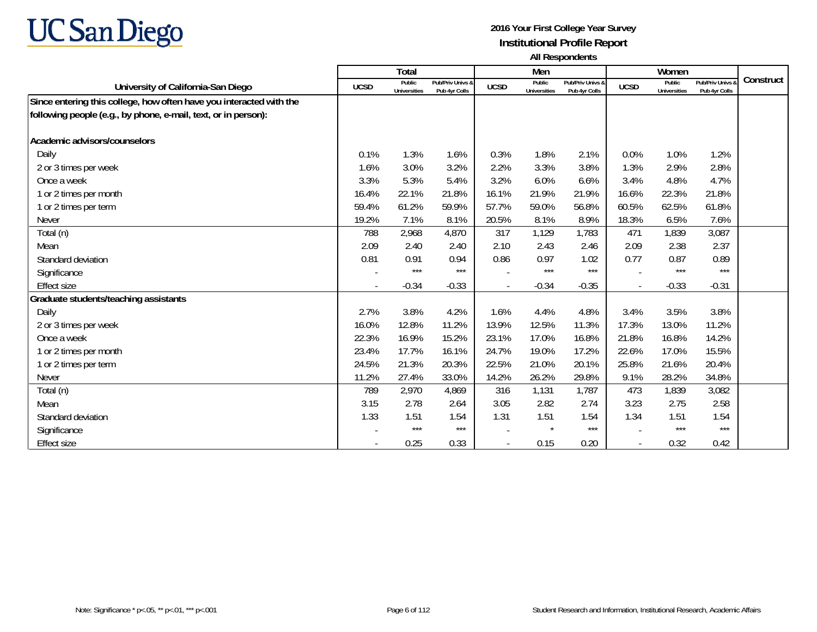

|                                                                     |             | Total                  |                                   |             | Men                           |                                   |                | Women                         |                                 |           |
|---------------------------------------------------------------------|-------------|------------------------|-----------------------------------|-------------|-------------------------------|-----------------------------------|----------------|-------------------------------|---------------------------------|-----------|
| University of California-San Diego                                  | <b>UCSD</b> | Public<br>Universities | Pub/Priv Univs &<br>Pub 4yr Colls | <b>UCSD</b> | Public<br><b>Universities</b> | Pub/Priv Univs &<br>Pub 4yr Colls | <b>UCSD</b>    | Public<br><b>Universities</b> | Pub/Priv Univs<br>Pub 4yr Colls | Construct |
| Since entering this college, how often have you interacted with the |             |                        |                                   |             |                               |                                   |                |                               |                                 |           |
| following people (e.g., by phone, e-mail, text, or in person):      |             |                        |                                   |             |                               |                                   |                |                               |                                 |           |
|                                                                     |             |                        |                                   |             |                               |                                   |                |                               |                                 |           |
| Academic advisors/counselors                                        |             |                        |                                   |             |                               |                                   |                |                               |                                 |           |
| Daily                                                               | 0.1%        | 1.3%                   | 1.6%                              | 0.3%        | 1.8%                          | 2.1%                              | 0.0%           | 1.0%                          | 1.2%                            |           |
| 2 or 3 times per week                                               | 1.6%        | 3.0%                   | 3.2%                              | 2.2%        | 3.3%                          | 3.8%                              | 1.3%           | 2.9%                          | 2.8%                            |           |
| Once a week                                                         | 3.3%        | 5.3%                   | 5.4%                              | 3.2%        | 6.0%                          | 6.6%                              | 3.4%           | 4.8%                          | 4.7%                            |           |
| 1 or 2 times per month                                              | 16.4%       | 22.1%                  | 21.8%                             | 16.1%       | 21.9%                         | 21.9%                             | 16.6%          | 22.3%                         | 21.8%                           |           |
| 1 or 2 times per term                                               | 59.4%       | 61.2%                  | 59.9%                             | 57.7%       | 59.0%                         | 56.8%                             | 60.5%          | 62.5%                         | 61.8%                           |           |
| <b>Never</b>                                                        | 19.2%       | 7.1%                   | 8.1%                              | 20.5%       | 8.1%                          | 8.9%                              | 18.3%          | 6.5%                          | 7.6%                            |           |
| Total (n)                                                           | 788         | 2,968                  | 4,870                             | 317         | 1,129                         | 1,783                             | 471            | 1,839                         | 3,087                           |           |
| Mean                                                                | 2.09        | 2.40                   | 2.40                              | 2.10        | 2.43                          | 2.46                              | 2.09           | 2.38                          | 2.37                            |           |
| Standard deviation                                                  | 0.81        | 0.91                   | 0.94                              | 0.86        | 0.97                          | 1.02                              | 0.77           | 0.87                          | 0.89                            |           |
| Significance                                                        |             | $***$                  | $***$                             |             | $***$                         | $***$                             |                | $***$                         | $***$                           |           |
| <b>Effect size</b>                                                  |             | $-0.34$                | $-0.33$                           |             | $-0.34$                       | $-0.35$                           | $\overline{a}$ | $-0.33$                       | $-0.31$                         |           |
| Graduate students/teaching assistants                               |             |                        |                                   |             |                               |                                   |                |                               |                                 |           |
| Daily                                                               | 2.7%        | 3.8%                   | 4.2%                              | 1.6%        | 4.4%                          | 4.8%                              | 3.4%           | 3.5%                          | 3.8%                            |           |
| 2 or 3 times per week                                               | 16.0%       | 12.8%                  | 11.2%                             | 13.9%       | 12.5%                         | 11.3%                             | 17.3%          | 13.0%                         | 11.2%                           |           |
| Once a week                                                         | 22.3%       | 16.9%                  | 15.2%                             | 23.1%       | 17.0%                         | 16.8%                             | 21.8%          | 16.8%                         | 14.2%                           |           |
| 1 or 2 times per month                                              | 23.4%       | 17.7%                  | 16.1%                             | 24.7%       | 19.0%                         | 17.2%                             | 22.6%          | 17.0%                         | 15.5%                           |           |
| 1 or 2 times per term                                               | 24.5%       | 21.3%                  | 20.3%                             | 22.5%       | 21.0%                         | 20.1%                             | 25.8%          | 21.6%                         | 20.4%                           |           |
| Never                                                               | 11.2%       | 27.4%                  | 33.0%                             | 14.2%       | 26.2%                         | 29.8%                             | 9.1%           | 28.2%                         | 34.8%                           |           |
| Total (n)                                                           | 789         | 2,970                  | 4,869                             | 316         | 1,131                         | 1,787                             | 473            | 1,839                         | 3,082                           |           |
| Mean                                                                | 3.15        | 2.78                   | 2.64                              | 3.05        | 2.82                          | 2.74                              | 3.23           | 2.75                          | 2.58                            |           |
| Standard deviation                                                  | 1.33        | 1.51                   | 1.54                              | 1.31        | 1.51                          | 1.54                              | 1.34           | 1.51                          | 1.54                            |           |
| Significance                                                        |             | $***$                  | $***$                             |             | $\star$                       | $***$                             |                | $***$                         | $***$                           |           |
| Effect size                                                         |             | 0.25                   | 0.33                              |             | 0.15                          | 0.20                              |                | 0.32                          | 0.42                            |           |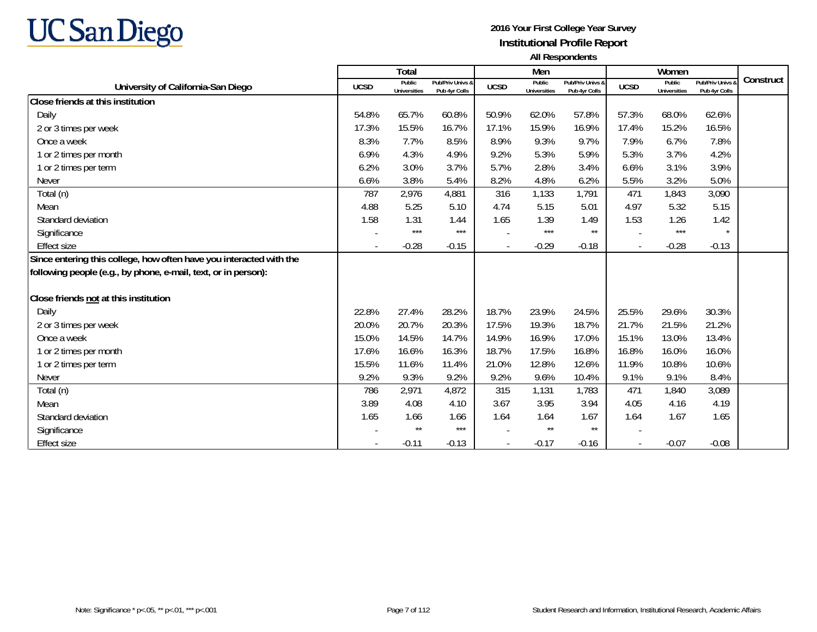

|                                                                     |                          | <b>Total</b>                  |                                   |                          | Men                           |                                   |                          | Women                         |                                 |           |
|---------------------------------------------------------------------|--------------------------|-------------------------------|-----------------------------------|--------------------------|-------------------------------|-----------------------------------|--------------------------|-------------------------------|---------------------------------|-----------|
| University of California-San Diego                                  | <b>UCSD</b>              | Public<br><b>Universities</b> | Pub/Priv Univs &<br>Pub 4yr Colls | <b>UCSD</b>              | Public<br><b>Universities</b> | Pub/Priv Univs &<br>Pub 4yr Colls | <b>UCSD</b>              | Public<br><b>Universities</b> | Pub/Priv Univs<br>Pub 4yr Colls | Construct |
| Close friends at this institution                                   |                          |                               |                                   |                          |                               |                                   |                          |                               |                                 |           |
| Daily                                                               | 54.8%                    | 65.7%                         | 60.8%                             | 50.9%                    | 62.0%                         | 57.8%                             | 57.3%                    | 68.0%                         | 62.6%                           |           |
| 2 or 3 times per week                                               | 17.3%                    | 15.5%                         | 16.7%                             | 17.1%                    | 15.9%                         | 16.9%                             | 17.4%                    | 15.2%                         | 16.5%                           |           |
| Once a week                                                         | 8.3%                     | 7.7%                          | 8.5%                              | 8.9%                     | 9.3%                          | 9.7%                              | 7.9%                     | 6.7%                          | 7.8%                            |           |
| 1 or 2 times per month                                              | 6.9%                     | 4.3%                          | 4.9%                              | 9.2%                     | 5.3%                          | 5.9%                              | 5.3%                     | 3.7%                          | 4.2%                            |           |
| 1 or 2 times per term                                               | 6.2%                     | 3.0%                          | 3.7%                              | 5.7%                     | 2.8%                          | 3.4%                              | 6.6%                     | 3.1%                          | 3.9%                            |           |
| Never                                                               | 6.6%                     | 3.8%                          | 5.4%                              | 8.2%                     | 4.8%                          | 6.2%                              | 5.5%                     | 3.2%                          | 5.0%                            |           |
| Total (n)                                                           | 787                      | 2,976                         | 4,881                             | 316                      | 1,133                         | 1,791                             | 471                      | 1,843                         | 3,090                           |           |
| Mean                                                                | 4.88                     | 5.25                          | 5.10                              | 4.74                     | 5.15                          | 5.01                              | 4.97                     | 5.32                          | 5.15                            |           |
| Standard deviation                                                  | 1.58                     | 1.31                          | 1.44                              | 1.65                     | 1.39                          | 1.49                              | 1.53                     | 1.26                          | 1.42                            |           |
| Significance                                                        |                          | $***$                         | $***$                             |                          | $***$                         | $\star\star$                      |                          | $***$                         |                                 |           |
| <b>Effect size</b>                                                  | $\overline{\phantom{a}}$ | $-0.28$                       | $-0.15$                           | $\overline{\phantom{a}}$ | $-0.29$                       | $-0.18$                           | $\overline{\phantom{a}}$ | $-0.28$                       | $-0.13$                         |           |
| Since entering this college, how often have you interacted with the |                          |                               |                                   |                          |                               |                                   |                          |                               |                                 |           |
| following people (e.g., by phone, e-mail, text, or in person):      |                          |                               |                                   |                          |                               |                                   |                          |                               |                                 |           |
| Close friends not at this institution                               |                          |                               |                                   |                          |                               |                                   |                          |                               |                                 |           |
| Daily                                                               | 22.8%                    | 27.4%                         | 28.2%                             | 18.7%                    | 23.9%                         | 24.5%                             | 25.5%                    | 29.6%                         | 30.3%                           |           |
| 2 or 3 times per week                                               | 20.0%                    | 20.7%                         | 20.3%                             | 17.5%                    | 19.3%                         | 18.7%                             | 21.7%                    | 21.5%                         | 21.2%                           |           |
| Once a week                                                         | 15.0%                    | 14.5%                         | 14.7%                             | 14.9%                    | 16.9%                         | 17.0%                             | 15.1%                    | 13.0%                         | 13.4%                           |           |
| 1 or 2 times per month                                              | 17.6%                    | 16.6%                         | 16.3%                             | 18.7%                    | 17.5%                         | 16.8%                             | 16.8%                    | 16.0%                         | 16.0%                           |           |
| 1 or 2 times per term                                               | 15.5%                    | 11.6%                         | 11.4%                             | 21.0%                    | 12.8%                         | 12.6%                             | 11.9%                    | 10.8%                         | 10.6%                           |           |
| Never                                                               | 9.2%                     | 9.3%                          | 9.2%                              | 9.2%                     | 9.6%                          | 10.4%                             | 9.1%                     | 9.1%                          | 8.4%                            |           |
| Total (n)                                                           | 786                      | 2,971                         | 4,872                             | 315                      | 1,131                         | 1,783                             | 471                      | 1,840                         | 3,089                           |           |
| Mean                                                                | 3.89                     | 4.08                          | 4.10                              | 3.67                     | 3.95                          | 3.94                              | 4.05                     | 4.16                          | 4.19                            |           |
| Standard deviation                                                  | 1.65                     | 1.66                          | 1.66                              | 1.64                     | 1.64                          | 1.67                              | 1.64                     | 1.67                          | 1.65                            |           |
| Significance                                                        |                          | $\star\star$                  | $***$                             |                          | $\star\star$                  | $\star\star$                      |                          |                               |                                 |           |
| <b>Effect size</b>                                                  |                          | $-0.11$                       | $-0.13$                           |                          | $-0.17$                       | $-0.16$                           |                          | $-0.07$                       | $-0.08$                         |           |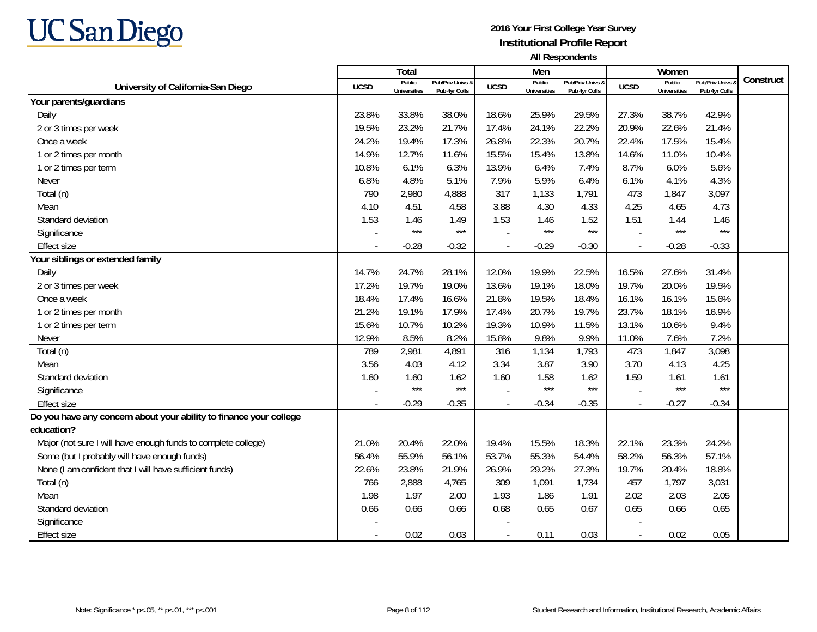

|                                                                    |                          | <b>Total</b>                  |                                   |                          | Men                           |                                   |             | Women                         |                                 |           |
|--------------------------------------------------------------------|--------------------------|-------------------------------|-----------------------------------|--------------------------|-------------------------------|-----------------------------------|-------------|-------------------------------|---------------------------------|-----------|
| University of California-San Diego                                 | <b>UCSD</b>              | Public<br><b>Universities</b> | Pub/Priv Univs &<br>Pub 4yr Colls | <b>UCSD</b>              | Public<br><b>Universities</b> | Pub/Priv Univs 8<br>Pub 4yr Colls | <b>UCSD</b> | Public<br><b>Universities</b> | Pub/Priv Univs<br>Pub 4yr Colls | Construct |
| Your parents/guardians                                             |                          |                               |                                   |                          |                               |                                   |             |                               |                                 |           |
| Daily                                                              | 23.8%                    | 33.8%                         | 38.0%                             | 18.6%                    | 25.9%                         | 29.5%                             | 27.3%       | 38.7%                         | 42.9%                           |           |
| 2 or 3 times per week                                              | 19.5%                    | 23.2%                         | 21.7%                             | 17.4%                    | 24.1%                         | 22.2%                             | 20.9%       | 22.6%                         | 21.4%                           |           |
| Once a week                                                        | 24.2%                    | 19.4%                         | 17.3%                             | 26.8%                    | 22.3%                         | 20.7%                             | 22.4%       | 17.5%                         | 15.4%                           |           |
| 1 or 2 times per month                                             | 14.9%                    | 12.7%                         | 11.6%                             | 15.5%                    | 15.4%                         | 13.8%                             | 14.6%       | 11.0%                         | 10.4%                           |           |
| 1 or 2 times per term                                              | 10.8%                    | 6.1%                          | 6.3%                              | 13.9%                    | 6.4%                          | 7.4%                              | 8.7%        | 6.0%                          | 5.6%                            |           |
| <b>Never</b>                                                       | 6.8%                     | 4.8%                          | 5.1%                              | 7.9%                     | 5.9%                          | 6.4%                              | 6.1%        | 4.1%                          | 4.3%                            |           |
| Total (n)                                                          | 790                      | 2,980                         | 4,888                             | 317                      | 1,133                         | 1,791                             | 473         | 1,847                         | 3,097                           |           |
| Mean                                                               | 4.10                     | 4.51                          | 4.58                              | 3.88                     | 4.30                          | 4.33                              | 4.25        | 4.65                          | 4.73                            |           |
| Standard deviation                                                 | 1.53                     | 1.46                          | 1.49                              | 1.53                     | 1.46                          | 1.52                              | 1.51        | 1.44                          | 1.46                            |           |
| Significance                                                       |                          | $***$                         | $***$                             |                          | $***$                         | $***$                             |             | $***$                         | $***$                           |           |
| <b>Effect size</b>                                                 | $\overline{\phantom{a}}$ | $-0.28$                       | $-0.32$                           | $\overline{\phantom{a}}$ | $-0.29$                       | $-0.30$                           |             | $-0.28$                       | $-0.33$                         |           |
| Your siblings or extended family                                   |                          |                               |                                   |                          |                               |                                   |             |                               |                                 |           |
| Daily                                                              | 14.7%                    | 24.7%                         | 28.1%                             | 12.0%                    | 19.9%                         | 22.5%                             | 16.5%       | 27.6%                         | 31.4%                           |           |
| 2 or 3 times per week                                              | 17.2%                    | 19.7%                         | 19.0%                             | 13.6%                    | 19.1%                         | 18.0%                             | 19.7%       | 20.0%                         | 19.5%                           |           |
| Once a week                                                        | 18.4%                    | 17.4%                         | 16.6%                             | 21.8%                    | 19.5%                         | 18.4%                             | 16.1%       | 16.1%                         | 15.6%                           |           |
| 1 or 2 times per month                                             | 21.2%                    | 19.1%                         | 17.9%                             | 17.4%                    | 20.7%                         | 19.7%                             | 23.7%       | 18.1%                         | 16.9%                           |           |
| 1 or 2 times per term                                              | 15.6%                    | 10.7%                         | 10.2%                             | 19.3%                    | 10.9%                         | 11.5%                             | 13.1%       | 10.6%                         | 9.4%                            |           |
| Never                                                              | 12.9%                    | 8.5%                          | 8.2%                              | 15.8%                    | 9.8%                          | 9.9%                              | 11.0%       | 7.6%                          | 7.2%                            |           |
| Total (n)                                                          | 789                      | 2,981                         | 4,891                             | 316                      | 1,134                         | 1,793                             | 473         | 1,847                         | 3,098                           |           |
| Mean                                                               | 3.56                     | 4.03                          | 4.12                              | 3.34                     | 3.87                          | 3.90                              | 3.70        | 4.13                          | 4.25                            |           |
| Standard deviation                                                 | 1.60                     | 1.60                          | 1.62                              | 1.60                     | 1.58                          | 1.62                              | 1.59        | 1.61                          | 1.61                            |           |
| Significance                                                       |                          | $***$                         | $***$                             |                          | $***$                         | $***$                             |             | $***$                         | $***$                           |           |
| <b>Effect size</b>                                                 |                          | $-0.29$                       | $-0.35$                           | $\blacksquare$           | $-0.34$                       | $-0.35$                           |             | $-0.27$                       | $-0.34$                         |           |
| Do you have any concern about your ability to finance your college |                          |                               |                                   |                          |                               |                                   |             |                               |                                 |           |
| education?                                                         |                          |                               |                                   |                          |                               |                                   |             |                               |                                 |           |
| Major (not sure I will have enough funds to complete college)      | 21.0%                    | 20.4%                         | 22.0%                             | 19.4%                    | 15.5%                         | 18.3%                             | 22.1%       | 23.3%                         | 24.2%                           |           |
| Some (but I probably will have enough funds)                       | 56.4%                    | 55.9%                         | 56.1%                             | 53.7%                    | 55.3%                         | 54.4%                             | 58.2%       | 56.3%                         | 57.1%                           |           |
| None (I am confident that I will have sufficient funds)            | 22.6%                    | 23.8%                         | 21.9%                             | 26.9%                    | 29.2%                         | 27.3%                             | 19.7%       | 20.4%                         | 18.8%                           |           |
| Total (n)                                                          | 766                      | 2,888                         | 4,765                             | 309                      | 1,091                         | 1,734                             | 457         | 1,797                         | 3,031                           |           |
| Mean                                                               | 1.98                     | 1.97                          | 2.00                              | 1.93                     | 1.86                          | 1.91                              | 2.02        | 2.03                          | 2.05                            |           |
| Standard deviation                                                 | 0.66                     | 0.66                          | 0.66                              | 0.68                     | 0.65                          | 0.67                              | 0.65        | 0.66                          | 0.65                            |           |
| Significance                                                       |                          |                               |                                   |                          |                               |                                   |             |                               |                                 |           |
| <b>Effect size</b>                                                 | $\overline{\phantom{a}}$ | 0.02                          | 0.03                              | $\blacksquare$           | 0.11                          | 0.03                              | $\sim$      | 0.02                          | 0.05                            |           |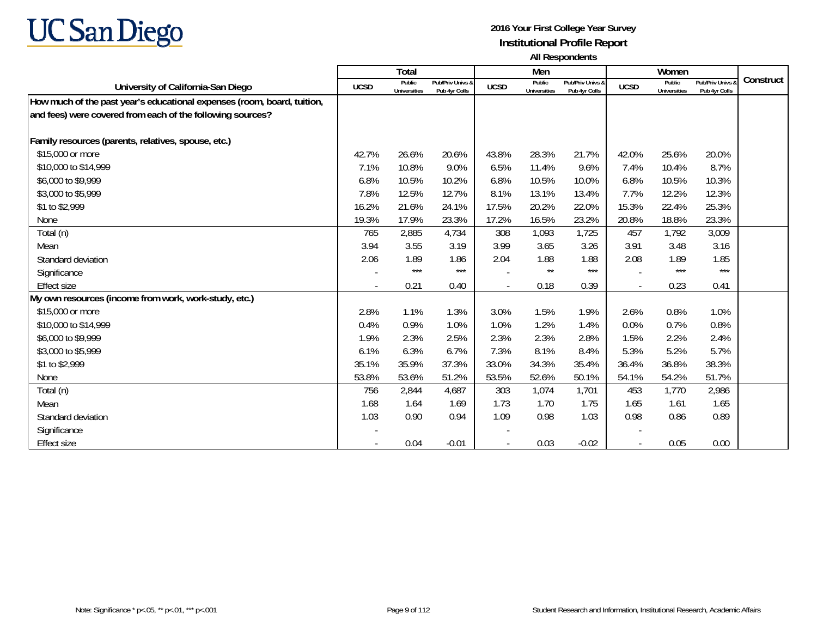

|                                                                         |             | Total                  |                                   |             | Men                           |                                   |                          | Women                         |                                        |           |
|-------------------------------------------------------------------------|-------------|------------------------|-----------------------------------|-------------|-------------------------------|-----------------------------------|--------------------------|-------------------------------|----------------------------------------|-----------|
| University of California-San Diego                                      | <b>UCSD</b> | Public<br>Universities | Pub/Priv Univs &<br>Pub 4yr Colls | <b>UCSD</b> | Public<br><b>Universities</b> | Pub/Priv Univs &<br>Pub 4yr Colls | <b>UCSD</b>              | Public<br><b>Universities</b> | <b>Pub/Priv Univs</b><br>Pub 4yr Colls | Construct |
| How much of the past year's educational expenses (room, board, tuition, |             |                        |                                   |             |                               |                                   |                          |                               |                                        |           |
| and fees) were covered from each of the following sources?              |             |                        |                                   |             |                               |                                   |                          |                               |                                        |           |
|                                                                         |             |                        |                                   |             |                               |                                   |                          |                               |                                        |           |
| Family resources (parents, relatives, spouse, etc.)                     |             |                        |                                   |             |                               |                                   |                          |                               |                                        |           |
| \$15,000 or more                                                        | 42.7%       | 26.6%                  | 20.6%                             | 43.8%       | 28.3%                         | 21.7%                             | 42.0%                    | 25.6%                         | 20.0%                                  |           |
| \$10,000 to \$14,999                                                    | 7.1%        | 10.8%                  | 9.0%                              | 6.5%        | 11.4%                         | 9.6%                              | 7.4%                     | 10.4%                         | 8.7%                                   |           |
| \$6,000 to \$9,999                                                      | 6.8%        | 10.5%                  | 10.2%                             | 6.8%        | 10.5%                         | 10.0%                             | 6.8%                     | 10.5%                         | 10.3%                                  |           |
| \$3,000 to \$5,999                                                      | 7.8%        | 12.5%                  | 12.7%                             | 8.1%        | 13.1%                         | 13.4%                             | 7.7%                     | 12.2%                         | 12.3%                                  |           |
| \$1 to \$2,999                                                          | 16.2%       | 21.6%                  | 24.1%                             | 17.5%       | 20.2%                         | 22.0%                             | 15.3%                    | 22.4%                         | 25.3%                                  |           |
| None                                                                    | 19.3%       | 17.9%                  | 23.3%                             | 17.2%       | 16.5%                         | 23.2%                             | 20.8%                    | 18.8%                         | 23.3%                                  |           |
| Total (n)                                                               | 765         | 2,885                  | 4,734                             | 308         | 1,093                         | 1,725                             | 457                      | 1,792                         | 3,009                                  |           |
| Mean                                                                    | 3.94        | 3.55                   | 3.19                              | 3.99        | 3.65                          | 3.26                              | 3.91                     | 3.48                          | 3.16                                   |           |
| Standard deviation                                                      | 2.06        | 1.89                   | 1.86                              | 2.04        | 1.88                          | 1.88                              | 2.08                     | 1.89                          | 1.85                                   |           |
| Significance                                                            |             | $***$                  | $***$                             |             | $***$                         | $***$                             | $\overline{\phantom{a}}$ | $***$                         | $***$                                  |           |
| <b>Effect size</b>                                                      | $\sim$      | 0.21                   | 0.40                              |             | 0.18                          | 0.39                              | $\overline{a}$           | 0.23                          | 0.41                                   |           |
| My own resources (income from work, work-study, etc.)                   |             |                        |                                   |             |                               |                                   |                          |                               |                                        |           |
| \$15,000 or more                                                        | 2.8%        | 1.1%                   | 1.3%                              | 3.0%        | 1.5%                          | 1.9%                              | 2.6%                     | 0.8%                          | 1.0%                                   |           |
| \$10,000 to \$14,999                                                    | 0.4%        | 0.9%                   | 1.0%                              | 1.0%        | 1.2%                          | 1.4%                              | 0.0%                     | 0.7%                          | 0.8%                                   |           |
| \$6,000 to \$9,999                                                      | 1.9%        | 2.3%                   | 2.5%                              | 2.3%        | 2.3%                          | 2.8%                              | 1.5%                     | 2.2%                          | 2.4%                                   |           |
| \$3,000 to \$5,999                                                      | 6.1%        | 6.3%                   | 6.7%                              | 7.3%        | 8.1%                          | 8.4%                              | 5.3%                     | 5.2%                          | 5.7%                                   |           |
| \$1 to \$2,999                                                          | 35.1%       | 35.9%                  | 37.3%                             | 33.0%       | 34.3%                         | 35.4%                             | 36.4%                    | 36.8%                         | 38.3%                                  |           |
| None                                                                    | 53.8%       | 53.6%                  | 51.2%                             | 53.5%       | 52.6%                         | 50.1%                             | 54.1%                    | 54.2%                         | 51.7%                                  |           |
| Total (n)                                                               | 756         | 2,844                  | 4,687                             | 303         | 1,074                         | 1,701                             | 453                      | 1,770                         | 2,986                                  |           |
| Mean                                                                    | 1.68        | 1.64                   | 1.69                              | 1.73        | 1.70                          | 1.75                              | 1.65                     | 1.61                          | 1.65                                   |           |
| Standard deviation                                                      | 1.03        | 0.90                   | 0.94                              | 1.09        | 0.98                          | 1.03                              | 0.98                     | 0.86                          | 0.89                                   |           |
| Significance                                                            |             |                        |                                   |             |                               |                                   |                          |                               |                                        |           |
| <b>Effect size</b>                                                      |             | 0.04                   | $-0.01$                           |             | 0.03                          | $-0.02$                           |                          | 0.05                          | 0.00                                   |           |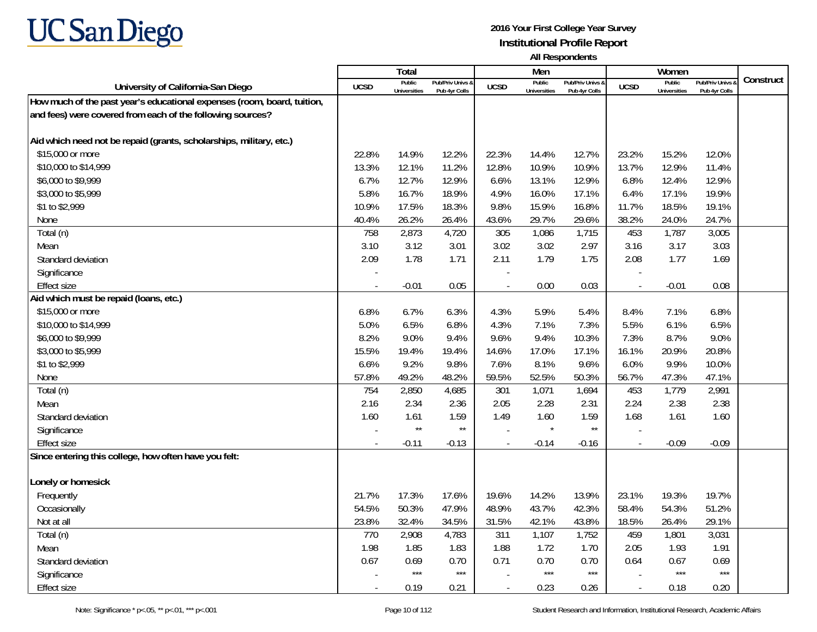

|                                                                         |                          | <b>Total</b>                  |                                   |             | Men                           |                                   |                          | Women                         |                                        |           |
|-------------------------------------------------------------------------|--------------------------|-------------------------------|-----------------------------------|-------------|-------------------------------|-----------------------------------|--------------------------|-------------------------------|----------------------------------------|-----------|
| University of California-San Diego                                      | <b>UCSD</b>              | Public<br><b>Universities</b> | Pub/Priv Univs &<br>Pub 4yr Colls | <b>UCSD</b> | Public<br><b>Universities</b> | Pub/Priv Univs &<br>Pub 4vr Colls | <b>UCSD</b>              | Public<br><b>Universities</b> | <b>Pub/Priv Univs</b><br>Pub 4yr Colls | Construct |
| How much of the past year's educational expenses (room, board, tuition, |                          |                               |                                   |             |                               |                                   |                          |                               |                                        |           |
| and fees) were covered from each of the following sources?              |                          |                               |                                   |             |                               |                                   |                          |                               |                                        |           |
|                                                                         |                          |                               |                                   |             |                               |                                   |                          |                               |                                        |           |
| Aid which need not be repaid (grants, scholarships, military, etc.)     |                          |                               |                                   |             |                               |                                   |                          |                               |                                        |           |
| \$15,000 or more                                                        | 22.8%                    | 14.9%                         | 12.2%                             | 22.3%       | 14.4%                         | 12.7%                             | 23.2%                    | 15.2%                         | 12.0%                                  |           |
| \$10,000 to \$14,999                                                    | 13.3%                    | 12.1%                         | 11.2%                             | 12.8%       | 10.9%                         | 10.9%                             | 13.7%                    | 12.9%                         | 11.4%                                  |           |
| \$6,000 to \$9,999                                                      | 6.7%                     | 12.7%                         | 12.9%                             | 6.6%        | 13.1%                         | 12.9%                             | 6.8%                     | 12.4%                         | 12.9%                                  |           |
| \$3,000 to \$5,999                                                      | 5.8%                     | 16.7%                         | 18.9%                             | 4.9%        | 16.0%                         | 17.1%                             | 6.4%                     | 17.1%                         | 19.9%                                  |           |
| \$1 to \$2,999                                                          | 10.9%                    | 17.5%                         | 18.3%                             | 9.8%        | 15.9%                         | 16.8%                             | 11.7%                    | 18.5%                         | 19.1%                                  |           |
| None                                                                    | 40.4%                    | 26.2%                         | 26.4%                             | 43.6%       | 29.7%                         | 29.6%                             | 38.2%                    | 24.0%                         | 24.7%                                  |           |
| Total (n)                                                               | 758                      | 2,873                         | 4,720                             | 305         | 1,086                         | 1,715                             | 453                      | 1,787                         | 3,005                                  |           |
| Mean                                                                    | 3.10                     | 3.12                          | 3.01                              | 3.02        | 3.02                          | 2.97                              | 3.16                     | 3.17                          | 3.03                                   |           |
| Standard deviation                                                      | 2.09                     | 1.78                          | 1.71                              | 2.11        | 1.79                          | 1.75                              | 2.08                     | 1.77                          | 1.69                                   |           |
| Significance                                                            |                          |                               |                                   |             |                               |                                   |                          |                               |                                        |           |
| <b>Effect size</b>                                                      | $\sim$                   | $-0.01$                       | 0.05                              |             | 0.00                          | 0.03                              | $\sim$                   | $-0.01$                       | 0.08                                   |           |
| Aid which must be repaid (loans, etc.)                                  |                          |                               |                                   |             |                               |                                   |                          |                               |                                        |           |
| \$15,000 or more                                                        | 6.8%                     | 6.7%                          | 6.3%                              | 4.3%        | 5.9%                          | 5.4%                              | 8.4%                     | 7.1%                          | 6.8%                                   |           |
| \$10,000 to \$14,999                                                    | 5.0%                     | 6.5%                          | 6.8%                              | 4.3%        | 7.1%                          | 7.3%                              | 5.5%                     | 6.1%                          | 6.5%                                   |           |
| \$6,000 to \$9,999                                                      | 8.2%                     | 9.0%                          | 9.4%                              | 9.6%        | 9.4%                          | 10.3%                             | 7.3%                     | 8.7%                          | 9.0%                                   |           |
| \$3,000 to \$5,999                                                      | 15.5%                    | 19.4%                         | 19.4%                             | 14.6%       | 17.0%                         | 17.1%                             | 16.1%                    | 20.9%                         | 20.8%                                  |           |
| \$1 to \$2,999                                                          | 6.6%                     | 9.2%                          | 9.8%                              | 7.6%        | 8.1%                          | 9.6%                              | 6.0%                     | 9.9%                          | 10.0%                                  |           |
| None                                                                    | 57.8%                    | 49.2%                         | 48.2%                             | 59.5%       | 52.5%                         | 50.3%                             | 56.7%                    | 47.3%                         | 47.1%                                  |           |
| Total (n)                                                               | 754                      | 2,850                         | 4,685                             | 301         | 1,071                         | 1,694                             | 453                      | 1,779                         | 2,991                                  |           |
| Mean                                                                    | 2.16                     | 2.34                          | 2.36                              | 2.05        | 2.28                          | 2.31                              | 2.24                     | 2.38                          | 2.38                                   |           |
| Standard deviation                                                      | 1.60                     | 1.61                          | 1.59                              | 1.49        | 1.60                          | 1.59                              | 1.68                     | 1.61                          | 1.60                                   |           |
| Significance                                                            | $\overline{a}$           | $\star\star$                  | $\star\star$                      |             | $\star$                       | $\star\star$                      |                          |                               |                                        |           |
| <b>Effect size</b>                                                      |                          | $-0.11$                       | $-0.13$                           |             | $-0.14$                       | $-0.16$                           |                          | $-0.09$                       | $-0.09$                                |           |
| Since entering this college, how often have you felt:                   |                          |                               |                                   |             |                               |                                   |                          |                               |                                        |           |
|                                                                         |                          |                               |                                   |             |                               |                                   |                          |                               |                                        |           |
| Lonely or homesick                                                      |                          |                               |                                   |             |                               |                                   |                          |                               |                                        |           |
| Frequently                                                              | 21.7%                    | 17.3%                         | 17.6%                             | 19.6%       | 14.2%                         | 13.9%                             | 23.1%                    | 19.3%                         | 19.7%                                  |           |
| Occasionally                                                            | 54.5%                    | 50.3%                         | 47.9%                             | 48.9%       | 43.7%                         | 42.3%                             | 58.4%                    | 54.3%                         | 51.2%                                  |           |
| Not at all                                                              | 23.8%                    | 32.4%                         | 34.5%                             | 31.5%       | 42.1%                         | 43.8%                             | 18.5%                    | 26.4%                         | 29.1%                                  |           |
| Total (n)                                                               | 770                      | 2,908                         | 4,783                             | 311         | 1,107                         | 1,752                             | 459                      | 1,801                         | 3,031                                  |           |
| Mean                                                                    | 1.98                     | 1.85                          | 1.83                              | 1.88        | 1.72                          | 1.70                              | 2.05                     | 1.93                          | 1.91                                   |           |
| Standard deviation                                                      | 0.67                     | 0.69                          | 0.70                              | 0.71        | 0.70                          | 0.70                              | 0.64                     | 0.67                          | 0.69                                   |           |
| Significance                                                            |                          | $***$                         | $***$                             |             | $***$                         | $***$                             |                          | $***$                         | $***$                                  |           |
| <b>Effect size</b>                                                      | $\overline{\phantom{a}}$ | 0.19                          | 0.21                              |             | 0.23                          | 0.26                              | $\overline{\phantom{a}}$ | 0.18                          | 0.20                                   |           |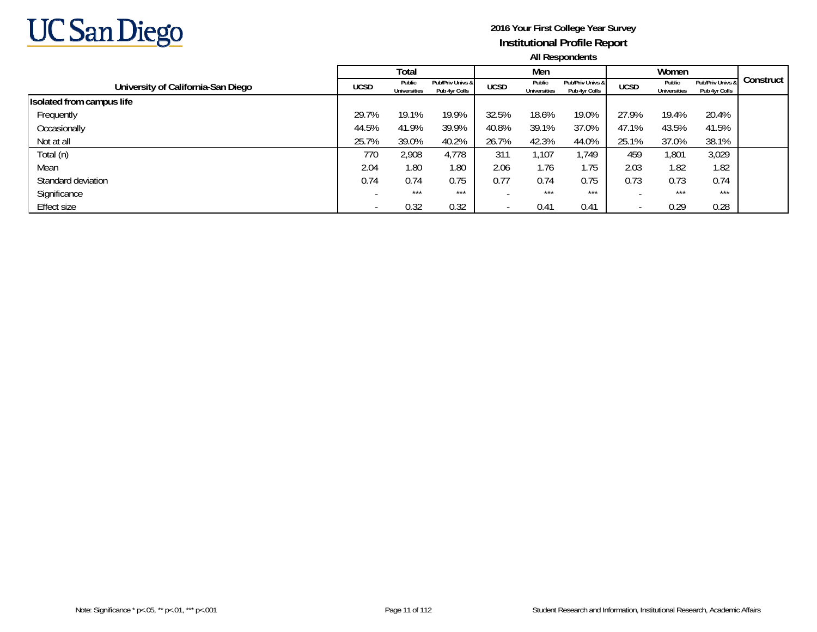

|                                    |                          | Total                         |                                   |             | Men                           |                                   |                          | Women                         |                                   |           |
|------------------------------------|--------------------------|-------------------------------|-----------------------------------|-------------|-------------------------------|-----------------------------------|--------------------------|-------------------------------|-----------------------------------|-----------|
| University of California-San Diego | <b>UCSD</b>              | Public<br><b>Universities</b> | Pub/Priv Univs &<br>Pub 4yr Colls | <b>UCSD</b> | Public<br><b>Universities</b> | Pub/Priv Univs &<br>Pub 4vr Colls | <b>UCSD</b>              | Public<br><b>Universities</b> | Pub/Priv Univs &<br>Pub 4yr Colls | Construct |
| Isolated from campus life          |                          |                               |                                   |             |                               |                                   |                          |                               |                                   |           |
| Frequently                         | 29.7%                    | 19.1%                         | 19.9%                             | 32.5%       | 18.6%                         | 19.0%                             | 27.9%                    | 19.4%                         | 20.4%                             |           |
| Occasionally                       | 44.5%                    | 41.9%                         | 39.9%                             | 40.8%       | 39.1%                         | 37.0%                             | 47.1%                    | 43.5%                         | 41.5%                             |           |
| Not at all                         | 25.7%                    | 39.0%                         | 40.2%                             | 26.7%       | 42.3%                         | 44.0%                             | 25.1%                    | 37.0%                         | 38.1%                             |           |
| Total (n)                          | 770                      | 2,908                         | 4,778                             | 311         | 1,107                         | 1,749                             | 459                      | 1,801                         | 3,029                             |           |
| Mean                               | 2.04                     | 1.80                          | 1.80                              | 2.06        | 1.76                          | .75                               | 2.03                     | 1.82                          | 1.82                              |           |
| Standard deviation                 | 0.74                     | 0.74                          | 0.75                              | 0.77        | 0.74                          | 0.75                              | 0.73                     | 0.73                          | 0.74                              |           |
| Significance                       | $\overline{\phantom{a}}$ | $***$                         | $***$                             |             | $***$                         | $***$                             |                          | $***$                         | $***$                             |           |
| Effect size                        |                          | 0.32                          | 0.32                              |             | 0.41                          | 0.41                              | $\overline{\phantom{a}}$ | 0.29                          | 0.28                              |           |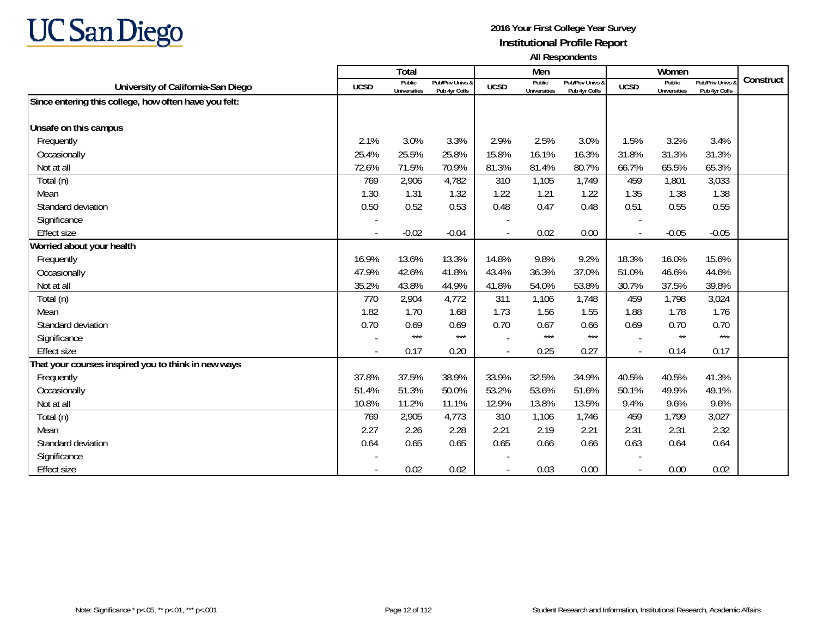

|                                                       |             | Total                         |                                   |             | Men                           |                                   |                          | Women                         |                                        |           |
|-------------------------------------------------------|-------------|-------------------------------|-----------------------------------|-------------|-------------------------------|-----------------------------------|--------------------------|-------------------------------|----------------------------------------|-----------|
| University of California-San Diego                    | <b>UCSD</b> | Public<br><b>Universities</b> | Pub/Priv Univs &<br>Pub 4yr Colls | <b>UCSD</b> | Public<br><b>Universities</b> | Pub/Priv Univs &<br>Pub 4yr Colls | <b>UCSD</b>              | Public<br><b>Universities</b> | <b>Pub/Priv Univs</b><br>Pub 4yr Colls | Construct |
| Since entering this college, how often have you felt: |             |                               |                                   |             |                               |                                   |                          |                               |                                        |           |
|                                                       |             |                               |                                   |             |                               |                                   |                          |                               |                                        |           |
| Unsafe on this campus                                 |             |                               |                                   |             |                               |                                   |                          |                               |                                        |           |
| Frequently                                            | 2.1%        | 3.0%                          | 3.3%                              | 2.9%        | 2.5%                          | 3.0%                              | 1.5%                     | 3.2%                          | 3.4%                                   |           |
| Occasionally                                          | 25.4%       | 25.5%                         | 25.8%                             | 15.8%       | 16.1%                         | 16.3%                             | 31.8%                    | 31.3%                         | 31.3%                                  |           |
| Not at all                                            | 72.6%       | 71.5%                         | 70.9%                             | 81.3%       | 81.4%                         | 80.7%                             | 66.7%                    | 65.5%                         | 65.3%                                  |           |
| Total (n)                                             | 769         | 2,906                         | 4,782                             | 310         | 1,105                         | 1,749                             | 459                      | 1,801                         | 3,033                                  |           |
| Mean                                                  | 1.30        | 1.31                          | 1.32                              | 1.22        | 1.21                          | 1.22                              | 1.35                     | 1.38                          | 1.38                                   |           |
| Standard deviation                                    | 0.50        | 0.52                          | 0.53                              | 0.48        | 0.47                          | 0.48                              | 0.51                     | 0.55                          | 0.55                                   |           |
| Significance                                          |             |                               |                                   |             |                               |                                   |                          |                               |                                        |           |
| <b>Effect size</b>                                    |             | $-0.02$                       | $-0.04$                           | $\sim$      | 0.02                          | 0.00                              | $\sim$                   | $-0.05$                       | $-0.05$                                |           |
| Worried about your health                             |             |                               |                                   |             |                               |                                   |                          |                               |                                        |           |
| Frequently                                            | 16.9%       | 13.6%                         | 13.3%                             | 14.8%       | 9.8%                          | 9.2%                              | 18.3%                    | 16.0%                         | 15.6%                                  |           |
| Occasionally                                          | 47.9%       | 42.6%                         | 41.8%                             | 43.4%       | 36.3%                         | 37.0%                             | 51.0%                    | 46.6%                         | 44.6%                                  |           |
| Not at all                                            | 35.2%       | 43.8%                         | 44.9%                             | 41.8%       | 54.0%                         | 53.8%                             | 30.7%                    | 37.5%                         | 39.8%                                  |           |
| Total (n)                                             | 770         | 2,904                         | 4,772                             | 311         | 1,106                         | 1,748                             | 459                      | 1,798                         | 3,024                                  |           |
| Mean                                                  | 1.82        | 1.70                          | 1.68                              | 1.73        | 1.56                          | 1.55                              | 1.88                     | 1.78                          | 1.76                                   |           |
| Standard deviation                                    | 0.70        | 0.69                          | 0.69                              | 0.70        | 0.67                          | 0.66                              | 0.69                     | 0.70                          | 0.70                                   |           |
| Significance                                          |             | $***$                         | $***$                             |             | $***$                         | $***$                             |                          | $\star\star$                  | $***$                                  |           |
| <b>Effect size</b>                                    |             | 0.17                          | 0.20                              |             | 0.25                          | 0.27                              | $\overline{\phantom{a}}$ | 0.14                          | 0.17                                   |           |
| That your courses inspired you to think in new ways   |             |                               |                                   |             |                               |                                   |                          |                               |                                        |           |
| Frequently                                            | 37.8%       | 37.5%                         | 38.9%                             | 33.9%       | 32.5%                         | 34.9%                             | 40.5%                    | 40.5%                         | 41.3%                                  |           |
| Occasionally                                          | 51.4%       | 51.3%                         | 50.0%                             | 53.2%       | 53.6%                         | 51.6%                             | 50.1%                    | 49.9%                         | 49.1%                                  |           |
| Not at all                                            | 10.8%       | 11.2%                         | 11.1%                             | 12.9%       | 13.8%                         | 13.5%                             | 9.4%                     | 9.6%                          | 9.6%                                   |           |
| Total (n)                                             | 769         | 2,905                         | 4,773                             | 310         | 1,106                         | 1,746                             | 459                      | 1,799                         | 3,027                                  |           |
| Mean                                                  | 2.27        | 2.26                          | 2.28                              | 2.21        | 2.19                          | 2.21                              | 2.31                     | 2.31                          | 2.32                                   |           |
| Standard deviation                                    | 0.64        | 0.65                          | 0.65                              | 0.65        | 0.66                          | 0.66                              | 0.63                     | 0.64                          | 0.64                                   |           |
| Significance                                          |             |                               |                                   |             |                               |                                   |                          |                               |                                        |           |
| <b>Effect size</b>                                    |             | 0.02                          | 0.02                              |             | 0.03                          | 0.00                              |                          | 0.00                          | 0.02                                   |           |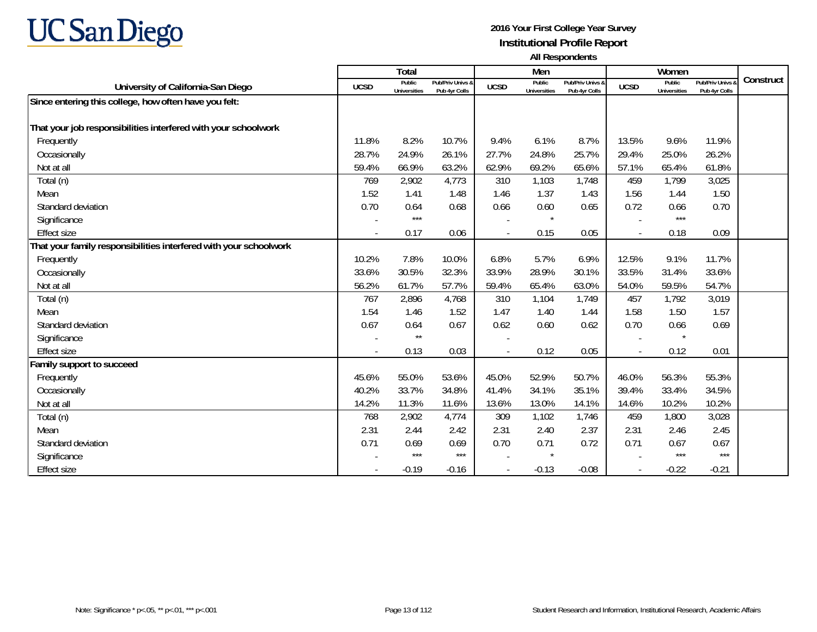

|                                                                   |                | <b>Total</b>                  |                                   |             | Men                           |                                   |                          | Women                         |                                        |           |
|-------------------------------------------------------------------|----------------|-------------------------------|-----------------------------------|-------------|-------------------------------|-----------------------------------|--------------------------|-------------------------------|----------------------------------------|-----------|
| University of California-San Diego                                | <b>UCSD</b>    | Public<br><b>Universities</b> | Pub/Priv Univs &<br>Pub 4yr Colls | <b>UCSD</b> | Public<br><b>Universities</b> | Pub/Priv Univs &<br>Pub 4yr Colls | <b>UCSD</b>              | Public<br><b>Universities</b> | <b>Pub/Priv Univs</b><br>Pub 4yr Colls | Construct |
| Since entering this college, how often have you felt:             |                |                               |                                   |             |                               |                                   |                          |                               |                                        |           |
|                                                                   |                |                               |                                   |             |                               |                                   |                          |                               |                                        |           |
| That your job responsibilities interfered with your schoolwork    |                |                               |                                   |             |                               |                                   |                          |                               |                                        |           |
| Frequently                                                        | 11.8%          | 8.2%                          | 10.7%                             | 9.4%        | 6.1%                          | 8.7%                              | 13.5%                    | 9.6%                          | 11.9%                                  |           |
| Occasionally                                                      | 28.7%          | 24.9%                         | 26.1%                             | 27.7%       | 24.8%                         | 25.7%                             | 29.4%                    | 25.0%                         | 26.2%                                  |           |
| Not at all                                                        | 59.4%          | 66.9%                         | 63.2%                             | 62.9%       | 69.2%                         | 65.6%                             | 57.1%                    | 65.4%                         | 61.8%                                  |           |
| Total (n)                                                         | 769            | 2,902                         | 4,773                             | 310         | 1,103                         | 1,748                             | 459                      | 1,799                         | 3,025                                  |           |
| Mean                                                              | 1.52           | 1.41                          | 1.48                              | 1.46        | 1.37                          | 1.43                              | 1.56                     | 1.44                          | 1.50                                   |           |
| Standard deviation                                                | 0.70           | 0.64                          | 0.68                              | 0.66        | 0.60                          | 0.65                              | 0.72                     | 0.66                          | 0.70                                   |           |
| Significance                                                      |                | $***$                         |                                   |             | $\star$                       |                                   |                          | $***$                         |                                        |           |
| <b>Effect size</b>                                                | $\sim$         | 0.17                          | 0.06                              |             | 0.15                          | 0.05                              | $\overline{\phantom{a}}$ | 0.18                          | 0.09                                   |           |
| That your family responsibilities interfered with your schoolwork |                |                               |                                   |             |                               |                                   |                          |                               |                                        |           |
| Frequently                                                        | 10.2%          | 7.8%                          | 10.0%                             | 6.8%        | 5.7%                          | 6.9%                              | 12.5%                    | 9.1%                          | 11.7%                                  |           |
| Occasionally                                                      | 33.6%          | 30.5%                         | 32.3%                             | 33.9%       | 28.9%                         | 30.1%                             | 33.5%                    | 31.4%                         | 33.6%                                  |           |
| Not at all                                                        | 56.2%          | 61.7%                         | 57.7%                             | 59.4%       | 65.4%                         | 63.0%                             | 54.0%                    | 59.5%                         | 54.7%                                  |           |
| Total (n)                                                         | 767            | 2,896                         | 4,768                             | 310         | 1,104                         | 1,749                             | 457                      | 1,792                         | 3,019                                  |           |
| Mean                                                              | 1.54           | 1.46                          | 1.52                              | 1.47        | 1.40                          | 1.44                              | 1.58                     | 1.50                          | 1.57                                   |           |
| Standard deviation                                                | 0.67           | 0.64                          | 0.67                              | 0.62        | 0.60                          | 0.62                              | 0.70                     | 0.66                          | 0.69                                   |           |
| Significance                                                      |                | $\star\star$                  |                                   |             |                               |                                   |                          | $\star$                       |                                        |           |
| <b>Effect size</b>                                                | $\blacksquare$ | 0.13                          | 0.03                              |             | 0.12                          | 0.05                              | $\overline{\phantom{a}}$ | 0.12                          | 0.01                                   |           |
| Family support to succeed                                         |                |                               |                                   |             |                               |                                   |                          |                               |                                        |           |
| Frequently                                                        | 45.6%          | 55.0%                         | 53.6%                             | 45.0%       | 52.9%                         | 50.7%                             | 46.0%                    | 56.3%                         | 55.3%                                  |           |
| Occasionally                                                      | 40.2%          | 33.7%                         | 34.8%                             | 41.4%       | 34.1%                         | 35.1%                             | 39.4%                    | 33.4%                         | 34.5%                                  |           |
| Not at all                                                        | 14.2%          | 11.3%                         | 11.6%                             | 13.6%       | 13.0%                         | 14.1%                             | 14.6%                    | 10.2%                         | 10.2%                                  |           |
| Total (n)                                                         | 768            | 2,902                         | 4,774                             | 309         | 1,102                         | 1,746                             | 459                      | 1,800                         | 3,028                                  |           |
| Mean                                                              | 2.31           | 2.44                          | 2.42                              | 2.31        | 2.40                          | 2.37                              | 2.31                     | 2.46                          | 2.45                                   |           |
| Standard deviation                                                | 0.71           | 0.69                          | 0.69                              | 0.70        | 0.71                          | 0.72                              | 0.71                     | 0.67                          | 0.67                                   |           |
| Significance                                                      |                | $***$                         | $***$                             |             | $\star$                       |                                   |                          | $***$                         | $***$                                  |           |
| <b>Effect size</b>                                                |                | $-0.19$                       | $-0.16$                           |             | $-0.13$                       | $-0.08$                           |                          | $-0.22$                       | $-0.21$                                |           |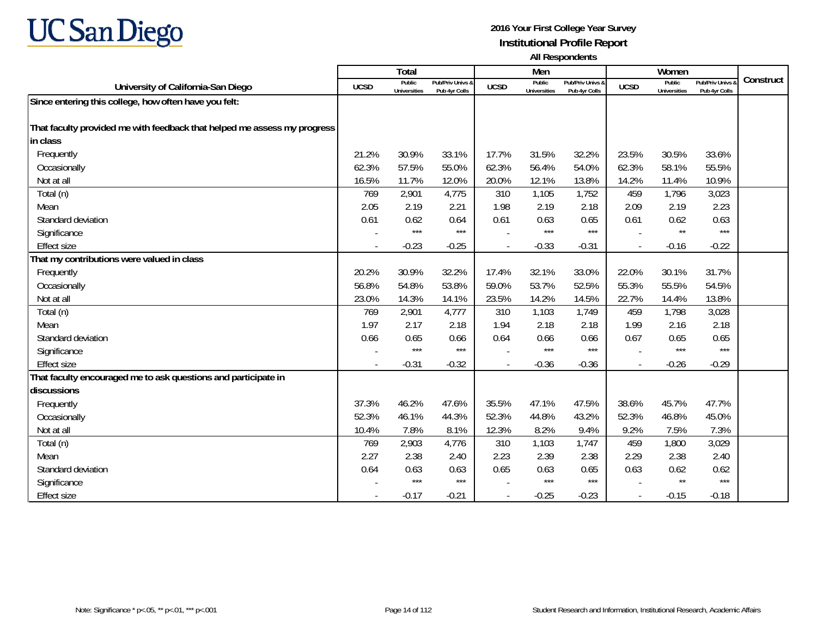

|                                                                          |             | <b>Total</b>                  |                                   |             | Men                           |                                   |             | Women                         |                                 |           |
|--------------------------------------------------------------------------|-------------|-------------------------------|-----------------------------------|-------------|-------------------------------|-----------------------------------|-------------|-------------------------------|---------------------------------|-----------|
| University of California-San Diego                                       | <b>UCSD</b> | Public<br><b>Universities</b> | Pub/Priv Univs &<br>Pub 4yr Colls | <b>UCSD</b> | Public<br><b>Universities</b> | Pub/Priv Univs &<br>Pub 4vr Colls | <b>UCSD</b> | Public<br><b>Universities</b> | Pub/Priv Univs<br>Pub 4yr Colls | Construct |
| Since entering this college, how often have you felt:                    |             |                               |                                   |             |                               |                                   |             |                               |                                 |           |
|                                                                          |             |                               |                                   |             |                               |                                   |             |                               |                                 |           |
| That faculty provided me with feedback that helped me assess my progress |             |                               |                                   |             |                               |                                   |             |                               |                                 |           |
| in class                                                                 |             |                               |                                   |             |                               |                                   |             |                               |                                 |           |
| Frequently                                                               | 21.2%       | 30.9%                         | 33.1%                             | 17.7%       | 31.5%                         | 32.2%                             | 23.5%       | 30.5%                         | 33.6%                           |           |
| Occasionally                                                             | 62.3%       | 57.5%                         | 55.0%                             | 62.3%       | 56.4%                         | 54.0%                             | 62.3%       | 58.1%                         | 55.5%                           |           |
| Not at all                                                               | 16.5%       | 11.7%                         | 12.0%                             | 20.0%       | 12.1%                         | 13.8%                             | 14.2%       | 11.4%                         | 10.9%                           |           |
| Total (n)                                                                | 769         | 2,901                         | 4,775                             | 310         | 1,105                         | 1,752                             | 459         | 1,796                         | 3,023                           |           |
| Mean                                                                     | 2.05        | 2.19                          | 2.21                              | 1.98        | 2.19                          | 2.18                              | 2.09        | 2.19                          | 2.23                            |           |
| Standard deviation                                                       | 0.61        | 0.62                          | 0.64                              | 0.61        | 0.63                          | 0.65                              | 0.61        | 0.62                          | 0.63                            |           |
| Significance                                                             |             | $***$                         | $***$                             |             | $***$                         | $***$                             |             | $^{\star\star}$               | $***$                           |           |
| <b>Effect size</b>                                                       |             | $-0.23$                       | $-0.25$                           |             | $-0.33$                       | $-0.31$                           |             | $-0.16$                       | $-0.22$                         |           |
| That my contributions were valued in class                               |             |                               |                                   |             |                               |                                   |             |                               |                                 |           |
| Frequently                                                               | 20.2%       | 30.9%                         | 32.2%                             | 17.4%       | 32.1%                         | 33.0%                             | 22.0%       | 30.1%                         | 31.7%                           |           |
| Occasionally                                                             | 56.8%       | 54.8%                         | 53.8%                             | 59.0%       | 53.7%                         | 52.5%                             | 55.3%       | 55.5%                         | 54.5%                           |           |
| Not at all                                                               | 23.0%       | 14.3%                         | 14.1%                             | 23.5%       | 14.2%                         | 14.5%                             | 22.7%       | 14.4%                         | 13.8%                           |           |
| Total (n)                                                                | 769         | 2,901                         | 4,777                             | 310         | 1,103                         | 1,749                             | 459         | 1,798                         | 3,028                           |           |
| Mean                                                                     | 1.97        | 2.17                          | 2.18                              | 1.94        | 2.18                          | 2.18                              | 1.99        | 2.16                          | 2.18                            |           |
| Standard deviation                                                       | 0.66        | 0.65                          | 0.66                              | 0.64        | 0.66                          | 0.66                              | 0.67        | 0.65                          | 0.65                            |           |
| Significance                                                             |             | $***$                         | $***$                             |             | ***                           | $***$                             |             | $***$                         | $***$                           |           |
| <b>Effect size</b>                                                       |             | $-0.31$                       | $-0.32$                           |             | $-0.36$                       | $-0.36$                           |             | $-0.26$                       | $-0.29$                         |           |
| That faculty encouraged me to ask questions and participate in           |             |                               |                                   |             |                               |                                   |             |                               |                                 |           |
| discussions                                                              |             |                               |                                   |             |                               |                                   |             |                               |                                 |           |
| Frequently                                                               | 37.3%       | 46.2%                         | 47.6%                             | 35.5%       | 47.1%                         | 47.5%                             | 38.6%       | 45.7%                         | 47.7%                           |           |
| Occasionally                                                             | 52.3%       | 46.1%                         | 44.3%                             | 52.3%       | 44.8%                         | 43.2%                             | 52.3%       | 46.8%                         | 45.0%                           |           |
| Not at all                                                               | 10.4%       | 7.8%                          | 8.1%                              | 12.3%       | 8.2%                          | 9.4%                              | 9.2%        | 7.5%                          | 7.3%                            |           |
| Total (n)                                                                | 769         | 2,903                         | 4,776                             | 310         | 1,103                         | 1,747                             | 459         | 1,800                         | 3,029                           |           |
| Mean                                                                     | 2.27        | 2.38                          | 2.40                              | 2.23        | 2.39                          | 2.38                              | 2.29        | 2.38                          | 2.40                            |           |
| Standard deviation                                                       | 0.64        | 0.63                          | 0.63                              | 0.65        | 0.63                          | 0.65                              | 0.63        | 0.62                          | 0.62                            |           |
| Significance                                                             |             | $***$                         | $***$                             |             | $***$                         | $***$                             |             | $^{\star\star}$               | $***$                           |           |
| <b>Effect size</b>                                                       |             | $-0.17$                       | $-0.21$                           |             | $-0.25$                       | $-0.23$                           | $\sim$      | $-0.15$                       | $-0.18$                         |           |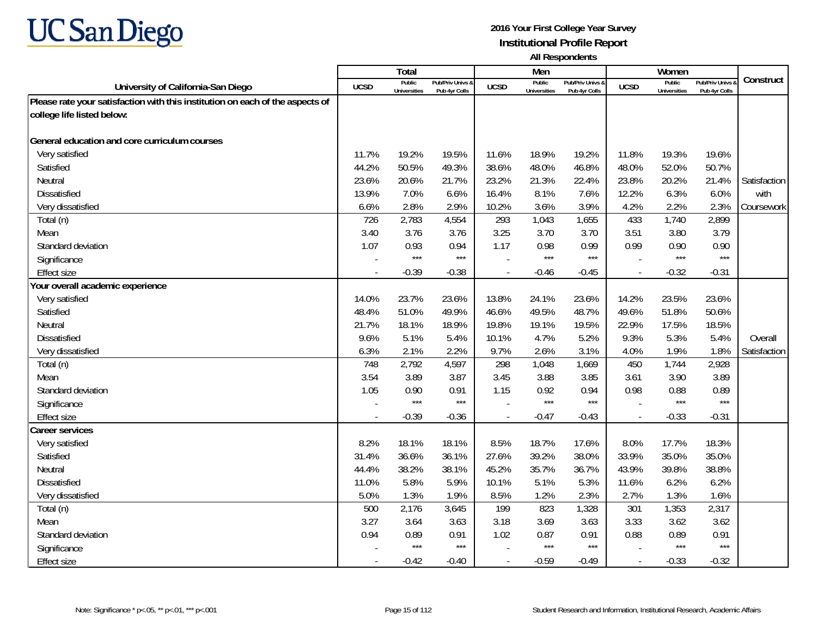

|                                                                               |                | Total                         |                                   |                | Men                           |                                   |                          | Women                         |                                        |              |
|-------------------------------------------------------------------------------|----------------|-------------------------------|-----------------------------------|----------------|-------------------------------|-----------------------------------|--------------------------|-------------------------------|----------------------------------------|--------------|
| University of California-San Diego                                            | <b>UCSD</b>    | Public<br><b>Universities</b> | Pub/Priv Univs &<br>Pub 4yr Colls | <b>UCSD</b>    | Public<br><b>Universities</b> | Pub/Priv Univs &<br>Pub 4yr Colls | <b>UCSD</b>              | Public<br><b>Universities</b> | <b>Pub/Priv Univs</b><br>Pub 4yr Colls | Construct    |
| Please rate your satisfaction with this institution on each of the aspects of |                |                               |                                   |                |                               |                                   |                          |                               |                                        |              |
| college life listed below:                                                    |                |                               |                                   |                |                               |                                   |                          |                               |                                        |              |
|                                                                               |                |                               |                                   |                |                               |                                   |                          |                               |                                        |              |
| General education and core curriculum courses                                 |                |                               |                                   |                |                               |                                   |                          |                               |                                        |              |
| Very satisfied                                                                | 11.7%          | 19.2%                         | 19.5%                             | 11.6%          | 18.9%                         | 19.2%                             | 11.8%                    | 19.3%                         | 19.6%                                  |              |
| Satisfied                                                                     | 44.2%          | 50.5%                         | 49.3%                             | 38.6%          | 48.0%                         | 46.8%                             | 48.0%                    | 52.0%                         | 50.7%                                  |              |
| Neutral                                                                       | 23.6%          | 20.6%                         | 21.7%                             | 23.2%          | 21.3%                         | 22.4%                             | 23.8%                    | 20.2%                         | 21.4%                                  | Satisfaction |
| <b>Dissatisfied</b>                                                           | 13.9%          | 7.0%                          | 6.6%                              | 16.4%          | 8.1%                          | 7.6%                              | 12.2%                    | 6.3%                          | 6.0%                                   | with         |
| Very dissatisfied                                                             | 6.6%           | 2.8%                          | 2.9%                              | 10.2%          | 3.6%                          | 3.9%                              | 4.2%                     | 2.2%                          | 2.3%                                   | Coursework   |
| Total (n)                                                                     | 726            | 2,783                         | 4,554                             | 293            | 1,043                         | 1,655                             | 433                      | 1,740                         | 2,899                                  |              |
| Mean                                                                          | 3.40           | 3.76                          | 3.76                              | 3.25           | 3.70                          | 3.70                              | 3.51                     | 3.80                          | 3.79                                   |              |
| Standard deviation                                                            | 1.07           | 0.93                          | 0.94                              | 1.17           | 0.98                          | 0.99                              | 0.99                     | 0.90                          | 0.90                                   |              |
| Significance                                                                  |                | $***$                         | $***$                             |                | $***$                         | $***$                             |                          | $***$                         | $***$                                  |              |
| <b>Effect size</b>                                                            |                | $-0.39$                       | $-0.38$                           |                | $-0.46$                       | $-0.45$                           | $\overline{a}$           | $-0.32$                       | $-0.31$                                |              |
| Your overall academic experience                                              |                |                               |                                   |                |                               |                                   |                          |                               |                                        |              |
| Very satisfied                                                                | 14.0%          | 23.7%                         | 23.6%                             | 13.8%          | 24.1%                         | 23.6%                             | 14.2%                    | 23.5%                         | 23.6%                                  |              |
| Satisfied                                                                     | 48.4%          | 51.0%                         | 49.9%                             | 46.6%          | 49.5%                         | 48.7%                             | 49.6%                    | 51.8%                         | 50.6%                                  |              |
| Neutral                                                                       | 21.7%          | 18.1%                         | 18.9%                             | 19.8%          | 19.1%                         | 19.5%                             | 22.9%                    | 17.5%                         | 18.5%                                  |              |
| <b>Dissatisfied</b>                                                           | 9.6%           | 5.1%                          | 5.4%                              | 10.1%          | 4.7%                          | 5.2%                              | 9.3%                     | 5.3%                          | 5.4%                                   | Overall      |
| Very dissatisfied                                                             | 6.3%           | 2.1%                          | 2.2%                              | 9.7%           | 2.6%                          | 3.1%                              | 4.0%                     | 1.9%                          | 1.8%                                   | Satisfaction |
| Total (n)                                                                     | 748            | 2,792                         | 4,597                             | 298            | 1,048                         | 1,669                             | 450                      | 1,744                         | 2,928                                  |              |
| Mean                                                                          | 3.54           | 3.89                          | 3.87                              | 3.45           | 3.88                          | 3.85                              | 3.61                     | 3.90                          | 3.89                                   |              |
| Standard deviation                                                            | 1.05           | 0.90                          | 0.91                              | 1.15           | 0.92                          | 0.94                              | 0.98                     | 0.88                          | 0.89                                   |              |
| Significance                                                                  |                | $***$                         | $***$                             |                | ***                           | $***$                             |                          | $***$                         | $***$                                  |              |
| <b>Effect size</b>                                                            | $\overline{a}$ | $-0.39$                       | $-0.36$                           | $\overline{a}$ | $-0.47$                       | $-0.43$                           | $\blacksquare$           | $-0.33$                       | $-0.31$                                |              |
| <b>Career services</b>                                                        |                |                               |                                   |                |                               |                                   |                          |                               |                                        |              |
| Very satisfied                                                                | 8.2%           | 18.1%                         | 18.1%                             | 8.5%           | 18.7%                         | 17.6%                             | 8.0%                     | 17.7%                         | 18.3%                                  |              |
| Satisfied                                                                     | 31.4%          | 36.6%                         | 36.1%                             | 27.6%          | 39.2%                         | 38.0%                             | 33.9%                    | 35.0%                         | 35.0%                                  |              |
| Neutral                                                                       | 44.4%          | 38.2%                         | 38.1%                             | 45.2%          | 35.7%                         | 36.7%                             | 43.9%                    | 39.8%                         | 38.8%                                  |              |
| <b>Dissatisfied</b>                                                           | 11.0%          | 5.8%                          | 5.9%                              | 10.1%          | 5.1%                          | 5.3%                              | 11.6%                    | 6.2%                          | 6.2%                                   |              |
| Very dissatisfied                                                             | 5.0%           | 1.3%                          | 1.9%                              | 8.5%           | 1.2%                          | 2.3%                              | 2.7%                     | 1.3%                          | 1.6%                                   |              |
| Total (n)                                                                     | 500            | 2,176                         | 3,645                             | 199            | 823                           | 1,328                             | 301                      | 1,353                         | 2,317                                  |              |
| Mean                                                                          | 3.27           | 3.64                          | 3.63                              | 3.18           | 3.69                          | 3.63                              | 3.33                     | 3.62                          | 3.62                                   |              |
| Standard deviation                                                            | 0.94           | 0.89                          | 0.91                              | 1.02           | 0.87                          | 0.91                              | 0.88                     | 0.89                          | 0.91                                   |              |
| Significance                                                                  |                | $***$                         | $***$                             |                | $***$                         | $***$                             |                          | $***$                         | $***$                                  |              |
| <b>Effect size</b>                                                            |                | $-0.42$                       | $-0.40$                           | $\blacksquare$ | $-0.59$                       | $-0.49$                           | $\overline{\phantom{a}}$ | $-0.33$                       | $-0.32$                                |              |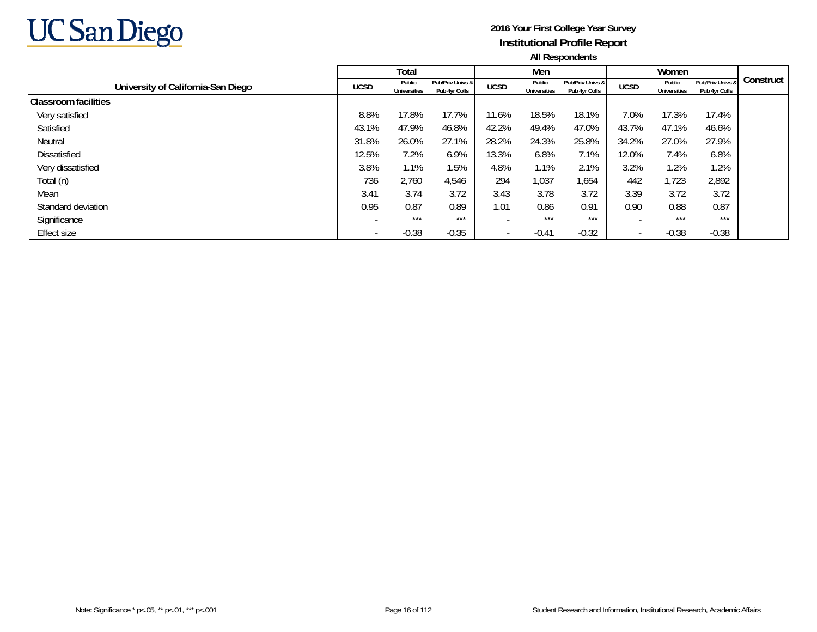

|                                    |             | Total                         |                                   |                          | Men                           |                                   |                          | Women                         |                                   |           |
|------------------------------------|-------------|-------------------------------|-----------------------------------|--------------------------|-------------------------------|-----------------------------------|--------------------------|-------------------------------|-----------------------------------|-----------|
| University of California-San Diego | <b>UCSD</b> | Public<br><b>Universities</b> | Pub/Priv Univs &<br>Pub 4yr Colls | <b>UCSD</b>              | Public<br><b>Universities</b> | Pub/Priv Univs &<br>Pub 4yr Colls | <b>UCSD</b>              | Public<br><b>Universities</b> | Pub/Priv Univs &<br>Pub 4yr Colls | Construct |
| <b>Classroom facilities</b>        |             |                               |                                   |                          |                               |                                   |                          |                               |                                   |           |
| Very satisfied                     | 8.8%        | 17.8%                         | 17.7%                             | 11.6%                    | 18.5%                         | 18.1%                             | 7.0%                     | 17.3%                         | 17.4%                             |           |
| Satisfied                          | 43.1%       | 47.9%                         | 46.8%                             | 42.2%                    | 49.4%                         | 47.0%                             | 43.7%                    | 47.1%                         | 46.6%                             |           |
| Neutral                            | 31.8%       | 26.0%                         | 27.1%                             | 28.2%                    | 24.3%                         | 25.8%                             | 34.2%                    | 27.0%                         | 27.9%                             |           |
| <b>Dissatisfied</b>                | 12.5%       | 7.2%                          | 6.9%                              | 13.3%                    | 6.8%                          | 7.1%                              | 12.0%                    | 7.4%                          | 6.8%                              |           |
| Very dissatisfied                  | 3.8%        | 1.1%                          | 1.5%                              | 4.8%                     | 1.1%                          | 2.1%                              | 3.2%                     | 1.2%                          | 1.2%                              |           |
| Total (n)                          | 736         | 2,760                         | 4,546                             | 294                      | 1,037                         | 1,654                             | 442                      | 1,723                         | 2,892                             |           |
| Mean                               | 3.41        | 3.74                          | 3.72                              | 3.43                     | 3.78                          | 3.72                              | 3.39                     | 3.72                          | 3.72                              |           |
| Standard deviation                 | 0.95        | 0.87                          | 0.89                              | 1.01                     | 0.86                          | 0.91                              | 0.90                     | 0.88                          | 0.87                              |           |
| Significance                       |             | $***$                         | $***$                             |                          | ***                           | $***$                             |                          | $***$                         | ***                               |           |
| Effect size                        |             | $-0.38$                       | $-0.35$                           | $\overline{\phantom{a}}$ | $-0.41$                       | $-0.32$                           | $\overline{\phantom{a}}$ | $-0.38$                       | $-0.38$                           |           |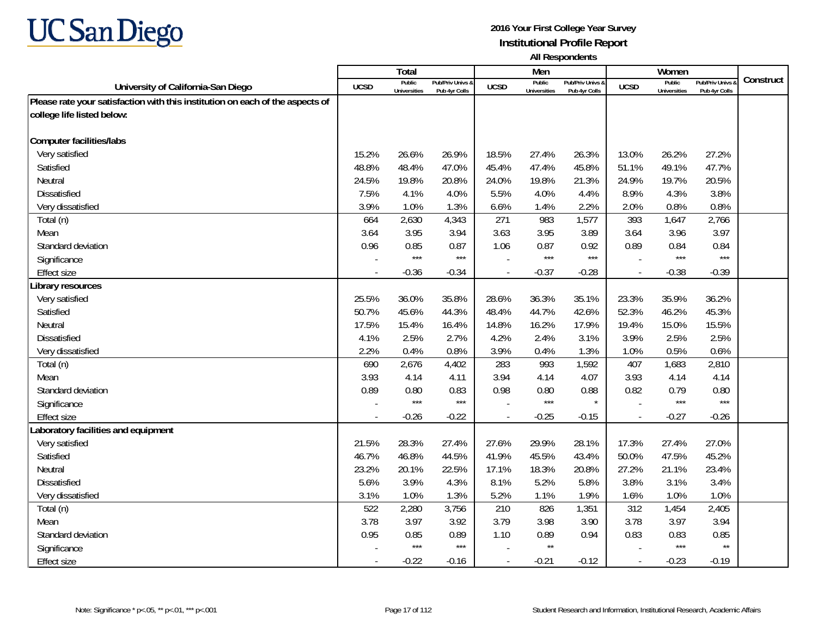

|                                                                               |        | <b>Total</b>                  |                                   |                | Men                           |                                   |                          | Women                         |                                        |           |
|-------------------------------------------------------------------------------|--------|-------------------------------|-----------------------------------|----------------|-------------------------------|-----------------------------------|--------------------------|-------------------------------|----------------------------------------|-----------|
| University of California-San Diego                                            | UCSD   | Public<br><b>Universities</b> | Pub/Priv Univs &<br>Pub 4yr Colls | <b>UCSD</b>    | Public<br><b>Universities</b> | Pub/Priv Univs &<br>Pub 4yr Colls | <b>UCSD</b>              | Public<br><b>Universities</b> | <b>Pub/Priv Univs</b><br>Pub 4yr Colls | Construct |
| Please rate your satisfaction with this institution on each of the aspects of |        |                               |                                   |                |                               |                                   |                          |                               |                                        |           |
| college life listed below:                                                    |        |                               |                                   |                |                               |                                   |                          |                               |                                        |           |
|                                                                               |        |                               |                                   |                |                               |                                   |                          |                               |                                        |           |
| <b>Computer facilities/labs</b>                                               |        |                               |                                   |                |                               |                                   |                          |                               |                                        |           |
| Very satisfied                                                                | 15.2%  | 26.6%                         | 26.9%                             | 18.5%          | 27.4%                         | 26.3%                             | 13.0%                    | 26.2%                         | 27.2%                                  |           |
| Satisfied                                                                     | 48.8%  | 48.4%                         | 47.0%                             | 45.4%          | 47.4%                         | 45.8%                             | 51.1%                    | 49.1%                         | 47.7%                                  |           |
| Neutral                                                                       | 24.5%  | 19.8%                         | 20.8%                             | 24.0%          | 19.8%                         | 21.3%                             | 24.9%                    | 19.7%                         | 20.5%                                  |           |
| Dissatisfied                                                                  | 7.5%   | 4.1%                          | 4.0%                              | 5.5%           | 4.0%                          | 4.4%                              | 8.9%                     | 4.3%                          | 3.8%                                   |           |
| Very dissatisfied                                                             | 3.9%   | 1.0%                          | 1.3%                              | 6.6%           | 1.4%                          | 2.2%                              | 2.0%                     | 0.8%                          | 0.8%                                   |           |
| Total (n)                                                                     | 664    | 2,630                         | 4,343                             | 271            | 983                           | 1,577                             | 393                      | 1,647                         | 2,766                                  |           |
| Mean                                                                          | 3.64   | 3.95                          | 3.94                              | 3.63           | 3.95                          | 3.89                              | 3.64                     | 3.96                          | 3.97                                   |           |
| Standard deviation                                                            | 0.96   | 0.85                          | 0.87                              | 1.06           | 0.87                          | 0.92                              | 0.89                     | 0.84                          | 0.84                                   |           |
| Significance                                                                  |        | $***$                         | $***$                             |                | $***$                         | $***$                             |                          | $***$                         | $***$                                  |           |
| <b>Effect size</b>                                                            |        | $-0.36$                       | $-0.34$                           | $\overline{a}$ | $-0.37$                       | $-0.28$                           | $\overline{\phantom{a}}$ | $-0.38$                       | $-0.39$                                |           |
| Library resources                                                             |        |                               |                                   |                |                               |                                   |                          |                               |                                        |           |
| Very satisfied                                                                | 25.5%  | 36.0%                         | 35.8%                             | 28.6%          | 36.3%                         | 35.1%                             | 23.3%                    | 35.9%                         | 36.2%                                  |           |
| Satisfied                                                                     | 50.7%  | 45.6%                         | 44.3%                             | 48.4%          | 44.7%                         | 42.6%                             | 52.3%                    | 46.2%                         | 45.3%                                  |           |
| Neutral                                                                       | 17.5%  | 15.4%                         | 16.4%                             | 14.8%          | 16.2%                         | 17.9%                             | 19.4%                    | 15.0%                         | 15.5%                                  |           |
| <b>Dissatisfied</b>                                                           | 4.1%   | 2.5%                          | 2.7%                              | 4.2%           | 2.4%                          | 3.1%                              | 3.9%                     | 2.5%                          | 2.5%                                   |           |
| Very dissatisfied                                                             | 2.2%   | 0.4%                          | 0.8%                              | 3.9%           | 0.4%                          | 1.3%                              | 1.0%                     | 0.5%                          | 0.6%                                   |           |
| Total (n)                                                                     | 690    | 2,676                         | 4,402                             | 283            | 993                           | 1,592                             | 407                      | 1,683                         | 2,810                                  |           |
| Mean                                                                          | 3.93   | 4.14                          | 4.11                              | 3.94           | 4.14                          | 4.07                              | 3.93                     | 4.14                          | 4.14                                   |           |
| Standard deviation                                                            | 0.89   | 0.80                          | 0.83                              | 0.98           | 0.80                          | 0.88                              | 0.82                     | 0.79                          | 0.80                                   |           |
| Significance                                                                  |        | $***$                         | $***$                             |                | $***$                         |                                   |                          | $***$                         | $***$                                  |           |
| Effect size                                                                   | $\sim$ | $-0.26$                       | $-0.22$                           | $\overline{a}$ | $-0.25$                       | $-0.15$                           | $\overline{\phantom{a}}$ | $-0.27$                       | $-0.26$                                |           |
| Laboratory facilities and equipment                                           |        |                               |                                   |                |                               |                                   |                          |                               |                                        |           |
| Very satisfied                                                                | 21.5%  | 28.3%                         | 27.4%                             | 27.6%          | 29.9%                         | 28.1%                             | 17.3%                    | 27.4%                         | 27.0%                                  |           |
| Satisfied                                                                     | 46.7%  | 46.8%                         | 44.5%                             | 41.9%          | 45.5%                         | 43.4%                             | 50.0%                    | 47.5%                         | 45.2%                                  |           |
| Neutral                                                                       | 23.2%  | 20.1%                         | 22.5%                             | 17.1%          | 18.3%                         | 20.8%                             | 27.2%                    | 21.1%                         | 23.4%                                  |           |
| <b>Dissatisfied</b>                                                           | 5.6%   | 3.9%                          | 4.3%                              | 8.1%           | 5.2%                          | 5.8%                              | 3.8%                     | 3.1%                          | 3.4%                                   |           |
| Very dissatisfied                                                             | 3.1%   | 1.0%                          | 1.3%                              | 5.2%           | 1.1%                          | 1.9%                              | 1.6%                     | 1.0%                          | 1.0%                                   |           |
| Total (n)                                                                     | 522    | 2,280                         | 3,756                             | 210            | 826                           | 1,351                             | 312                      | 1,454                         | 2,405                                  |           |
| Mean                                                                          | 3.78   | 3.97                          | 3.92                              | 3.79           | 3.98                          | 3.90                              | 3.78                     | 3.97                          | 3.94                                   |           |
| Standard deviation                                                            | 0.95   | 0.85                          | 0.89                              | 1.10           | 0.89                          | 0.94                              | 0.83                     | 0.83                          | 0.85                                   |           |
| Significance                                                                  |        | $***$                         | $***$                             |                | $\star\star$                  |                                   |                          | $***$                         | $\star\star$                           |           |
| <b>Effect size</b>                                                            |        | $-0.22$                       | $-0.16$                           |                | $-0.21$                       | $-0.12$                           | $\overline{\phantom{a}}$ | $-0.23$                       | $-0.19$                                |           |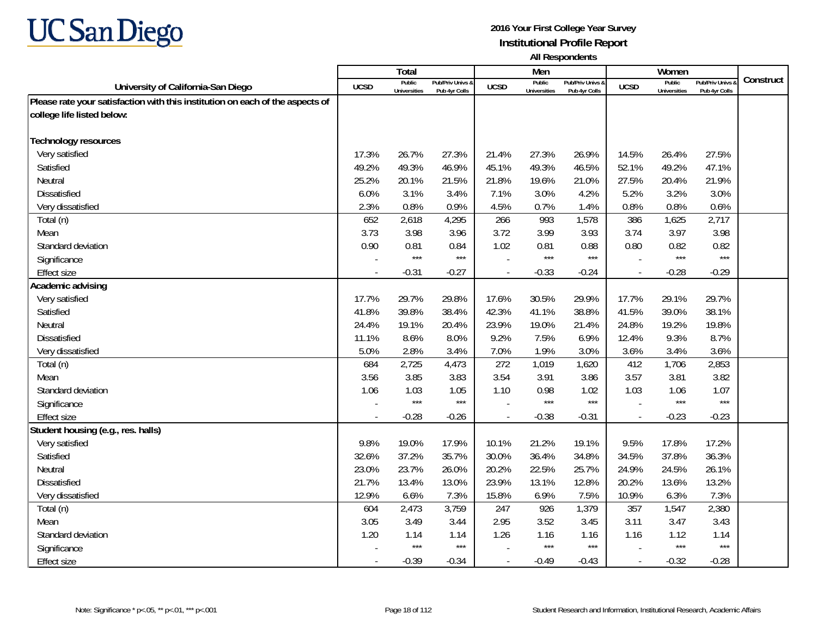

|                                                                               |                | <b>Total</b>                  |                                   |                | Men                           |                                   |                          | Women                         |                                        |           |
|-------------------------------------------------------------------------------|----------------|-------------------------------|-----------------------------------|----------------|-------------------------------|-----------------------------------|--------------------------|-------------------------------|----------------------------------------|-----------|
| University of California-San Diego                                            | UCSD           | Public<br><b>Universities</b> | Pub/Priv Univs &<br>Pub 4yr Colls | <b>UCSD</b>    | Public<br><b>Universities</b> | Pub/Priv Univs &<br>Pub 4yr Colls | <b>UCSD</b>              | Public<br><b>Universities</b> | <b>Pub/Priv Univs</b><br>Pub 4yr Colls | Construct |
| Please rate your satisfaction with this institution on each of the aspects of |                |                               |                                   |                |                               |                                   |                          |                               |                                        |           |
| college life listed below:                                                    |                |                               |                                   |                |                               |                                   |                          |                               |                                        |           |
|                                                                               |                |                               |                                   |                |                               |                                   |                          |                               |                                        |           |
| <b>Technology resources</b>                                                   |                |                               |                                   |                |                               |                                   |                          |                               |                                        |           |
| Very satisfied                                                                | 17.3%          | 26.7%                         | 27.3%                             | 21.4%          | 27.3%                         | 26.9%                             | 14.5%                    | 26.4%                         | 27.5%                                  |           |
| Satisfied                                                                     | 49.2%          | 49.3%                         | 46.9%                             | 45.1%          | 49.3%                         | 46.5%                             | 52.1%                    | 49.2%                         | 47.1%                                  |           |
| Neutral                                                                       | 25.2%          | 20.1%                         | 21.5%                             | 21.8%          | 19.6%                         | 21.0%                             | 27.5%                    | 20.4%                         | 21.9%                                  |           |
| Dissatisfied                                                                  | 6.0%           | 3.1%                          | 3.4%                              | 7.1%           | 3.0%                          | 4.2%                              | 5.2%                     | 3.2%                          | 3.0%                                   |           |
| Very dissatisfied                                                             | 2.3%           | 0.8%                          | 0.9%                              | 4.5%           | 0.7%                          | 1.4%                              | 0.8%                     | 0.8%                          | 0.6%                                   |           |
| Total (n)                                                                     | 652            | 2,618                         | 4,295                             | 266            | 993                           | 1,578                             | 386                      | 1,625                         | 2,717                                  |           |
| Mean                                                                          | 3.73           | 3.98                          | 3.96                              | 3.72           | 3.99                          | 3.93                              | 3.74                     | 3.97                          | 3.98                                   |           |
| Standard deviation                                                            | 0.90           | 0.81                          | 0.84                              | 1.02           | 0.81                          | 0.88                              | 0.80                     | 0.82                          | 0.82                                   |           |
| Significance                                                                  |                | $***$                         | $***$                             |                | $***$                         | $***$                             |                          | $***$                         | $***$                                  |           |
| <b>Effect size</b>                                                            |                | $-0.31$                       | $-0.27$                           | $\overline{a}$ | $-0.33$                       | $-0.24$                           | $\overline{\phantom{a}}$ | $-0.28$                       | $-0.29$                                |           |
| Academic advising                                                             |                |                               |                                   |                |                               |                                   |                          |                               |                                        |           |
| Very satisfied                                                                | 17.7%          | 29.7%                         | 29.8%                             | 17.6%          | 30.5%                         | 29.9%                             | 17.7%                    | 29.1%                         | 29.7%                                  |           |
| Satisfied                                                                     | 41.8%          | 39.8%                         | 38.4%                             | 42.3%          | 41.1%                         | 38.8%                             | 41.5%                    | 39.0%                         | 38.1%                                  |           |
| Neutral                                                                       | 24.4%          | 19.1%                         | 20.4%                             | 23.9%          | 19.0%                         | 21.4%                             | 24.8%                    | 19.2%                         | 19.8%                                  |           |
| <b>Dissatisfied</b>                                                           | 11.1%          | 8.6%                          | 8.0%                              | 9.2%           | 7.5%                          | 6.9%                              | 12.4%                    | 9.3%                          | 8.7%                                   |           |
| Very dissatisfied                                                             | 5.0%           | 2.8%                          | 3.4%                              | 7.0%           | 1.9%                          | 3.0%                              | 3.6%                     | 3.4%                          | 3.6%                                   |           |
| Total (n)                                                                     | 684            | 2,725                         | 4,473                             | 272            | 1,019                         | 1,620                             | 412                      | 1,706                         | 2,853                                  |           |
| Mean                                                                          | 3.56           | 3.85                          | 3.83                              | 3.54           | 3.91                          | 3.86                              | 3.57                     | 3.81                          | 3.82                                   |           |
| Standard deviation                                                            | 1.06           | 1.03                          | 1.05                              | 1.10           | 0.98                          | 1.02                              | 1.03                     | 1.06                          | 1.07                                   |           |
| Significance                                                                  |                | $***$                         | $***$                             |                | ***                           | $***$                             |                          | $***$                         | $***$                                  |           |
| <b>Effect size</b>                                                            | $\overline{a}$ | $-0.28$                       | $-0.26$                           | $\overline{a}$ | $-0.38$                       | $-0.31$                           | $\overline{\phantom{a}}$ | $-0.23$                       | $-0.23$                                |           |
| Student housing (e.g., res. halls)                                            |                |                               |                                   |                |                               |                                   |                          |                               |                                        |           |
| Very satisfied                                                                | 9.8%           | 19.0%                         | 17.9%                             | 10.1%          | 21.2%                         | 19.1%                             | 9.5%                     | 17.8%                         | 17.2%                                  |           |
| Satisfied                                                                     | 32.6%          | 37.2%                         | 35.7%                             | 30.0%          | 36.4%                         | 34.8%                             | 34.5%                    | 37.8%                         | 36.3%                                  |           |
| Neutral                                                                       | 23.0%          | 23.7%                         | 26.0%                             | 20.2%          | 22.5%                         | 25.7%                             | 24.9%                    | 24.5%                         | 26.1%                                  |           |
| <b>Dissatisfied</b>                                                           | 21.7%          | 13.4%                         | 13.0%                             | 23.9%          | 13.1%                         | 12.8%                             | 20.2%                    | 13.6%                         | 13.2%                                  |           |
| Very dissatisfied                                                             | 12.9%          | 6.6%                          | 7.3%                              | 15.8%          | 6.9%                          | 7.5%                              | 10.9%                    | 6.3%                          | 7.3%                                   |           |
| Total (n)                                                                     | 604            | 2,473                         | 3,759                             | 247            | 926                           | 1,379                             | 357                      | 1,547                         | 2,380                                  |           |
| Mean                                                                          | 3.05           | 3.49                          | 3.44                              | 2.95           | 3.52                          | 3.45                              | 3.11                     | 3.47                          | 3.43                                   |           |
| Standard deviation                                                            | 1.20           | 1.14                          | 1.14                              | 1.26           | 1.16                          | 1.16                              | 1.16                     | 1.12                          | 1.14                                   |           |
| Significance                                                                  |                | $***$                         | $***$                             |                | ***                           | $***$                             |                          | $***$                         | $***$                                  |           |
| <b>Effect size</b>                                                            |                | $-0.39$                       | $-0.34$                           |                | $-0.49$                       | $-0.43$                           | $\overline{\phantom{a}}$ | $-0.32$                       | $-0.28$                                |           |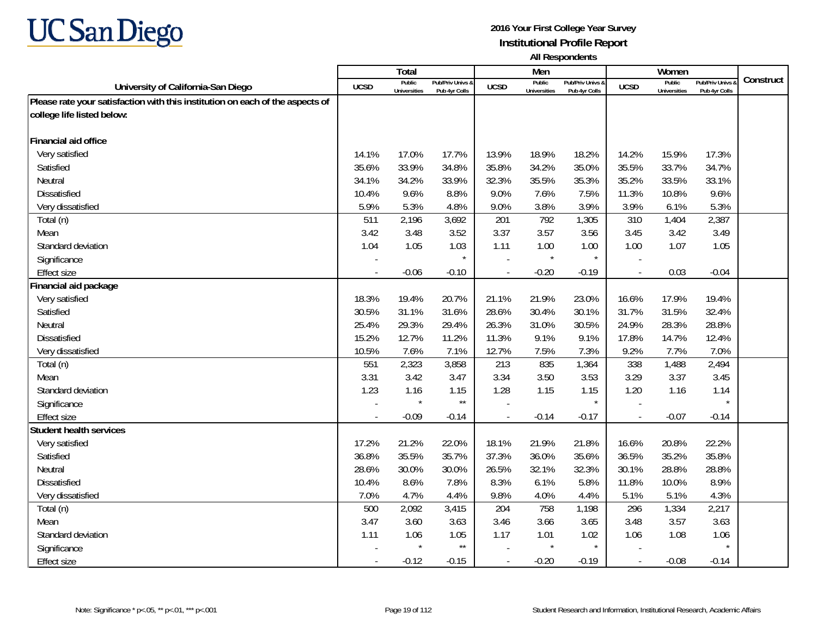

|                                                                               |             | Total                         |                                   |                          | Men                           |                                   |                          | Women                         |                                        |           |
|-------------------------------------------------------------------------------|-------------|-------------------------------|-----------------------------------|--------------------------|-------------------------------|-----------------------------------|--------------------------|-------------------------------|----------------------------------------|-----------|
| University of California-San Diego                                            | <b>UCSD</b> | Public<br><b>Universities</b> | Pub/Priv Univs &<br>Pub 4yr Colls | <b>UCSD</b>              | Public<br><b>Universities</b> | Pub/Priv Univs &<br>Pub 4yr Colls | <b>UCSD</b>              | Public<br><b>Universities</b> | <b>Pub/Priv Univs</b><br>Pub 4yr Colls | Construct |
| Please rate your satisfaction with this institution on each of the aspects of |             |                               |                                   |                          |                               |                                   |                          |                               |                                        |           |
| college life listed below:                                                    |             |                               |                                   |                          |                               |                                   |                          |                               |                                        |           |
|                                                                               |             |                               |                                   |                          |                               |                                   |                          |                               |                                        |           |
| Financial aid office                                                          |             |                               |                                   |                          |                               |                                   |                          |                               |                                        |           |
| Very satisfied                                                                | 14.1%       | 17.0%                         | 17.7%                             | 13.9%                    | 18.9%                         | 18.2%                             | 14.2%                    | 15.9%                         | 17.3%                                  |           |
| Satisfied                                                                     | 35.6%       | 33.9%                         | 34.8%                             | 35.8%                    | 34.2%                         | 35.0%                             | 35.5%                    | 33.7%                         | 34.7%                                  |           |
| Neutral                                                                       | 34.1%       | 34.2%                         | 33.9%                             | 32.3%                    | 35.5%                         | 35.3%                             | 35.2%                    | 33.5%                         | 33.1%                                  |           |
| Dissatisfied                                                                  | 10.4%       | 9.6%                          | 8.8%                              | 9.0%                     | 7.6%                          | 7.5%                              | 11.3%                    | 10.8%                         | 9.6%                                   |           |
| Very dissatisfied                                                             | 5.9%        | 5.3%                          | 4.8%                              | 9.0%                     | 3.8%                          | 3.9%                              | 3.9%                     | 6.1%                          | 5.3%                                   |           |
| Total (n)                                                                     | 511         | 2,196                         | 3,692                             | 201                      | 792                           | 1,305                             | 310                      | 1,404                         | 2,387                                  |           |
| Mean                                                                          | 3.42        | 3.48                          | 3.52                              | 3.37                     | 3.57                          | 3.56                              | 3.45                     | 3.42                          | 3.49                                   |           |
| Standard deviation                                                            | 1.04        | 1.05                          | 1.03                              | 1.11                     | 1.00                          | 1.00                              | 1.00                     | 1.07                          | 1.05                                   |           |
| Significance                                                                  |             |                               | $\star$                           |                          | $\star$                       |                                   |                          |                               |                                        |           |
| Effect size                                                                   |             | $-0.06$                       | $-0.10$                           |                          | $-0.20$                       | $-0.19$                           | $\overline{a}$           | 0.03                          | $-0.04$                                |           |
| Financial aid package                                                         |             |                               |                                   |                          |                               |                                   |                          |                               |                                        |           |
| Very satisfied                                                                | 18.3%       | 19.4%                         | 20.7%                             | 21.1%                    | 21.9%                         | 23.0%                             | 16.6%                    | 17.9%                         | 19.4%                                  |           |
| Satisfied                                                                     | 30.5%       | 31.1%                         | 31.6%                             | 28.6%                    | 30.4%                         | 30.1%                             | 31.7%                    | 31.5%                         | 32.4%                                  |           |
| Neutral                                                                       | 25.4%       | 29.3%                         | 29.4%                             | 26.3%                    | 31.0%                         | 30.5%                             | 24.9%                    | 28.3%                         | 28.8%                                  |           |
| <b>Dissatisfied</b>                                                           | 15.2%       | 12.7%                         | 11.2%                             | 11.3%                    | 9.1%                          | 9.1%                              | 17.8%                    | 14.7%                         | 12.4%                                  |           |
| Very dissatisfied                                                             | 10.5%       | 7.6%                          | 7.1%                              | 12.7%                    | 7.5%                          | 7.3%                              | 9.2%                     | 7.7%                          | 7.0%                                   |           |
| Total (n)                                                                     | 551         | 2,323                         | 3,858                             | 213                      | 835                           | 1,364                             | 338                      | 1,488                         | 2,494                                  |           |
| Mean                                                                          | 3.31        | 3.42                          | 3.47                              | 3.34                     | 3.50                          | 3.53                              | 3.29                     | 3.37                          | 3.45                                   |           |
| Standard deviation                                                            | 1.23        | 1.16                          | 1.15                              | 1.28                     | 1.15                          | 1.15                              | 1.20                     | 1.16                          | 1.14                                   |           |
| Significance                                                                  |             | $\star$                       | $\star\star$                      |                          |                               |                                   |                          |                               |                                        |           |
| <b>Effect size</b>                                                            | $\sim$      | $-0.09$                       | $-0.14$                           | $\overline{\phantom{a}}$ | $-0.14$                       | $-0.17$                           | $\overline{\phantom{a}}$ | $-0.07$                       | $-0.14$                                |           |
| <b>Student health services</b>                                                |             |                               |                                   |                          |                               |                                   |                          |                               |                                        |           |
| Very satisfied                                                                | 17.2%       | 21.2%                         | 22.0%                             | 18.1%                    | 21.9%                         | 21.8%                             | 16.6%                    | 20.8%                         | 22.2%                                  |           |
| Satisfied                                                                     | 36.8%       | 35.5%                         | 35.7%                             | 37.3%                    | 36.0%                         | 35.6%                             | 36.5%                    | 35.2%                         | 35.8%                                  |           |
| Neutral                                                                       | 28.6%       | 30.0%                         | 30.0%                             | 26.5%                    | 32.1%                         | 32.3%                             | 30.1%                    | 28.8%                         | 28.8%                                  |           |
| <b>Dissatisfied</b>                                                           | 10.4%       | 8.6%                          | 7.8%                              | 8.3%                     | 6.1%                          | 5.8%                              | 11.8%                    | 10.0%                         | 8.9%                                   |           |
| Very dissatisfied                                                             | 7.0%        | 4.7%                          | 4.4%                              | 9.8%                     | 4.0%                          | 4.4%                              | 5.1%                     | 5.1%                          | 4.3%                                   |           |
| Total (n)                                                                     | 500         | 2,092                         | 3,415                             | 204                      | 758                           | 1,198                             | 296                      | 1,334                         | 2,217                                  |           |
| Mean                                                                          | 3.47        | 3.60                          | 3.63                              | 3.46                     | 3.66                          | 3.65                              | 3.48                     | 3.57                          | 3.63                                   |           |
| Standard deviation                                                            | 1.11        | 1.06                          | 1.05                              | 1.17                     | 1.01                          | 1.02                              | 1.06                     | 1.08                          | 1.06                                   |           |
| Significance                                                                  |             | $\star$                       | $\star\star$                      |                          | $\star$                       |                                   |                          |                               |                                        |           |
| Effect size                                                                   |             | $-0.12$                       | $-0.15$                           |                          | $-0.20$                       | $-0.19$                           | $\overline{\phantom{a}}$ | $-0.08$                       | $-0.14$                                |           |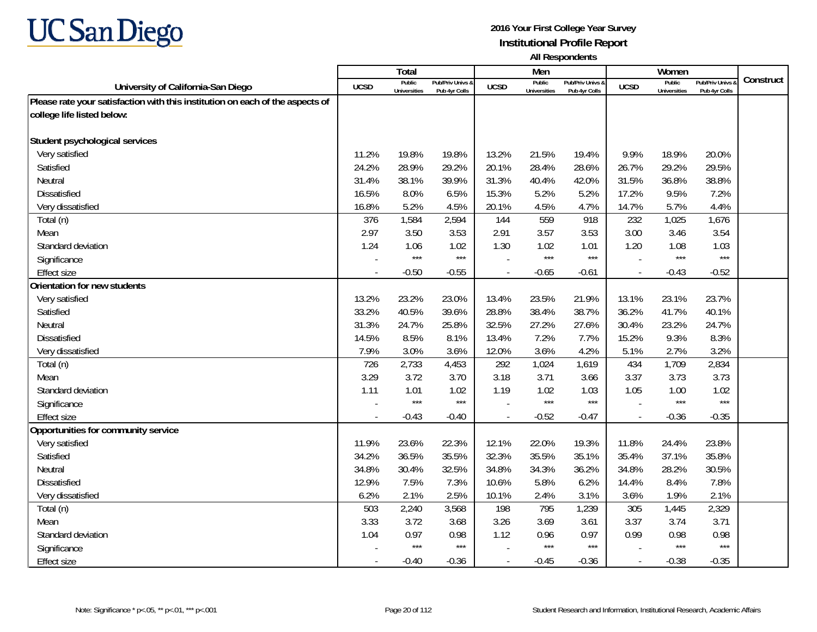

|                                                                               |             | Total                         |                                   |                | Men                           |                                   |                          | Women                         |                                        |           |
|-------------------------------------------------------------------------------|-------------|-------------------------------|-----------------------------------|----------------|-------------------------------|-----------------------------------|--------------------------|-------------------------------|----------------------------------------|-----------|
| University of California-San Diego                                            | <b>UCSD</b> | Public<br><b>Universities</b> | Pub/Priv Univs &<br>Pub 4yr Colls | <b>UCSD</b>    | Public<br><b>Universities</b> | Pub/Priv Univs &<br>Pub 4yr Colls | <b>UCSD</b>              | Public<br><b>Universities</b> | <b>Pub/Priv Univs</b><br>Pub 4yr Colls | Construct |
| Please rate your satisfaction with this institution on each of the aspects of |             |                               |                                   |                |                               |                                   |                          |                               |                                        |           |
| college life listed below:                                                    |             |                               |                                   |                |                               |                                   |                          |                               |                                        |           |
|                                                                               |             |                               |                                   |                |                               |                                   |                          |                               |                                        |           |
| Student psychological services                                                |             |                               |                                   |                |                               |                                   |                          |                               |                                        |           |
| Very satisfied                                                                | 11.2%       | 19.8%                         | 19.8%                             | 13.2%          | 21.5%                         | 19.4%                             | 9.9%                     | 18.9%                         | 20.0%                                  |           |
| Satisfied                                                                     | 24.2%       | 28.9%                         | 29.2%                             | 20.1%          | 28.4%                         | 28.6%                             | 26.7%                    | 29.2%                         | 29.5%                                  |           |
| Neutral                                                                       | 31.4%       | 38.1%                         | 39.9%                             | 31.3%          | 40.4%                         | 42.0%                             | 31.5%                    | 36.8%                         | 38.8%                                  |           |
| Dissatisfied                                                                  | 16.5%       | 8.0%                          | 6.5%                              | 15.3%          | 5.2%                          | 5.2%                              | 17.2%                    | 9.5%                          | 7.2%                                   |           |
| Very dissatisfied                                                             | 16.8%       | 5.2%                          | 4.5%                              | 20.1%          | 4.5%                          | 4.7%                              | 14.7%                    | 5.7%                          | 4.4%                                   |           |
| Total (n)                                                                     | 376         | 1,584                         | 2,594                             | 144            | 559                           | 918                               | 232                      | 1,025                         | 1,676                                  |           |
| Mean                                                                          | 2.97        | 3.50                          | 3.53                              | 2.91           | 3.57                          | 3.53                              | 3.00                     | 3.46                          | 3.54                                   |           |
| Standard deviation                                                            | 1.24        | 1.06                          | 1.02                              | 1.30           | 1.02                          | 1.01                              | 1.20                     | 1.08                          | 1.03                                   |           |
| Significance                                                                  |             | $***$                         | $***$                             |                | $***$                         | $***$                             |                          | $***$                         | $***$                                  |           |
| <b>Effect size</b>                                                            |             | $-0.50$                       | $-0.55$                           |                | $-0.65$                       | $-0.61$                           | $\overline{\phantom{a}}$ | $-0.43$                       | $-0.52$                                |           |
| Orientation for new students                                                  |             |                               |                                   |                |                               |                                   |                          |                               |                                        |           |
| Very satisfied                                                                | 13.2%       | 23.2%                         | 23.0%                             | 13.4%          | 23.5%                         | 21.9%                             | 13.1%                    | 23.1%                         | 23.7%                                  |           |
| Satisfied                                                                     | 33.2%       | 40.5%                         | 39.6%                             | 28.8%          | 38.4%                         | 38.7%                             | 36.2%                    | 41.7%                         | 40.1%                                  |           |
| Neutral                                                                       | 31.3%       | 24.7%                         | 25.8%                             | 32.5%          | 27.2%                         | 27.6%                             | 30.4%                    | 23.2%                         | 24.7%                                  |           |
| <b>Dissatisfied</b>                                                           | 14.5%       | 8.5%                          | 8.1%                              | 13.4%          | 7.2%                          | 7.7%                              | 15.2%                    | 9.3%                          | 8.3%                                   |           |
| Very dissatisfied                                                             | 7.9%        | 3.0%                          | 3.6%                              | 12.0%          | 3.6%                          | 4.2%                              | 5.1%                     | 2.7%                          | 3.2%                                   |           |
| Total (n)                                                                     | 726         | 2,733                         | 4,453                             | 292            | 1,024                         | 1,619                             | 434                      | 1,709                         | 2,834                                  |           |
| Mean                                                                          | 3.29        | 3.72                          | 3.70                              | 3.18           | 3.71                          | 3.66                              | 3.37                     | 3.73                          | 3.73                                   |           |
| Standard deviation                                                            | 1.11        | 1.01                          | 1.02                              | 1.19           | 1.02                          | 1.03                              | 1.05                     | 1.00                          | 1.02                                   |           |
| Significance                                                                  |             | $***$                         | $***$                             |                | ***                           | $***$                             |                          | $***$                         | $***$                                  |           |
| <b>Effect size</b>                                                            | $\sim$      | $-0.43$                       | $-0.40$                           | $\blacksquare$ | $-0.52$                       | $-0.47$                           | $\overline{\phantom{a}}$ | $-0.36$                       | $-0.35$                                |           |
| Opportunities for community service                                           |             |                               |                                   |                |                               |                                   |                          |                               |                                        |           |
| Very satisfied                                                                | 11.9%       | 23.6%                         | 22.3%                             | 12.1%          | 22.0%                         | 19.3%                             | 11.8%                    | 24.4%                         | 23.8%                                  |           |
| Satisfied                                                                     | 34.2%       | 36.5%                         | 35.5%                             | 32.3%          | 35.5%                         | 35.1%                             | 35.4%                    | 37.1%                         | 35.8%                                  |           |
| Neutral                                                                       | 34.8%       | 30.4%                         | 32.5%                             | 34.8%          | 34.3%                         | 36.2%                             | 34.8%                    | 28.2%                         | 30.5%                                  |           |
| <b>Dissatisfied</b>                                                           | 12.9%       | 7.5%                          | 7.3%                              | 10.6%          | 5.8%                          | 6.2%                              | 14.4%                    | 8.4%                          | 7.8%                                   |           |
| Very dissatisfied                                                             | 6.2%        | 2.1%                          | 2.5%                              | 10.1%          | 2.4%                          | 3.1%                              | 3.6%                     | 1.9%                          | 2.1%                                   |           |
| Total (n)                                                                     | 503         | 2,240                         | 3,568                             | 198            | 795                           | 1,239                             | 305                      | 1,445                         | 2,329                                  |           |
| Mean                                                                          | 3.33        | 3.72                          | 3.68                              | 3.26           | 3.69                          | 3.61                              | 3.37                     | 3.74                          | 3.71                                   |           |
| Standard deviation                                                            | 1.04        | 0.97                          | 0.98                              | 1.12           | 0.96                          | 0.97                              | 0.99                     | 0.98                          | 0.98                                   |           |
| Significance                                                                  |             | $***$                         | $***$                             |                | $***$                         | $***$                             |                          | $***$                         | $***$                                  |           |
| <b>Effect size</b>                                                            |             | $-0.40$                       | $-0.36$                           | $\blacksquare$ | $-0.45$                       | $-0.36$                           | $\overline{\phantom{a}}$ | $-0.38$                       | $-0.35$                                |           |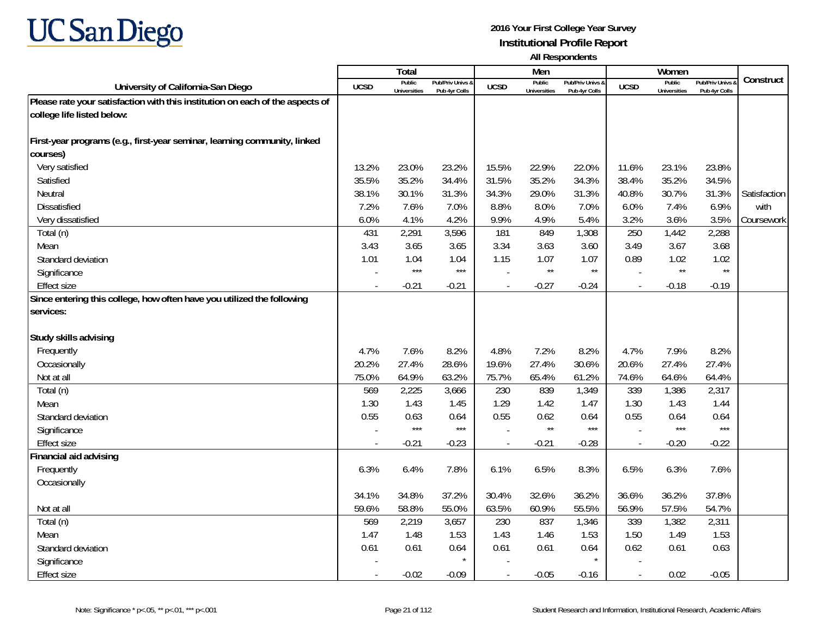

|                                                                               |             | <b>Total</b>                  |                                   |             | Men                           |                                   |                          | Women                         |                                        |              |
|-------------------------------------------------------------------------------|-------------|-------------------------------|-----------------------------------|-------------|-------------------------------|-----------------------------------|--------------------------|-------------------------------|----------------------------------------|--------------|
| University of California-San Diego                                            | <b>UCSD</b> | Public<br><b>Universities</b> | Pub/Priv Univs &<br>Pub 4yr Colls | <b>UCSD</b> | Public<br><b>Universities</b> | Pub/Priv Univs &<br>Pub 4yr Colls | <b>UCSD</b>              | Public<br><b>Universities</b> | <b>Pub/Priv Univs</b><br>Pub 4vr Colls | Construct    |
| Please rate your satisfaction with this institution on each of the aspects of |             |                               |                                   |             |                               |                                   |                          |                               |                                        |              |
| college life listed below:                                                    |             |                               |                                   |             |                               |                                   |                          |                               |                                        |              |
|                                                                               |             |                               |                                   |             |                               |                                   |                          |                               |                                        |              |
| First-year programs (e.g., first-year seminar, learning community, linked     |             |                               |                                   |             |                               |                                   |                          |                               |                                        |              |
| courses)                                                                      |             |                               |                                   |             |                               |                                   |                          |                               |                                        |              |
| Very satisfied                                                                | 13.2%       | 23.0%                         | 23.2%                             | 15.5%       | 22.9%                         | 22.0%                             | 11.6%                    | 23.1%                         | 23.8%                                  |              |
| Satisfied                                                                     | 35.5%       | 35.2%                         | 34.4%                             | 31.5%       | 35.2%                         | 34.3%                             | 38.4%                    | 35.2%                         | 34.5%                                  |              |
| Neutral                                                                       | 38.1%       | 30.1%                         | 31.3%                             | 34.3%       | 29.0%                         | 31.3%                             | 40.8%                    | 30.7%                         | 31.3%                                  | Satisfaction |
| <b>Dissatisfied</b>                                                           | 7.2%        | 7.6%                          | 7.0%                              | 8.8%        | 8.0%                          | 7.0%                              | 6.0%                     | 7.4%                          | 6.9%                                   | with         |
| Very dissatisfied                                                             | 6.0%        | 4.1%                          | 4.2%                              | 9.9%        | 4.9%                          | 5.4%                              | 3.2%                     | 3.6%                          | 3.5%                                   | Coursework   |
| Total (n)                                                                     | 431         | 2,291                         | 3,596                             | 181         | 849                           | 1,308                             | 250                      | 1,442                         | 2,288                                  |              |
| Mean                                                                          | 3.43        | 3.65                          | 3.65                              | 3.34        | 3.63                          | 3.60                              | 3.49                     | 3.67                          | 3.68                                   |              |
| Standard deviation                                                            | 1.01        | 1.04                          | 1.04                              | 1.15        | 1.07                          | 1.07                              | 0.89                     | 1.02                          | 1.02                                   |              |
| Significance                                                                  |             | $***$                         | $***$                             |             | $\star\star$                  | $^{\star\star}$                   |                          | $^{\star\star}$               | $\star\star$                           |              |
| <b>Effect size</b>                                                            |             | $-0.21$                       | $-0.21$                           |             | $-0.27$                       | $-0.24$                           | $\sim$                   | $-0.18$                       | $-0.19$                                |              |
| Since entering this college, how often have you utilized the following        |             |                               |                                   |             |                               |                                   |                          |                               |                                        |              |
| services:                                                                     |             |                               |                                   |             |                               |                                   |                          |                               |                                        |              |
|                                                                               |             |                               |                                   |             |                               |                                   |                          |                               |                                        |              |
| Study skills advising                                                         |             |                               |                                   |             |                               |                                   |                          |                               |                                        |              |
| Frequently                                                                    | 4.7%        | 7.6%                          | 8.2%                              | 4.8%        | 7.2%                          | 8.2%                              | 4.7%                     | 7.9%                          | 8.2%                                   |              |
| Occasionally                                                                  | 20.2%       | 27.4%                         | 28.6%                             | 19.6%       | 27.4%                         | 30.6%                             | 20.6%                    | 27.4%                         | 27.4%                                  |              |
| Not at all                                                                    | 75.0%       | 64.9%                         | 63.2%                             | 75.7%       | 65.4%                         | 61.2%                             | 74.6%                    | 64.6%                         | 64.4%                                  |              |
| Total (n)                                                                     | 569         | 2,225                         | 3,666                             | 230         | 839                           | 1,349                             | 339                      | 1,386                         | 2,317                                  |              |
| Mean                                                                          | 1.30        | 1.43                          | 1.45                              | 1.29        | 1.42                          | 1.47                              | 1.30                     | 1.43                          | 1.44                                   |              |
| Standard deviation                                                            | 0.55        | 0.63<br>$***$                 | 0.64<br>$***$                     | 0.55        | 0.62<br>$\star\star$          | 0.64<br>$***$                     | 0.55                     | 0.64<br>$***$                 | 0.64<br>$***$                          |              |
| Significance                                                                  |             |                               |                                   |             |                               |                                   |                          |                               |                                        |              |
| <b>Effect size</b>                                                            | $\sim$      | $-0.21$                       | $-0.23$                           | $\sim$      | $-0.21$                       | $-0.28$                           | $\sim$                   | $-0.20$                       | $-0.22$                                |              |
| Financial aid advising                                                        |             |                               |                                   |             |                               |                                   |                          |                               |                                        |              |
| Frequently                                                                    | 6.3%        | 6.4%                          | 7.8%                              | 6.1%        | 6.5%                          | 8.3%                              | 6.5%                     | 6.3%                          | 7.6%                                   |              |
| Occasionally                                                                  |             |                               |                                   |             |                               |                                   |                          |                               |                                        |              |
|                                                                               | 34.1%       | 34.8%                         | 37.2%                             | 30.4%       | 32.6%                         | 36.2%                             | 36.6%                    | 36.2%                         | 37.8%                                  |              |
| Not at all                                                                    | 59.6%       | 58.8%                         | 55.0%                             | 63.5%       | 60.9%                         | 55.5%                             | 56.9%                    | 57.5%                         | 54.7%                                  |              |
| Total (n)                                                                     | 569<br>1.47 | 2,219<br>1.48                 | 3,657                             | 230         | 837                           | 1,346<br>1.53                     | 339                      | 1,382                         | 2,311<br>1.53                          |              |
| Mean                                                                          |             |                               | 1.53                              | 1.43        | 1.46                          |                                   | 1.50                     | 1.49                          |                                        |              |
| Standard deviation                                                            | 0.61        | 0.61                          | 0.64                              | 0.61        | 0.61                          | 0.64                              | 0.62                     | 0.61                          | 0.63                                   |              |
| Significance                                                                  |             |                               |                                   |             |                               |                                   |                          |                               |                                        |              |
| <b>Effect size</b>                                                            | $\sim$      | $-0.02$                       | $-0.09$                           | $\sim$      | $-0.05$                       | $-0.16$                           | $\overline{\phantom{a}}$ | 0.02                          | $-0.05$                                |              |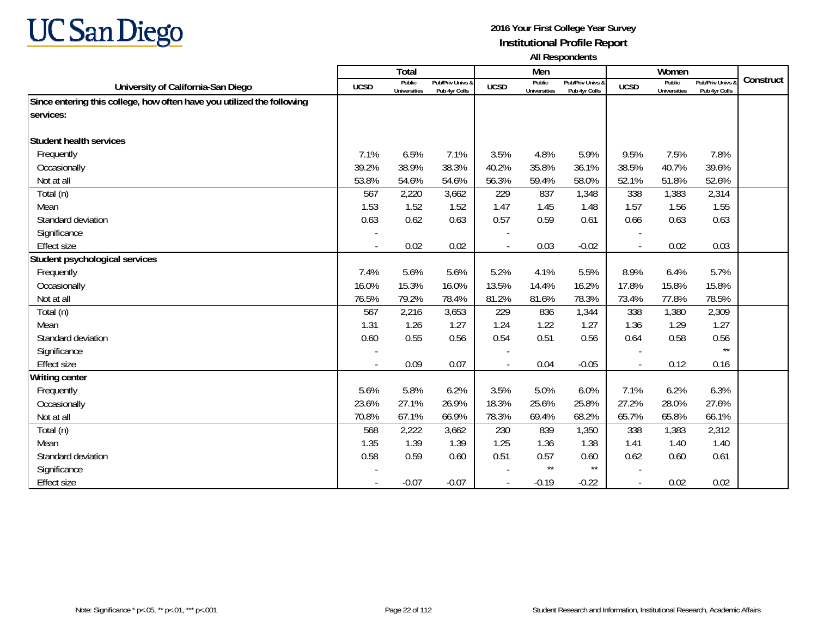

|                                                                        |             | <b>Total</b>                  |                                   |             | Men                           |                                   |                          | Women                         |                                        |           |
|------------------------------------------------------------------------|-------------|-------------------------------|-----------------------------------|-------------|-------------------------------|-----------------------------------|--------------------------|-------------------------------|----------------------------------------|-----------|
| University of California-San Diego                                     | <b>UCSD</b> | Public<br><b>Universities</b> | Pub/Priv Univs &<br>Pub 4yr Colls | <b>UCSD</b> | Public<br><b>Universities</b> | Pub/Priv Univs &<br>Pub 4yr Colls | <b>UCSD</b>              | Public<br><b>Universities</b> | <b>Pub/Priv Univs</b><br>Pub 4yr Colls | Construct |
| Since entering this college, how often have you utilized the following |             |                               |                                   |             |                               |                                   |                          |                               |                                        |           |
| services:                                                              |             |                               |                                   |             |                               |                                   |                          |                               |                                        |           |
| Student health services                                                |             |                               |                                   |             |                               |                                   |                          |                               |                                        |           |
| Frequently                                                             | 7.1%        | 6.5%                          | 7.1%                              | 3.5%        | 4.8%                          | 5.9%                              | 9.5%                     | 7.5%                          | 7.8%                                   |           |
| Occasionally                                                           | 39.2%       | 38.9%                         | 38.3%                             | 40.2%       | 35.8%                         | 36.1%                             | 38.5%                    | 40.7%                         | 39.6%                                  |           |
| Not at all                                                             | 53.8%       | 54.6%                         | 54.6%                             | 56.3%       | 59.4%                         | 58.0%                             | 52.1%                    | 51.8%                         | 52.6%                                  |           |
| Total (n)                                                              | 567         | 2,220                         | 3,662                             | 229         | 837                           | 1,348                             | 338                      | 1,383                         | 2,314                                  |           |
| Mean                                                                   | 1.53        | 1.52                          | 1.52                              | 1.47        | 1.45                          | 1.48                              | 1.57                     | 1.56                          | 1.55                                   |           |
| Standard deviation                                                     | 0.63        | 0.62                          | 0.63                              | 0.57        | 0.59                          | 0.61                              | 0.66                     | 0.63                          | 0.63                                   |           |
| Significance                                                           |             |                               |                                   |             |                               |                                   |                          |                               |                                        |           |
| <b>Effect size</b>                                                     | $\sim$      | 0.02                          | 0.02                              |             | 0.03                          | $-0.02$                           | $\overline{\phantom{a}}$ | 0.02                          | 0.03                                   |           |
| Student psychological services                                         |             |                               |                                   |             |                               |                                   |                          |                               |                                        |           |
| Frequently                                                             | 7.4%        | 5.6%                          | 5.6%                              | 5.2%        | 4.1%                          | 5.5%                              | 8.9%                     | 6.4%                          | 5.7%                                   |           |
| Occasionally                                                           | 16.0%       | 15.3%                         | 16.0%                             | 13.5%       | 14.4%                         | 16.2%                             | 17.8%                    | 15.8%                         | 15.8%                                  |           |
| Not at all                                                             | 76.5%       | 79.2%                         | 78.4%                             | 81.2%       | 81.6%                         | 78.3%                             | 73.4%                    | 77.8%                         | 78.5%                                  |           |
| Total (n)                                                              | 567         | 2,216                         | 3,653                             | 229         | 836                           | 1,344                             | 338                      | 1,380                         | 2,309                                  |           |
| Mean                                                                   | 1.31        | 1.26                          | 1.27                              | 1.24        | 1.22                          | 1.27                              | 1.36                     | 1.29                          | 1.27                                   |           |
| Standard deviation                                                     | 0.60        | 0.55                          | 0.56                              | 0.54        | 0.51                          | 0.56                              | 0.64                     | 0.58                          | 0.56                                   |           |
| Significance                                                           |             |                               |                                   |             |                               |                                   |                          |                               | $\star\star$                           |           |
| <b>Effect size</b>                                                     | $\sim$      | 0.09                          | 0.07                              |             | 0.04                          | $-0.05$                           | $\blacksquare$           | 0.12                          | 0.16                                   |           |
| <b>Writing center</b>                                                  |             |                               |                                   |             |                               |                                   |                          |                               |                                        |           |
| Frequently                                                             | 5.6%        | 5.8%                          | 6.2%                              | 3.5%        | 5.0%                          | 6.0%                              | 7.1%                     | 6.2%                          | 6.3%                                   |           |
| Occasionally                                                           | 23.6%       | 27.1%                         | 26.9%                             | 18.3%       | 25.6%                         | 25.8%                             | 27.2%                    | 28.0%                         | 27.6%                                  |           |
| Not at all                                                             | 70.8%       | 67.1%                         | 66.9%                             | 78.3%       | 69.4%                         | 68.2%                             | 65.7%                    | 65.8%                         | 66.1%                                  |           |
| Total (n)                                                              | 568         | 2,222                         | 3,662                             | 230         | 839                           | 1,350                             | 338                      | 1,383                         | 2,312                                  |           |
| Mean                                                                   | 1.35        | 1.39                          | 1.39                              | 1.25        | 1.36                          | 1.38                              | 1.41                     | 1.40                          | 1.40                                   |           |
| Standard deviation                                                     | 0.58        | 0.59                          | 0.60                              | 0.51        | 0.57                          | 0.60                              | 0.62                     | 0.60                          | 0.61                                   |           |
| Significance                                                           |             |                               |                                   |             | $\star\star$                  | $\star\star$                      |                          |                               |                                        |           |
| Effect size                                                            |             | $-0.07$                       | $-0.07$                           |             | $-0.19$                       | $-0.22$                           | $\overline{\phantom{a}}$ | 0.02                          | 0.02                                   |           |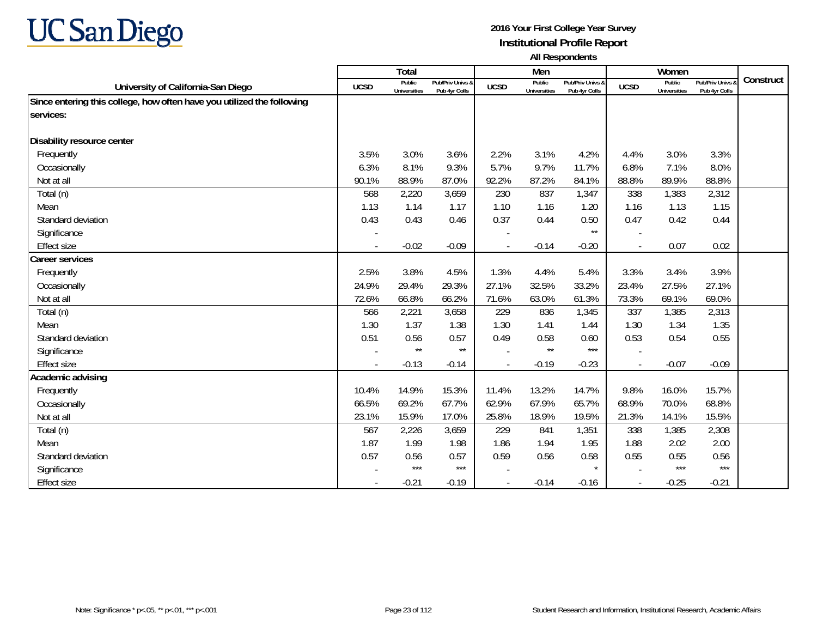

|                                                                        |             | <b>Total</b>                  |                                   |             | Men                           |                                   |                | Women                         |                                        |           |
|------------------------------------------------------------------------|-------------|-------------------------------|-----------------------------------|-------------|-------------------------------|-----------------------------------|----------------|-------------------------------|----------------------------------------|-----------|
| University of California-San Diego                                     | <b>UCSD</b> | Public<br><b>Universities</b> | Pub/Priv Univs &<br>Pub 4yr Colls | <b>UCSD</b> | Public<br><b>Universities</b> | Pub/Priv Univs &<br>Pub 4yr Colls | <b>UCSD</b>    | Public<br><b>Universities</b> | <b>Pub/Priv Univs</b><br>Pub 4yr Colls | Construct |
| Since entering this college, how often have you utilized the following |             |                               |                                   |             |                               |                                   |                |                               |                                        |           |
| services:                                                              |             |                               |                                   |             |                               |                                   |                |                               |                                        |           |
| Disability resource center                                             |             |                               |                                   |             |                               |                                   |                |                               |                                        |           |
| Frequently                                                             | 3.5%        | 3.0%                          | 3.6%                              | 2.2%        | 3.1%                          | 4.2%                              | 4.4%           | 3.0%                          | 3.3%                                   |           |
| Occasionally                                                           | 6.3%        | 8.1%                          | 9.3%                              | 5.7%        | 9.7%                          | 11.7%                             | 6.8%           | 7.1%                          | 8.0%                                   |           |
| Not at all                                                             | 90.1%       | 88.9%                         | 87.0%                             | 92.2%       | 87.2%                         | 84.1%                             | 88.8%          | 89.9%                         | 88.8%                                  |           |
| Total (n)                                                              | 568         | 2,220                         | 3,659                             | 230         | 837                           | 1,347                             | 338            | 1,383                         | 2,312                                  |           |
| Mean                                                                   | 1.13        | 1.14                          | 1.17                              | 1.10        | 1.16                          | 1.20                              | 1.16           | 1.13                          | 1.15                                   |           |
|                                                                        | 0.43        |                               |                                   |             |                               |                                   |                |                               |                                        |           |
| Standard deviation                                                     |             | 0.43                          | 0.46                              | 0.37        | 0.44                          | 0.50<br>$\star\star$              | 0.47           | 0.42                          | 0.44                                   |           |
| Significance                                                           |             |                               |                                   |             |                               |                                   |                |                               |                                        |           |
| <b>Effect size</b>                                                     |             | $-0.02$                       | $-0.09$                           |             | $-0.14$                       | $-0.20$                           | $\blacksquare$ | 0.07                          | 0.02                                   |           |
| <b>Career services</b>                                                 |             |                               |                                   |             |                               |                                   |                |                               |                                        |           |
| Frequently                                                             | 2.5%        | 3.8%                          | 4.5%                              | 1.3%        | 4.4%                          | 5.4%                              | 3.3%           | 3.4%                          | 3.9%                                   |           |
| Occasionally                                                           | 24.9%       | 29.4%                         | 29.3%                             | 27.1%       | 32.5%                         | 33.2%                             | 23.4%          | 27.5%                         | 27.1%                                  |           |
| Not at all                                                             | 72.6%       | 66.8%                         | 66.2%                             | 71.6%       | 63.0%                         | 61.3%                             | 73.3%          | 69.1%                         | 69.0%                                  |           |
| Total (n)                                                              | 566         | 2,221                         | 3,658                             | 229         | 836                           | 1,345                             | 337            | 1,385                         | 2,313                                  |           |
| Mean                                                                   | 1.30        | 1.37                          | 1.38                              | 1.30        | 1.41                          | 1.44                              | 1.30           | 1.34                          | 1.35                                   |           |
| Standard deviation                                                     | 0.51        | 0.56                          | 0.57                              | 0.49        | 0.58                          | 0.60                              | 0.53           | 0.54                          | 0.55                                   |           |
| Significance                                                           |             | $\star\star$                  | $\star\star$                      |             | $\star\star$                  | $***$                             |                |                               |                                        |           |
| <b>Effect size</b>                                                     | $\sim$      | $-0.13$                       | $-0.14$                           |             | $-0.19$                       | $-0.23$                           | $\blacksquare$ | $-0.07$                       | $-0.09$                                |           |
| Academic advising                                                      |             |                               |                                   |             |                               |                                   |                |                               |                                        |           |
| Frequently                                                             | 10.4%       | 14.9%                         | 15.3%                             | 11.4%       | 13.2%                         | 14.7%                             | 9.8%           | 16.0%                         | 15.7%                                  |           |
| Occasionally                                                           | 66.5%       | 69.2%                         | 67.7%                             | 62.9%       | 67.9%                         | 65.7%                             | 68.9%          | 70.0%                         | 68.8%                                  |           |
| Not at all                                                             | 23.1%       | 15.9%                         | 17.0%                             | 25.8%       | 18.9%                         | 19.5%                             | 21.3%          | 14.1%                         | 15.5%                                  |           |
| Total (n)                                                              | 567         | 2,226                         | 3,659                             | 229         | 841                           | 1,351                             | 338            | 1,385                         | 2,308                                  |           |
| Mean                                                                   | 1.87        | 1.99                          | 1.98                              | 1.86        | 1.94                          | 1.95                              | 1.88           | 2.02                          | 2.00                                   |           |
| Standard deviation                                                     | 0.57        | 0.56                          | 0.57                              | 0.59        | 0.56                          | 0.58                              | 0.55           | 0.55                          | 0.56                                   |           |
| Significance                                                           |             | $***$                         | $***$                             |             |                               |                                   |                | $***$                         | $***$                                  |           |
| <b>Effect size</b>                                                     |             | $-0.21$                       | $-0.19$                           |             | $-0.14$                       | $-0.16$                           | $\blacksquare$ | $-0.25$                       | $-0.21$                                |           |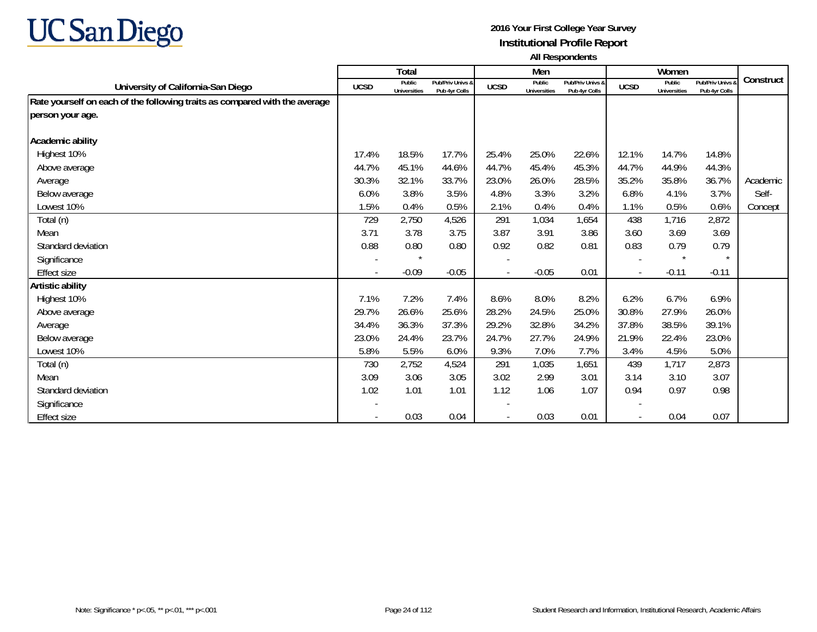

|                                                                            |             | <b>Total</b>                  |                                   |                          | Men                           |                                   |                          | Women                         |                                   |           |
|----------------------------------------------------------------------------|-------------|-------------------------------|-----------------------------------|--------------------------|-------------------------------|-----------------------------------|--------------------------|-------------------------------|-----------------------------------|-----------|
| University of California-San Diego                                         | <b>UCSD</b> | Public<br><b>Universities</b> | Pub/Priv Univs &<br>Pub 4yr Colls | <b>UCSD</b>              | Public<br><b>Universities</b> | Pub/Priv Univs &<br>Pub 4yr Colls | <b>UCSD</b>              | Public<br><b>Universities</b> | Pub/Priv Univs &<br>Pub 4yr Colls | Construct |
| Rate yourself on each of the following traits as compared with the average |             |                               |                                   |                          |                               |                                   |                          |                               |                                   |           |
| person your age.                                                           |             |                               |                                   |                          |                               |                                   |                          |                               |                                   |           |
| Academic ability                                                           |             |                               |                                   |                          |                               |                                   |                          |                               |                                   |           |
| Highest 10%                                                                | 17.4%       | 18.5%                         | 17.7%                             | 25.4%                    | 25.0%                         | 22.6%                             | 12.1%                    | 14.7%                         | 14.8%                             |           |
| Above average                                                              | 44.7%       | 45.1%                         | 44.6%                             | 44.7%                    | 45.4%                         | 45.3%                             | 44.7%                    | 44.9%                         | 44.3%                             |           |
| Average                                                                    | 30.3%       | 32.1%                         | 33.7%                             | 23.0%                    | 26.0%                         | 28.5%                             | 35.2%                    | 35.8%                         | 36.7%                             | Academic  |
| Below average                                                              | 6.0%        | 3.8%                          | 3.5%                              | 4.8%                     | 3.3%                          | 3.2%                              | 6.8%                     | 4.1%                          | 3.7%                              | Self-     |
| Lowest 10%                                                                 | 1.5%        | 0.4%                          | 0.5%                              | 2.1%                     | 0.4%                          | 0.4%                              | 1.1%                     | 0.5%                          | 0.6%                              | Concept   |
| Total (n)                                                                  | 729         | 2,750                         | 4,526                             | 291                      | 1,034                         | 1,654                             | 438                      | 1,716                         | 2,872                             |           |
| Mean                                                                       | 3.71        | 3.78                          | 3.75                              | 3.87                     | 3.91                          | 3.86                              | 3.60                     | 3.69                          | 3.69                              |           |
| Standard deviation                                                         | 0.88        | 0.80                          | 0.80                              | 0.92                     | 0.82                          | 0.81                              | 0.83                     | 0.79                          | 0.79                              |           |
|                                                                            |             | $\star$                       |                                   |                          |                               |                                   |                          | $\star$                       | $\star$                           |           |
| Significance                                                               |             |                               |                                   | $\overline{\phantom{a}}$ |                               |                                   | $\overline{\phantom{a}}$ |                               |                                   |           |
| Effect size                                                                |             | $-0.09$                       | $-0.05$                           |                          | $-0.05$                       | 0.01                              | $\overline{\phantom{a}}$ | $-0.11$                       | $-0.11$                           |           |
| Artistic ability                                                           |             |                               |                                   |                          |                               |                                   |                          |                               |                                   |           |
| Highest 10%                                                                | 7.1%        | 7.2%                          | 7.4%                              | 8.6%                     | 8.0%                          | 8.2%                              | 6.2%                     | 6.7%                          | 6.9%                              |           |
| Above average                                                              | 29.7%       | 26.6%                         | 25.6%                             | 28.2%                    | 24.5%                         | 25.0%                             | 30.8%                    | 27.9%                         | 26.0%                             |           |
| Average                                                                    | 34.4%       | 36.3%                         | 37.3%                             | 29.2%                    | 32.8%                         | 34.2%                             | 37.8%                    | 38.5%                         | 39.1%                             |           |
| Below average                                                              | 23.0%       | 24.4%                         | 23.7%                             | 24.7%                    | 27.7%                         | 24.9%                             | 21.9%                    | 22.4%                         | 23.0%                             |           |
| Lowest 10%                                                                 | 5.8%        | 5.5%                          | 6.0%                              | 9.3%                     | 7.0%                          | 7.7%                              | 3.4%                     | 4.5%                          | 5.0%                              |           |
| Total (n)                                                                  | 730         | 2,752                         | 4,524                             | 291                      | 1,035                         | 1,651                             | 439                      | 1,717                         | 2,873                             |           |
| Mean                                                                       | 3.09        | 3.06                          | 3.05                              | 3.02                     | 2.99                          | 3.01                              | 3.14                     | 3.10                          | 3.07                              |           |
| Standard deviation                                                         | 1.02        | 1.01                          | 1.01                              | 1.12                     | 1.06                          | 1.07                              | 0.94                     | 0.97                          | 0.98                              |           |
| Significance                                                               |             |                               |                                   |                          |                               |                                   |                          |                               |                                   |           |
| Effect size                                                                |             | 0.03                          | 0.04                              |                          | 0.03                          | 0.01                              | $\overline{\phantom{a}}$ | 0.04                          | 0.07                              |           |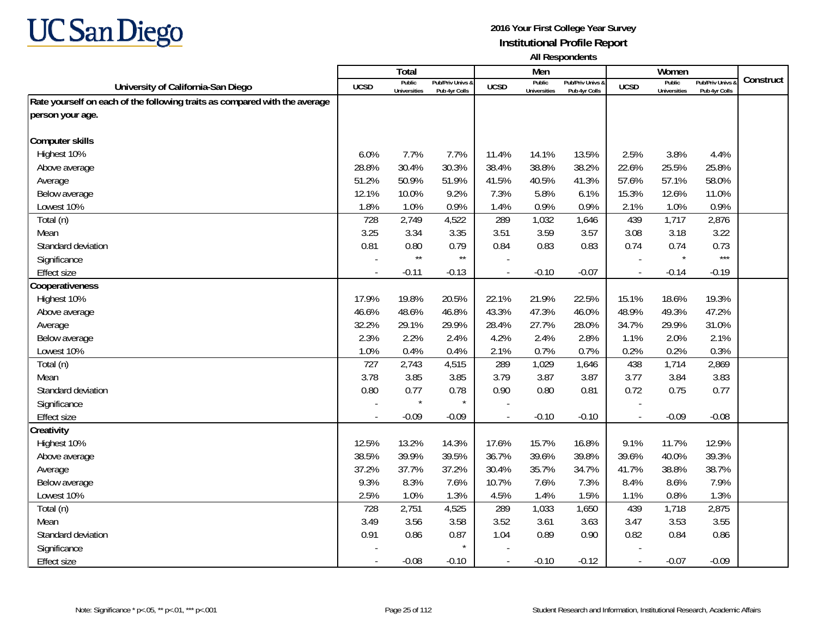

|                                                                            |        | <b>Total</b>                  |                                   |                | Men                           |                                   |                          | Women                         |                                        |           |
|----------------------------------------------------------------------------|--------|-------------------------------|-----------------------------------|----------------|-------------------------------|-----------------------------------|--------------------------|-------------------------------|----------------------------------------|-----------|
| University of California-San Diego                                         | UCSD   | Public<br><b>Universities</b> | Pub/Priv Univs &<br>Pub 4yr Colls | <b>UCSD</b>    | Public<br><b>Universities</b> | Pub/Priv Univs &<br>Pub 4yr Colls | <b>UCSD</b>              | Public<br><b>Universities</b> | <b>Pub/Priv Univs</b><br>Pub 4yr Colls | Construct |
| Rate yourself on each of the following traits as compared with the average |        |                               |                                   |                |                               |                                   |                          |                               |                                        |           |
| person your age.                                                           |        |                               |                                   |                |                               |                                   |                          |                               |                                        |           |
|                                                                            |        |                               |                                   |                |                               |                                   |                          |                               |                                        |           |
| <b>Computer skills</b>                                                     |        |                               |                                   |                |                               |                                   |                          |                               |                                        |           |
| Highest 10%                                                                | 6.0%   | 7.7%                          | 7.7%                              | 11.4%          | 14.1%                         | 13.5%                             | 2.5%                     | 3.8%                          | 4.4%                                   |           |
| Above average                                                              | 28.8%  | 30.4%                         | 30.3%                             | 38.4%          | 38.8%                         | 38.2%                             | 22.6%                    | 25.5%                         | 25.8%                                  |           |
| Average                                                                    | 51.2%  | 50.9%                         | 51.9%                             | 41.5%          | 40.5%                         | 41.3%                             | 57.6%                    | 57.1%                         | 58.0%                                  |           |
| Below average                                                              | 12.1%  | 10.0%                         | 9.2%                              | 7.3%           | 5.8%                          | 6.1%                              | 15.3%                    | 12.6%                         | 11.0%                                  |           |
| Lowest 10%                                                                 | 1.8%   | 1.0%                          | 0.9%                              | 1.4%           | 0.9%                          | 0.9%                              | 2.1%                     | 1.0%                          | 0.9%                                   |           |
| Total (n)                                                                  | 728    | 2,749                         | 4,522                             | 289            | 1,032                         | 1,646                             | 439                      | 1,717                         | 2,876                                  |           |
| Mean                                                                       | 3.25   | 3.34                          | 3.35                              | 3.51           | 3.59                          | 3.57                              | 3.08                     | 3.18                          | 3.22                                   |           |
| Standard deviation                                                         | 0.81   | 0.80                          | 0.79                              | 0.84           | 0.83                          | 0.83                              | 0.74                     | 0.74                          | 0.73                                   |           |
| Significance                                                               |        | $\star\star$                  | $^{\star\star}$                   |                |                               |                                   |                          | $\star$                       | $***$                                  |           |
| <b>Effect size</b>                                                         |        | $-0.11$                       | $-0.13$                           | $\overline{a}$ | $-0.10$                       | $-0.07$                           | $\overline{\phantom{a}}$ | $-0.14$                       | $-0.19$                                |           |
| Cooperativeness                                                            |        |                               |                                   |                |                               |                                   |                          |                               |                                        |           |
| Highest 10%                                                                | 17.9%  | 19.8%                         | 20.5%                             | 22.1%          | 21.9%                         | 22.5%                             | 15.1%                    | 18.6%                         | 19.3%                                  |           |
| Above average                                                              | 46.6%  | 48.6%                         | 46.8%                             | 43.3%          | 47.3%                         | 46.0%                             | 48.9%                    | 49.3%                         | 47.2%                                  |           |
| Average                                                                    | 32.2%  | 29.1%                         | 29.9%                             | 28.4%          | 27.7%                         | 28.0%                             | 34.7%                    | 29.9%                         | 31.0%                                  |           |
| Below average                                                              | 2.3%   | 2.2%                          | 2.4%                              | 4.2%           | 2.4%                          | 2.8%                              | 1.1%                     | 2.0%                          | 2.1%                                   |           |
| Lowest 10%                                                                 | 1.0%   | 0.4%                          | 0.4%                              | 2.1%           | 0.7%                          | 0.7%                              | 0.2%                     | 0.2%                          | 0.3%                                   |           |
| Total (n)                                                                  | 727    | 2,743                         | 4,515                             | 289            | 1,029                         | 1,646                             | 438                      | 1,714                         | 2,869                                  |           |
| Mean                                                                       | 3.78   | 3.85                          | 3.85                              | 3.79           | 3.87                          | 3.87                              | 3.77                     | 3.84                          | 3.83                                   |           |
| Standard deviation                                                         | 0.80   | 0.77                          | 0.78                              | 0.90           | 0.80                          | 0.81                              | 0.72                     | 0.75                          | 0.77                                   |           |
| Significance                                                               |        |                               | $\star$                           |                |                               |                                   |                          |                               |                                        |           |
| <b>Effect size</b>                                                         | $\sim$ | $-0.09$                       | $-0.09$                           | $\sim$         | $-0.10$                       | $-0.10$                           | $\blacksquare$           | $-0.09$                       | $-0.08$                                |           |
| Creativity                                                                 |        |                               |                                   |                |                               |                                   |                          |                               |                                        |           |
| Highest 10%                                                                | 12.5%  | 13.2%                         | 14.3%                             | 17.6%          | 15.7%                         | 16.8%                             | 9.1%                     | 11.7%                         | 12.9%                                  |           |
| Above average                                                              | 38.5%  | 39.9%                         | 39.5%                             | 36.7%          | 39.6%                         | 39.8%                             | 39.6%                    | 40.0%                         | 39.3%                                  |           |
| Average                                                                    | 37.2%  | 37.7%                         | 37.2%                             | 30.4%          | 35.7%                         | 34.7%                             | 41.7%                    | 38.8%                         | 38.7%                                  |           |
| Below average                                                              | 9.3%   | 8.3%                          | 7.6%                              | 10.7%          | 7.6%                          | 7.3%                              | 8.4%                     | 8.6%                          | 7.9%                                   |           |
| Lowest 10%                                                                 | 2.5%   | 1.0%                          | 1.3%                              | 4.5%           | 1.4%                          | 1.5%                              | 1.1%                     | 0.8%                          | 1.3%                                   |           |
| Total (n)                                                                  | 728    | 2,751                         | 4,525                             | 289            | 1,033                         | 1,650                             | 439                      | 1,718                         | 2,875                                  |           |
| Mean                                                                       | 3.49   | 3.56                          | 3.58                              | 3.52           | 3.61                          | 3.63                              | 3.47                     | 3.53                          | 3.55                                   |           |
| Standard deviation                                                         | 0.91   | 0.86                          | 0.87                              | 1.04           | 0.89                          | 0.90                              | 0.82                     | 0.84                          | 0.86                                   |           |
| Significance                                                               |        |                               | $\star$                           |                |                               |                                   |                          |                               |                                        |           |
| <b>Effect size</b>                                                         |        | $-0.08$                       | $-0.10$                           | $\blacksquare$ | $-0.10$                       | $-0.12$                           | $\overline{\phantom{a}}$ | $-0.07$                       | $-0.09$                                |           |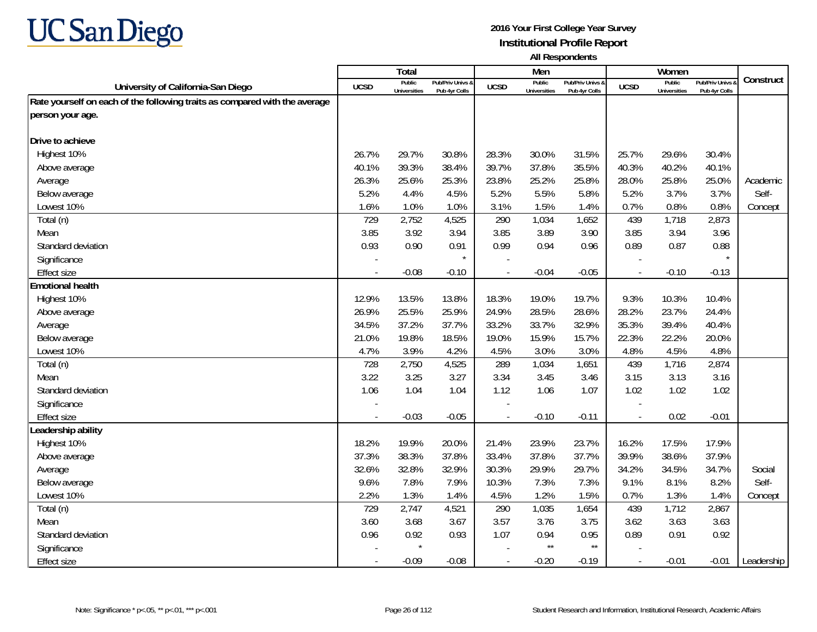

|                                                                            |             | <b>Total</b>                  |                                   |             | Men                           |                                   |                          | Women                         |                                        |            |
|----------------------------------------------------------------------------|-------------|-------------------------------|-----------------------------------|-------------|-------------------------------|-----------------------------------|--------------------------|-------------------------------|----------------------------------------|------------|
| University of California-San Diego                                         | <b>UCSD</b> | Public<br><b>Universities</b> | Pub/Priv Univs &<br>Pub 4yr Colls | <b>UCSD</b> | Public<br><b>Universities</b> | Pub/Priv Univs &<br>Pub 4yr Colls | <b>UCSD</b>              | Public<br><b>Universities</b> | <b>Pub/Priv Univs</b><br>Pub 4yr Colls | Construct  |
| Rate yourself on each of the following traits as compared with the average |             |                               |                                   |             |                               |                                   |                          |                               |                                        |            |
| person your age.                                                           |             |                               |                                   |             |                               |                                   |                          |                               |                                        |            |
|                                                                            |             |                               |                                   |             |                               |                                   |                          |                               |                                        |            |
| Drive to achieve                                                           |             |                               |                                   |             |                               |                                   |                          |                               |                                        |            |
| Highest 10%                                                                | 26.7%       | 29.7%                         | 30.8%                             | 28.3%       | 30.0%                         | 31.5%                             | 25.7%                    | 29.6%                         | 30.4%                                  |            |
| Above average                                                              | 40.1%       | 39.3%                         | 38.4%                             | 39.7%       | 37.8%                         | 35.5%                             | 40.3%                    | 40.2%                         | 40.1%                                  |            |
| Average                                                                    | 26.3%       | 25.6%                         | 25.3%                             | 23.8%       | 25.2%                         | 25.8%                             | 28.0%                    | 25.8%                         | 25.0%                                  | Academic   |
| Below average                                                              | 5.2%        | 4.4%                          | 4.5%                              | 5.2%        | 5.5%                          | 5.8%                              | 5.2%                     | 3.7%                          | 3.7%                                   | Self-      |
| Lowest 10%                                                                 | 1.6%        | 1.0%                          | 1.0%                              | 3.1%        | 1.5%                          | 1.4%                              | 0.7%                     | 0.8%                          | 0.8%                                   | Concept    |
| Total (n)                                                                  | 729         | 2,752                         | 4,525                             | 290         | 1,034                         | 1,652                             | 439                      | 1,718                         | 2,873                                  |            |
| Mean                                                                       | 3.85        | 3.92                          | 3.94                              | 3.85        | 3.89                          | 3.90                              | 3.85                     | 3.94                          | 3.96                                   |            |
| Standard deviation                                                         | 0.93        | 0.90                          | 0.91                              | 0.99        | 0.94                          | 0.96                              | 0.89                     | 0.87                          | 0.88                                   |            |
| Significance                                                               |             |                               | $\star$                           |             |                               |                                   |                          |                               |                                        |            |
| <b>Effect size</b>                                                         |             | $-0.08$                       | $-0.10$                           |             | $-0.04$                       | $-0.05$                           | $\sim$                   | $-0.10$                       | $-0.13$                                |            |
| <b>Emotional health</b>                                                    |             |                               |                                   |             |                               |                                   |                          |                               |                                        |            |
| Highest 10%                                                                | 12.9%       | 13.5%                         | 13.8%                             | 18.3%       | 19.0%                         | 19.7%                             | 9.3%                     | 10.3%                         | 10.4%                                  |            |
| Above average                                                              | 26.9%       | 25.5%                         | 25.9%                             | 24.9%       | 28.5%                         | 28.6%                             | 28.2%                    | 23.7%                         | 24.4%                                  |            |
| Average                                                                    | 34.5%       | 37.2%                         | 37.7%                             | 33.2%       | 33.7%                         | 32.9%                             | 35.3%                    | 39.4%                         | 40.4%                                  |            |
| Below average                                                              | 21.0%       | 19.8%                         | 18.5%                             | 19.0%       | 15.9%                         | 15.7%                             | 22.3%                    | 22.2%                         | 20.0%                                  |            |
| Lowest 10%                                                                 | 4.7%        | 3.9%                          | 4.2%                              | 4.5%        | 3.0%                          | 3.0%                              | 4.8%                     | 4.5%                          | 4.8%                                   |            |
| Total (n)                                                                  | 728         | 2,750                         | 4,525                             | 289         | 1,034                         | 1,651                             | 439                      | 1,716                         | 2,874                                  |            |
| Mean                                                                       | 3.22        | 3.25                          | 3.27                              | 3.34        | 3.45                          | 3.46                              | 3.15                     | 3.13                          | 3.16                                   |            |
| Standard deviation                                                         | 1.06        | 1.04                          | 1.04                              | 1.12        | 1.06                          | 1.07                              | 1.02                     | 1.02                          | 1.02                                   |            |
| Significance                                                               |             |                               |                                   |             |                               |                                   |                          |                               |                                        |            |
| <b>Effect size</b>                                                         | $\sim$      | $-0.03$                       | $-0.05$                           | $\sim$      | $-0.10$                       | $-0.11$                           | $\overline{\phantom{a}}$ | 0.02                          | $-0.01$                                |            |
| Leadership ability                                                         |             |                               |                                   |             |                               |                                   |                          |                               |                                        |            |
| Highest 10%                                                                | 18.2%       | 19.9%                         | 20.0%                             | 21.4%       | 23.9%                         | 23.7%                             | 16.2%                    | 17.5%                         | 17.9%                                  |            |
| Above average                                                              | 37.3%       | 38.3%                         | 37.8%                             | 33.4%       | 37.8%                         | 37.7%                             | 39.9%                    | 38.6%                         | 37.9%                                  |            |
| Average                                                                    | 32.6%       | 32.8%                         | 32.9%                             | 30.3%       | 29.9%                         | 29.7%                             | 34.2%                    | 34.5%                         | 34.7%                                  | Social     |
| Below average                                                              | 9.6%        | 7.8%                          | 7.9%                              | 10.3%       | 7.3%                          | 7.3%                              | 9.1%                     | 8.1%                          | 8.2%                                   | Self-      |
| Lowest 10%                                                                 | 2.2%        | 1.3%                          | 1.4%                              | 4.5%        | 1.2%                          | 1.5%                              | 0.7%                     | 1.3%                          | 1.4%                                   | Concept    |
| Total (n)                                                                  | 729         | 2,747                         | 4,521                             | 290         | 1,035                         | 1,654                             | 439                      | 1,712                         | 2,867                                  |            |
| Mean                                                                       | 3.60        | 3.68                          | 3.67                              | 3.57        | 3.76                          | 3.75                              | 3.62                     | 3.63                          | 3.63                                   |            |
| Standard deviation                                                         | 0.96        | 0.92                          | 0.93                              | 1.07        | 0.94                          | 0.95                              | 0.89                     | 0.91                          | 0.92                                   |            |
| Significance                                                               |             | $\star$                       |                                   |             | $\star\star$                  | $^{\star\star}$                   |                          |                               |                                        |            |
| <b>Effect size</b>                                                         | $\sim$      | $-0.09$                       | $-0.08$                           |             | $-0.20$                       | $-0.19$                           | $\overline{\phantom{a}}$ | $-0.01$                       | $-0.01$                                | Leadership |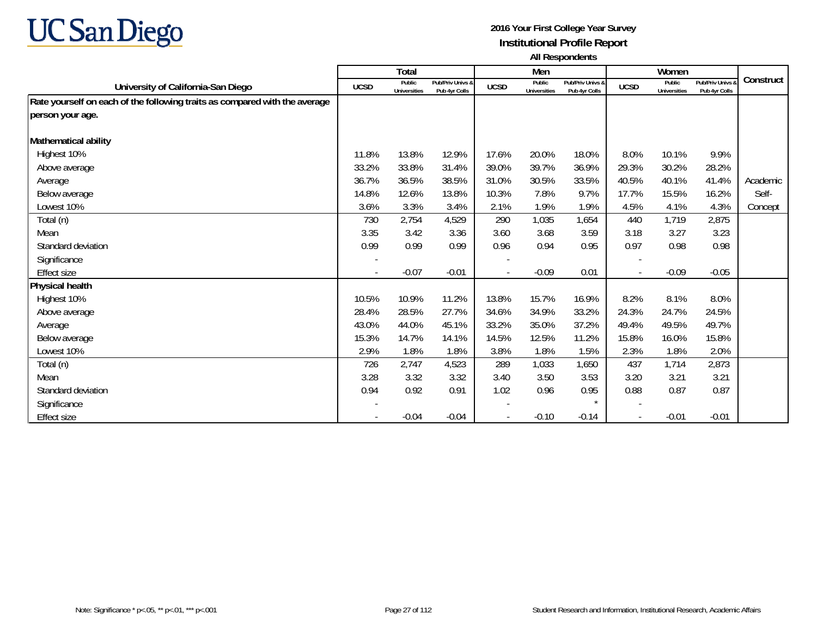

|                                                                            |             | <b>Total</b>                  |                                   |             | Men                           |                                   |                          | Women                         |                                 |           |
|----------------------------------------------------------------------------|-------------|-------------------------------|-----------------------------------|-------------|-------------------------------|-----------------------------------|--------------------------|-------------------------------|---------------------------------|-----------|
| University of California-San Diego                                         | <b>UCSD</b> | Public<br><b>Universities</b> | Pub/Priv Univs &<br>Pub 4yr Colls | <b>UCSD</b> | Public<br><b>Universities</b> | Pub/Priv Univs &<br>Pub 4yr Colls | <b>UCSD</b>              | Public<br><b>Universities</b> | Pub/Priv Univs<br>Pub 4yr Colls | Construct |
| Rate yourself on each of the following traits as compared with the average |             |                               |                                   |             |                               |                                   |                          |                               |                                 |           |
| person your age.                                                           |             |                               |                                   |             |                               |                                   |                          |                               |                                 |           |
|                                                                            |             |                               |                                   |             |                               |                                   |                          |                               |                                 |           |
| Mathematical ability                                                       |             |                               |                                   |             |                               |                                   |                          |                               |                                 |           |
| Highest 10%                                                                | 11.8%       | 13.8%                         | 12.9%                             | 17.6%       | 20.0%                         | 18.0%                             | 8.0%                     | 10.1%                         | 9.9%                            |           |
| Above average                                                              | 33.2%       | 33.8%                         | 31.4%                             | 39.0%       | 39.7%                         | 36.9%                             | 29.3%                    | 30.2%                         | 28.2%                           |           |
| Average                                                                    | 36.7%       | 36.5%                         | 38.5%                             | 31.0%       | 30.5%                         | 33.5%                             | 40.5%                    | 40.1%                         | 41.4%                           | Academic  |
| Below average                                                              | 14.8%       | 12.6%                         | 13.8%                             | 10.3%       | 7.8%                          | 9.7%                              | 17.7%                    | 15.5%                         | 16.2%                           | Self-     |
| Lowest 10%                                                                 | 3.6%        | 3.3%                          | 3.4%                              | 2.1%        | 1.9%                          | 1.9%                              | 4.5%                     | 4.1%                          | 4.3%                            | Concept   |
| Total (n)                                                                  | 730         | 2,754                         | 4,529                             | 290         | 1,035                         | 1,654                             | 440                      | 1,719                         | 2,875                           |           |
| Mean                                                                       | 3.35        | 3.42                          | 3.36                              | 3.60        | 3.68                          | 3.59                              | 3.18                     | 3.27                          | 3.23                            |           |
| Standard deviation                                                         | 0.99        | 0.99                          | 0.99                              | 0.96        | 0.94                          | 0.95                              | 0.97                     | 0.98                          | 0.98                            |           |
| Significance                                                               |             |                               |                                   |             |                               |                                   |                          |                               |                                 |           |
| <b>Effect size</b>                                                         |             | $-0.07$                       | $-0.01$                           |             | $-0.09$                       | 0.01                              |                          | $-0.09$                       | $-0.05$                         |           |
| Physical health                                                            |             |                               |                                   |             |                               |                                   |                          |                               |                                 |           |
| Highest 10%                                                                | 10.5%       | 10.9%                         | 11.2%                             | 13.8%       | 15.7%                         | 16.9%                             | 8.2%                     | 8.1%                          | 8.0%                            |           |
| Above average                                                              | 28.4%       | 28.5%                         | 27.7%                             | 34.6%       | 34.9%                         | 33.2%                             | 24.3%                    | 24.7%                         | 24.5%                           |           |
| Average                                                                    | 43.0%       | 44.0%                         | 45.1%                             | 33.2%       | 35.0%                         | 37.2%                             | 49.4%                    | 49.5%                         | 49.7%                           |           |
| Below average                                                              | 15.3%       | 14.7%                         | 14.1%                             | 14.5%       | 12.5%                         | 11.2%                             | 15.8%                    | 16.0%                         | 15.8%                           |           |
| Lowest 10%                                                                 | 2.9%        | 1.8%                          | 1.8%                              | 3.8%        | 1.8%                          | 1.5%                              | 2.3%                     | 1.8%                          | 2.0%                            |           |
| Total (n)                                                                  | 726         | 2,747                         | 4,523                             | 289         | 1,033                         | 1,650                             | 437                      | 1,714                         | 2,873                           |           |
| Mean                                                                       | 3.28        | 3.32                          | 3.32                              | 3.40        | 3.50                          | 3.53                              | 3.20                     | 3.21                          | 3.21                            |           |
| Standard deviation                                                         | 0.94        | 0.92                          | 0.91                              | 1.02        | 0.96                          | 0.95                              | 0.88                     | 0.87                          | 0.87                            |           |
| Significance                                                               |             |                               |                                   |             |                               |                                   | $\overline{\phantom{a}}$ |                               |                                 |           |
| Effect size                                                                |             | $-0.04$                       | $-0.04$                           |             | $-0.10$                       | $-0.14$                           | $\overline{\phantom{a}}$ | $-0.01$                       | $-0.01$                         |           |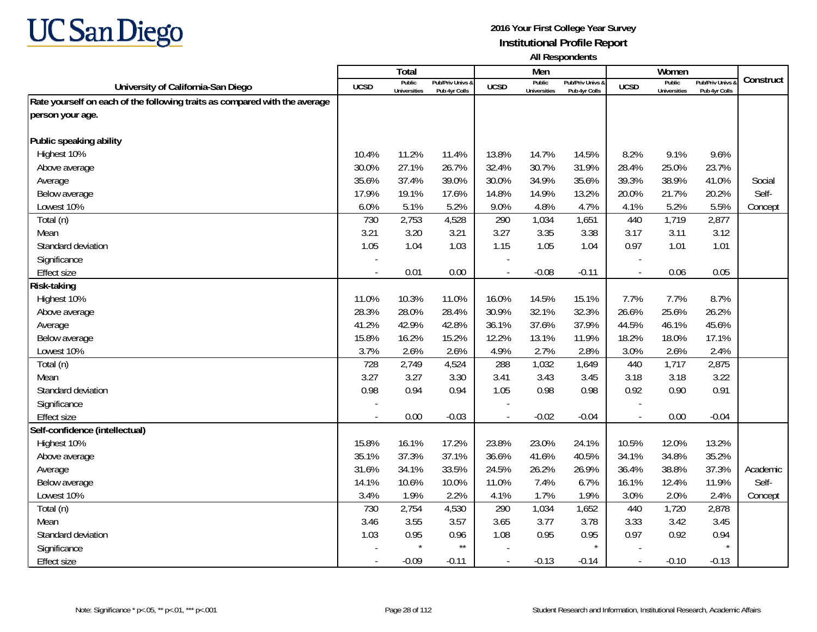

|                                                                            |                          | <b>Total</b>                  |                                   |                | Men                           |                                   |                          | Women                         |                                        |           |
|----------------------------------------------------------------------------|--------------------------|-------------------------------|-----------------------------------|----------------|-------------------------------|-----------------------------------|--------------------------|-------------------------------|----------------------------------------|-----------|
| University of California-San Diego                                         | UCSD                     | Public<br><b>Universities</b> | Pub/Priv Univs &<br>Pub 4yr Colls | <b>UCSD</b>    | Public<br><b>Universities</b> | Pub/Priv Univs &<br>Pub 4yr Colls | <b>UCSD</b>              | Public<br><b>Universities</b> | <b>Pub/Priv Univs</b><br>Pub 4yr Colls | Construct |
| Rate yourself on each of the following traits as compared with the average |                          |                               |                                   |                |                               |                                   |                          |                               |                                        |           |
| person your age.                                                           |                          |                               |                                   |                |                               |                                   |                          |                               |                                        |           |
|                                                                            |                          |                               |                                   |                |                               |                                   |                          |                               |                                        |           |
| Public speaking ability                                                    |                          |                               |                                   |                |                               |                                   |                          |                               |                                        |           |
| Highest 10%                                                                | 10.4%                    | 11.2%                         | 11.4%                             | 13.8%          | 14.7%                         | 14.5%                             | 8.2%                     | 9.1%                          | 9.6%                                   |           |
| Above average                                                              | 30.0%                    | 27.1%                         | 26.7%                             | 32.4%          | 30.7%                         | 31.9%                             | 28.4%                    | 25.0%                         | 23.7%                                  |           |
| Average                                                                    | 35.6%                    | 37.4%                         | 39.0%                             | 30.0%          | 34.9%                         | 35.6%                             | 39.3%                    | 38.9%                         | 41.0%                                  | Social    |
| Below average                                                              | 17.9%                    | 19.1%                         | 17.6%                             | 14.8%          | 14.9%                         | 13.2%                             | 20.0%                    | 21.7%                         | 20.2%                                  | Self-     |
| Lowest 10%                                                                 | 6.0%                     | 5.1%                          | 5.2%                              | 9.0%           | 4.8%                          | 4.7%                              | 4.1%                     | 5.2%                          | 5.5%                                   | Concept   |
| Total (n)                                                                  | 730                      | 2,753                         | 4,528                             | 290            | 1,034                         | 1,651                             | 440                      | 1,719                         | 2,877                                  |           |
| Mean                                                                       | 3.21                     | 3.20                          | 3.21                              | 3.27           | 3.35                          | 3.38                              | 3.17                     | 3.11                          | 3.12                                   |           |
| Standard deviation                                                         | 1.05                     | 1.04                          | 1.03                              | 1.15           | 1.05                          | 1.04                              | 0.97                     | 1.01                          | 1.01                                   |           |
| Significance                                                               |                          |                               |                                   |                |                               |                                   |                          |                               |                                        |           |
| <b>Effect size</b>                                                         |                          | 0.01                          | 0.00                              | $\overline{a}$ | $-0.08$                       | $-0.11$                           | $\overline{\phantom{a}}$ | 0.06                          | 0.05                                   |           |
| <b>Risk-taking</b>                                                         |                          |                               |                                   |                |                               |                                   |                          |                               |                                        |           |
| Highest 10%                                                                | 11.0%                    | 10.3%                         | 11.0%                             | 16.0%          | 14.5%                         | 15.1%                             | 7.7%                     | 7.7%                          | 8.7%                                   |           |
| Above average                                                              | 28.3%                    | 28.0%                         | 28.4%                             | 30.9%          | 32.1%                         | 32.3%                             | 26.6%                    | 25.6%                         | 26.2%                                  |           |
| Average                                                                    | 41.2%                    | 42.9%                         | 42.8%                             | 36.1%          | 37.6%                         | 37.9%                             | 44.5%                    | 46.1%                         | 45.6%                                  |           |
| Below average                                                              | 15.8%                    | 16.2%                         | 15.2%                             | 12.2%          | 13.1%                         | 11.9%                             | 18.2%                    | 18.0%                         | 17.1%                                  |           |
| Lowest 10%                                                                 | 3.7%                     | 2.6%                          | 2.6%                              | 4.9%           | 2.7%                          | 2.8%                              | 3.0%                     | 2.6%                          | 2.4%                                   |           |
| Total (n)                                                                  | 728                      | 2,749                         | 4,524                             | 288            | 1,032                         | 1,649                             | 440                      | 1,717                         | 2,875                                  |           |
| Mean                                                                       | 3.27                     | 3.27                          | 3.30                              | 3.41           | 3.43                          | 3.45                              | 3.18                     | 3.18                          | 3.22                                   |           |
| Standard deviation                                                         | 0.98                     | 0.94                          | 0.94                              | 1.05           | 0.98                          | 0.98                              | 0.92                     | 0.90                          | 0.91                                   |           |
| Significance                                                               |                          |                               |                                   |                |                               |                                   |                          |                               |                                        |           |
| <b>Effect size</b>                                                         | $\overline{\phantom{a}}$ | 0.00                          | $-0.03$                           | $\blacksquare$ | $-0.02$                       | $-0.04$                           | $\overline{\phantom{a}}$ | 0.00                          | $-0.04$                                |           |
| Self-confidence (intellectual)                                             |                          |                               |                                   |                |                               |                                   |                          |                               |                                        |           |
| Highest 10%                                                                | 15.8%                    | 16.1%                         | 17.2%                             | 23.8%          | 23.0%                         | 24.1%                             | 10.5%                    | 12.0%                         | 13.2%                                  |           |
| Above average                                                              | 35.1%                    | 37.3%                         | 37.1%                             | 36.6%          | 41.6%                         | 40.5%                             | 34.1%                    | 34.8%                         | 35.2%                                  |           |
| Average                                                                    | 31.6%                    | 34.1%                         | 33.5%                             | 24.5%          | 26.2%                         | 26.9%                             | 36.4%                    | 38.8%                         | 37.3%                                  | Academic  |
| Below average                                                              | 14.1%                    | 10.6%                         | 10.0%                             | 11.0%          | 7.4%                          | 6.7%                              | 16.1%                    | 12.4%                         | 11.9%                                  | Self-     |
| Lowest 10%                                                                 | 3.4%                     | 1.9%                          | 2.2%                              | 4.1%           | 1.7%                          | 1.9%                              | 3.0%                     | 2.0%                          | 2.4%                                   | Concept   |
| Total (n)                                                                  | 730                      | 2,754                         | 4,530                             | 290            | 1,034                         | 1,652                             | 440                      | 1,720                         | 2,878                                  |           |
| Mean                                                                       | 3.46                     | 3.55                          | 3.57                              | 3.65           | 3.77                          | 3.78                              | 3.33                     | 3.42                          | 3.45                                   |           |
| Standard deviation                                                         | 1.03                     | 0.95                          | 0.96                              | 1.08           | 0.95                          | 0.95                              | 0.97                     | 0.92                          | 0.94                                   |           |
| Significance                                                               |                          | $\star$                       | $^{\star\star}$                   |                |                               |                                   |                          |                               |                                        |           |
| <b>Effect size</b>                                                         |                          | $-0.09$                       | $-0.11$                           | $\blacksquare$ | $-0.13$                       | $-0.14$                           | $\overline{\phantom{a}}$ | $-0.10$                       | $-0.13$                                |           |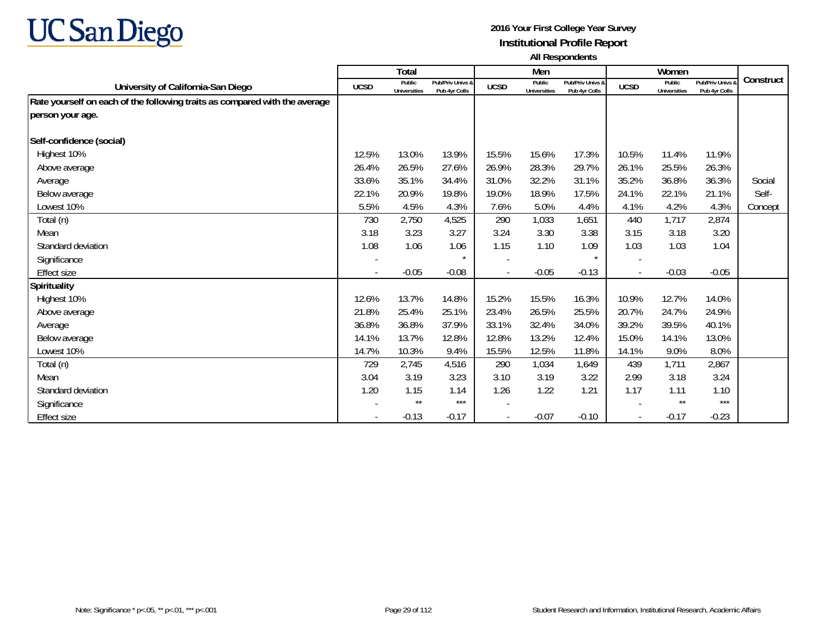

|                                                                            |             | Total                         |                                   |             | Men                           |                                   |             | Women                         |                                 |           |
|----------------------------------------------------------------------------|-------------|-------------------------------|-----------------------------------|-------------|-------------------------------|-----------------------------------|-------------|-------------------------------|---------------------------------|-----------|
| University of California-San Diego                                         | <b>UCSD</b> | Public<br><b>Universities</b> | Pub/Priv Univs &<br>Pub 4yr Colls | <b>UCSD</b> | Public<br><b>Universities</b> | Pub/Priv Univs &<br>Pub 4yr Colls | <b>UCSD</b> | Public<br><b>Universities</b> | Pub/Priv Univs<br>Pub 4yr Colls | Construct |
| Rate yourself on each of the following traits as compared with the average |             |                               |                                   |             |                               |                                   |             |                               |                                 |           |
| person your age.                                                           |             |                               |                                   |             |                               |                                   |             |                               |                                 |           |
|                                                                            |             |                               |                                   |             |                               |                                   |             |                               |                                 |           |
| Self-confidence (social)                                                   |             |                               |                                   |             |                               |                                   |             |                               |                                 |           |
| Highest 10%                                                                | 12.5%       | 13.0%                         | 13.9%                             | 15.5%       | 15.6%                         | 17.3%                             | 10.5%       | 11.4%                         | 11.9%                           |           |
| Above average                                                              | 26.4%       | 26.5%                         | 27.6%                             | 26.9%       | 28.3%                         | 29.7%                             | 26.1%       | 25.5%                         | 26.3%                           |           |
| Average                                                                    | 33.6%       | 35.1%                         | 34.4%                             | 31.0%       | 32.2%                         | 31.1%                             | 35.2%       | 36.8%                         | 36.3%                           | Social    |
| Below average                                                              | 22.1%       | 20.9%                         | 19.8%                             | 19.0%       | 18.9%                         | 17.5%                             | 24.1%       | 22.1%                         | 21.1%                           | Self-     |
| Lowest 10%                                                                 | 5.5%        | 4.5%                          | 4.3%                              | 7.6%        | 5.0%                          | 4.4%                              | 4.1%        | 4.2%                          | 4.3%                            | Concept   |
| Total (n)                                                                  | 730         | 2,750                         | 4,525                             | 290         | 1,033                         | 1,651                             | 440         | 1,717                         | 2,874                           |           |
| Mean                                                                       | 3.18        | 3.23                          | 3.27                              | 3.24        | 3.30                          | 3.38                              | 3.15        | 3.18                          | 3.20                            |           |
| Standard deviation                                                         | 1.08        | 1.06                          | 1.06                              | 1.15        | 1.10                          | 1.09                              | 1.03        | 1.03                          | 1.04                            |           |
| Significance                                                               |             |                               | $\star$                           |             |                               | $\star$                           |             |                               |                                 |           |
| <b>Effect size</b>                                                         |             | $-0.05$                       | $-0.08$                           |             | $-0.05$                       | $-0.13$                           |             | $-0.03$                       | $-0.05$                         |           |
| <b>Spirituality</b>                                                        |             |                               |                                   |             |                               |                                   |             |                               |                                 |           |
| Highest 10%                                                                | 12.6%       | 13.7%                         | 14.8%                             | 15.2%       | 15.5%                         | 16.3%                             | 10.9%       | 12.7%                         | 14.0%                           |           |
| Above average                                                              | 21.8%       | 25.4%                         | 25.1%                             | 23.4%       | 26.5%                         | 25.5%                             | 20.7%       | 24.7%                         | 24.9%                           |           |
| Average                                                                    | 36.8%       | 36.8%                         | 37.9%                             | 33.1%       | 32.4%                         | 34.0%                             | 39.2%       | 39.5%                         | 40.1%                           |           |
| Below average                                                              | 14.1%       | 13.7%                         | 12.8%                             | 12.8%       | 13.2%                         | 12.4%                             | 15.0%       | 14.1%                         | 13.0%                           |           |
| Lowest 10%                                                                 | 14.7%       | 10.3%                         | 9.4%                              | 15.5%       | 12.5%                         | 11.8%                             | 14.1%       | 9.0%                          | 8.0%                            |           |
| Total (n)                                                                  | 729         | 2,745                         | 4,516                             | 290         | 1,034                         | 1,649                             | 439         | 1,711                         | 2,867                           |           |
| Mean                                                                       | 3.04        | 3.19                          | 3.23                              | 3.10        | 3.19                          | 3.22                              | 2.99        | 3.18                          | 3.24                            |           |
| Standard deviation                                                         | 1.20        | 1.15                          | 1.14                              | 1.26        | 1.22                          | 1.21                              | 1.17        | 1.11                          | 1.10                            |           |
| Significance                                                               |             | $\star\star$                  | $***$                             |             |                               |                                   |             | $\star\star$                  | $***$                           |           |
| Effect size                                                                |             | $-0.13$                       | $-0.17$                           |             | $-0.07$                       | $-0.10$                           |             | $-0.17$                       | $-0.23$                         |           |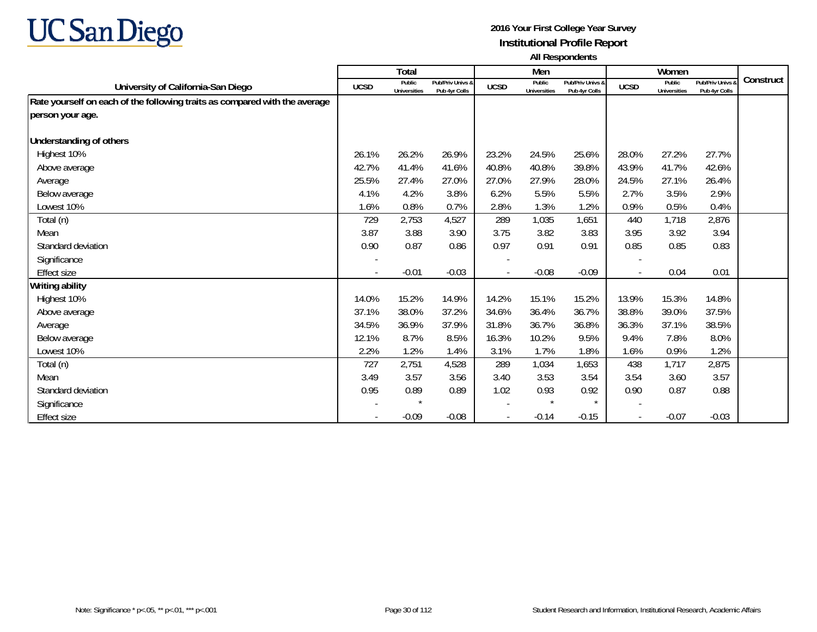

|                                                                            |             | Total                         |                                   |             | Men                           |                                   |                          | Women                         |                                 |           |
|----------------------------------------------------------------------------|-------------|-------------------------------|-----------------------------------|-------------|-------------------------------|-----------------------------------|--------------------------|-------------------------------|---------------------------------|-----------|
| University of California-San Diego                                         | <b>UCSD</b> | Public<br><b>Universities</b> | Pub/Priv Univs &<br>Pub 4yr Colls | <b>UCSD</b> | Public<br><b>Universities</b> | Pub/Priv Univs &<br>Pub 4yr Colls | <b>UCSD</b>              | Public<br><b>Universities</b> | Pub/Priv Univs<br>Pub 4yr Colls | Construct |
| Rate yourself on each of the following traits as compared with the average |             |                               |                                   |             |                               |                                   |                          |                               |                                 |           |
| person your age.                                                           |             |                               |                                   |             |                               |                                   |                          |                               |                                 |           |
|                                                                            |             |                               |                                   |             |                               |                                   |                          |                               |                                 |           |
| Understanding of others                                                    |             |                               |                                   |             |                               |                                   |                          |                               |                                 |           |
| Highest 10%                                                                | 26.1%       | 26.2%                         | 26.9%                             | 23.2%       | 24.5%                         | 25.6%                             | 28.0%                    | 27.2%                         | 27.7%                           |           |
| Above average                                                              | 42.7%       | 41.4%                         | 41.6%                             | 40.8%       | 40.8%                         | 39.8%                             | 43.9%                    | 41.7%                         | 42.6%                           |           |
| Average                                                                    | 25.5%       | 27.4%                         | 27.0%                             | 27.0%       | 27.9%                         | 28.0%                             | 24.5%                    | 27.1%                         | 26.4%                           |           |
| Below average                                                              | 4.1%        | 4.2%                          | 3.8%                              | 6.2%        | 5.5%                          | 5.5%                              | 2.7%                     | 3.5%                          | 2.9%                            |           |
| Lowest 10%                                                                 | 1.6%        | 0.8%                          | 0.7%                              | 2.8%        | 1.3%                          | 1.2%                              | 0.9%                     | 0.5%                          | 0.4%                            |           |
| Total (n)                                                                  | 729         | 2,753                         | 4,527                             | 289         | 1,035                         | 1,651                             | 440                      | 1,718                         | 2,876                           |           |
| Mean                                                                       | 3.87        | 3.88                          | 3.90                              | 3.75        | 3.82                          | 3.83                              | 3.95                     | 3.92                          | 3.94                            |           |
| Standard deviation                                                         | 0.90        | 0.87                          | 0.86                              | 0.97        | 0.91                          | 0.91                              | 0.85                     | 0.85                          | 0.83                            |           |
| Significance                                                               |             |                               |                                   |             |                               |                                   |                          |                               |                                 |           |
| <b>Effect size</b>                                                         |             | $-0.01$                       | $-0.03$                           |             | $-0.08$                       | $-0.09$                           |                          | 0.04                          | 0.01                            |           |
| Writing ability                                                            |             |                               |                                   |             |                               |                                   |                          |                               |                                 |           |
| Highest 10%                                                                | 14.0%       | 15.2%                         | 14.9%                             | 14.2%       | 15.1%                         | 15.2%                             | 13.9%                    | 15.3%                         | 14.8%                           |           |
| Above average                                                              | 37.1%       | 38.0%                         | 37.2%                             | 34.6%       | 36.4%                         | 36.7%                             | 38.8%                    | 39.0%                         | 37.5%                           |           |
| Average                                                                    | 34.5%       | 36.9%                         | 37.9%                             | 31.8%       | 36.7%                         | 36.8%                             | 36.3%                    | 37.1%                         | 38.5%                           |           |
| Below average                                                              | 12.1%       | 8.7%                          | 8.5%                              | 16.3%       | 10.2%                         | 9.5%                              | 9.4%                     | 7.8%                          | 8.0%                            |           |
| Lowest 10%                                                                 | 2.2%        | 1.2%                          | 1.4%                              | 3.1%        | 1.7%                          | 1.8%                              | 1.6%                     | 0.9%                          | 1.2%                            |           |
| Total (n)                                                                  | 727         | 2,751                         | 4,528                             | 289         | 1,034                         | 1,653                             | 438                      | 1,717                         | 2,875                           |           |
| Mean                                                                       | 3.49        | 3.57                          | 3.56                              | 3.40        | 3.53                          | 3.54                              | 3.54                     | 3.60                          | 3.57                            |           |
| Standard deviation                                                         | 0.95        | 0.89                          | 0.89                              | 1.02        | 0.93                          | 0.92                              | 0.90                     | 0.87                          | 0.88                            |           |
| Significance                                                               |             |                               |                                   |             | $\star$                       | $\star$                           | $\overline{\phantom{a}}$ |                               |                                 |           |
| Effect size                                                                |             | $-0.09$                       | $-0.08$                           |             | $-0.14$                       | $-0.15$                           |                          | $-0.07$                       | $-0.03$                         |           |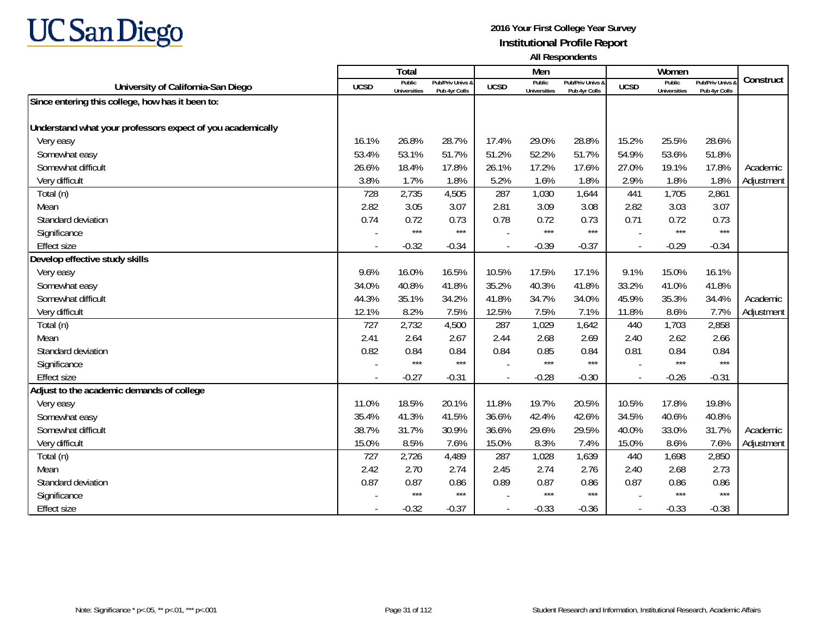

|                                                            |                          | Total                         |                                   |                          | Men                           |                                   |             | Women                         |                                        |            |
|------------------------------------------------------------|--------------------------|-------------------------------|-----------------------------------|--------------------------|-------------------------------|-----------------------------------|-------------|-------------------------------|----------------------------------------|------------|
| University of California-San Diego                         | <b>UCSD</b>              | Public<br><b>Universities</b> | Pub/Priv Univs &<br>Pub 4yr Colls | <b>UCSD</b>              | Public<br><b>Universities</b> | Pub/Priv Univs &<br>Pub 4yr Colls | <b>UCSD</b> | Public<br><b>Universities</b> | <b>Pub/Priv Univs</b><br>Pub 4yr Colls | Construct  |
| Since entering this college, how has it been to:           |                          |                               |                                   |                          |                               |                                   |             |                               |                                        |            |
|                                                            |                          |                               |                                   |                          |                               |                                   |             |                               |                                        |            |
| Understand what your professors expect of you academically |                          |                               |                                   |                          |                               |                                   |             |                               |                                        |            |
| Very easy                                                  | 16.1%                    | 26.8%                         | 28.7%                             | 17.4%                    | 29.0%                         | 28.8%                             | 15.2%       | 25.5%                         | 28.6%                                  |            |
| Somewhat easy                                              | 53.4%                    | 53.1%                         | 51.7%                             | 51.2%                    | 52.2%                         | 51.7%                             | 54.9%       | 53.6%                         | 51.8%                                  |            |
| Somewhat difficult                                         | 26.6%                    | 18.4%                         | 17.8%                             | 26.1%                    | 17.2%                         | 17.6%                             | 27.0%       | 19.1%                         | 17.8%                                  | Academic   |
| Very difficult                                             | 3.8%                     | 1.7%                          | 1.8%                              | 5.2%                     | 1.6%                          | 1.8%                              | 2.9%        | 1.8%                          | 1.8%                                   | Adjustment |
| Total (n)                                                  | 728                      | 2,735                         | 4,505                             | 287                      | 1,030                         | 1,644                             | 441         | 1,705                         | 2,861                                  |            |
| Mean                                                       | 2.82                     | 3.05                          | 3.07                              | 2.81                     | 3.09                          | 3.08                              | 2.82        | 3.03                          | 3.07                                   |            |
| Standard deviation                                         | 0.74                     | 0.72                          | 0.73                              | 0.78                     | 0.72                          | 0.73                              | 0.71        | 0.72                          | 0.73                                   |            |
| Significance                                               | $\overline{\phantom{a}}$ | $***$                         | $***$                             |                          | $***$                         | $***$                             |             | $***$                         | $***$                                  |            |
| <b>Effect size</b>                                         | $\overline{\phantom{a}}$ | $-0.32$                       | $-0.34$                           | $\overline{\phantom{a}}$ | $-0.39$                       | $-0.37$                           | $\sim$      | $-0.29$                       | $-0.34$                                |            |
| Develop effective study skills                             |                          |                               |                                   |                          |                               |                                   |             |                               |                                        |            |
| Very easy                                                  | 9.6%                     | 16.0%                         | 16.5%                             | 10.5%                    | 17.5%                         | 17.1%                             | 9.1%        | 15.0%                         | 16.1%                                  |            |
| Somewhat easy                                              | 34.0%                    | 40.8%                         | 41.8%                             | 35.2%                    | 40.3%                         | 41.8%                             | 33.2%       | 41.0%                         | 41.8%                                  |            |
| Somewhat difficult                                         | 44.3%                    | 35.1%                         | 34.2%                             | 41.8%                    | 34.7%                         | 34.0%                             | 45.9%       | 35.3%                         | 34.4%                                  | Academic   |
| Very difficult                                             | 12.1%                    | 8.2%                          | 7.5%                              | 12.5%                    | 7.5%                          | 7.1%                              | 11.8%       | 8.6%                          | 7.7%                                   | Adjustment |
| Total (n)                                                  | 727                      | 2,732                         | 4,500                             | 287                      | 1,029                         | 1,642                             | 440         | 1,703                         | 2,858                                  |            |
| Mean                                                       | 2.41                     | 2.64                          | 2.67                              | 2.44                     | 2.68                          | 2.69                              | 2.40        | 2.62                          | 2.66                                   |            |
| Standard deviation                                         | 0.82                     | 0.84                          | 0.84                              | 0.84                     | 0.85                          | 0.84                              | 0.81        | 0.84                          | 0.84                                   |            |
| Significance                                               |                          | $***$                         | ***                               |                          | $***$                         | $***$                             |             | $***$                         | $***$                                  |            |
| <b>Effect size</b>                                         | $\blacksquare$           | $-0.27$                       | $-0.31$                           |                          | $-0.28$                       | $-0.30$                           |             | $-0.26$                       | $-0.31$                                |            |
| Adjust to the academic demands of college                  |                          |                               |                                   |                          |                               |                                   |             |                               |                                        |            |
| Very easy                                                  | 11.0%                    | 18.5%                         | 20.1%                             | 11.8%                    | 19.7%                         | 20.5%                             | 10.5%       | 17.8%                         | 19.8%                                  |            |
| Somewhat easy                                              | 35.4%                    | 41.3%                         | 41.5%                             | 36.6%                    | 42.4%                         | 42.6%                             | 34.5%       | 40.6%                         | 40.8%                                  |            |
| Somewhat difficult                                         | 38.7%                    | 31.7%                         | 30.9%                             | 36.6%                    | 29.6%                         | 29.5%                             | 40.0%       | 33.0%                         | 31.7%                                  | Academic   |
| Very difficult                                             | 15.0%                    | 8.5%                          | 7.6%                              | 15.0%                    | 8.3%                          | 7.4%                              | 15.0%       | 8.6%                          | 7.6%                                   | Adjustment |
| Total (n)                                                  | 727                      | 2,726                         | 4,489                             | 287                      | 1,028                         | 1,639                             | 440         | 1,698                         | 2,850                                  |            |
| Mean                                                       | 2.42                     | 2.70                          | 2.74                              | 2.45                     | 2.74                          | 2.76                              | 2.40        | 2.68                          | 2.73                                   |            |
| Standard deviation                                         | 0.87                     | 0.87                          | 0.86                              | 0.89                     | 0.87                          | 0.86                              | 0.87        | 0.86                          | 0.86                                   |            |
| Significance                                               |                          | $***$                         | $***$                             |                          | $***$                         | $***$                             |             | ***                           | $***$                                  |            |
| <b>Effect size</b>                                         | $\overline{\phantom{a}}$ | $-0.32$                       | $-0.37$                           | $\blacksquare$           | $-0.33$                       | $-0.36$                           |             | $-0.33$                       | $-0.38$                                |            |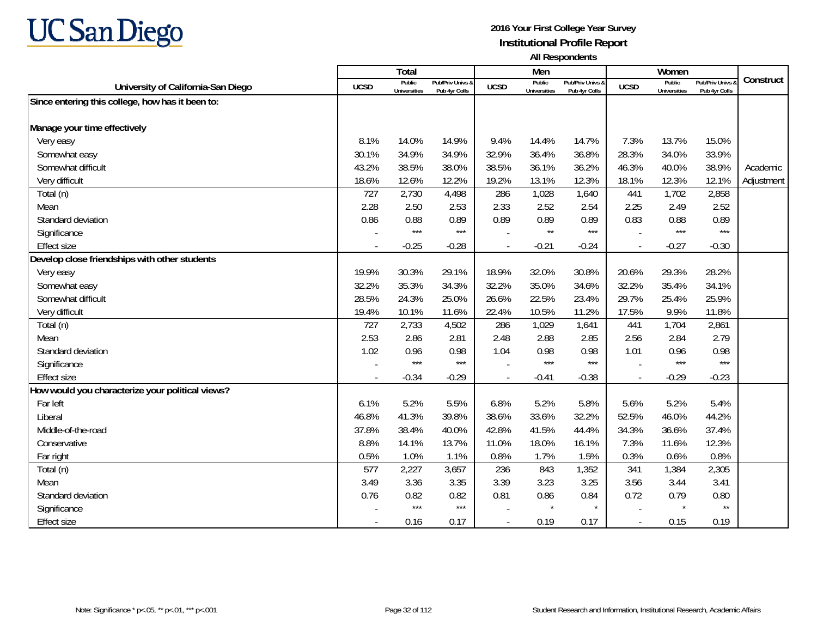

|                                                  |                          | <b>Total</b>                  |                                   |                | Men                           |                                   |             | Women                         |                                        |            |
|--------------------------------------------------|--------------------------|-------------------------------|-----------------------------------|----------------|-------------------------------|-----------------------------------|-------------|-------------------------------|----------------------------------------|------------|
| University of California-San Diego               | <b>UCSD</b>              | Public<br><b>Universities</b> | Pub/Priv Univs &<br>Pub 4yr Colls | <b>UCSD</b>    | Public<br><b>Universities</b> | Pub/Priv Univs &<br>Pub 4yr Colls | <b>UCSD</b> | Public<br><b>Universities</b> | <b>Pub/Priv Univs</b><br>Pub 4yr Colls | Construct  |
| Since entering this college, how has it been to: |                          |                               |                                   |                |                               |                                   |             |                               |                                        |            |
|                                                  |                          |                               |                                   |                |                               |                                   |             |                               |                                        |            |
| Manage your time effectively                     |                          |                               |                                   |                |                               |                                   |             |                               |                                        |            |
| Very easy                                        | 8.1%                     | 14.0%                         | 14.9%                             | 9.4%           | 14.4%                         | 14.7%                             | 7.3%        | 13.7%                         | 15.0%                                  |            |
| Somewhat easy                                    | 30.1%                    | 34.9%                         | 34.9%                             | 32.9%          | 36.4%                         | 36.8%                             | 28.3%       | 34.0%                         | 33.9%                                  |            |
| Somewhat difficult                               | 43.2%                    | 38.5%                         | 38.0%                             | 38.5%          | 36.1%                         | 36.2%                             | 46.3%       | 40.0%                         | 38.9%                                  | Academic   |
| Very difficult                                   | 18.6%                    | 12.6%                         | 12.2%                             | 19.2%          | 13.1%                         | 12.3%                             | 18.1%       | 12.3%                         | 12.1%                                  | Adjustment |
| Total (n)                                        | 727                      | 2,730                         | 4,498                             | 286            | 1,028                         | 1,640                             | 441         | 1,702                         | 2,858                                  |            |
| Mean                                             | 2.28                     | 2.50                          | 2.53                              | 2.33           | 2.52                          | 2.54                              | 2.25        | 2.49                          | 2.52                                   |            |
| Standard deviation                               | 0.86                     | 0.88                          | 0.89                              | 0.89           | 0.89                          | 0.89                              | 0.83        | 0.88                          | 0.89                                   |            |
| Significance                                     |                          | $***$                         | $***$                             |                | $\star\star$                  | $***$                             |             | $***$                         | $***$                                  |            |
| <b>Effect size</b>                               |                          | $-0.25$                       | $-0.28$                           |                | $-0.21$                       | $-0.24$                           |             | $-0.27$                       | $-0.30$                                |            |
| Develop close friendships with other students    |                          |                               |                                   |                |                               |                                   |             |                               |                                        |            |
| Very easy                                        | 19.9%                    | 30.3%                         | 29.1%                             | 18.9%          | 32.0%                         | 30.8%                             | 20.6%       | 29.3%                         | 28.2%                                  |            |
| Somewhat easy                                    | 32.2%                    | 35.3%                         | 34.3%                             | 32.2%          | 35.0%                         | 34.6%                             | 32.2%       | 35.4%                         | 34.1%                                  |            |
| Somewhat difficult                               | 28.5%                    | 24.3%                         | 25.0%                             | 26.6%          | 22.5%                         | 23.4%                             | 29.7%       | 25.4%                         | 25.9%                                  |            |
| Very difficult                                   | 19.4%                    | 10.1%                         | 11.6%                             | 22.4%          | 10.5%                         | 11.2%                             | 17.5%       | 9.9%                          | 11.8%                                  |            |
| Total (n)                                        | 727                      | 2,733                         | 4,502                             | 286            | 1,029                         | 1,641                             | 441         | 1,704                         | 2,861                                  |            |
| Mean                                             | 2.53                     | 2.86                          | 2.81                              | 2.48           | 2.88                          | 2.85                              | 2.56        | 2.84                          | 2.79                                   |            |
| Standard deviation                               | 1.02                     | 0.96                          | 0.98                              | 1.04           | 0.98                          | 0.98                              | 1.01        | 0.96                          | 0.98                                   |            |
| Significance                                     |                          | $***$                         | $***$                             |                | $***$                         | $***$                             |             | $***$                         | $***$                                  |            |
| <b>Effect size</b>                               |                          | $-0.34$                       | $-0.29$                           |                | $-0.41$                       | $-0.38$                           |             | $-0.29$                       | $-0.23$                                |            |
| How would you characterize your political views? |                          |                               |                                   |                |                               |                                   |             |                               |                                        |            |
| Far left                                         | 6.1%                     | 5.2%                          | 5.5%                              | 6.8%           | 5.2%                          | 5.8%                              | 5.6%        | 5.2%                          | 5.4%                                   |            |
| Liberal                                          | 46.8%                    | 41.3%                         | 39.8%                             | 38.6%          | 33.6%                         | 32.2%                             | 52.5%       | 46.0%                         | 44.2%                                  |            |
| Middle-of-the-road                               | 37.8%                    | 38.4%                         | 40.0%                             | 42.8%          | 41.5%                         | 44.4%                             | 34.3%       | 36.6%                         | 37.4%                                  |            |
| Conservative                                     | 8.8%                     | 14.1%                         | 13.7%                             | 11.0%          | 18.0%                         | 16.1%                             | 7.3%        | 11.6%                         | 12.3%                                  |            |
| Far right                                        | 0.5%                     | 1.0%                          | 1.1%                              | 0.8%           | 1.7%                          | 1.5%                              | 0.3%        | 0.6%                          | 0.8%                                   |            |
| Total (n)                                        | 577                      | 2,227                         | 3,657                             | 236            | 843                           | 1,352                             | 341         | 1,384                         | 2,305                                  |            |
| Mean                                             | 3.49                     | 3.36                          | 3.35                              | 3.39           | 3.23                          | 3.25                              | 3.56        | 3.44                          | 3.41                                   |            |
| Standard deviation                               | 0.76                     | 0.82                          | 0.82                              | 0.81           | 0.86                          | 0.84                              | 0.72        | 0.79                          | 0.80                                   |            |
| Significance                                     |                          | $***$                         | $***$                             |                | $\star$                       | $\star$                           |             | $\star$                       | $\star\star$                           |            |
| <b>Effect size</b>                               | $\overline{\phantom{a}}$ | 0.16                          | 0.17                              | $\overline{a}$ | 0.19                          | 0.17                              | $\sim$      | 0.15                          | 0.19                                   |            |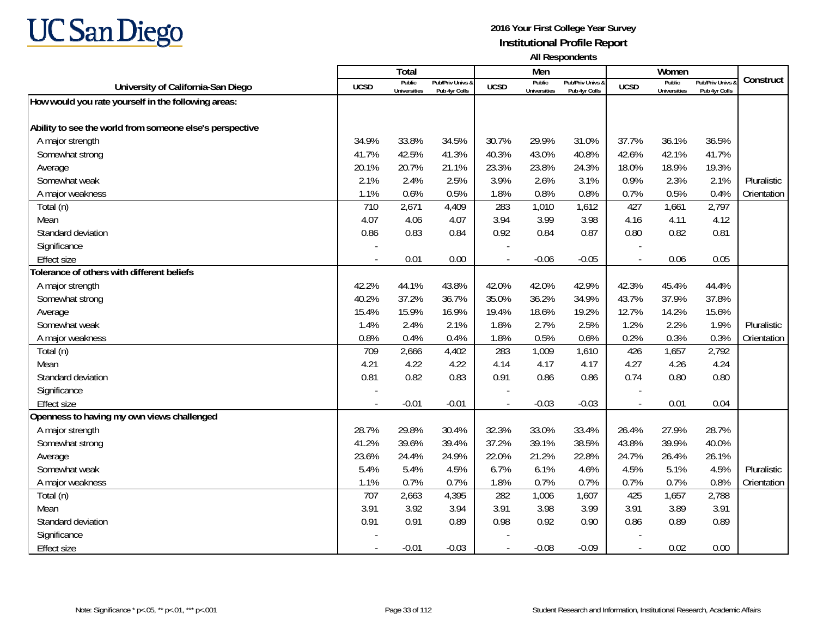

|                                                          |             | <b>Total</b>                  |                                   |                          | Men                           |                                   |                | Women                         |                                        |             |
|----------------------------------------------------------|-------------|-------------------------------|-----------------------------------|--------------------------|-------------------------------|-----------------------------------|----------------|-------------------------------|----------------------------------------|-------------|
| University of California-San Diego                       | <b>UCSD</b> | Public<br><b>Universities</b> | Pub/Priv Univs &<br>Pub 4yr Colls | <b>UCSD</b>              | Public<br><b>Universities</b> | Pub/Priv Univs &<br>Pub 4yr Colls | <b>UCSD</b>    | Public<br><b>Universities</b> | <b>Pub/Priv Univs</b><br>Pub 4yr Colls | Construct   |
| How would you rate yourself in the following areas:      |             |                               |                                   |                          |                               |                                   |                |                               |                                        |             |
|                                                          |             |                               |                                   |                          |                               |                                   |                |                               |                                        |             |
| Ability to see the world from someone else's perspective |             |                               |                                   |                          |                               |                                   |                |                               |                                        |             |
| A major strength                                         | 34.9%       | 33.8%                         | 34.5%                             | 30.7%                    | 29.9%                         | 31.0%                             | 37.7%          | 36.1%                         | 36.5%                                  |             |
| Somewhat strong                                          | 41.7%       | 42.5%                         | 41.3%                             | 40.3%                    | 43.0%                         | 40.8%                             | 42.6%          | 42.1%                         | 41.7%                                  |             |
| Average                                                  | 20.1%       | 20.7%                         | 21.1%                             | 23.3%                    | 23.8%                         | 24.3%                             | 18.0%          | 18.9%                         | 19.3%                                  |             |
| Somewhat weak                                            | 2.1%        | 2.4%                          | 2.5%                              | 3.9%                     | 2.6%                          | 3.1%                              | 0.9%           | 2.3%                          | 2.1%                                   | Pluralistic |
| A major weakness                                         | 1.1%        | 0.6%                          | 0.5%                              | 1.8%                     | 0.8%                          | 0.8%                              | 0.7%           | 0.5%                          | 0.4%                                   | Orientation |
| Total (n)                                                | 710         | 2,671                         | 4,409                             | 283                      | 1,010                         | 1,612                             | 427            | 1,661                         | 2,797                                  |             |
| Mean                                                     | 4.07        | 4.06                          | 4.07                              | 3.94                     | 3.99                          | 3.98                              | 4.16           | 4.11                          | 4.12                                   |             |
| Standard deviation                                       | 0.86        | 0.83                          | 0.84                              | 0.92                     | 0.84                          | 0.87                              | 0.80           | 0.82                          | 0.81                                   |             |
| Significance                                             |             |                               |                                   |                          |                               |                                   |                |                               |                                        |             |
| <b>Effect size</b>                                       |             | 0.01                          | 0.00                              | $\overline{a}$           | $-0.06$                       | $-0.05$                           | $\overline{a}$ | 0.06                          | 0.05                                   |             |
| Tolerance of others with different beliefs               |             |                               |                                   |                          |                               |                                   |                |                               |                                        |             |
| A major strength                                         | 42.2%       | 44.1%                         | 43.8%                             | 42.0%                    | 42.0%                         | 42.9%                             | 42.3%          | 45.4%                         | 44.4%                                  |             |
| Somewhat strong                                          | 40.2%       | 37.2%                         | 36.7%                             | 35.0%                    | 36.2%                         | 34.9%                             | 43.7%          | 37.9%                         | 37.8%                                  |             |
| Average                                                  | 15.4%       | 15.9%                         | 16.9%                             | 19.4%                    | 18.6%                         | 19.2%                             | 12.7%          | 14.2%                         | 15.6%                                  |             |
| Somewhat weak                                            | 1.4%        | 2.4%                          | 2.1%                              | 1.8%                     | 2.7%                          | 2.5%                              | 1.2%           | 2.2%                          | 1.9%                                   | Pluralistic |
| A major weakness                                         | 0.8%        | 0.4%                          | 0.4%                              | 1.8%                     | 0.5%                          | 0.6%                              | 0.2%           | 0.3%                          | 0.3%                                   | Orientation |
| Total (n)                                                | 709         | 2,666                         | 4,402                             | 283                      | 1,009                         | 1,610                             | 426            | 1,657                         | 2,792                                  |             |
| Mean                                                     | 4.21        | 4.22                          | 4.22                              | 4.14                     | 4.17                          | 4.17                              | 4.27           | 4.26                          | 4.24                                   |             |
| Standard deviation                                       | 0.81        | 0.82                          | 0.83                              | 0.91                     | 0.86                          | 0.86                              | 0.74           | 0.80                          | 0.80                                   |             |
| Significance                                             |             |                               |                                   |                          |                               |                                   |                |                               |                                        |             |
| <b>Effect size</b>                                       | $\sim$      | $-0.01$                       | $-0.01$                           | $\overline{\phantom{a}}$ | $-0.03$                       | $-0.03$                           | $\blacksquare$ | 0.01                          | 0.04                                   |             |
| Openness to having my own views challenged               |             |                               |                                   |                          |                               |                                   |                |                               |                                        |             |
| A major strength                                         | 28.7%       | 29.8%                         | 30.4%                             | 32.3%                    | 33.0%                         | 33.4%                             | 26.4%          | 27.9%                         | 28.7%                                  |             |
| Somewhat strong                                          | 41.2%       | 39.6%                         | 39.4%                             | 37.2%                    | 39.1%                         | 38.5%                             | 43.8%          | 39.9%                         | 40.0%                                  |             |
| Average                                                  | 23.6%       | 24.4%                         | 24.9%                             | 22.0%                    | 21.2%                         | 22.8%                             | 24.7%          | 26.4%                         | 26.1%                                  |             |
| Somewhat weak                                            | 5.4%        | 5.4%                          | 4.5%                              | 6.7%                     | 6.1%                          | 4.6%                              | 4.5%           | 5.1%                          | 4.5%                                   | Pluralistic |
| A major weakness                                         | 1.1%        | 0.7%                          | 0.7%                              | 1.8%                     | 0.7%                          | 0.7%                              | 0.7%           | 0.7%                          | 0.8%                                   | Orientation |
| Total (n)                                                | 707         | 2,663                         | 4,395                             | 282                      | 1,006                         | 1,607                             | 425            | 1,657                         | 2,788                                  |             |
| Mean                                                     | 3.91        | 3.92                          | 3.94                              | 3.91                     | 3.98                          | 3.99                              | 3.91           | 3.89                          | 3.91                                   |             |
| Standard deviation                                       | 0.91        | 0.91                          | 0.89                              | 0.98                     | 0.92                          | 0.90                              | 0.86           | 0.89                          | 0.89                                   |             |
| Significance                                             |             |                               |                                   |                          |                               |                                   |                |                               |                                        |             |
| <b>Effect size</b>                                       |             | $-0.01$                       | $-0.03$                           | $\overline{\phantom{a}}$ | $-0.08$                       | $-0.09$                           | $\sim$         | 0.02                          | 0.00                                   |             |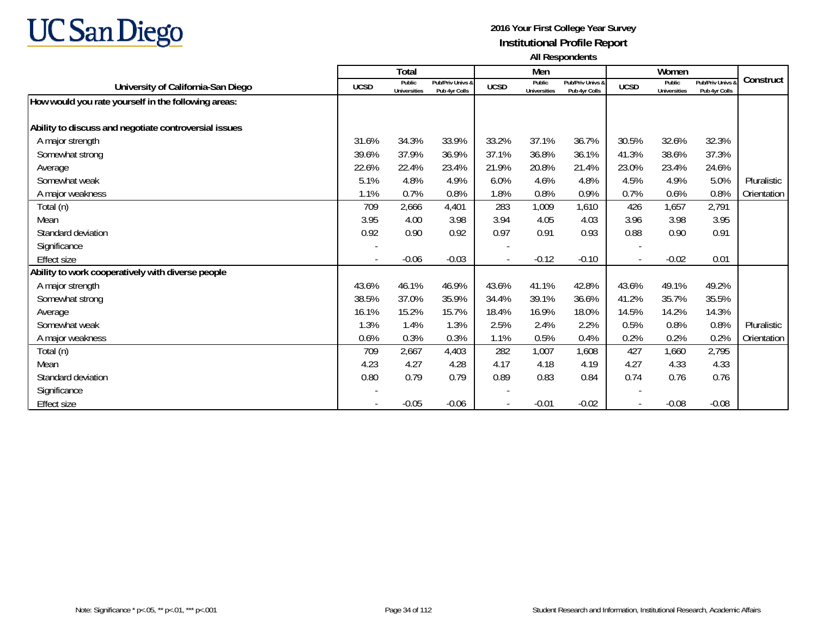

|                                                       |             | <b>Total</b>                  |                                              |             | Men                    |                                   |             | Women                         |                                   |             |
|-------------------------------------------------------|-------------|-------------------------------|----------------------------------------------|-------------|------------------------|-----------------------------------|-------------|-------------------------------|-----------------------------------|-------------|
| University of California-San Diego                    | <b>UCSD</b> | Public<br><b>Universities</b> | <b>Pub/Priv Univs &amp;</b><br>Pub 4yr Colls | <b>UCSD</b> | Public<br>Universities | Pub/Priv Univs &<br>Pub 4yr Colls | <b>UCSD</b> | Public<br><b>Universities</b> | Pub/Priv Univs &<br>Pub 4yr Colls | Construct   |
| How would you rate yourself in the following areas:   |             |                               |                                              |             |                        |                                   |             |                               |                                   |             |
|                                                       |             |                               |                                              |             |                        |                                   |             |                               |                                   |             |
| Ability to discuss and negotiate controversial issues |             |                               |                                              |             |                        |                                   |             |                               |                                   |             |
| A major strength                                      | 31.6%       | 34.3%                         | 33.9%                                        | 33.2%       | 37.1%                  | 36.7%                             | 30.5%       | 32.6%                         | 32.3%                             |             |
| Somewhat strong                                       | 39.6%       | 37.9%                         | 36.9%                                        | 37.1%       | 36.8%                  | 36.1%                             | 41.3%       | 38.6%                         | 37.3%                             |             |
| Average                                               | 22.6%       | 22.4%                         | 23.4%                                        | 21.9%       | 20.8%                  | 21.4%                             | 23.0%       | 23.4%                         | 24.6%                             |             |
| Somewhat weak                                         | 5.1%        | 4.8%                          | 4.9%                                         | 6.0%        | 4.6%                   | 4.8%                              | 4.5%        | 4.9%                          | 5.0%                              | Pluralistic |
| A major weakness                                      | 1.1%        | 0.7%                          | 0.8%                                         | 1.8%        | 0.8%                   | 0.9%                              | 0.7%        | 0.6%                          | 0.8%                              | Orientation |
| Total (n)                                             | 709         | 2,666                         | 4,401                                        | 283         | 1,009                  | 1.610                             | 426         | 1,657                         | 2,791                             |             |
| Mean                                                  | 3.95        | 4.00                          | 3.98                                         | 3.94        | 4.05                   | 4.03                              | 3.96        | 3.98                          | 3.95                              |             |
| Standard deviation                                    | 0.92        | 0.90                          | 0.92                                         | 0.97        | 0.91                   | 0.93                              | 0.88        | 0.90                          | 0.91                              |             |
| Significance                                          |             |                               |                                              |             |                        |                                   |             |                               |                                   |             |
| <b>Effect size</b>                                    |             | $-0.06$                       | $-0.03$                                      |             | $-0.12$                | $-0.10$                           |             | $-0.02$                       | 0.01                              |             |
| Ability to work cooperatively with diverse people     |             |                               |                                              |             |                        |                                   |             |                               |                                   |             |
| A major strength                                      | 43.6%       | 46.1%                         | 46.9%                                        | 43.6%       | 41.1%                  | 42.8%                             | 43.6%       | 49.1%                         | 49.2%                             |             |
| Somewhat strong                                       | 38.5%       | 37.0%                         | 35.9%                                        | 34.4%       | 39.1%                  | 36.6%                             | 41.2%       | 35.7%                         | 35.5%                             |             |
| Average                                               | 16.1%       | 15.2%                         | 15.7%                                        | 18.4%       | 16.9%                  | 18.0%                             | 14.5%       | 14.2%                         | 14.3%                             |             |
| Somewhat weak                                         | 1.3%        | 1.4%                          | 1.3%                                         | 2.5%        | 2.4%                   | 2.2%                              | 0.5%        | 0.8%                          | 0.8%                              | Pluralistic |
| A major weakness                                      | 0.6%        | 0.3%                          | 0.3%                                         | 1.1%        | 0.5%                   | 0.4%                              | 0.2%        | 0.2%                          | 0.2%                              | Orientation |
| Total (n)                                             | 709         | 2,667                         | 4,403                                        | 282         | 1,007                  | 1,608                             | 427         | 1,660                         | 2,795                             |             |
| Mean                                                  | 4.23        | 4.27                          | 4.28                                         | 4.17        | 4.18                   | 4.19                              | 4.27        | 4.33                          | 4.33                              |             |
| Standard deviation                                    | 0.80        | 0.79                          | 0.79                                         | 0.89        | 0.83                   | 0.84                              | 0.74        | 0.76                          | 0.76                              |             |
| Significance                                          |             |                               |                                              |             |                        |                                   |             |                               |                                   |             |
| <b>Effect size</b>                                    |             | $-0.05$                       | $-0.06$                                      |             | $-0.01$                | $-0.02$                           |             | $-0.08$                       | $-0.08$                           |             |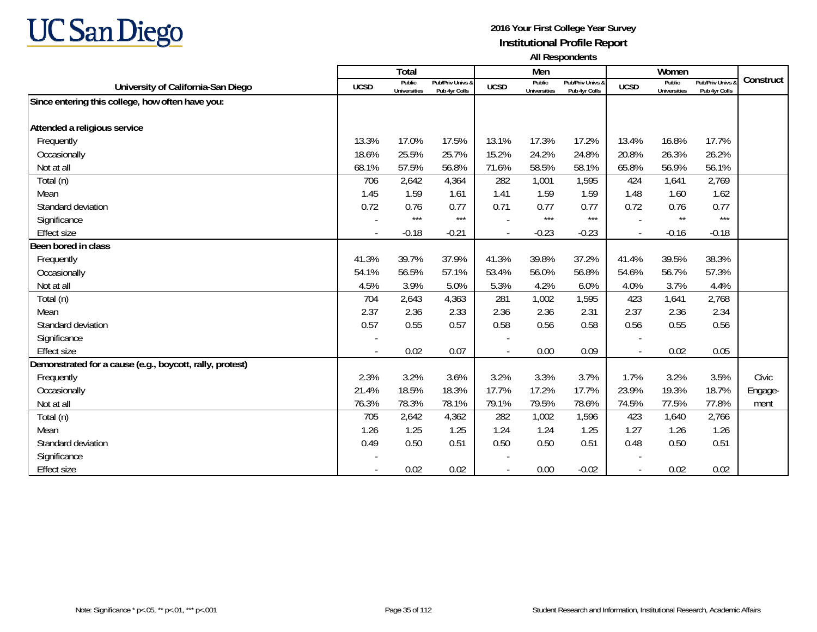

|                                                          |             | <b>Total</b>                  |                                   |             | Men                           |                                   |                | Women                         |                                        |           |
|----------------------------------------------------------|-------------|-------------------------------|-----------------------------------|-------------|-------------------------------|-----------------------------------|----------------|-------------------------------|----------------------------------------|-----------|
| University of California-San Diego                       | <b>UCSD</b> | Public<br><b>Universities</b> | Pub/Priv Univs &<br>Pub 4yr Colls | <b>UCSD</b> | Public<br><b>Universities</b> | Pub/Priv Univs &<br>Pub 4yr Colls | <b>UCSD</b>    | Public<br><b>Universities</b> | <b>Pub/Priv Univs</b><br>Pub 4yr Colls | Construct |
| Since entering this college, how often have you:         |             |                               |                                   |             |                               |                                   |                |                               |                                        |           |
|                                                          |             |                               |                                   |             |                               |                                   |                |                               |                                        |           |
| Attended a religious service                             |             |                               |                                   |             |                               |                                   |                |                               |                                        |           |
| Frequently                                               | 13.3%       | 17.0%                         | 17.5%                             | 13.1%       | 17.3%                         | 17.2%                             | 13.4%          | 16.8%                         | 17.7%                                  |           |
| Occasionally                                             | 18.6%       | 25.5%                         | 25.7%                             | 15.2%       | 24.2%                         | 24.8%                             | 20.8%          | 26.3%                         | 26.2%                                  |           |
| Not at all                                               | 68.1%       | 57.5%                         | 56.8%                             | 71.6%       | 58.5%                         | 58.1%                             | 65.8%          | 56.9%                         | 56.1%                                  |           |
| Total (n)                                                | 706         | 2,642                         | 4,364                             | 282         | 1,001                         | 1,595                             | 424            | 1,641                         | 2,769                                  |           |
| Mean                                                     | 1.45        | 1.59                          | 1.61                              | 1.41        | 1.59                          | 1.59                              | 1.48           | 1.60                          | 1.62                                   |           |
| Standard deviation                                       | 0.72        | 0.76                          | 0.77                              | 0.71        | 0.77                          | 0.77                              | 0.72           | 0.76                          | 0.77                                   |           |
| Significance                                             |             | $***$                         | $***$                             |             | $***$                         | $***$                             |                | $\star\star$                  | $***$                                  |           |
| <b>Effect size</b>                                       | $\sim$      | $-0.18$                       | $-0.21$                           |             | $-0.23$                       | $-0.23$                           | $\sim$         | $-0.16$                       | $-0.18$                                |           |
| Been bored in class                                      |             |                               |                                   |             |                               |                                   |                |                               |                                        |           |
| Frequently                                               | 41.3%       | 39.7%                         | 37.9%                             | 41.3%       | 39.8%                         | 37.2%                             | 41.4%          | 39.5%                         | 38.3%                                  |           |
| Occasionally                                             | 54.1%       | 56.5%                         | 57.1%                             | 53.4%       | 56.0%                         | 56.8%                             | 54.6%          | 56.7%                         | 57.3%                                  |           |
| Not at all                                               | 4.5%        | 3.9%                          | 5.0%                              | 5.3%        | 4.2%                          | 6.0%                              | 4.0%           | 3.7%                          | 4.4%                                   |           |
| Total (n)                                                | 704         | 2,643                         | 4,363                             | 281         | 1,002                         | 1,595                             | 423            | 1,641                         | 2,768                                  |           |
| Mean                                                     | 2.37        | 2.36                          | 2.33                              | 2.36        | 2.36                          | 2.31                              | 2.37           | 2.36                          | 2.34                                   |           |
| Standard deviation                                       | 0.57        | 0.55                          | 0.57                              | 0.58        | 0.56                          | 0.58                              | 0.56           | 0.55                          | 0.56                                   |           |
| Significance                                             |             |                               |                                   |             |                               |                                   |                |                               |                                        |           |
| <b>Effect size</b>                                       |             | 0.02                          | 0.07                              |             | 0.00                          | 0.09                              | $\blacksquare$ | 0.02                          | 0.05                                   |           |
| Demonstrated for a cause (e.g., boycott, rally, protest) |             |                               |                                   |             |                               |                                   |                |                               |                                        |           |
| Frequently                                               | 2.3%        | 3.2%                          | 3.6%                              | 3.2%        | 3.3%                          | 3.7%                              | 1.7%           | 3.2%                          | 3.5%                                   | Civic     |
| Occasionally                                             | 21.4%       | 18.5%                         | 18.3%                             | 17.7%       | 17.2%                         | 17.7%                             | 23.9%          | 19.3%                         | 18.7%                                  | Engage-   |
| Not at all                                               | 76.3%       | 78.3%                         | 78.1%                             | 79.1%       | 79.5%                         | 78.6%                             | 74.5%          | 77.5%                         | 77.8%                                  | ment      |
| Total (n)                                                | 705         | 2,642                         | 4,362                             | 282         | 1,002                         | 1,596                             | 423            | 1,640                         | 2,766                                  |           |
| Mean                                                     | 1.26        | 1.25                          | 1.25                              | 1.24        | 1.24                          | 1.25                              | 1.27           | 1.26                          | 1.26                                   |           |
| Standard deviation                                       | 0.49        | 0.50                          | 0.51                              | 0.50        | 0.50                          | 0.51                              | 0.48           | 0.50                          | 0.51                                   |           |
| Significance                                             |             |                               |                                   |             |                               |                                   |                |                               |                                        |           |
| Effect size                                              |             | 0.02                          | 0.02                              |             | 0.00                          | $-0.02$                           |                | 0.02                          | 0.02                                   |           |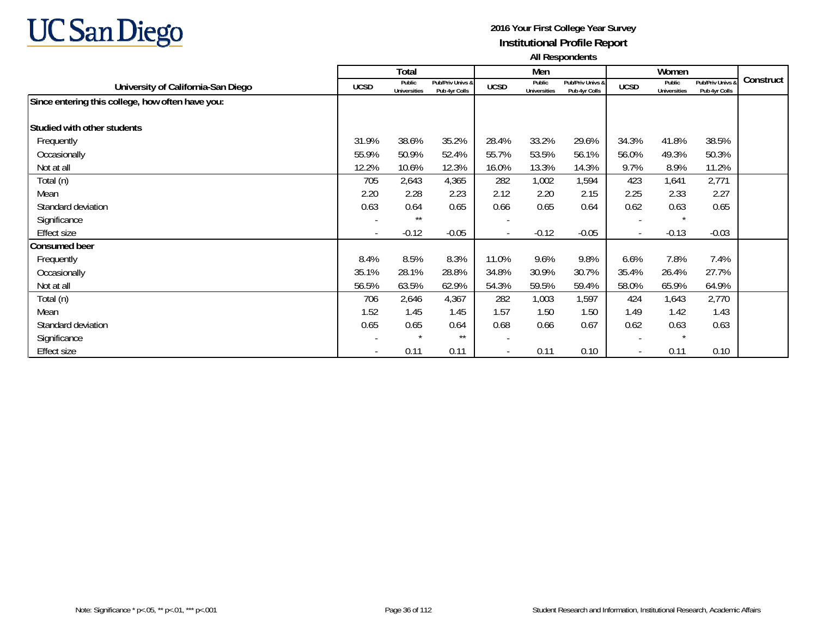

|                                                  |                          | Total                         |                                   |                          | Men                    |                                   |                          | Women                         |                                   |           |
|--------------------------------------------------|--------------------------|-------------------------------|-----------------------------------|--------------------------|------------------------|-----------------------------------|--------------------------|-------------------------------|-----------------------------------|-----------|
| University of California-San Diego               | <b>UCSD</b>              | Public<br><b>Universities</b> | Pub/Priv Univs &<br>Pub 4yr Colls | <b>UCSD</b>              | Public<br>Universities | Pub/Priv Univs &<br>Pub 4yr Colls | <b>UCSD</b>              | Public<br><b>Universities</b> | Pub/Priv Univs &<br>Pub 4yr Colls | Construct |
| Since entering this college, how often have you: |                          |                               |                                   |                          |                        |                                   |                          |                               |                                   |           |
| Studied with other students                      |                          |                               |                                   |                          |                        |                                   |                          |                               |                                   |           |
| Frequently                                       | 31.9%                    | 38.6%                         | 35.2%                             | 28.4%                    | 33.2%                  | 29.6%                             | 34.3%                    | 41.8%                         | 38.5%                             |           |
| Occasionally                                     | 55.9%                    | 50.9%                         | 52.4%                             | 55.7%                    | 53.5%                  | 56.1%                             | 56.0%                    | 49.3%                         | 50.3%                             |           |
| Not at all                                       | 12.2%                    | 10.6%                         | 12.3%                             | 16.0%                    | 13.3%                  | 14.3%                             | 9.7%                     | 8.9%                          | 11.2%                             |           |
| Total (n)                                        | 705                      | 2,643                         | 4,365                             | 282                      | 1,002                  | 1,594                             | 423                      | 1,641                         | 2,771                             |           |
| Mean                                             | 2.20                     | 2.28                          | 2.23                              | 2.12                     | 2.20                   | 2.15                              | 2.25                     | 2.33                          | 2.27                              |           |
| Standard deviation                               | 0.63                     | 0.64                          | 0.65                              | 0.66                     | 0.65                   | 0.64                              | 0.62                     | 0.63                          | 0.65                              |           |
| Significance                                     | $\overline{\phantom{a}}$ | $***$                         |                                   | $\overline{\phantom{a}}$ |                        |                                   |                          | $\star$                       |                                   |           |
| <b>Effect size</b>                               | $\overline{\phantom{a}}$ | $-0.12$                       | $-0.05$                           | $\blacksquare$           | $-0.12$                | $-0.05$                           | $\sim$                   | $-0.13$                       | $-0.03$                           |           |
| <b>Consumed beer</b>                             |                          |                               |                                   |                          |                        |                                   |                          |                               |                                   |           |
| Frequently                                       | 8.4%                     | 8.5%                          | 8.3%                              | 11.0%                    | 9.6%                   | 9.8%                              | 6.6%                     | 7.8%                          | 7.4%                              |           |
| Occasionally                                     | 35.1%                    | 28.1%                         | 28.8%                             | 34.8%                    | 30.9%                  | 30.7%                             | 35.4%                    | 26.4%                         | 27.7%                             |           |
| Not at all                                       | 56.5%                    | 63.5%                         | 62.9%                             | 54.3%                    | 59.5%                  | 59.4%                             | 58.0%                    | 65.9%                         | 64.9%                             |           |
| Total (n)                                        | 706                      | 2,646                         | 4,367                             | 282                      | 1,003                  | 1,597                             | 424                      | 1,643                         | 2,770                             |           |
| Mean                                             | 1.52                     | 1.45                          | 1.45                              | 1.57                     | 1.50                   | 1.50                              | 1.49                     | 1.42                          | 1.43                              |           |
| Standard deviation                               | 0.65                     | 0.65                          | 0.64                              | 0.68                     | 0.66                   | 0.67                              | 0.62                     | 0.63                          | 0.63                              |           |
| Significance                                     |                          | $\star$                       | $***$                             |                          |                        |                                   |                          | $\star$                       |                                   |           |
| <b>Effect size</b>                               | $\overline{\phantom{a}}$ | 0.11                          | 0.11                              | $\overline{\phantom{a}}$ | 0.11                   | 0.10                              | $\overline{\phantom{a}}$ | 0.11                          | 0.10                              |           |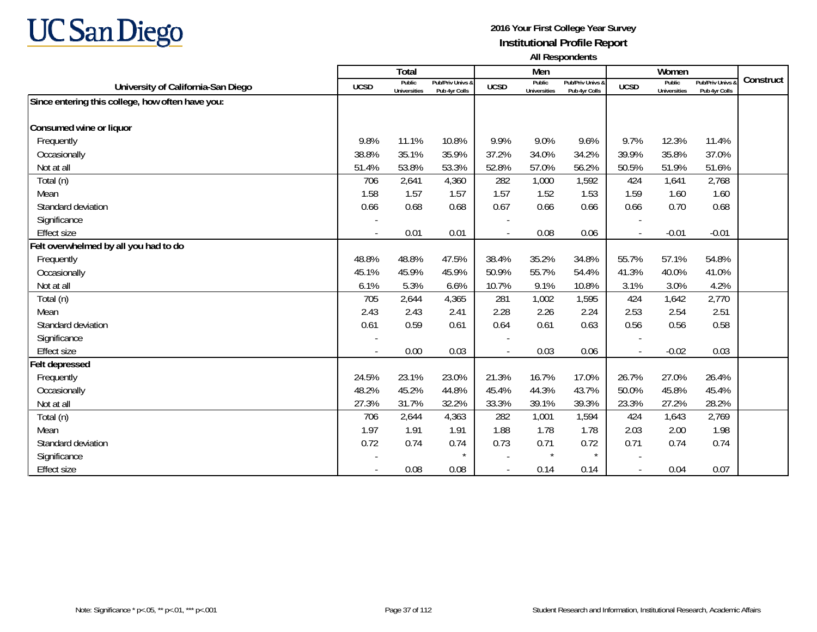

|                                                  |             | Total                         |                                   |                | Men                           |                                   |                          | Women                         |                                        |           |
|--------------------------------------------------|-------------|-------------------------------|-----------------------------------|----------------|-------------------------------|-----------------------------------|--------------------------|-------------------------------|----------------------------------------|-----------|
| University of California-San Diego               | <b>UCSD</b> | Public<br><b>Universities</b> | Pub/Priv Univs &<br>Pub 4yr Colls | <b>UCSD</b>    | Public<br><b>Universities</b> | Pub/Priv Univs &<br>Pub 4yr Colls | <b>UCSD</b>              | Public<br><b>Universities</b> | <b>Pub/Priv Univs</b><br>Pub 4yr Colls | Construct |
| Since entering this college, how often have you: |             |                               |                                   |                |                               |                                   |                          |                               |                                        |           |
|                                                  |             |                               |                                   |                |                               |                                   |                          |                               |                                        |           |
| Consumed wine or liquor                          |             |                               |                                   |                |                               |                                   |                          |                               |                                        |           |
| Frequently                                       | 9.8%        | 11.1%                         | 10.8%                             | 9.9%           | 9.0%                          | 9.6%                              | 9.7%                     | 12.3%                         | 11.4%                                  |           |
| Occasionally                                     | 38.8%       | 35.1%                         | 35.9%                             | 37.2%          | 34.0%                         | 34.2%                             | 39.9%                    | 35.8%                         | 37.0%                                  |           |
| Not at all                                       | 51.4%       | 53.8%                         | 53.3%                             | 52.8%          | 57.0%                         | 56.2%                             | 50.5%                    | 51.9%                         | 51.6%                                  |           |
| Total (n)                                        | 706         | 2,641                         | 4,360                             | 282            | 1,000                         | 1,592                             | 424                      | 1,641                         | 2,768                                  |           |
| Mean                                             | 1.58        | 1.57                          | 1.57                              | 1.57           | 1.52                          | 1.53                              | 1.59                     | 1.60                          | 1.60                                   |           |
| Standard deviation                               | 0.66        | 0.68                          | 0.68                              | 0.67           | 0.66                          | 0.66                              | 0.66                     | 0.70                          | 0.68                                   |           |
| Significance                                     |             |                               |                                   |                |                               |                                   |                          |                               |                                        |           |
| <b>Effect size</b>                               |             | 0.01                          | 0.01                              |                | 0.08                          | 0.06                              | $\overline{\phantom{a}}$ | $-0.01$                       | $-0.01$                                |           |
| Felt overwhelmed by all you had to do            |             |                               |                                   |                |                               |                                   |                          |                               |                                        |           |
| Frequently                                       | 48.8%       | 48.8%                         | 47.5%                             | 38.4%          | 35.2%                         | 34.8%                             | 55.7%                    | 57.1%                         | 54.8%                                  |           |
| Occasionally                                     | 45.1%       | 45.9%                         | 45.9%                             | 50.9%          | 55.7%                         | 54.4%                             | 41.3%                    | 40.0%                         | 41.0%                                  |           |
| Not at all                                       | 6.1%        | 5.3%                          | 6.6%                              | 10.7%          | 9.1%                          | 10.8%                             | 3.1%                     | 3.0%                          | 4.2%                                   |           |
| Total (n)                                        | 705         | 2,644                         | 4,365                             | 281            | 1,002                         | 1,595                             | 424                      | 1,642                         | 2,770                                  |           |
| Mean                                             | 2.43        | 2.43                          | 2.41                              | 2.28           | 2.26                          | 2.24                              | 2.53                     | 2.54                          | 2.51                                   |           |
| Standard deviation                               | 0.61        | 0.59                          | 0.61                              | 0.64           | 0.61                          | 0.63                              | 0.56                     | 0.56                          | 0.58                                   |           |
| Significance                                     |             |                               |                                   |                |                               |                                   |                          |                               |                                        |           |
| <b>Effect size</b>                               |             | 0.00                          | 0.03                              |                | 0.03                          | 0.06                              | $\overline{\phantom{a}}$ | $-0.02$                       | 0.03                                   |           |
| <b>Felt depressed</b>                            |             |                               |                                   |                |                               |                                   |                          |                               |                                        |           |
| Frequently                                       | 24.5%       | 23.1%                         | 23.0%                             | 21.3%          | 16.7%                         | 17.0%                             | 26.7%                    | 27.0%                         | 26.4%                                  |           |
| Occasionally                                     | 48.2%       | 45.2%                         | 44.8%                             | 45.4%          | 44.3%                         | 43.7%                             | 50.0%                    | 45.8%                         | 45.4%                                  |           |
| Not at all                                       | 27.3%       | 31.7%                         | 32.2%                             | 33.3%          | 39.1%                         | 39.3%                             | 23.3%                    | 27.2%                         | 28.2%                                  |           |
| Total (n)                                        | 706         | 2,644                         | 4,363                             | 282            | 1,001                         | 1,594                             | 424                      | 1,643                         | 2,769                                  |           |
| Mean                                             | 1.97        | 1.91                          | 1.91                              | 1.88           | 1.78                          | 1.78                              | 2.03                     | 2.00                          | 1.98                                   |           |
| Standard deviation                               | 0.72        | 0.74                          | 0.74                              | 0.73           | 0.71                          | 0.72                              | 0.71                     | 0.74                          | 0.74                                   |           |
| Significance                                     |             |                               | $\star$                           |                | $\star$                       | $\star$                           |                          |                               |                                        |           |
| <b>Effect size</b>                               |             | 0.08                          | 0.08                              | $\blacksquare$ | 0.14                          | 0.14                              | $\overline{\phantom{a}}$ | 0.04                          | 0.07                                   |           |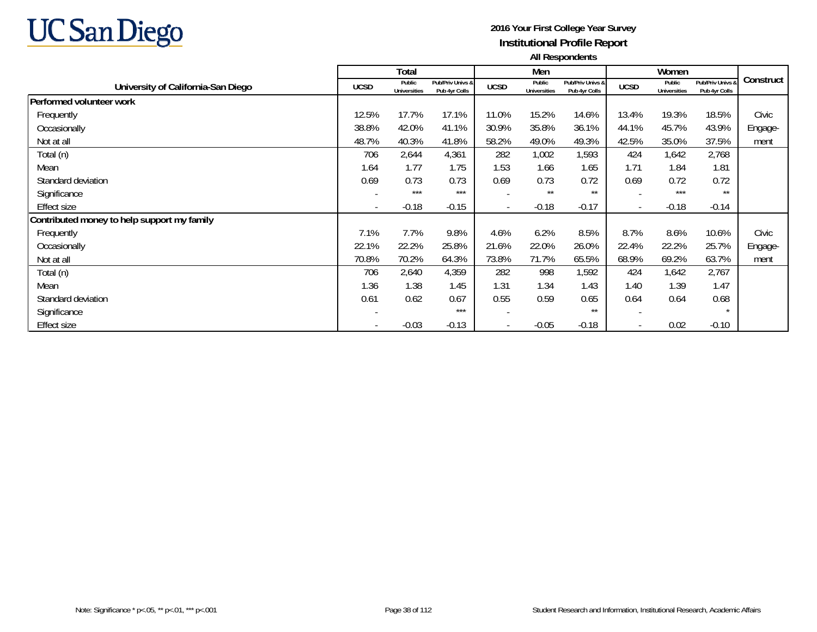

|                                             |             | <b>Total</b>                  |                                   |                          | Men                           |                                   |                          | Women                         |                                   |           |
|---------------------------------------------|-------------|-------------------------------|-----------------------------------|--------------------------|-------------------------------|-----------------------------------|--------------------------|-------------------------------|-----------------------------------|-----------|
| University of California-San Diego          | <b>UCSD</b> | Public<br><b>Universities</b> | Pub/Priv Univs &<br>Pub 4yr Colls | <b>UCSD</b>              | Public<br><b>Universities</b> | Pub/Priv Univs &<br>Pub 4yr Colls | <b>UCSD</b>              | Public<br><b>Universities</b> | Pub/Priv Univs &<br>Pub 4yr Colls | Construct |
| Performed volunteer work                    |             |                               |                                   |                          |                               |                                   |                          |                               |                                   |           |
| Frequently                                  | 12.5%       | 17.7%                         | 17.1%                             | 11.0%                    | 15.2%                         | 14.6%                             | 13.4%                    | 19.3%                         | 18.5%                             | Civic     |
| Occasionally                                | 38.8%       | 42.0%                         | 41.1%                             | 30.9%                    | 35.8%                         | 36.1%                             | 44.1%                    | 45.7%                         | 43.9%                             | Engage-   |
| Not at all                                  | 48.7%       | 40.3%                         | 41.8%                             | 58.2%                    | 49.0%                         | 49.3%                             | 42.5%                    | 35.0%                         | 37.5%                             | ment      |
| Total (n)                                   | 706         | 2,644                         | 4,361                             | 282                      | 1,002                         | 1,593                             | 424                      | 1,642                         | 2,768                             |           |
| Mean                                        | 1.64        | 1.77                          | 1.75                              | 1.53                     | 1.66                          | 1.65                              | 1.71                     | 1.84                          | 1.81                              |           |
| Standard deviation                          | 0.69        | 0.73                          | 0.73                              | 0.69                     | 0.73                          | 0.72                              | 0.69                     | 0.72                          | 0.72                              |           |
| Significance                                |             | $***$                         | $***$                             | $\overline{\phantom{0}}$ | $***$                         | $***$                             | $\overline{\phantom{a}}$ | ***                           | $***$                             |           |
| <b>Effect size</b>                          |             | $-0.18$                       | $-0.15$                           | $\overline{\phantom{a}}$ | $-0.18$                       | $-0.17$                           | $\overline{\phantom{a}}$ | $-0.18$                       | $-0.14$                           |           |
| Contributed money to help support my family |             |                               |                                   |                          |                               |                                   |                          |                               |                                   |           |
| Frequently                                  | 7.1%        | 7.7%                          | 9.8%                              | 4.6%                     | 6.2%                          | 8.5%                              | 8.7%                     | 8.6%                          | 10.6%                             | Civic     |
| Occasionally                                | 22.1%       | 22.2%                         | 25.8%                             | 21.6%                    | 22.0%                         | 26.0%                             | 22.4%                    | 22.2%                         | 25.7%                             | Engage-   |
| Not at all                                  | 70.8%       | 70.2%                         | 64.3%                             | 73.8%                    | 71.7%                         | 65.5%                             | 68.9%                    | 69.2%                         | 63.7%                             | ment      |
| Total (n)                                   | 706         | 2,640                         | 4,359                             | 282                      | 998                           | 1,592                             | 424                      | 1,642                         | 2,767                             |           |
| Mean                                        | 1.36        | 1.38                          | 1.45                              | 1.31                     | 1.34                          | 1.43                              | 1.40                     | 1.39                          | 1.47                              |           |
| Standard deviation                          | 0.61        | 0.62                          | 0.67                              | 0.55                     | 0.59                          | 0.65                              | 0.64                     | 0.64                          | 0.68                              |           |
| Significance                                |             |                               | $***$                             |                          |                               | $***$                             | $\overline{\phantom{a}}$ |                               | $\star$                           |           |
| <b>Effect size</b>                          |             | $-0.03$                       | $-0.13$                           | $\overline{\phantom{a}}$ | $-0.05$                       | $-0.18$                           | $\overline{\phantom{a}}$ | 0.02                          | $-0.10$                           |           |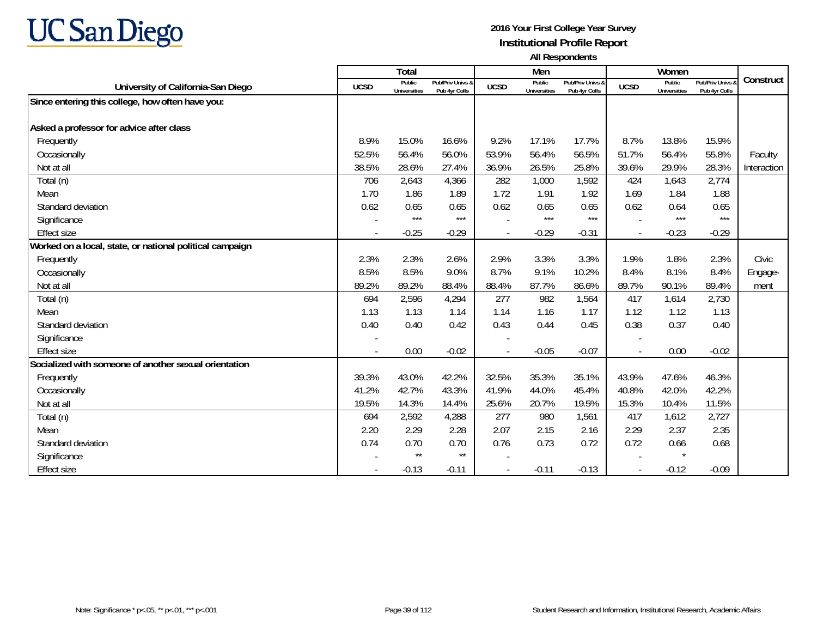

|                                                          |             | <b>Total</b>                  |                                   |             | Men                           |                                   |                          | Women                         |                                        |             |
|----------------------------------------------------------|-------------|-------------------------------|-----------------------------------|-------------|-------------------------------|-----------------------------------|--------------------------|-------------------------------|----------------------------------------|-------------|
| University of California-San Diego                       | <b>UCSD</b> | Public<br><b>Universities</b> | Pub/Priv Univs &<br>Pub 4yr Colls | <b>UCSD</b> | Public<br><b>Universities</b> | Pub/Priv Univs &<br>Pub 4yr Colls | <b>UCSD</b>              | Public<br><b>Universities</b> | <b>Pub/Priv Univs</b><br>Pub 4yr Colls | Construct   |
| Since entering this college, how often have you:         |             |                               |                                   |             |                               |                                   |                          |                               |                                        |             |
|                                                          |             |                               |                                   |             |                               |                                   |                          |                               |                                        |             |
| Asked a professor for advice after class                 |             |                               |                                   |             |                               |                                   |                          |                               |                                        |             |
| Frequently                                               | 8.9%        | 15.0%                         | 16.6%                             | 9.2%        | 17.1%                         | 17.7%                             | 8.7%                     | 13.8%                         | 15.9%                                  |             |
| Occasionally                                             | 52.5%       | 56.4%                         | 56.0%                             | 53.9%       | 56.4%                         | 56.5%                             | 51.7%                    | 56.4%                         | 55.8%                                  | Faculty     |
| Not at all                                               | 38.5%       | 28.6%                         | 27.4%                             | 36.9%       | 26.5%                         | 25.8%                             | 39.6%                    | 29.9%                         | 28.3%                                  | Interaction |
| Total (n)                                                | 706         | 2,643                         | 4,366                             | 282         | 1,000                         | 1,592                             | 424                      | 1,643                         | 2,774                                  |             |
| Mean                                                     | 1.70        | 1.86                          | 1.89                              | 1.72        | 1.91                          | 1.92                              | 1.69                     | 1.84                          | 1.88                                   |             |
| Standard deviation                                       | 0.62        | 0.65                          | 0.65                              | 0.62        | 0.65                          | 0.65                              | 0.62                     | 0.64                          | 0.65                                   |             |
| Significance                                             |             | $***$                         | $***$                             |             | ***                           | $***$                             |                          | $***$                         | $***$                                  |             |
| <b>Effect size</b>                                       |             | $-0.25$                       | $-0.29$                           |             | $-0.29$                       | $-0.31$                           | $\overline{\phantom{a}}$ | $-0.23$                       | $-0.29$                                |             |
| Worked on a local, state, or national political campaign |             |                               |                                   |             |                               |                                   |                          |                               |                                        |             |
| Frequently                                               | 2.3%        | 2.3%                          | 2.6%                              | 2.9%        | 3.3%                          | 3.3%                              | 1.9%                     | 1.8%                          | 2.3%                                   | Civic       |
| Occasionally                                             | 8.5%        | 8.5%                          | 9.0%                              | 8.7%        | 9.1%                          | 10.2%                             | 8.4%                     | 8.1%                          | 8.4%                                   | Engage-     |
| Not at all                                               | 89.2%       | 89.2%                         | 88.4%                             | 88.4%       | 87.7%                         | 86.6%                             | 89.7%                    | 90.1%                         | 89.4%                                  | ment        |
| Total (n)                                                | 694         | 2,596                         | 4,294                             | 277         | 982                           | 1,564                             | 417                      | 1,614                         | 2,730                                  |             |
| Mean                                                     | 1.13        | 1.13                          | 1.14                              | 1.14        | 1.16                          | 1.17                              | 1.12                     | 1.12                          | 1.13                                   |             |
| Standard deviation                                       | 0.40        | 0.40                          | 0.42                              | 0.43        | 0.44                          | 0.45                              | 0.38                     | 0.37                          | 0.40                                   |             |
| Significance                                             |             |                               |                                   |             |                               |                                   |                          |                               |                                        |             |
| <b>Effect size</b>                                       |             | 0.00                          | $-0.02$                           |             | $-0.05$                       | $-0.07$                           | $\overline{\phantom{a}}$ | 0.00                          | $-0.02$                                |             |
| Socialized with someone of another sexual orientation    |             |                               |                                   |             |                               |                                   |                          |                               |                                        |             |
| Frequently                                               | 39.3%       | 43.0%                         | 42.2%                             | 32.5%       | 35.3%                         | 35.1%                             | 43.9%                    | 47.6%                         | 46.3%                                  |             |
| Occasionally                                             | 41.2%       | 42.7%                         | 43.3%                             | 41.9%       | 44.0%                         | 45.4%                             | 40.8%                    | 42.0%                         | 42.2%                                  |             |
| Not at all                                               | 19.5%       | 14.3%                         | 14.4%                             | 25.6%       | 20.7%                         | 19.5%                             | 15.3%                    | 10.4%                         | 11.5%                                  |             |
| Total (n)                                                | 694         | 2,592                         | 4,288                             | 277         | 980                           | 1,561                             | 417                      | 1,612                         | 2,727                                  |             |
| Mean                                                     | 2.20        | 2.29                          | 2.28                              | 2.07        | 2.15                          | 2.16                              | 2.29                     | 2.37                          | 2.35                                   |             |
| Standard deviation                                       | 0.74        | 0.70                          | 0.70                              | 0.76        | 0.73                          | 0.72                              | 0.72                     | 0.66                          | 0.68                                   |             |
| Significance                                             |             | $\star\star$                  | $\star\star$                      |             |                               |                                   |                          | $\star$                       |                                        |             |
| <b>Effect size</b>                                       |             | $-0.13$                       | $-0.11$                           |             | $-0.11$                       | $-0.13$                           | $\overline{\phantom{a}}$ | $-0.12$                       | $-0.09$                                |             |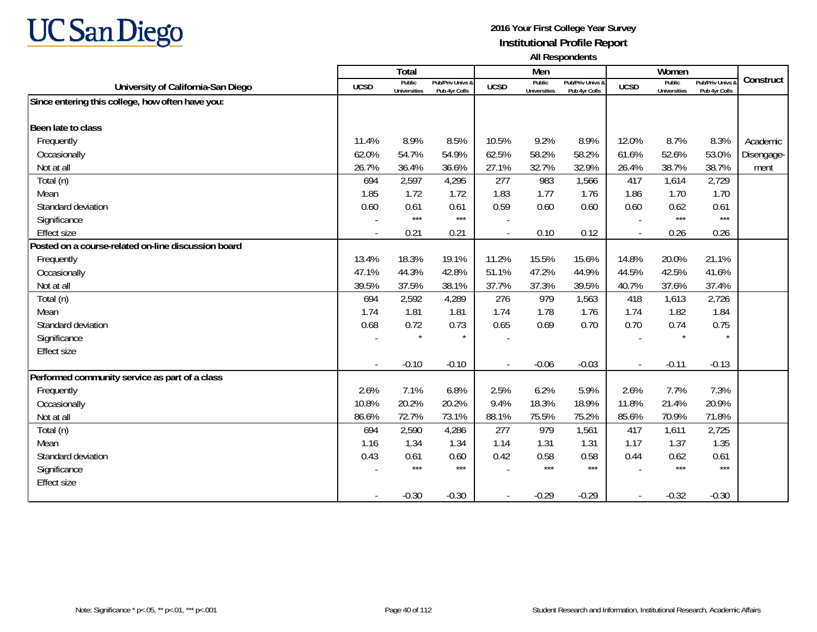

|                                                     |             | Total                         |                                   |             | Men                           |                                   |             | Women                         |                                        |            |
|-----------------------------------------------------|-------------|-------------------------------|-----------------------------------|-------------|-------------------------------|-----------------------------------|-------------|-------------------------------|----------------------------------------|------------|
| University of California-San Diego                  | <b>UCSD</b> | Public<br><b>Universities</b> | Pub/Priv Univs &<br>Pub 4yr Colls | <b>UCSD</b> | Public<br><b>Universities</b> | Pub/Priv Univs &<br>Pub 4vr Colls | <b>UCSD</b> | Public<br><b>Universities</b> | <b>Pub/Priv Univs</b><br>Pub 4yr Colls | Construct  |
| Since entering this college, how often have you:    |             |                               |                                   |             |                               |                                   |             |                               |                                        |            |
|                                                     |             |                               |                                   |             |                               |                                   |             |                               |                                        |            |
| Been late to class                                  |             |                               |                                   |             |                               |                                   |             |                               |                                        |            |
| Frequently                                          | 11.4%       | 8.9%                          | 8.5%                              | 10.5%       | 9.2%                          | 8.9%                              | 12.0%       | 8.7%                          | 8.3%                                   | Academic   |
| Occasionally                                        | 62.0%       | 54.7%                         | 54.9%                             | 62.5%       | 58.2%                         | 58.2%                             | 61.6%       | 52.6%                         | 53.0%                                  | Disengage- |
| Not at all                                          | 26.7%       | 36.4%                         | 36.6%                             | 27.1%       | 32.7%                         | 32.9%                             | 26.4%       | 38.7%                         | 38.7%                                  | ment       |
| Total (n)                                           | 694         | 2,597                         | 4,295                             | 277         | 983                           | 1,566                             | 417         | 1,614                         | 2,729                                  |            |
| Mean                                                | 1.85        | 1.72                          | 1.72                              | 1.83        | 1.77                          | 1.76                              | 1.86        | 1.70                          | 1.70                                   |            |
| Standard deviation                                  | 0.60        | 0.61                          | 0.61                              | 0.59        | 0.60                          | 0.60                              | 0.60        | 0.62                          | 0.61                                   |            |
| Significance                                        |             | $***$                         | $***$                             |             |                               |                                   |             | $***$                         | $***$                                  |            |
| <b>Effect size</b>                                  |             | 0.21                          | 0.21                              | $\sim$      | 0.10                          | 0.12                              |             | 0.26                          | 0.26                                   |            |
| Posted on a course-related on-line discussion board |             |                               |                                   |             |                               |                                   |             |                               |                                        |            |
| Frequently                                          | 13.4%       | 18.3%                         | 19.1%                             | 11.2%       | 15.5%                         | 15.6%                             | 14.8%       | 20.0%                         | 21.1%                                  |            |
| Occasionally                                        | 47.1%       | 44.3%                         | 42.8%                             | 51.1%       | 47.2%                         | 44.9%                             | 44.5%       | 42.5%                         | 41.6%                                  |            |
| Not at all                                          | 39.5%       | 37.5%                         | 38.1%                             | 37.7%       | 37.3%                         | 39.5%                             | 40.7%       | 37.6%                         | 37.4%                                  |            |
| Total (n)                                           | 694         | 2,592                         | 4,289                             | 276         | 979                           | 1,563                             | 418         | 1,613                         | 2,726                                  |            |
| Mean                                                | 1.74        | 1.81                          | 1.81                              | 1.74        | 1.78                          | 1.76                              | 1.74        | 1.82                          | 1.84                                   |            |
| Standard deviation                                  | 0.68        | 0.72                          | 0.73                              | 0.65        | 0.69                          | 0.70                              | 0.70        | 0.74                          | 0.75                                   |            |
| Significance                                        |             |                               | $\star$                           |             |                               |                                   |             |                               | $\star$                                |            |
| <b>Effect size</b>                                  |             |                               |                                   |             |                               |                                   |             |                               |                                        |            |
|                                                     |             | $-0.10$                       | $-0.10$                           |             | $-0.06$                       | $-0.03$                           |             | $-0.11$                       | $-0.13$                                |            |
| Performed community service as part of a class      |             |                               |                                   |             |                               |                                   |             |                               |                                        |            |
| Frequently                                          | 2.6%        | 7.1%                          | 6.8%                              | 2.5%        | 6.2%                          | 5.9%                              | 2.6%        | 7.7%                          | 7.3%                                   |            |
| Occasionally                                        | 10.8%       | 20.2%                         | 20.2%                             | 9.4%        | 18.3%                         | 18.9%                             | 11.8%       | 21.4%                         | 20.9%                                  |            |
| Not at all                                          | 86.6%       | 72.7%                         | 73.1%                             | 88.1%       | 75.5%                         | 75.2%                             | 85.6%       | 70.9%                         | 71.8%                                  |            |
| Total (n)                                           | 694         | 2,590                         | 4,286                             | 277         | 979                           | 1,561                             | 417         | 1,611                         | 2,725                                  |            |
| Mean                                                | 1.16        | 1.34                          | 1.34                              | 1.14        | 1.31                          | 1.31                              | 1.17        | 1.37                          | 1.35                                   |            |
| Standard deviation                                  | 0.43        | 0.61                          | 0.60                              | 0.42        | 0.58                          | 0.58                              | 0.44        | 0.62                          | 0.61                                   |            |
| Significance                                        |             | $***$                         | $***$                             |             | $***$                         | $***$                             |             | $***$                         | $***$                                  |            |
| <b>Effect size</b>                                  |             |                               |                                   |             |                               |                                   |             |                               |                                        |            |
|                                                     |             | $-0.30$                       | $-0.30$                           |             | $-0.29$                       | $-0.29$                           |             | $-0.32$                       | $-0.30$                                |            |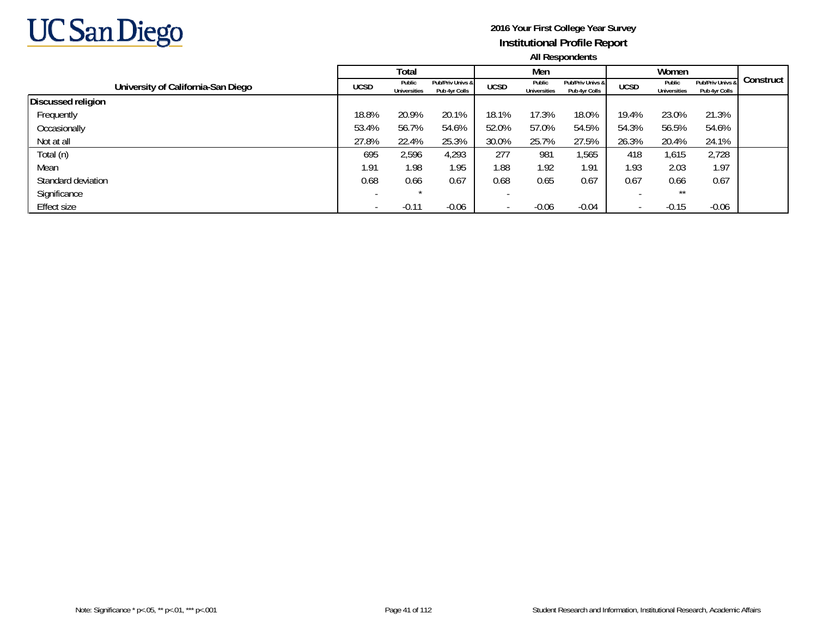

|                                    |             | Total                         |                                   |                          | Men                           |                                   |                          | Women                  |                                   |           |
|------------------------------------|-------------|-------------------------------|-----------------------------------|--------------------------|-------------------------------|-----------------------------------|--------------------------|------------------------|-----------------------------------|-----------|
| University of California-San Diego | <b>UCSD</b> | Public<br><b>Universities</b> | Pub/Priv Univs &<br>Pub 4yr Colls | <b>UCSD</b>              | Public<br><b>Universities</b> | Pub/Priv Univs &<br>Pub 4yr Colls | <b>UCSD</b>              | Public<br>Universities | Pub/Priv Univs &<br>Pub 4yr Colls | Construct |
| <b>Discussed religion</b>          |             |                               |                                   |                          |                               |                                   |                          |                        |                                   |           |
| Frequently                         | 18.8%       | 20.9%                         | 20.1%                             | 18.1%                    | 17.3%                         | 18.0%                             | 19.4%                    | 23.0%                  | 21.3%                             |           |
| Occasionally                       | 53.4%       | 56.7%                         | 54.6%                             | 52.0%                    | 57.0%                         | 54.5%                             | 54.3%                    | 56.5%                  | 54.6%                             |           |
| Not at all                         | 27.8%       | 22.4%                         | 25.3%                             | 30.0%                    | 25.7%                         | 27.5%                             | 26.3%                    | 20.4%                  | 24.1%                             |           |
| Total (n)                          | 695         | 2,596                         | 4,293                             | 277                      | 981                           | ,565                              | 418                      | 1,615                  | 2,728                             |           |
| Mean                               | 1.91        | 1.98                          | 1.95                              | 1.88                     | 1.92                          | 1.91                              | 1.93                     | 2.03                   | 1.97                              |           |
| Standard deviation                 | 0.68        | 0.66                          | 0.67                              | 0.68                     | 0.65                          | 0.67                              | 0.67                     | 0.66                   | 0.67                              |           |
| Significance                       |             |                               |                                   |                          |                               |                                   |                          | $***$                  |                                   |           |
| Effect size                        |             | $-0.11$                       | $-0.06$                           | $\overline{\phantom{a}}$ | $-0.06$                       | $-0.04$                           | $\overline{\phantom{a}}$ | $-0.15$                | $-0.06$                           |           |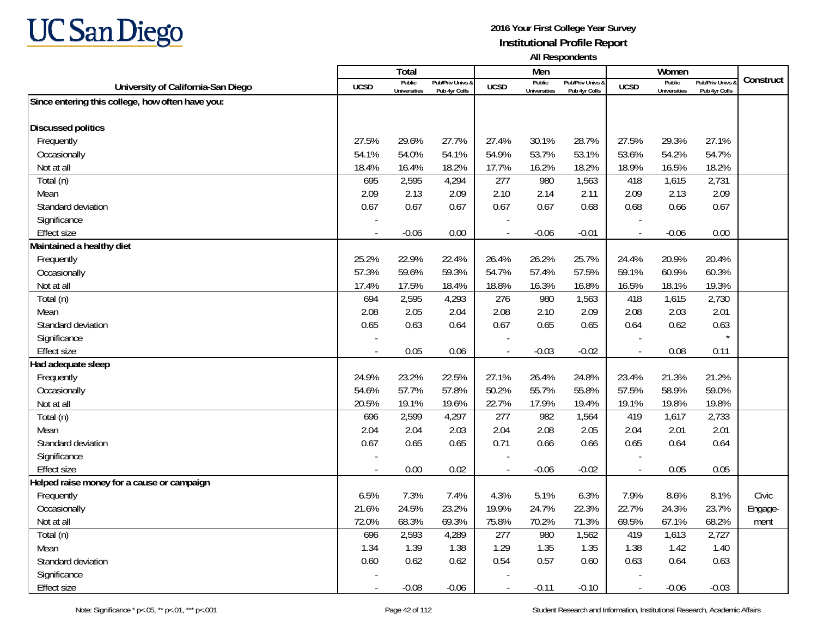

|                                                  |             | Total                         |                                   |                | Men                           |                                   |                          | Women                         |                                        |           |
|--------------------------------------------------|-------------|-------------------------------|-----------------------------------|----------------|-------------------------------|-----------------------------------|--------------------------|-------------------------------|----------------------------------------|-----------|
| University of California-San Diego               | <b>UCSD</b> | Public<br><b>Universities</b> | Pub/Priv Univs &<br>Pub 4yr Colls | <b>UCSD</b>    | Public<br><b>Universities</b> | Pub/Priv Univs &<br>Pub 4yr Colls | <b>UCSD</b>              | Public<br><b>Universities</b> | <b>Pub/Priv Univs</b><br>Pub 4yr Colls | Construct |
| Since entering this college, how often have you: |             |                               |                                   |                |                               |                                   |                          |                               |                                        |           |
|                                                  |             |                               |                                   |                |                               |                                   |                          |                               |                                        |           |
| <b>Discussed politics</b>                        |             |                               |                                   |                |                               |                                   |                          |                               |                                        |           |
| Frequently                                       | 27.5%       | 29.6%                         | 27.7%                             | 27.4%          | 30.1%                         | 28.7%                             | 27.5%                    | 29.3%                         | 27.1%                                  |           |
| Occasionally                                     | 54.1%       | 54.0%                         | 54.1%                             | 54.9%          | 53.7%                         | 53.1%                             | 53.6%                    | 54.2%                         | 54.7%                                  |           |
| Not at all                                       | 18.4%       | 16.4%                         | 18.2%                             | 17.7%          | 16.2%                         | 18.2%                             | 18.9%                    | 16.5%                         | 18.2%                                  |           |
| Total (n)                                        | 695         | 2,595                         | 4,294                             | 277            | 980                           | 1,563                             | 418                      | 1,615                         | 2,731                                  |           |
| Mean                                             | 2.09        | 2.13                          | 2.09                              | 2.10           | 2.14                          | 2.11                              | 2.09                     | 2.13                          | 2.09                                   |           |
| Standard deviation                               | 0.67        | 0.67                          | 0.67                              | 0.67           | 0.67                          | 0.68                              | 0.68                     | 0.66                          | 0.67                                   |           |
| Significance                                     |             |                               |                                   |                |                               |                                   |                          |                               |                                        |           |
| <b>Effect size</b>                               |             | $-0.06$                       | 0.00                              | $\overline{a}$ | $-0.06$                       | $-0.01$                           | $\overline{\phantom{a}}$ | $-0.06$                       | 0.00                                   |           |
| Maintained a healthy diet                        |             |                               |                                   |                |                               |                                   |                          |                               |                                        |           |
| Frequently                                       | 25.2%       | 22.9%                         | 22.4%                             | 26.4%          | 26.2%                         | 25.7%                             | 24.4%                    | 20.9%                         | 20.4%                                  |           |
| Occasionally                                     | 57.3%       | 59.6%                         | 59.3%                             | 54.7%          | 57.4%                         | 57.5%                             | 59.1%                    | 60.9%                         | 60.3%                                  |           |
| Not at all                                       | 17.4%       | 17.5%                         | 18.4%                             | 18.8%          | 16.3%                         | 16.8%                             | 16.5%                    | 18.1%                         | 19.3%                                  |           |
| Total (n)                                        | 694         | 2,595                         | 4,293                             | 276            | 980                           | 1,563                             | 418                      | 1,615                         | 2,730                                  |           |
| Mean                                             | 2.08        | 2.05                          | 2.04                              | 2.08           | 2.10                          | 2.09                              | 2.08                     | 2.03                          | 2.01                                   |           |
| Standard deviation                               | 0.65        | 0.63                          | 0.64                              | 0.67           | 0.65                          | 0.65                              | 0.64                     | 0.62                          | 0.63                                   |           |
| Significance                                     |             |                               |                                   |                |                               |                                   |                          |                               |                                        |           |
| <b>Effect size</b>                               |             | 0.05                          | 0.06                              |                | $-0.03$                       | $-0.02$                           | $\overline{\phantom{a}}$ | 0.08                          | 0.11                                   |           |
| Had adequate sleep                               |             |                               |                                   |                |                               |                                   |                          |                               |                                        |           |
| Frequently                                       | 24.9%       | 23.2%                         | 22.5%                             | 27.1%          | 26.4%                         | 24.8%                             | 23.4%                    | 21.3%                         | 21.2%                                  |           |
| Occasionally                                     | 54.6%       | 57.7%                         | 57.8%                             | 50.2%          | 55.7%                         | 55.8%                             | 57.5%                    | 58.9%                         | 59.0%                                  |           |
| Not at all                                       | 20.5%       | 19.1%                         | 19.6%                             | 22.7%          | 17.9%                         | 19.4%                             | 19.1%                    | 19.8%                         | 19.8%                                  |           |
| Total (n)                                        | 696         | 2,599                         | 4,297                             | 277            | 982                           | 1,564                             | 419                      | 1,617                         | 2,733                                  |           |
| Mean                                             | 2.04        | 2.04                          | 2.03                              | 2.04           | 2.08                          | 2.05                              | 2.04                     | 2.01                          | 2.01                                   |           |
| Standard deviation                               | 0.67        | 0.65                          | 0.65                              | 0.71           | 0.66                          | 0.66                              | 0.65                     | 0.64                          | 0.64                                   |           |
| Significance                                     |             |                               |                                   |                |                               |                                   |                          |                               |                                        |           |
| <b>Effect size</b>                               |             | 0.00                          | 0.02                              | $\blacksquare$ | $-0.06$                       | $-0.02$                           | $\overline{\phantom{a}}$ | 0.05                          | 0.05                                   |           |
| Helped raise money for a cause or campaign       |             |                               |                                   |                |                               |                                   |                          |                               |                                        |           |
| Frequently                                       | 6.5%        | 7.3%                          | 7.4%                              | 4.3%           | 5.1%                          | 6.3%                              | 7.9%                     | 8.6%                          | 8.1%                                   | Civic     |
| Occasionally                                     | 21.6%       | 24.5%                         | 23.2%                             | 19.9%          | 24.7%                         | 22.3%                             | 22.7%                    | 24.3%                         | 23.7%                                  | Engage-   |
| Not at all                                       | 72.0%       | 68.3%                         | 69.3%                             | 75.8%          | 70.2%                         | 71.3%                             | 69.5%                    | 67.1%                         | 68.2%                                  | ment      |
| Total (n)                                        | 696         | 2,593                         | 4,289                             | 277            | 980                           | 1,562                             | 419                      | 1,613                         | 2,727                                  |           |
| Mean                                             | 1.34        | 1.39                          | 1.38                              | 1.29           | 1.35                          | 1.35                              | 1.38                     | 1.42                          | 1.40                                   |           |
| Standard deviation                               | 0.60        | 0.62                          | 0.62                              | 0.54           | 0.57                          | 0.60                              | 0.63                     | 0.64                          | 0.63                                   |           |
| Significance                                     |             |                               |                                   |                |                               |                                   |                          |                               |                                        |           |
| <b>Effect size</b>                               |             | $-0.08$                       | $-0.06$                           | $\overline{a}$ | $-0.11$                       | $-0.10$                           | $\overline{\phantom{a}}$ | $-0.06$                       | $-0.03$                                |           |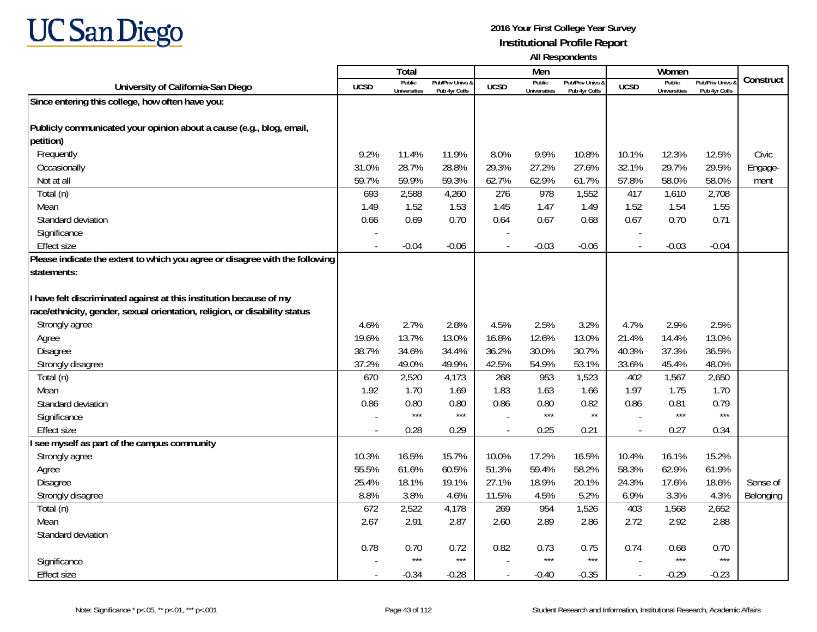

|                                                                              |             | Total                         |                                   |                          | Men                           |                                   |                          | Women                         |                                        |           |
|------------------------------------------------------------------------------|-------------|-------------------------------|-----------------------------------|--------------------------|-------------------------------|-----------------------------------|--------------------------|-------------------------------|----------------------------------------|-----------|
| University of California-San Diego                                           | <b>UCSD</b> | Public<br><b>Universities</b> | Pub/Priv Univs &<br>Pub 4yr Colls | <b>UCSD</b>              | Public<br><b>Universities</b> | Pub/Priv Univs &<br>Pub 4yr Colls | <b>UCSD</b>              | Public<br><b>Universities</b> | <b>Pub/Priv Univs</b><br>Pub 4yr Colls | Construct |
| Since entering this college, how often have you:                             |             |                               |                                   |                          |                               |                                   |                          |                               |                                        |           |
|                                                                              |             |                               |                                   |                          |                               |                                   |                          |                               |                                        |           |
| Publicly communicated your opinion about a cause (e.g., blog, email,         |             |                               |                                   |                          |                               |                                   |                          |                               |                                        |           |
| petition)                                                                    |             |                               |                                   |                          |                               |                                   |                          |                               |                                        |           |
| Frequently                                                                   | 9.2%        | 11.4%                         | 11.9%                             | 8.0%                     | 9.9%                          | 10.8%                             | 10.1%                    | 12.3%                         | 12.5%                                  | Civic     |
| Occasionally                                                                 | 31.0%       | 28.7%                         | 28.8%                             | 29.3%                    | 27.2%                         | 27.6%                             | 32.1%                    | 29.7%                         | 29.5%                                  | Engage-   |
| Not at all                                                                   | 59.7%       | 59.9%                         | 59.3%                             | 62.7%                    | 62.9%                         | 61.7%                             | 57.8%                    | 58.0%                         | 58.0%                                  | ment      |
| Total (n)                                                                    | 693         | 2,588                         | 4,260                             | 276                      | 978                           | 1,552                             | 417                      | 1,610                         | 2,708                                  |           |
| Mean                                                                         | 1.49        | 1.52                          | 1.53                              | 1.45                     | 1.47                          | 1.49                              | 1.52                     | 1.54                          | 1.55                                   |           |
| Standard deviation                                                           | 0.66        | 0.69                          | 0.70                              | 0.64                     | 0.67                          | 0.68                              | 0.67                     | 0.70                          | 0.71                                   |           |
| Significance                                                                 |             |                               |                                   | $\overline{\phantom{a}}$ |                               |                                   |                          |                               |                                        |           |
| <b>Effect size</b>                                                           |             | $-0.04$                       | $-0.06$                           |                          | $-0.03$                       | $-0.06$                           | $\overline{\phantom{a}}$ | $-0.03$                       | $-0.04$                                |           |
| Please indicate the extent to which you agree or disagree with the following |             |                               |                                   |                          |                               |                                   |                          |                               |                                        |           |
| statements:                                                                  |             |                               |                                   |                          |                               |                                   |                          |                               |                                        |           |
|                                                                              |             |                               |                                   |                          |                               |                                   |                          |                               |                                        |           |
| have felt discriminated against at this institution because of my            |             |                               |                                   |                          |                               |                                   |                          |                               |                                        |           |
| race/ethnicity, gender, sexual orientation, religion, or disability status   |             |                               |                                   |                          |                               |                                   |                          |                               |                                        |           |
| Strongly agree                                                               | 4.6%        | 2.7%                          | 2.8%                              | 4.5%                     | 2.5%                          | 3.2%                              | 4.7%                     | 2.9%                          | 2.5%                                   |           |
| Agree                                                                        | 19.6%       | 13.7%                         | 13.0%                             | 16.8%                    | 12.6%                         | 13.0%                             | 21.4%                    | 14.4%                         | 13.0%                                  |           |
| Disagree                                                                     | 38.7%       | 34.6%                         | 34.4%                             | 36.2%                    | 30.0%                         | 30.7%                             | 40.3%                    | 37.3%                         | 36.5%                                  |           |
| Strongly disagree                                                            | 37.2%       | 49.0%                         | 49.9%                             | 42.5%                    | 54.9%                         | 53.1%                             | 33.6%                    | 45.4%                         | 48.0%                                  |           |
| Total (n)                                                                    | 670         | 2,520                         | 4,173                             | 268                      | 953                           | 1,523                             | 402                      | 1,567                         | 2,650                                  |           |
| Mean                                                                         | 1.92        | 1.70                          | 1.69                              | 1.83                     | 1.63                          | 1.66                              | 1.97                     | 1.75                          | 1.70                                   |           |
| Standard deviation                                                           | 0.86        | 0.80                          | 0.80                              | 0.86                     | 0.80                          | 0.82                              | 0.86                     | 0.81                          | 0.79                                   |           |
| Significance                                                                 |             | $***$                         | $***$                             |                          | $***$                         | $^{\star\star}$                   |                          | $***$                         | $***$                                  |           |
| <b>Effect size</b>                                                           |             | 0.28                          | 0.29                              |                          | 0.25                          | 0.21                              | $\overline{a}$           | 0.27                          | 0.34                                   |           |
| see myself as part of the campus community                                   |             |                               |                                   |                          |                               |                                   |                          |                               |                                        |           |
| Strongly agree                                                               | 10.3%       | 16.5%                         | 15.7%                             | 10.0%                    | 17.2%                         | 16.5%                             | 10.4%                    | 16.1%                         | 15.2%                                  |           |
| Agree                                                                        | 55.5%       | 61.6%                         | 60.5%                             | 51.3%                    | 59.4%                         | 58.2%                             | 58.3%                    | 62.9%                         | 61.9%                                  |           |
| Disagree                                                                     | 25.4%       | 18.1%                         | 19.1%                             | 27.1%                    | 18.9%                         | 20.1%                             | 24.3%                    | 17.6%                         | 18.6%                                  | Sense of  |
| Strongly disagree                                                            | 8.8%        | 3.8%                          | 4.6%                              | 11.5%                    | 4.5%                          | 5.2%                              | 6.9%                     | 3.3%                          | 4.3%                                   | Belonging |
| Total (n)                                                                    | 672         | 2,522                         | 4,178                             | 269                      | 954                           | 1,526                             | 403                      | 1,568                         | 2,652                                  |           |
| Mean                                                                         | 2.67        | 2.91                          | 2.87                              | 2.60                     | 2.89                          | 2.86                              | 2.72                     | 2.92                          | 2.88                                   |           |
| Standard deviation                                                           |             |                               |                                   |                          |                               |                                   |                          |                               |                                        |           |
|                                                                              | 0.78        | 0.70<br>$***$                 | 0.72                              | 0.82                     | 0.73<br>$***$                 | 0.75                              | 0.74                     | 0.68<br>$***$                 | 0.70<br>$***$                          |           |
| Significance                                                                 |             |                               | $***$                             |                          |                               | $***$                             |                          |                               |                                        |           |
| <b>Effect size</b>                                                           |             | $-0.34$                       | $-0.28$                           | $\overline{a}$           | $-0.40$                       | $-0.35$                           | $\overline{\phantom{a}}$ | $-0.29$                       | $-0.23$                                |           |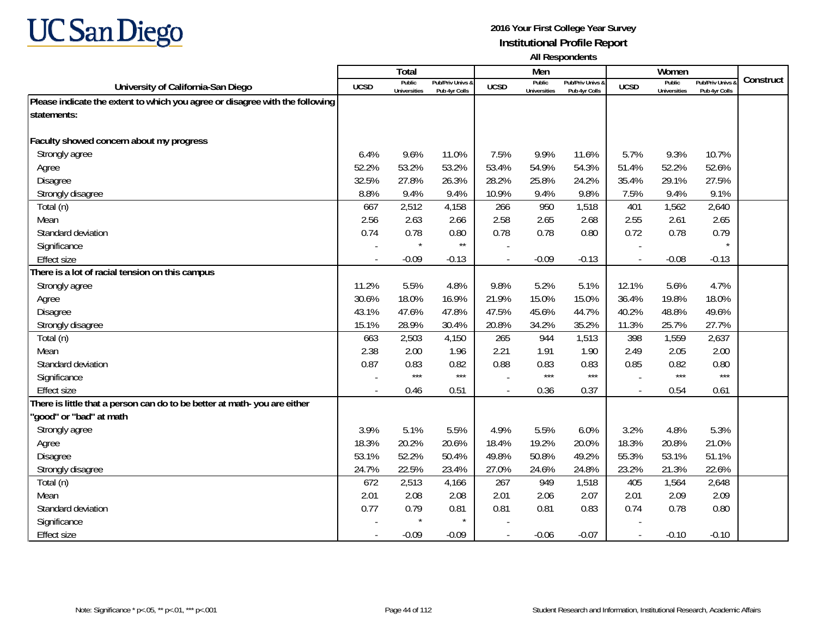

|                                                                              |             | Total                         |                                              |                | Men                           |                                   |                          | Women                         |                                        |           |
|------------------------------------------------------------------------------|-------------|-------------------------------|----------------------------------------------|----------------|-------------------------------|-----------------------------------|--------------------------|-------------------------------|----------------------------------------|-----------|
| University of California-San Diego                                           | <b>UCSD</b> | Public<br><b>Universities</b> | <b>Pub/Priv Univs &amp;</b><br>Pub 4yr Colls | <b>UCSD</b>    | Public<br><b>Universities</b> | Pub/Priv Univs &<br>Pub 4yr Colls | <b>UCSD</b>              | Public<br><b>Universities</b> | <b>Pub/Priv Univs</b><br>Pub 4yr Colls | Construct |
| Please indicate the extent to which you agree or disagree with the following |             |                               |                                              |                |                               |                                   |                          |                               |                                        |           |
| statements:                                                                  |             |                               |                                              |                |                               |                                   |                          |                               |                                        |           |
|                                                                              |             |                               |                                              |                |                               |                                   |                          |                               |                                        |           |
| Faculty showed concern about my progress                                     |             |                               |                                              |                |                               |                                   |                          |                               |                                        |           |
| Strongly agree                                                               | 6.4%        | 9.6%                          | 11.0%                                        | 7.5%           | 9.9%                          | 11.6%                             | 5.7%                     | 9.3%                          | 10.7%                                  |           |
| Agree                                                                        | 52.2%       | 53.2%                         | 53.2%                                        | 53.4%          | 54.9%                         | 54.3%                             | 51.4%                    | 52.2%                         | 52.6%                                  |           |
| Disagree                                                                     | 32.5%       | 27.8%                         | 26.3%                                        | 28.2%          | 25.8%                         | 24.2%                             | 35.4%                    | 29.1%                         | 27.5%                                  |           |
| Strongly disagree                                                            | 8.8%        | 9.4%                          | 9.4%                                         | 10.9%          | 9.4%                          | 9.8%                              | 7.5%                     | 9.4%                          | 9.1%                                   |           |
| Total (n)                                                                    | 667         | 2,512                         | 4,158                                        | 266            | 950                           | 1,518                             | 401                      | 1,562                         | 2,640                                  |           |
| Mean                                                                         | 2.56        | 2.63                          | 2.66                                         | 2.58           | 2.65                          | 2.68                              | 2.55                     | 2.61                          | 2.65                                   |           |
| Standard deviation                                                           | 0.74        | 0.78                          | 0.80                                         | 0.78           | 0.78                          | 0.80                              | 0.72                     | 0.78                          | 0.79                                   |           |
| Significance                                                                 |             |                               | $^{\star\star}$                              |                |                               |                                   |                          |                               |                                        |           |
| <b>Effect size</b>                                                           |             | $-0.09$                       | $-0.13$                                      |                | $-0.09$                       | $-0.13$                           | $\overline{\phantom{a}}$ | $-0.08$                       | $-0.13$                                |           |
| There is a lot of racial tension on this campus                              |             |                               |                                              |                |                               |                                   |                          |                               |                                        |           |
| Strongly agree                                                               | 11.2%       | 5.5%                          | 4.8%                                         | 9.8%           | 5.2%                          | 5.1%                              | 12.1%                    | 5.6%                          | 4.7%                                   |           |
| Agree                                                                        | 30.6%       | 18.0%                         | 16.9%                                        | 21.9%          | 15.0%                         | 15.0%                             | 36.4%                    | 19.8%                         | 18.0%                                  |           |
| Disagree                                                                     | 43.1%       | 47.6%                         | 47.8%                                        | 47.5%          | 45.6%                         | 44.7%                             | 40.2%                    | 48.8%                         | 49.6%                                  |           |
| Strongly disagree                                                            | 15.1%       | 28.9%                         | 30.4%                                        | 20.8%          | 34.2%                         | 35.2%                             | 11.3%                    | 25.7%                         | 27.7%                                  |           |
| Total (n)                                                                    | 663         | 2,503                         | 4,150                                        | 265            | 944                           | 1,513                             | 398                      | 1,559                         | 2,637                                  |           |
| Mean                                                                         | 2.38        | 2.00                          | 1.96                                         | 2.21           | 1.91                          | 1.90                              | 2.49                     | 2.05                          | 2.00                                   |           |
| Standard deviation                                                           | 0.87        | 0.83                          | 0.82                                         | 0.88           | 0.83                          | 0.83                              | 0.85                     | 0.82                          | 0.80                                   |           |
| Significance                                                                 |             | $***$                         | $***$                                        |                | ***                           | $***$                             |                          | $***$                         | $***$                                  |           |
| <b>Effect size</b>                                                           |             | 0.46                          | 0.51                                         |                | 0.36                          | 0.37                              | $\overline{a}$           | 0.54                          | 0.61                                   |           |
| There is little that a person can do to be better at math-you are either     |             |                               |                                              |                |                               |                                   |                          |                               |                                        |           |
| 'good" or "bad" at math                                                      |             |                               |                                              |                |                               |                                   |                          |                               |                                        |           |
| Strongly agree                                                               | 3.9%        | 5.1%                          | 5.5%                                         | 4.9%           | 5.5%                          | 6.0%                              | 3.2%                     | 4.8%                          | 5.3%                                   |           |
| Agree                                                                        | 18.3%       | 20.2%                         | 20.6%                                        | 18.4%          | 19.2%                         | 20.0%                             | 18.3%                    | 20.8%                         | 21.0%                                  |           |
| Disagree                                                                     | 53.1%       | 52.2%                         | 50.4%                                        | 49.8%          | 50.8%                         | 49.2%                             | 55.3%                    | 53.1%                         | 51.1%                                  |           |
| Strongly disagree                                                            | 24.7%       | 22.5%                         | 23.4%                                        | 27.0%          | 24.6%                         | 24.8%                             | 23.2%                    | 21.3%                         | 22.6%                                  |           |
| Total (n)                                                                    | 672         | 2,513                         | 4,166                                        | 267            | 949                           | 1,518                             | 405                      | 1,564                         | 2,648                                  |           |
| Mean                                                                         | 2.01        | 2.08                          | 2.08                                         | 2.01           | 2.06                          | 2.07                              | 2.01                     | 2.09                          | 2.09                                   |           |
| Standard deviation                                                           | 0.77        | 0.79                          | 0.81                                         | 0.81           | 0.81                          | 0.83                              | 0.74                     | 0.78                          | 0.80                                   |           |
| Significance                                                                 |             | $\star$                       | $\star$                                      |                |                               |                                   |                          |                               |                                        |           |
| <b>Effect size</b>                                                           |             | $-0.09$                       | $-0.09$                                      | $\overline{a}$ | $-0.06$                       | $-0.07$                           | $\overline{\phantom{a}}$ | $-0.10$                       | $-0.10$                                |           |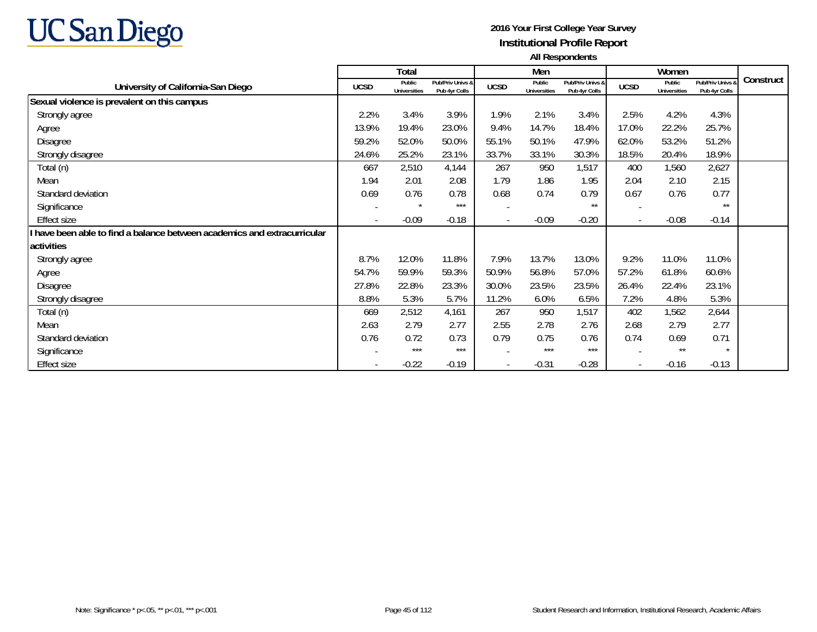

|                                                                        |             | Total                         |                                   |                          | Men                           |                                   |                          | Women                         |                                        |           |
|------------------------------------------------------------------------|-------------|-------------------------------|-----------------------------------|--------------------------|-------------------------------|-----------------------------------|--------------------------|-------------------------------|----------------------------------------|-----------|
| University of California-San Diego                                     | <b>UCSD</b> | Public<br><b>Universities</b> | Pub/Priv Univs &<br>Pub 4vr Colls | <b>UCSD</b>              | Public<br><b>Universities</b> | Pub/Priv Univs &<br>Pub 4vr Colls | <b>UCSD</b>              | Public<br><b>Universities</b> | <b>Pub/Priv Univs</b><br>Pub 4vr Colls | Construct |
| Sexual violence is prevalent on this campus                            |             |                               |                                   |                          |                               |                                   |                          |                               |                                        |           |
| Strongly agree                                                         | 2.2%        | 3.4%                          | 3.9%                              | 1.9%                     | 2.1%                          | 3.4%                              | 2.5%                     | 4.2%                          | 4.3%                                   |           |
| Agree                                                                  | 13.9%       | 19.4%                         | 23.0%                             | 9.4%                     | 14.7%                         | 18.4%                             | 17.0%                    | 22.2%                         | 25.7%                                  |           |
| Disagree                                                               | 59.2%       | 52.0%                         | 50.0%                             | 55.1%                    | 50.1%                         | 47.9%                             | 62.0%                    | 53.2%                         | 51.2%                                  |           |
| Strongly disagree                                                      | 24.6%       | 25.2%                         | 23.1%                             | 33.7%                    | 33.1%                         | 30.3%                             | 18.5%                    | 20.4%                         | 18.9%                                  |           |
| Total (n)                                                              | 667         | 2,510                         | 4,144                             | 267                      | 950                           | 1,517                             | 400                      | 1,560                         | 2,627                                  |           |
| Mean                                                                   | 1.94        | 2.01                          | 2.08                              | 1.79                     | 1.86                          | 1.95                              | 2.04                     | 2.10                          | 2.15                                   |           |
| Standard deviation                                                     | 0.69        | 0.76                          | 0.78                              | 0.68                     | 0.74                          | 0.79                              | 0.67                     | 0.76                          | 0.77                                   |           |
| Significance                                                           |             | $\star$                       | ***                               | $\overline{\phantom{a}}$ |                               | $***$                             |                          |                               | $***$                                  |           |
| <b>Effect size</b>                                                     |             | $-0.09$                       | $-0.18$                           | $\overline{\phantom{a}}$ | $-0.09$                       | $-0.20$                           | $\overline{\phantom{a}}$ | $-0.08$                       | $-0.14$                                |           |
| have been able to find a balance between academics and extracurricular |             |                               |                                   |                          |                               |                                   |                          |                               |                                        |           |
| activities                                                             |             |                               |                                   |                          |                               |                                   |                          |                               |                                        |           |
| Strongly agree                                                         | 8.7%        | 12.0%                         | 11.8%                             | 7.9%                     | 13.7%                         | 13.0%                             | 9.2%                     | 11.0%                         | 11.0%                                  |           |
| Agree                                                                  | 54.7%       | 59.9%                         | 59.3%                             | 50.9%                    | 56.8%                         | 57.0%                             | 57.2%                    | 61.8%                         | 60.6%                                  |           |
| Disagree                                                               | 27.8%       | 22.8%                         | 23.3%                             | 30.0%                    | 23.5%                         | 23.5%                             | 26.4%                    | 22.4%                         | 23.1%                                  |           |
| Strongly disagree                                                      | 8.8%        | 5.3%                          | 5.7%                              | 11.2%                    | 6.0%                          | 6.5%                              | 7.2%                     | 4.8%                          | 5.3%                                   |           |
| Total (n)                                                              | 669         | 2,512                         | 4,161                             | 267                      | 950                           | 1,517                             | 402                      | 1,562                         | 2,644                                  |           |
| Mean                                                                   | 2.63        | 2.79                          | 2.77                              | 2.55                     | 2.78                          | 2.76                              | 2.68                     | 2.79                          | 2.77                                   |           |
| Standard deviation                                                     | 0.76        | 0.72                          | 0.73                              | 0.79                     | 0.75                          | 0.76                              | 0.74                     | 0.69                          | 0.71                                   |           |
| Significance                                                           |             | ***                           | $***$                             |                          | $***$                         | $***$                             |                          | $***$                         | $\star$                                |           |
| <b>Effect size</b>                                                     |             | $-0.22$                       | $-0.19$                           | $\overline{\phantom{a}}$ | $-0.31$                       | $-0.28$                           | $\overline{\phantom{a}}$ | $-0.16$                       | $-0.13$                                |           |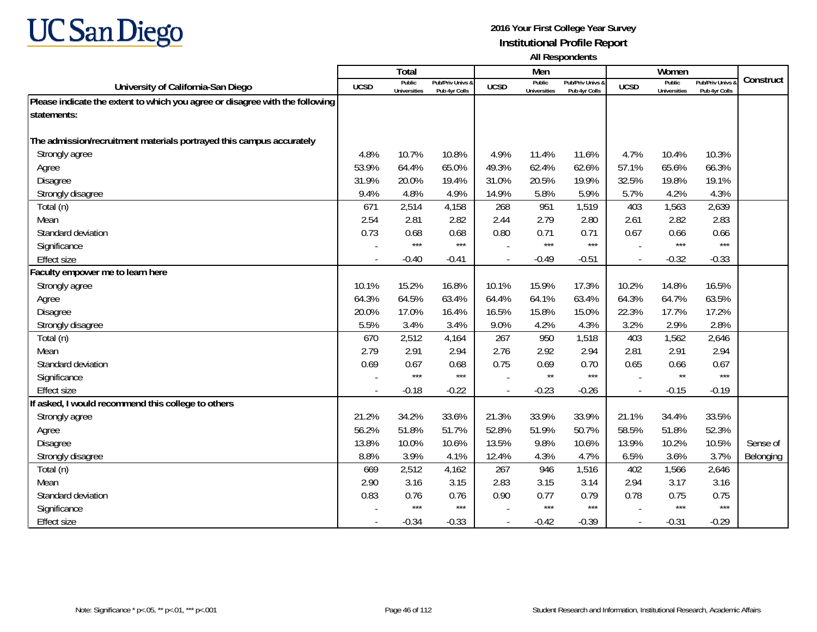

|                                                                              |             | <b>Total</b>                  |                                   |             | Men                           |                                   |                          | Women                         |                                        |           |
|------------------------------------------------------------------------------|-------------|-------------------------------|-----------------------------------|-------------|-------------------------------|-----------------------------------|--------------------------|-------------------------------|----------------------------------------|-----------|
| University of California-San Diego                                           | <b>UCSD</b> | Public<br><b>Universities</b> | Pub/Priv Univs &<br>Pub 4yr Colls | <b>UCSD</b> | Public<br><b>Universities</b> | Pub/Priv Univs &<br>Pub 4yr Colls | <b>UCSD</b>              | Public<br><b>Universities</b> | <b>Pub/Priv Univs</b><br>Pub 4yr Colls | Construct |
| Please indicate the extent to which you agree or disagree with the following |             |                               |                                   |             |                               |                                   |                          |                               |                                        |           |
| statements:                                                                  |             |                               |                                   |             |                               |                                   |                          |                               |                                        |           |
|                                                                              |             |                               |                                   |             |                               |                                   |                          |                               |                                        |           |
| The admission/recruitment materials portrayed this campus accurately         |             |                               |                                   |             |                               |                                   |                          |                               |                                        |           |
| Strongly agree                                                               | 4.8%        | 10.7%                         | 10.8%                             | 4.9%        | 11.4%                         | 11.6%                             | 4.7%                     | 10.4%                         | 10.3%                                  |           |
| Agree                                                                        | 53.9%       | 64.4%                         | 65.0%                             | 49.3%       | 62.4%                         | 62.6%                             | 57.1%                    | 65.6%                         | 66.3%                                  |           |
| Disagree                                                                     | 31.9%       | 20.0%                         | 19.4%                             | 31.0%       | 20.5%                         | 19.9%                             | 32.5%                    | 19.8%                         | 19.1%                                  |           |
| Strongly disagree                                                            | 9.4%        | 4.8%                          | 4.9%                              | 14.9%       | 5.8%                          | 5.9%                              | 5.7%                     | 4.2%                          | 4.3%                                   |           |
| Total (n)                                                                    | 671         | 2,514                         | 4,158                             | 268         | 951                           | 1,519                             | 403                      | 1,563                         | 2,639                                  |           |
| Mean                                                                         | 2.54        | 2.81                          | 2.82                              | 2.44        | 2.79                          | 2.80                              | 2.61                     | 2.82                          | 2.83                                   |           |
| Standard deviation                                                           | 0.73        | 0.68                          | 0.68                              | 0.80        | 0.71                          | 0.71                              | 0.67                     | 0.66                          | 0.66                                   |           |
| Significance                                                                 |             | $***$                         | $***$                             |             | ***                           | $***$                             |                          | $***$                         | $***$                                  |           |
| <b>Effect size</b>                                                           |             | $-0.40$                       | $-0.41$                           |             | $-0.49$                       | $-0.51$                           | $\overline{\phantom{a}}$ | $-0.32$                       | $-0.33$                                |           |
| Faculty empower me to learn here                                             |             |                               |                                   |             |                               |                                   |                          |                               |                                        |           |
| Strongly agree                                                               | 10.1%       | 15.2%                         | 16.8%                             | 10.1%       | 15.9%                         | 17.3%                             | 10.2%                    | 14.8%                         | 16.5%                                  |           |
| Agree                                                                        | 64.3%       | 64.5%                         | 63.4%                             | 64.4%       | 64.1%                         | 63.4%                             | 64.3%                    | 64.7%                         | 63.5%                                  |           |
| <b>Disagree</b>                                                              | 20.0%       | 17.0%                         | 16.4%                             | 16.5%       | 15.8%                         | 15.0%                             | 22.3%                    | 17.7%                         | 17.2%                                  |           |
| Strongly disagree                                                            | 5.5%        | 3.4%                          | 3.4%                              | 9.0%        | 4.2%                          | 4.3%                              | 3.2%                     | 2.9%                          | 2.8%                                   |           |
| Total (n)                                                                    | 670         | 2,512                         | 4,164                             | 267         | 950                           | 1,518                             | 403                      | 1,562                         | 2,646                                  |           |
| Mean                                                                         | 2.79        | 2.91                          | 2.94                              | 2.76        | 2.92                          | 2.94                              | 2.81                     | 2.91                          | 2.94                                   |           |
| Standard deviation                                                           | 0.69        | 0.67                          | 0.68                              | 0.75        | 0.69                          | 0.70                              | 0.65                     | 0.66                          | 0.67                                   |           |
| Significance                                                                 |             | $***$                         | $***$                             |             | $\star\star$                  | $***$                             |                          | $\star\star$                  | $***$                                  |           |
| <b>Effect size</b>                                                           |             | $-0.18$                       | $-0.22$                           |             | $-0.23$                       | $-0.26$                           | $\overline{\phantom{a}}$ | $-0.15$                       | $-0.19$                                |           |
| If asked, I would recommend this college to others                           |             |                               |                                   |             |                               |                                   |                          |                               |                                        |           |
| Strongly agree                                                               | 21.2%       | 34.2%                         | 33.6%                             | 21.3%       | 33.9%                         | 33.9%                             | 21.1%                    | 34.4%                         | 33.5%                                  |           |
| Agree                                                                        | 56.2%       | 51.8%                         | 51.7%                             | 52.8%       | 51.9%                         | 50.7%                             | 58.5%                    | 51.8%                         | 52.3%                                  |           |
| <b>Disagree</b>                                                              | 13.8%       | 10.0%                         | 10.6%                             | 13.5%       | 9.8%                          | 10.6%                             | 13.9%                    | 10.2%                         | 10.5%                                  | Sense of  |
| Strongly disagree                                                            | 8.8%        | 3.9%                          | 4.1%                              | 12.4%       | 4.3%                          | 4.7%                              | 6.5%                     | 3.6%                          | 3.7%                                   | Belonging |
| Total (n)                                                                    | 669         | 2,512                         | 4,162                             | 267         | 946                           | 1,516                             | 402                      | 1,566                         | 2,646                                  |           |
| Mean                                                                         | 2.90        | 3.16                          | 3.15                              | 2.83        | 3.15                          | 3.14                              | 2.94                     | 3.17                          | 3.16                                   |           |
| Standard deviation                                                           | 0.83        | 0.76                          | 0.76                              | 0.90        | 0.77                          | 0.79                              | 0.78                     | 0.75                          | 0.75                                   |           |
| Significance                                                                 |             | $***$                         | $***$                             |             | ***                           | $***$                             |                          | $***$                         | $***$                                  |           |
| <b>Effect size</b>                                                           |             | $-0.34$                       | $-0.33$                           |             | $-0.42$                       | $-0.39$                           | $\overline{\phantom{a}}$ | $-0.31$                       | $-0.29$                                |           |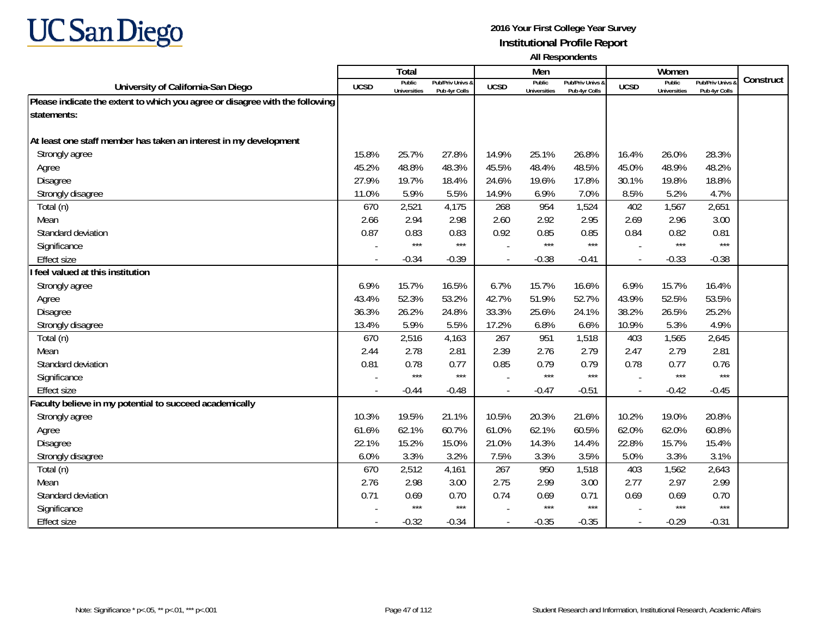

|                                                                              |             | Total                         |                                   |             | Men                           |                                   |                          | Women                         |                                        |           |
|------------------------------------------------------------------------------|-------------|-------------------------------|-----------------------------------|-------------|-------------------------------|-----------------------------------|--------------------------|-------------------------------|----------------------------------------|-----------|
| University of California-San Diego                                           | <b>UCSD</b> | Public<br><b>Universities</b> | Pub/Priv Univs &<br>Pub 4yr Colls | <b>UCSD</b> | Public<br><b>Universities</b> | Pub/Priv Univs 8<br>Pub 4yr Colls | <b>UCSD</b>              | Public<br><b>Universities</b> | <b>Pub/Priv Univs</b><br>Pub 4yr Colls | Construct |
| Please indicate the extent to which you agree or disagree with the following |             |                               |                                   |             |                               |                                   |                          |                               |                                        |           |
| statements:                                                                  |             |                               |                                   |             |                               |                                   |                          |                               |                                        |           |
|                                                                              |             |                               |                                   |             |                               |                                   |                          |                               |                                        |           |
| At least one staff member has taken an interest in my development            |             |                               |                                   |             |                               |                                   |                          |                               |                                        |           |
| Strongly agree                                                               | 15.8%       | 25.7%                         | 27.8%                             | 14.9%       | 25.1%                         | 26.8%                             | 16.4%                    | 26.0%                         | 28.3%                                  |           |
| Agree                                                                        | 45.2%       | 48.8%                         | 48.3%                             | 45.5%       | 48.4%                         | 48.5%                             | 45.0%                    | 48.9%                         | 48.2%                                  |           |
| Disagree                                                                     | 27.9%       | 19.7%                         | 18.4%                             | 24.6%       | 19.6%                         | 17.8%                             | 30.1%                    | 19.8%                         | 18.8%                                  |           |
| Strongly disagree                                                            | 11.0%       | 5.9%                          | 5.5%                              | 14.9%       | 6.9%                          | 7.0%                              | 8.5%                     | 5.2%                          | 4.7%                                   |           |
| Total (n)                                                                    | 670         | 2,521                         | 4,175                             | 268         | 954                           | 1,524                             | 402                      | 1,567                         | 2,651                                  |           |
| Mean                                                                         | 2.66        | 2.94                          | 2.98                              | 2.60        | 2.92                          | 2.95                              | 2.69                     | 2.96                          | 3.00                                   |           |
| Standard deviation                                                           | 0.87        | 0.83                          | 0.83                              | 0.92        | 0.85                          | 0.85                              | 0.84                     | 0.82                          | 0.81                                   |           |
| Significance                                                                 |             | $***$                         | $***$                             |             | $***$                         | $***$                             |                          | $***$                         | $***$                                  |           |
| <b>Effect size</b>                                                           |             | $-0.34$                       | $-0.39$                           |             | $-0.38$                       | $-0.41$                           | $\overline{\phantom{a}}$ | $-0.33$                       | $-0.38$                                |           |
| feel valued at this institution                                              |             |                               |                                   |             |                               |                                   |                          |                               |                                        |           |
| Strongly agree                                                               | 6.9%        | 15.7%                         | 16.5%                             | 6.7%        | 15.7%                         | 16.6%                             | 6.9%                     | 15.7%                         | 16.4%                                  |           |
| Agree                                                                        | 43.4%       | 52.3%                         | 53.2%                             | 42.7%       | 51.9%                         | 52.7%                             | 43.9%                    | 52.5%                         | 53.5%                                  |           |
| Disagree                                                                     | 36.3%       | 26.2%                         | 24.8%                             | 33.3%       | 25.6%                         | 24.1%                             | 38.2%                    | 26.5%                         | 25.2%                                  |           |
| Strongly disagree                                                            | 13.4%       | 5.9%                          | 5.5%                              | 17.2%       | 6.8%                          | 6.6%                              | 10.9%                    | 5.3%                          | 4.9%                                   |           |
| Total (n)                                                                    | 670         | 2,516                         | 4,163                             | 267         | 951                           | 1,518                             | 403                      | 1,565                         | 2,645                                  |           |
| Mean                                                                         | 2.44        | 2.78                          | 2.81                              | 2.39        | 2.76                          | 2.79                              | 2.47                     | 2.79                          | 2.81                                   |           |
| Standard deviation                                                           | 0.81        | 0.78                          | 0.77                              | 0.85        | 0.79                          | 0.79                              | 0.78                     | 0.77                          | 0.76                                   |           |
| Significance                                                                 |             | $***$                         | $***$                             |             | ***                           | $***$                             |                          | $***$                         | $***$                                  |           |
| <b>Effect size</b>                                                           | $\sim$      | $-0.44$                       | $-0.48$                           | $\sim$      | $-0.47$                       | $-0.51$                           | $\overline{a}$           | $-0.42$                       | $-0.45$                                |           |
| Faculty believe in my potential to succeed academically                      |             |                               |                                   |             |                               |                                   |                          |                               |                                        |           |
| Strongly agree                                                               | 10.3%       | 19.5%                         | 21.1%                             | 10.5%       | 20.3%                         | 21.6%                             | 10.2%                    | 19.0%                         | 20.8%                                  |           |
| Agree                                                                        | 61.6%       | 62.1%                         | 60.7%                             | 61.0%       | 62.1%                         | 60.5%                             | 62.0%                    | 62.0%                         | 60.8%                                  |           |
| Disagree                                                                     | 22.1%       | 15.2%                         | 15.0%                             | 21.0%       | 14.3%                         | 14.4%                             | 22.8%                    | 15.7%                         | 15.4%                                  |           |
| Strongly disagree                                                            | 6.0%        | 3.3%                          | 3.2%                              | 7.5%        | 3.3%                          | 3.5%                              | 5.0%                     | 3.3%                          | 3.1%                                   |           |
| Total (n)                                                                    | 670         | 2,512                         | 4,161                             | 267         | 950                           | 1,518                             | 403                      | 1,562                         | 2,643                                  |           |
| Mean                                                                         | 2.76        | 2.98                          | 3.00                              | 2.75        | 2.99                          | 3.00                              | 2.77                     | 2.97                          | 2.99                                   |           |
| Standard deviation                                                           | 0.71        | 0.69                          | 0.70                              | 0.74        | 0.69                          | 0.71                              | 0.69                     | 0.69                          | 0.70                                   |           |
| Significance                                                                 |             | $***$                         | $***$                             |             | $***$                         | $***$                             |                          | $***$                         | $***$                                  |           |
| <b>Effect size</b>                                                           |             | $-0.32$                       | $-0.34$                           | $\sim$      | $-0.35$                       | $-0.35$                           | $\overline{a}$           | $-0.29$                       | $-0.31$                                |           |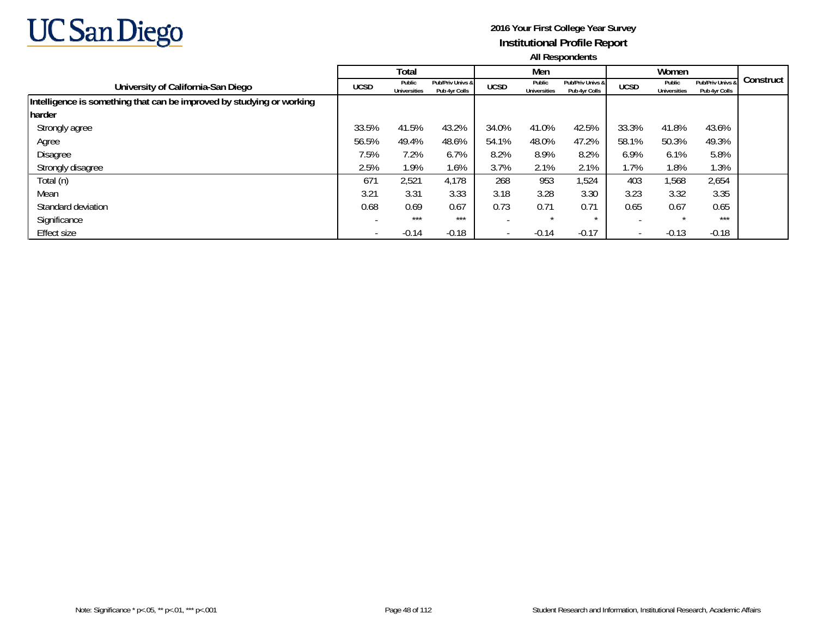

|                                                                       |                          | Total                         |                                   |                          | Men                           |                                   |                          | Women                         |                                   |           |
|-----------------------------------------------------------------------|--------------------------|-------------------------------|-----------------------------------|--------------------------|-------------------------------|-----------------------------------|--------------------------|-------------------------------|-----------------------------------|-----------|
| University of California-San Diego                                    | <b>UCSD</b>              | Public<br><b>Universities</b> | Pub/Priv Univs &<br>Pub 4yr Colls | <b>UCSD</b>              | Public<br><b>Universities</b> | Pub/Priv Univs &<br>Pub 4yr Colls | <b>UCSD</b>              | Public<br><b>Universities</b> | Pub/Priv Univs &<br>Pub 4yr Colls | Construct |
| Intelligence is something that can be improved by studying or working |                          |                               |                                   |                          |                               |                                   |                          |                               |                                   |           |
| harder                                                                |                          |                               |                                   |                          |                               |                                   |                          |                               |                                   |           |
| Strongly agree                                                        | 33.5%                    | 41.5%                         | 43.2%                             | 34.0%                    | 41.0%                         | 42.5%                             | 33.3%                    | 41.8%                         | 43.6%                             |           |
| Agree                                                                 | 56.5%                    | 49.4%                         | 48.6%                             | 54.1%                    | 48.0%                         | 47.2%                             | 58.1%                    | 50.3%                         | 49.3%                             |           |
| Disagree                                                              | 7.5%                     | 7.2%                          | 6.7%                              | 8.2%                     | 8.9%                          | 8.2%                              | 6.9%                     | 6.1%                          | 5.8%                              |           |
| Strongly disagree                                                     | 2.5%                     | 1.9%                          | 1.6%                              | 3.7%                     | 2.1%                          | 2.1%                              | 1.7%                     | 1.8%                          | 1.3%                              |           |
| Total (n)                                                             | 671                      | 2,521                         | 4,178                             | 268                      | 953                           | 1,524                             | 403                      | 1,568                         | 2,654                             |           |
| Mean                                                                  | 3.21                     | 3.31                          | 3.33                              | 3.18                     | 3.28                          | 3.30                              | 3.23                     | 3.32                          | 3.35                              |           |
| Standard deviation                                                    | 0.68                     | 0.69                          | 0.67                              | 0.73                     | 0.71                          | 0.71                              | 0.65                     | 0.67                          | 0.65                              |           |
| Significance                                                          |                          | ***                           | $***$                             |                          |                               | $\star$                           |                          | $\star$                       | $***$                             |           |
| Effect size                                                           | $\overline{\phantom{0}}$ | $-0.14$                       | $-0.18$                           | $\overline{\phantom{a}}$ | $-0.14$                       | $-0.17$                           | $\overline{\phantom{a}}$ | $-0.13$                       | $-0.18$                           |           |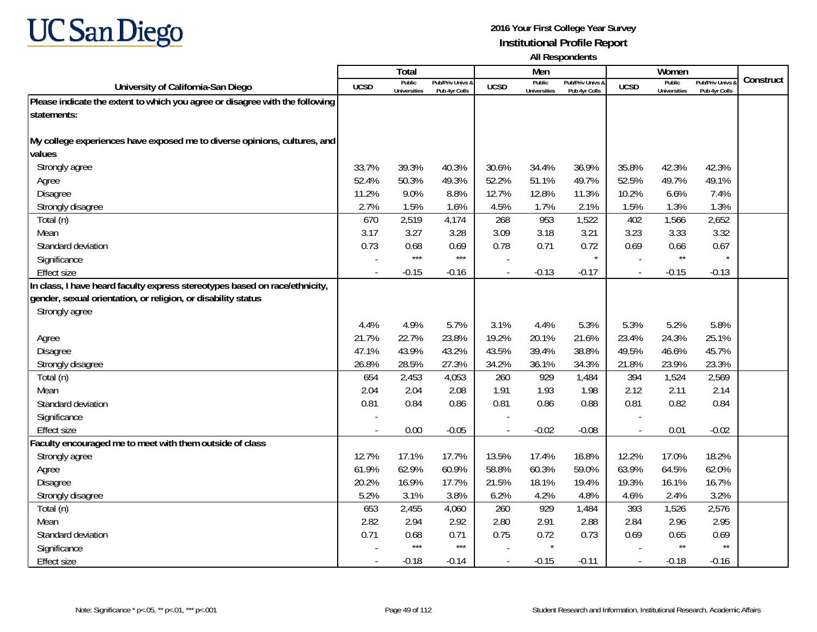

|                                                                              |             | Total                         |                                   |             | Men                           |                                   |                          | Women                         |                                        |           |
|------------------------------------------------------------------------------|-------------|-------------------------------|-----------------------------------|-------------|-------------------------------|-----------------------------------|--------------------------|-------------------------------|----------------------------------------|-----------|
| University of California-San Diego                                           | <b>UCSD</b> | Public<br><b>Universities</b> | Pub/Priv Univs &<br>Pub 4yr Colls | <b>UCSD</b> | Public<br><b>Universities</b> | Pub/Priv Univs &<br>Pub 4yr Colls | <b>UCSD</b>              | Public<br><b>Universities</b> | <b>Pub/Priv Univs</b><br>Pub 4yr Colls | Construct |
| Please indicate the extent to which you agree or disagree with the following |             |                               |                                   |             |                               |                                   |                          |                               |                                        |           |
| statements:                                                                  |             |                               |                                   |             |                               |                                   |                          |                               |                                        |           |
|                                                                              |             |                               |                                   |             |                               |                                   |                          |                               |                                        |           |
| My college experiences have exposed me to diverse opinions, cultures, and    |             |                               |                                   |             |                               |                                   |                          |                               |                                        |           |
| values                                                                       |             |                               |                                   |             |                               |                                   |                          |                               |                                        |           |
| Strongly agree                                                               | 33.7%       | 39.3%                         | 40.3%                             | 30.6%       | 34.4%                         | 36.9%                             | 35.8%                    | 42.3%                         | 42.3%                                  |           |
| Agree                                                                        | 52.4%       | 50.3%                         | 49.3%                             | 52.2%       | 51.1%                         | 49.7%                             | 52.5%                    | 49.7%                         | 49.1%                                  |           |
| Disagree                                                                     | 11.2%       | 9.0%                          | 8.8%                              | 12.7%       | 12.8%                         | 11.3%                             | 10.2%                    | 6.6%                          | 7.4%                                   |           |
| Strongly disagree                                                            | 2.7%        | 1.5%                          | 1.6%                              | 4.5%        | 1.7%                          | 2.1%                              | 1.5%                     | 1.3%                          | 1.3%                                   |           |
| Total (n)                                                                    | 670         | 2,519                         | 4,174                             | 268         | 953                           | 1,522                             | 402                      | 1,566                         | 2,652                                  |           |
| Mean                                                                         | 3.17        | 3.27                          | 3.28                              | 3.09        | 3.18                          | 3.21                              | 3.23                     | 3.33                          | 3.32                                   |           |
| Standard deviation                                                           | 0.73        | 0.68                          | 0.69                              | 0.78        | 0.71                          | 0.72                              | 0.69                     | 0.66                          | 0.67                                   |           |
| Significance                                                                 |             | $***$                         | $***$                             |             |                               | $\star$                           |                          | $^{\star\star}$               |                                        |           |
| <b>Effect size</b>                                                           |             | $-0.15$                       | $-0.16$                           |             | $-0.13$                       | $-0.17$                           |                          | $-0.15$                       | $-0.13$                                |           |
| In class, I have heard faculty express stereotypes based on race/ethnicity,  |             |                               |                                   |             |                               |                                   |                          |                               |                                        |           |
| gender, sexual orientation, or religion, or disability status                |             |                               |                                   |             |                               |                                   |                          |                               |                                        |           |
| Strongly agree                                                               |             |                               |                                   |             |                               |                                   |                          |                               |                                        |           |
|                                                                              | 4.4%        | 4.9%                          | 5.7%                              | 3.1%        | 4.4%                          | 5.3%                              | 5.3%                     | 5.2%                          | 5.8%                                   |           |
| Agree                                                                        | 21.7%       | 22.7%                         | 23.8%                             | 19.2%       | 20.1%                         | 21.6%                             | 23.4%                    | 24.3%                         | 25.1%                                  |           |
| Disagree                                                                     | 47.1%       | 43.9%                         | 43.2%                             | 43.5%       | 39.4%                         | 38.8%                             | 49.5%                    | 46.6%                         | 45.7%                                  |           |
| Strongly disagree                                                            | 26.8%       | 28.5%                         | 27.3%                             | 34.2%       | 36.1%                         | 34.3%                             | 21.8%                    | 23.9%                         | 23.3%                                  |           |
| Total (n)                                                                    | 654         | 2,453                         | 4,053                             | 260         | 929                           | 1,484                             | 394                      | 1,524                         | 2,569                                  |           |
| Mean                                                                         | 2.04        | 2.04                          | 2.08                              | 1.91        | 1.93                          | 1.98                              | 2.12                     | 2.11                          | 2.14                                   |           |
| Standard deviation                                                           | 0.81        | 0.84                          | 0.86                              | 0.81        | 0.86                          | 0.88                              | 0.81                     | 0.82                          | 0.84                                   |           |
| Significance                                                                 |             |                               |                                   |             |                               |                                   |                          |                               |                                        |           |
| <b>Effect size</b>                                                           | $\sim$      | 0.00                          | $-0.05$                           | $\sim$      | $-0.02$                       | $-0.08$                           | $\overline{\phantom{a}}$ | 0.01                          | $-0.02$                                |           |
| Faculty encouraged me to meet with them outside of class                     |             |                               |                                   |             |                               |                                   |                          |                               |                                        |           |
| Strongly agree                                                               | 12.7%       | 17.1%                         | 17.7%                             | 13.5%       | 17.4%                         | 16.8%                             | 12.2%                    | 17.0%                         | 18.2%                                  |           |
| Agree                                                                        | 61.9%       | 62.9%                         | 60.9%                             | 58.8%       | 60.3%                         | 59.0%                             | 63.9%                    | 64.5%                         | 62.0%                                  |           |
| <b>Disagree</b>                                                              | 20.2%       | 16.9%                         | 17.7%                             | 21.5%       | 18.1%                         | 19.4%                             | 19.3%                    | 16.1%                         | 16.7%                                  |           |
| Strongly disagree                                                            | 5.2%        | 3.1%                          | 3.8%                              | 6.2%        | 4.2%                          | 4.8%                              | 4.6%                     | 2.4%                          | 3.2%                                   |           |
| Total (n)                                                                    | 653         | 2,455                         | 4,060                             | 260         | 929                           | 1,484                             | 393                      | 1,526                         | 2,576                                  |           |
| Mean                                                                         | 2.82        | 2.94                          | 2.92                              | 2.80        | 2.91                          | 2.88                              | 2.84                     | 2.96                          | 2.95                                   |           |
| Standard deviation                                                           | 0.71        | 0.68                          | 0.71                              | 0.75        | 0.72                          | 0.73                              | 0.69                     | 0.65                          | 0.69                                   |           |
| Significance                                                                 |             | $***$                         | $***$                             |             | $\star$                       |                                   |                          | $^{\star\star}$               | $^{\star\star}$                        |           |
| <b>Effect size</b>                                                           |             | $-0.18$                       | $-0.14$                           |             | $-0.15$                       | $-0.11$                           | $\overline{\phantom{a}}$ | $-0.18$                       | $-0.16$                                |           |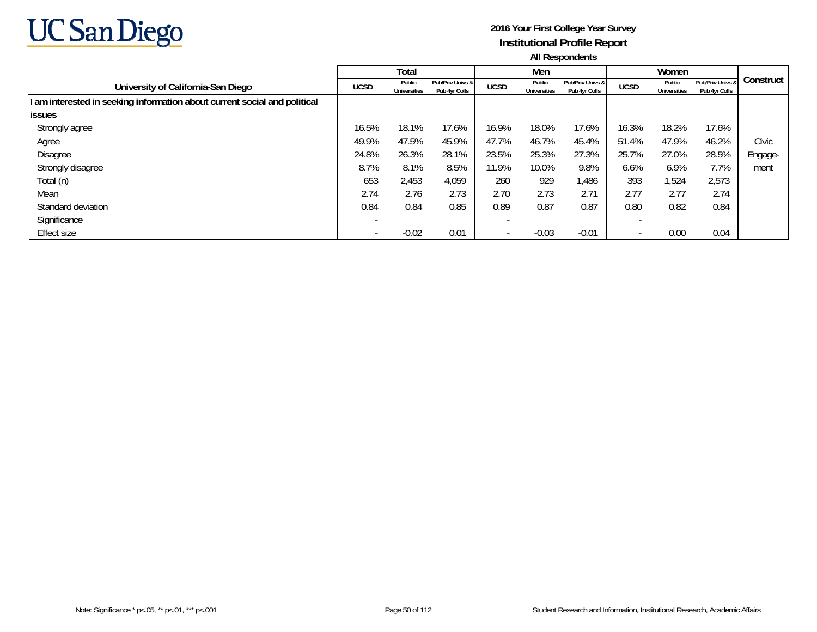

|                                                                           |                          | Total                         |                                   |             | Men                           |                                   |             | Women                         |                                   |           |
|---------------------------------------------------------------------------|--------------------------|-------------------------------|-----------------------------------|-------------|-------------------------------|-----------------------------------|-------------|-------------------------------|-----------------------------------|-----------|
| University of California-San Diego                                        | <b>UCSD</b>              | Public<br><b>Universities</b> | Pub/Priv Univs &<br>Pub 4yr Colls | <b>UCSD</b> | Public<br><b>Universities</b> | Pub/Priv Univs &<br>Pub 4yr Colls | <b>UCSD</b> | Public<br><b>Universities</b> | Pub/Priv Univs &<br>Pub 4yr Colls | Construct |
| I am interested in seeking information about current social and political |                          |                               |                                   |             |                               |                                   |             |                               |                                   |           |
| <b>issues</b>                                                             |                          |                               |                                   |             |                               |                                   |             |                               |                                   |           |
| Strongly agree                                                            | 16.5%                    | 18.1%                         | 17.6%                             | 16.9%       | 18.0%                         | 17.6%                             | 16.3%       | 18.2%                         | 17.6%                             |           |
| Agree                                                                     | 49.9%                    | 47.5%                         | 45.9%                             | 47.7%       | 46.7%                         | 45.4%                             | 51.4%       | 47.9%                         | 46.2%                             | Civic     |
| Disagree                                                                  | 24.8%                    | 26.3%                         | 28.1%                             | 23.5%       | 25.3%                         | 27.3%                             | 25.7%       | 27.0%                         | 28.5%                             | Engage-   |
| Strongly disagree                                                         | 8.7%                     | 8.1%                          | 8.5%                              | 11.9%       | 10.0%                         | 9.8%                              | 6.6%        | 6.9%                          | 7.7%                              | ment      |
| Total (n)                                                                 | 653                      | 2,453                         | 4,059                             | 260         | 929                           | 1,486                             | 393         | 1,524                         | 2,573                             |           |
| Mean                                                                      | 2.74                     | 2.76                          | 2.73                              | 2.70        | 2.73                          | 2.71                              | 2.77        | 2.77                          | 2.74                              |           |
| Standard deviation                                                        | 0.84                     | 0.84                          | 0.85                              | 0.89        | 0.87                          | 0.87                              | 0.80        | 0.82                          | 0.84                              |           |
| Significance                                                              |                          |                               |                                   |             |                               |                                   |             |                               |                                   |           |
| Effect size                                                               | $\overline{\phantom{0}}$ | $-0.02$                       | 0.01                              |             | $-0.03$                       | $-0.01$                           |             | 0.00                          | 0.04                              |           |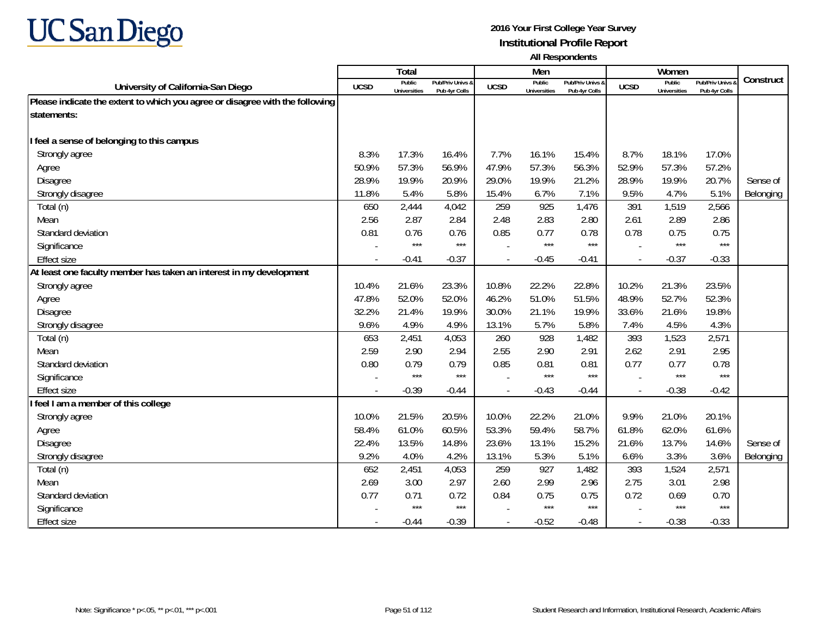

|                                                                              |       | Total                         |                                   |             | Men                           |                                   |                          | Women                         |                                        |                  |
|------------------------------------------------------------------------------|-------|-------------------------------|-----------------------------------|-------------|-------------------------------|-----------------------------------|--------------------------|-------------------------------|----------------------------------------|------------------|
| University of California-San Diego                                           | UCSD  | Public<br><b>Universities</b> | Pub/Priv Univs &<br>Pub 4yr Colls | <b>UCSD</b> | Public<br><b>Universities</b> | Pub/Priv Univs &<br>Pub 4yr Colls | <b>UCSD</b>              | Public<br><b>Universities</b> | <b>Pub/Priv Univs</b><br>Pub 4yr Colls | Construct        |
| Please indicate the extent to which you agree or disagree with the following |       |                               |                                   |             |                               |                                   |                          |                               |                                        |                  |
| statements:                                                                  |       |                               |                                   |             |                               |                                   |                          |                               |                                        |                  |
|                                                                              |       |                               |                                   |             |                               |                                   |                          |                               |                                        |                  |
| I feel a sense of belonging to this campus                                   |       |                               |                                   |             |                               |                                   |                          |                               |                                        |                  |
| Strongly agree                                                               | 8.3%  | 17.3%                         | 16.4%                             | 7.7%        | 16.1%                         | 15.4%                             | 8.7%                     | 18.1%                         | 17.0%                                  |                  |
| Agree                                                                        | 50.9% | 57.3%                         | 56.9%                             | 47.9%       | 57.3%                         | 56.3%                             | 52.9%                    | 57.3%                         | 57.2%                                  |                  |
| Disagree                                                                     | 28.9% | 19.9%                         | 20.9%                             | 29.0%       | 19.9%                         | 21.2%                             | 28.9%                    | 19.9%                         | 20.7%                                  | Sense of         |
| Strongly disagree                                                            | 11.8% | 5.4%                          | 5.8%                              | 15.4%       | 6.7%                          | 7.1%                              | 9.5%                     | 4.7%                          | 5.1%                                   | <b>Belonging</b> |
| Total (n)                                                                    | 650   | 2,444                         | 4,042                             | 259         | 925                           | 1,476                             | 391                      | 1,519                         | 2,566                                  |                  |
| Mean                                                                         | 2.56  | 2.87                          | 2.84                              | 2.48        | 2.83                          | 2.80                              | 2.61                     | 2.89                          | 2.86                                   |                  |
| Standard deviation                                                           | 0.81  | 0.76                          | 0.76                              | 0.85        | 0.77                          | 0.78                              | 0.78                     | 0.75                          | 0.75                                   |                  |
| Significance                                                                 |       | $***$                         | $***$                             |             | $***$                         | $***$                             |                          | $***$                         | $***$                                  |                  |
| <b>Effect size</b>                                                           |       | $-0.41$                       | $-0.37$                           |             | $-0.45$                       | $-0.41$                           | $\overline{\phantom{a}}$ | $-0.37$                       | $-0.33$                                |                  |
| At least one faculty member has taken an interest in my development          |       |                               |                                   |             |                               |                                   |                          |                               |                                        |                  |
| Strongly agree                                                               | 10.4% | 21.6%                         | 23.3%                             | 10.8%       | 22.2%                         | 22.8%                             | 10.2%                    | 21.3%                         | 23.5%                                  |                  |
| Agree                                                                        | 47.8% | 52.0%                         | 52.0%                             | 46.2%       | 51.0%                         | 51.5%                             | 48.9%                    | 52.7%                         | 52.3%                                  |                  |
| <b>Disagree</b>                                                              | 32.2% | 21.4%                         | 19.9%                             | 30.0%       | 21.1%                         | 19.9%                             | 33.6%                    | 21.6%                         | 19.8%                                  |                  |
| Strongly disagree                                                            | 9.6%  | 4.9%                          | 4.9%                              | 13.1%       | 5.7%                          | 5.8%                              | 7.4%                     | 4.5%                          | 4.3%                                   |                  |
| Total (n)                                                                    | 653   | 2,451                         | 4,053                             | 260         | 928                           | 1,482                             | 393                      | 1,523                         | 2,571                                  |                  |
| Mean                                                                         | 2.59  | 2.90                          | 2.94                              | 2.55        | 2.90                          | 2.91                              | 2.62                     | 2.91                          | 2.95                                   |                  |
| Standard deviation                                                           | 0.80  | 0.79                          | 0.79                              | 0.85        | 0.81                          | 0.81                              | 0.77                     | 0.77                          | 0.78                                   |                  |
| Significance                                                                 |       | $***$                         | $***$                             |             | $***$                         | $***$                             |                          | $***$                         | $***$                                  |                  |
| <b>Effect size</b>                                                           |       | $-0.39$                       | $-0.44$                           |             | $-0.43$                       | $-0.44$                           | $\overline{\phantom{a}}$ | $-0.38$                       | $-0.42$                                |                  |
| feel I am a member of this college                                           |       |                               |                                   |             |                               |                                   |                          |                               |                                        |                  |
| Strongly agree                                                               | 10.0% | 21.5%                         | 20.5%                             | 10.0%       | 22.2%                         | 21.0%                             | 9.9%                     | 21.0%                         | 20.1%                                  |                  |
| Agree                                                                        | 58.4% | 61.0%                         | 60.5%                             | 53.3%       | 59.4%                         | 58.7%                             | 61.8%                    | 62.0%                         | 61.6%                                  |                  |
| <b>Disagree</b>                                                              | 22.4% | 13.5%                         | 14.8%                             | 23.6%       | 13.1%                         | 15.2%                             | 21.6%                    | 13.7%                         | 14.6%                                  | Sense of         |
| Strongly disagree                                                            | 9.2%  | 4.0%                          | 4.2%                              | 13.1%       | 5.3%                          | 5.1%                              | 6.6%                     | 3.3%                          | 3.6%                                   | Belonging        |
| Total (n)                                                                    | 652   | 2,451                         | 4,053                             | 259         | 927                           | 1,482                             | 393                      | 1,524                         | 2,571                                  |                  |
| Mean                                                                         | 2.69  | 3.00                          | 2.97                              | 2.60        | 2.99                          | 2.96                              | 2.75                     | 3.01                          | 2.98                                   |                  |
| Standard deviation                                                           | 0.77  | 0.71                          | 0.72                              | 0.84        | 0.75                          | 0.75                              | 0.72                     | 0.69                          | 0.70                                   |                  |
| Significance                                                                 |       | $***$                         | $***$                             |             | ***                           | $***$                             |                          | $***$                         | $***$                                  |                  |
| <b>Effect size</b>                                                           |       | $-0.44$                       | $-0.39$                           |             | $-0.52$                       | $-0.48$                           | $\overline{\phantom{a}}$ | $-0.38$                       | $-0.33$                                |                  |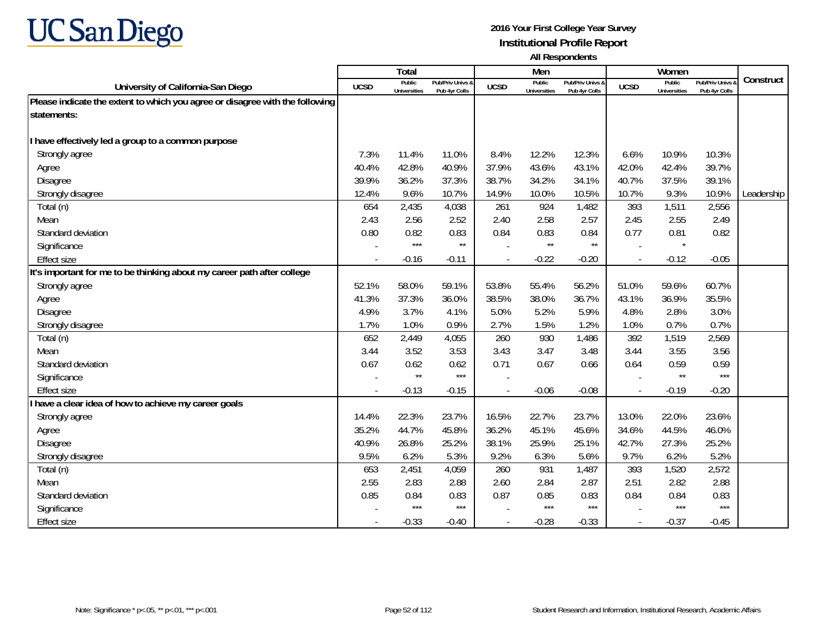

|                                                                              |             | Total                         |                                   |             | Men                           |                                   |                          | Women                         |                                        |            |
|------------------------------------------------------------------------------|-------------|-------------------------------|-----------------------------------|-------------|-------------------------------|-----------------------------------|--------------------------|-------------------------------|----------------------------------------|------------|
| University of California-San Diego                                           | <b>UCSD</b> | Public<br><b>Universities</b> | Pub/Priv Univs &<br>Pub 4yr Colls | <b>UCSD</b> | Public<br><b>Universities</b> | Pub/Priv Univs &<br>Pub 4yr Colls | <b>UCSD</b>              | Public<br><b>Universities</b> | <b>Pub/Priv Univs</b><br>Pub 4yr Colls | Construct  |
| Please indicate the extent to which you agree or disagree with the following |             |                               |                                   |             |                               |                                   |                          |                               |                                        |            |
| statements:                                                                  |             |                               |                                   |             |                               |                                   |                          |                               |                                        |            |
|                                                                              |             |                               |                                   |             |                               |                                   |                          |                               |                                        |            |
| have effectively led a group to a common purpose                             |             |                               |                                   |             |                               |                                   |                          |                               |                                        |            |
| Strongly agree                                                               | 7.3%        | 11.4%                         | 11.0%                             | 8.4%        | 12.2%                         | 12.3%                             | 6.6%                     | 10.9%                         | 10.3%                                  |            |
| Agree                                                                        | 40.4%       | 42.8%                         | 40.9%                             | 37.9%       | 43.6%                         | 43.1%                             | 42.0%                    | 42.4%                         | 39.7%                                  |            |
| <b>Disagree</b>                                                              | 39.9%       | 36.2%                         | 37.3%                             | 38.7%       | 34.2%                         | 34.1%                             | 40.7%                    | 37.5%                         | 39.1%                                  |            |
| Strongly disagree                                                            | 12.4%       | 9.6%                          | 10.7%                             | 14.9%       | 10.0%                         | 10.5%                             | 10.7%                    | 9.3%                          | 10.9%                                  | Leadership |
| Total (n)                                                                    | 654         | 2,435                         | 4,038                             | 261         | 924                           | 1,482                             | 393                      | 1,511                         | 2,556                                  |            |
| Mean                                                                         | 2.43        | 2.56                          | 2.52                              | 2.40        | 2.58                          | 2.57                              | 2.45                     | 2.55                          | 2.49                                   |            |
| Standard deviation                                                           | 0.80        | 0.82                          | 0.83                              | 0.84        | 0.83                          | 0.84                              | 0.77                     | 0.81                          | 0.82                                   |            |
| Significance                                                                 |             | $***$                         | $\star\star$                      |             | $\star\star$                  | $\star\star$                      |                          | $\star$                       |                                        |            |
| <b>Effect size</b>                                                           |             | $-0.16$                       | $-0.11$                           |             | $-0.22$                       | $-0.20$                           |                          | $-0.12$                       | $-0.05$                                |            |
| It's important for me to be thinking about my career path after college      |             |                               |                                   |             |                               |                                   |                          |                               |                                        |            |
| Strongly agree                                                               | 52.1%       | 58.0%                         | 59.1%                             | 53.8%       | 55.4%                         | 56.2%                             | 51.0%                    | 59.6%                         | 60.7%                                  |            |
| Agree                                                                        | 41.3%       | 37.3%                         | 36.0%                             | 38.5%       | 38.0%                         | 36.7%                             | 43.1%                    | 36.9%                         | 35.5%                                  |            |
| <b>Disagree</b>                                                              | 4.9%        | 3.7%                          | 4.1%                              | 5.0%        | 5.2%                          | 5.9%                              | 4.8%                     | 2.8%                          | 3.0%                                   |            |
| Strongly disagree                                                            | 1.7%        | 1.0%                          | 0.9%                              | 2.7%        | 1.5%                          | 1.2%                              | 1.0%                     | 0.7%                          | 0.7%                                   |            |
| Total (n)                                                                    | 652         | 2,449                         | 4,055                             | 260         | 930                           | 1,486                             | 392                      | 1,519                         | 2,569                                  |            |
| Mean                                                                         | 3.44        | 3.52                          | 3.53                              | 3.43        | 3.47                          | 3.48                              | 3.44                     | 3.55                          | 3.56                                   |            |
| Standard deviation                                                           | 0.67        | 0.62                          | 0.62                              | 0.71        | 0.67                          | 0.66                              | 0.64                     | 0.59                          | 0.59                                   |            |
| Significance                                                                 |             | $\star\star$                  | $***$                             |             |                               |                                   |                          | $\star\star$                  | $***$                                  |            |
| <b>Effect size</b>                                                           |             | $-0.13$                       | $-0.15$                           |             | $-0.06$                       | $-0.08$                           | $\overline{\phantom{a}}$ | $-0.19$                       | $-0.20$                                |            |
| have a clear idea of how to achieve my career goals                          |             |                               |                                   |             |                               |                                   |                          |                               |                                        |            |
| Strongly agree                                                               | 14.4%       | 22.3%                         | 23.7%                             | 16.5%       | 22.7%                         | 23.7%                             | 13.0%                    | 22.0%                         | 23.6%                                  |            |
| Agree                                                                        | 35.2%       | 44.7%                         | 45.8%                             | 36.2%       | 45.1%                         | 45.6%                             | 34.6%                    | 44.5%                         | 46.0%                                  |            |
| <b>Disagree</b>                                                              | 40.9%       | 26.8%                         | 25.2%                             | 38.1%       | 25.9%                         | 25.1%                             | 42.7%                    | 27.3%                         | 25.2%                                  |            |
| Strongly disagree                                                            | 9.5%        | 6.2%                          | 5.3%                              | 9.2%        | 6.3%                          | 5.6%                              | 9.7%                     | 6.2%                          | 5.2%                                   |            |
| Total (n)                                                                    | 653         | 2,451                         | 4,059                             | 260         | 931                           | 1,487                             | 393                      | 1,520                         | 2,572                                  |            |
| Mean                                                                         | 2.55        | 2.83                          | 2.88                              | 2.60        | 2.84                          | 2.87                              | 2.51                     | 2.82                          | 2.88                                   |            |
| Standard deviation                                                           | 0.85        | 0.84                          | 0.83                              | 0.87        | 0.85                          | 0.83                              | 0.84                     | 0.84                          | 0.83                                   |            |
| Significance                                                                 |             | $***$                         | $***$                             |             | ***                           | $***$                             |                          | $***$                         | $***$                                  |            |
| <b>Effect size</b>                                                           |             | $-0.33$                       | $-0.40$                           |             | $-0.28$                       | $-0.33$                           | $\overline{a}$           | $-0.37$                       | $-0.45$                                |            |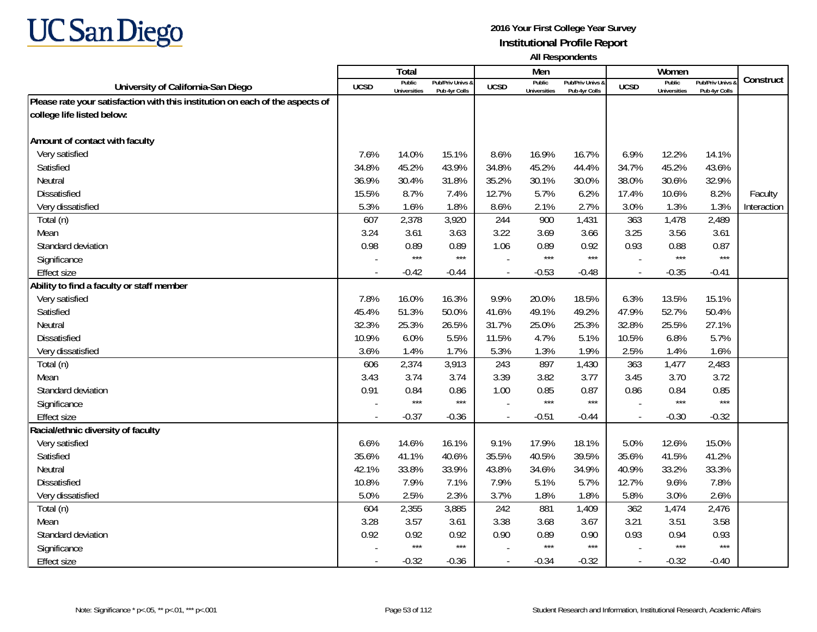

|                                                                               |             | <b>Total</b>                  |                                   |                | Men                           |                                   |                          | Women                         |                                        |             |
|-------------------------------------------------------------------------------|-------------|-------------------------------|-----------------------------------|----------------|-------------------------------|-----------------------------------|--------------------------|-------------------------------|----------------------------------------|-------------|
| University of California-San Diego                                            | <b>UCSD</b> | Public<br><b>Universities</b> | Pub/Priv Univs &<br>Pub 4yr Colls | <b>UCSD</b>    | Public<br><b>Universities</b> | Pub/Priv Univs &<br>Pub 4yr Colls | <b>UCSD</b>              | Public<br><b>Universities</b> | <b>Pub/Priv Univs</b><br>Pub 4yr Colls | Construct   |
| Please rate your satisfaction with this institution on each of the aspects of |             |                               |                                   |                |                               |                                   |                          |                               |                                        |             |
| college life listed below:                                                    |             |                               |                                   |                |                               |                                   |                          |                               |                                        |             |
|                                                                               |             |                               |                                   |                |                               |                                   |                          |                               |                                        |             |
| Amount of contact with faculty                                                |             |                               |                                   |                |                               |                                   |                          |                               |                                        |             |
| Very satisfied                                                                | 7.6%        | 14.0%                         | 15.1%                             | 8.6%           | 16.9%                         | 16.7%                             | 6.9%                     | 12.2%                         | 14.1%                                  |             |
| Satisfied                                                                     | 34.8%       | 45.2%                         | 43.9%                             | 34.8%          | 45.2%                         | 44.4%                             | 34.7%                    | 45.2%                         | 43.6%                                  |             |
| Neutral                                                                       | 36.9%       | 30.4%                         | 31.8%                             | 35.2%          | 30.1%                         | 30.0%                             | 38.0%                    | 30.6%                         | 32.9%                                  |             |
| Dissatisfied                                                                  | 15.5%       | 8.7%                          | 7.4%                              | 12.7%          | 5.7%                          | 6.2%                              | 17.4%                    | 10.6%                         | 8.2%                                   | Faculty     |
| Very dissatisfied                                                             | 5.3%        | 1.6%                          | 1.8%                              | 8.6%           | 2.1%                          | 2.7%                              | 3.0%                     | 1.3%                          | 1.3%                                   | Interaction |
| Total (n)                                                                     | 607         | 2,378                         | 3,920                             | 244            | 900                           | 1,431                             | 363                      | 1,478                         | 2,489                                  |             |
| Mean                                                                          | 3.24        | 3.61                          | 3.63                              | 3.22           | 3.69                          | 3.66                              | 3.25                     | 3.56                          | 3.61                                   |             |
| Standard deviation                                                            | 0.98        | 0.89                          | 0.89                              | 1.06           | 0.89                          | 0.92                              | 0.93                     | 0.88                          | 0.87                                   |             |
| Significance                                                                  |             | $***$                         | $***$                             |                | $***$                         | $***$                             |                          | $***$                         | $***$                                  |             |
| <b>Effect size</b>                                                            | $\sim$      | $-0.42$                       | $-0.44$                           |                | $-0.53$                       | $-0.48$                           | $\sim$                   | $-0.35$                       | $-0.41$                                |             |
| Ability to find a faculty or staff member                                     |             |                               |                                   |                |                               |                                   |                          |                               |                                        |             |
| Very satisfied                                                                | 7.8%        | 16.0%                         | 16.3%                             | 9.9%           | 20.0%                         | 18.5%                             | 6.3%                     | 13.5%                         | 15.1%                                  |             |
| Satisfied                                                                     | 45.4%       | 51.3%                         | 50.0%                             | 41.6%          | 49.1%                         | 49.2%                             | 47.9%                    | 52.7%                         | 50.4%                                  |             |
| Neutral                                                                       | 32.3%       | 25.3%                         | 26.5%                             | 31.7%          | 25.0%                         | 25.3%                             | 32.8%                    | 25.5%                         | 27.1%                                  |             |
| <b>Dissatisfied</b>                                                           | 10.9%       | 6.0%                          | 5.5%                              | 11.5%          | 4.7%                          | 5.1%                              | 10.5%                    | 6.8%                          | 5.7%                                   |             |
| Very dissatisfied                                                             | 3.6%        | 1.4%                          | 1.7%                              | 5.3%           | 1.3%                          | 1.9%                              | 2.5%                     | 1.4%                          | 1.6%                                   |             |
| Total (n)                                                                     | 606         | 2,374                         | 3,913                             | 243            | 897                           | 1,430                             | 363                      | 1,477                         | 2,483                                  |             |
| Mean                                                                          | 3.43        | 3.74                          | 3.74                              | 3.39           | 3.82                          | 3.77                              | 3.45                     | 3.70                          | 3.72                                   |             |
| Standard deviation                                                            | 0.91        | 0.84                          | 0.86                              | 1.00           | 0.85                          | 0.87                              | 0.86                     | 0.84                          | 0.85                                   |             |
| Significance                                                                  |             | $***$                         | $***$                             |                | $***$                         | $***$                             |                          | $***$                         | $***$                                  |             |
| <b>Effect size</b>                                                            | $\sim$      | $-0.37$                       | $-0.36$                           | $\blacksquare$ | $-0.51$                       | $-0.44$                           | $\overline{\phantom{a}}$ | $-0.30$                       | $-0.32$                                |             |
| Racial/ethnic diversity of faculty                                            |             |                               |                                   |                |                               |                                   |                          |                               |                                        |             |
| Very satisfied                                                                | 6.6%        | 14.6%                         | 16.1%                             | 9.1%           | 17.9%                         | 18.1%                             | 5.0%                     | 12.6%                         | 15.0%                                  |             |
| Satisfied                                                                     | 35.6%       | 41.1%                         | 40.6%                             | 35.5%          | 40.5%                         | 39.5%                             | 35.6%                    | 41.5%                         | 41.2%                                  |             |
| Neutral                                                                       | 42.1%       | 33.8%                         | 33.9%                             | 43.8%          | 34.6%                         | 34.9%                             | 40.9%                    | 33.2%                         | 33.3%                                  |             |
| <b>Dissatisfied</b>                                                           | 10.8%       | 7.9%                          | 7.1%                              | 7.9%           | 5.1%                          | 5.7%                              | 12.7%                    | 9.6%                          | 7.8%                                   |             |
| Very dissatisfied                                                             | 5.0%        | 2.5%                          | 2.3%                              | 3.7%           | 1.8%                          | 1.8%                              | 5.8%                     | 3.0%                          | 2.6%                                   |             |
| Total (n)                                                                     | 604         | 2,355                         | 3,885                             | 242            | 881                           | 1,409                             | 362                      | 1,474                         | 2,476                                  |             |
| Mean                                                                          | 3.28        | 3.57                          | 3.61                              | 3.38           | 3.68                          | 3.67                              | 3.21                     | 3.51                          | 3.58                                   |             |
| Standard deviation                                                            | 0.92        | 0.92                          | 0.92                              | 0.90           | 0.89                          | 0.90                              | 0.93                     | 0.94                          | 0.93                                   |             |
| Significance                                                                  |             | $***$                         | $***$                             |                | $***$                         | $***$                             |                          | $***$                         | $***$                                  |             |
| <b>Effect size</b>                                                            | $\sim$      | $-0.32$                       | $-0.36$                           |                | $-0.34$                       | $-0.32$                           | $\overline{\phantom{a}}$ | $-0.32$                       | $-0.40$                                |             |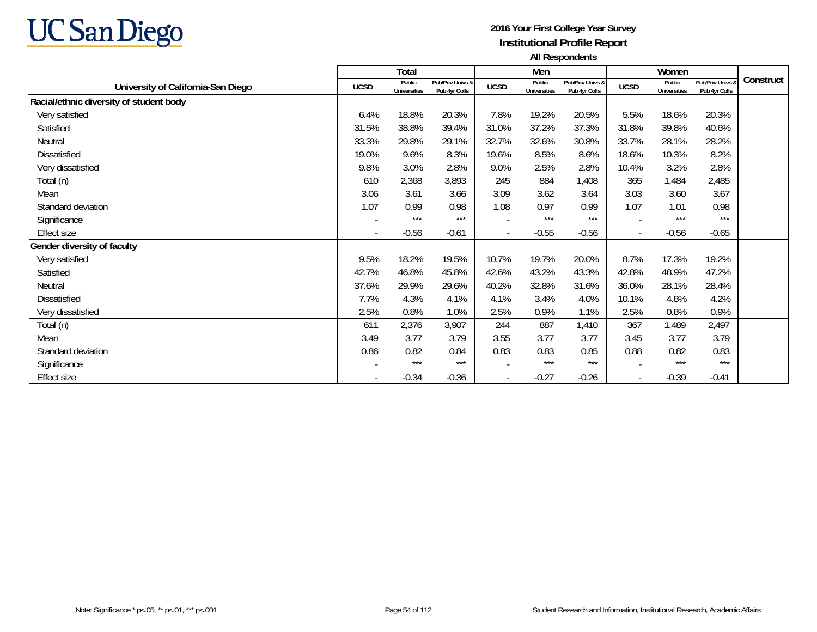

|                                         |                          | <b>Total</b>                  |                                   |                          | Men                           |                                   |             | Women                         |                                   |           |
|-----------------------------------------|--------------------------|-------------------------------|-----------------------------------|--------------------------|-------------------------------|-----------------------------------|-------------|-------------------------------|-----------------------------------|-----------|
| University of California-San Diego      | <b>UCSD</b>              | Public<br><b>Universities</b> | Pub/Priv Univs &<br>Pub 4yr Colls | <b>UCSD</b>              | Public<br><b>Universities</b> | Pub/Priv Univs &<br>Pub 4yr Colls | <b>UCSD</b> | Public<br><b>Universities</b> | Pub/Priv Univs &<br>Pub 4yr Colls | Construct |
| Racial/ethnic diversity of student body |                          |                               |                                   |                          |                               |                                   |             |                               |                                   |           |
| Very satisfied                          | 6.4%                     | 18.8%                         | 20.3%                             | 7.8%                     | 19.2%                         | 20.5%                             | 5.5%        | 18.6%                         | 20.3%                             |           |
| Satisfied                               | 31.5%                    | 38.8%                         | 39.4%                             | 31.0%                    | 37.2%                         | 37.3%                             | 31.8%       | 39.8%                         | 40.6%                             |           |
| Neutral                                 | 33.3%                    | 29.8%                         | 29.1%                             | 32.7%                    | 32.6%                         | 30.8%                             | 33.7%       | 28.1%                         | 28.2%                             |           |
| <b>Dissatisfied</b>                     | 19.0%                    | 9.6%                          | 8.3%                              | 19.6%                    | 8.5%                          | 8.6%                              | 18.6%       | 10.3%                         | 8.2%                              |           |
| Very dissatisfied                       | 9.8%                     | 3.0%                          | 2.8%                              | 9.0%                     | 2.5%                          | 2.8%                              | 10.4%       | 3.2%                          | 2.8%                              |           |
| Total (n)                               | 610                      | 2,368                         | 3,893                             | 245                      | 884                           | 1,408                             | 365         | 1,484                         | 2,485                             |           |
| Mean                                    | 3.06                     | 3.61                          | 3.66                              | 3.09                     | 3.62                          | 3.64                              | 3.03        | 3.60                          | 3.67                              |           |
| Standard deviation                      | 1.07                     | 0.99                          | 0.98                              | 1.08                     | 0.97                          | 0.99                              | 1.07        | 1.01                          | 0.98                              |           |
| Significance                            |                          | $***$                         | $***$                             |                          | $***$                         | $***$                             |             | $***$                         | $***$                             |           |
| <b>Effect size</b>                      | $\overline{\phantom{a}}$ | $-0.56$                       | $-0.61$                           | $\blacksquare$           | $-0.55$                       | $-0.56$                           | $\sim$      | $-0.56$                       | $-0.65$                           |           |
| Gender diversity of faculty             |                          |                               |                                   |                          |                               |                                   |             |                               |                                   |           |
| Very satisfied                          | 9.5%                     | 18.2%                         | 19.5%                             | 10.7%                    | 19.7%                         | 20.0%                             | 8.7%        | 17.3%                         | 19.2%                             |           |
| Satisfied                               | 42.7%                    | 46.8%                         | 45.8%                             | 42.6%                    | 43.2%                         | 43.3%                             | 42.8%       | 48.9%                         | 47.2%                             |           |
| Neutral                                 | 37.6%                    | 29.9%                         | 29.6%                             | 40.2%                    | 32.8%                         | 31.6%                             | 36.0%       | 28.1%                         | 28.4%                             |           |
| <b>Dissatisfied</b>                     | 7.7%                     | 4.3%                          | 4.1%                              | 4.1%                     | 3.4%                          | 4.0%                              | 10.1%       | 4.8%                          | 4.2%                              |           |
| Very dissatisfied                       | 2.5%                     | 0.8%                          | 1.0%                              | 2.5%                     | 0.9%                          | 1.1%                              | 2.5%        | 0.8%                          | 0.9%                              |           |
| Total (n)                               | 611                      | 2,376                         | 3,907                             | 244                      | 887                           | 1,410                             | 367         | 1,489                         | 2,497                             |           |
| Mean                                    | 3.49                     | 3.77                          | 3.79                              | 3.55                     | 3.77                          | 3.77                              | 3.45        | 3.77                          | 3.79                              |           |
| Standard deviation                      | 0.86                     | 0.82                          | 0.84                              | 0.83                     | 0.83                          | 0.85                              | 0.88        | 0.82                          | 0.83                              |           |
| Significance                            |                          | ***                           | $***$                             |                          | $***$                         | ***                               |             | $***$                         | $***$                             |           |
| Effect size                             |                          | $-0.34$                       | $-0.36$                           | $\overline{\phantom{a}}$ | $-0.27$                       | $-0.26$                           |             | $-0.39$                       | $-0.41$                           |           |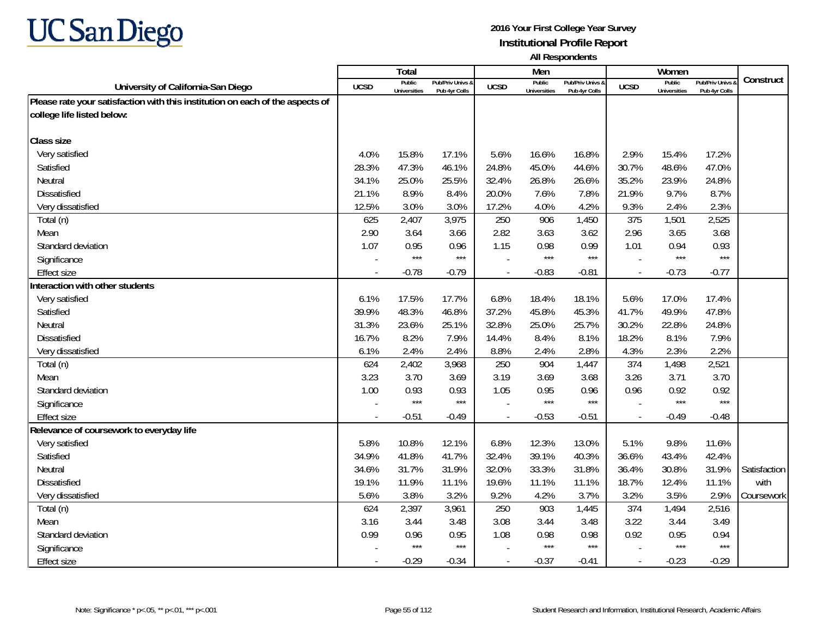

|                                                                               |             | Total                         |                                   |                | Men                           |                                   |                | Women                         |                                        |              |
|-------------------------------------------------------------------------------|-------------|-------------------------------|-----------------------------------|----------------|-------------------------------|-----------------------------------|----------------|-------------------------------|----------------------------------------|--------------|
| University of California-San Diego                                            | <b>UCSD</b> | Public<br><b>Universities</b> | Pub/Priv Univs &<br>Pub 4yr Colls | <b>UCSD</b>    | Public<br><b>Universities</b> | Pub/Priv Univs &<br>Pub 4yr Colls | <b>UCSD</b>    | Public<br><b>Universities</b> | <b>Pub/Priv Univs</b><br>Pub 4yr Colls | Construct    |
| Please rate your satisfaction with this institution on each of the aspects of |             |                               |                                   |                |                               |                                   |                |                               |                                        |              |
| college life listed below:                                                    |             |                               |                                   |                |                               |                                   |                |                               |                                        |              |
|                                                                               |             |                               |                                   |                |                               |                                   |                |                               |                                        |              |
| <b>Class size</b>                                                             |             |                               |                                   |                |                               |                                   |                |                               |                                        |              |
| Very satisfied                                                                | 4.0%        | 15.8%                         | 17.1%                             | 5.6%           | 16.6%                         | 16.8%                             | 2.9%           | 15.4%                         | 17.2%                                  |              |
| Satisfied                                                                     | 28.3%       | 47.3%                         | 46.1%                             | 24.8%          | 45.0%                         | 44.6%                             | 30.7%          | 48.6%                         | 47.0%                                  |              |
| Neutral                                                                       | 34.1%       | 25.0%                         | 25.5%                             | 32.4%          | 26.8%                         | 26.6%                             | 35.2%          | 23.9%                         | 24.8%                                  |              |
| <b>Dissatisfied</b>                                                           | 21.1%       | 8.9%                          | 8.4%                              | 20.0%          | 7.6%                          | 7.8%                              | 21.9%          | 9.7%                          | 8.7%                                   |              |
| Very dissatisfied                                                             | 12.5%       | 3.0%                          | 3.0%                              | 17.2%          | 4.0%                          | 4.2%                              | 9.3%           | 2.4%                          | 2.3%                                   |              |
| Total (n)                                                                     | 625         | 2,407                         | 3,975                             | 250            | 906                           | 1,450                             | 375            | 1,501                         | 2,525                                  |              |
| Mean                                                                          | 2.90        | 3.64                          | 3.66                              | 2.82           | 3.63                          | 3.62                              | 2.96           | 3.65                          | 3.68                                   |              |
| Standard deviation                                                            | 1.07        | 0.95                          | 0.96                              | 1.15           | 0.98                          | 0.99                              | 1.01           | 0.94                          | 0.93                                   |              |
| Significance                                                                  |             | $***$                         | $***$                             |                | $***$                         | $***$                             |                | $***$                         | $***$                                  |              |
| <b>Effect size</b>                                                            |             | $-0.78$                       | $-0.79$                           |                | $-0.83$                       | $-0.81$                           |                | $-0.73$                       | $-0.77$                                |              |
| Interaction with other students                                               |             |                               |                                   |                |                               |                                   |                |                               |                                        |              |
| Very satisfied                                                                | 6.1%        | 17.5%                         | 17.7%                             | 6.8%           | 18.4%                         | 18.1%                             | 5.6%           | 17.0%                         | 17.4%                                  |              |
| Satisfied                                                                     | 39.9%       | 48.3%                         | 46.8%                             | 37.2%          | 45.8%                         | 45.3%                             | 41.7%          | 49.9%                         | 47.8%                                  |              |
| Neutral                                                                       | 31.3%       | 23.6%                         | 25.1%                             | 32.8%          | 25.0%                         | 25.7%                             | 30.2%          | 22.8%                         | 24.8%                                  |              |
| <b>Dissatisfied</b>                                                           | 16.7%       | 8.2%                          | 7.9%                              | 14.4%          | 8.4%                          | 8.1%                              | 18.2%          | 8.1%                          | 7.9%                                   |              |
| Very dissatisfied                                                             | 6.1%        | 2.4%                          | 2.4%                              | 8.8%           | 2.4%                          | 2.8%                              | 4.3%           | 2.3%                          | 2.2%                                   |              |
| Total (n)                                                                     | 624         | 2,402                         | 3,968                             | 250            | 904                           | 1,447                             | 374            | 1,498                         | 2,521                                  |              |
| Mean                                                                          | 3.23        | 3.70                          | 3.69                              | 3.19           | 3.69                          | 3.68                              | 3.26           | 3.71                          | 3.70                                   |              |
| Standard deviation                                                            | 1.00        | 0.93                          | 0.93                              | 1.05           | 0.95                          | 0.96                              | 0.96           | 0.92                          | 0.92                                   |              |
| Significance                                                                  |             | $***$                         | $***$                             |                | $***$                         | $***$                             |                | $***$                         | $***$                                  |              |
| <b>Effect size</b>                                                            |             | $-0.51$                       | $-0.49$                           | $\overline{a}$ | $-0.53$                       | $-0.51$                           | $\overline{a}$ | $-0.49$                       | $-0.48$                                |              |
| Relevance of coursework to everyday life                                      |             |                               |                                   |                |                               |                                   |                |                               |                                        |              |
| Very satisfied                                                                | 5.8%        | 10.8%                         | 12.1%                             | 6.8%           | 12.3%                         | 13.0%                             | 5.1%           | 9.8%                          | 11.6%                                  |              |
| Satisfied                                                                     | 34.9%       | 41.8%                         | 41.7%                             | 32.4%          | 39.1%                         | 40.3%                             | 36.6%          | 43.4%                         | 42.4%                                  |              |
| Neutral                                                                       | 34.6%       | 31.7%                         | 31.9%                             | 32.0%          | 33.3%                         | 31.8%                             | 36.4%          | 30.8%                         | 31.9%                                  | Satisfaction |
| <b>Dissatisfied</b>                                                           | 19.1%       | 11.9%                         | 11.1%                             | 19.6%          | 11.1%                         | 11.1%                             | 18.7%          | 12.4%                         | 11.1%                                  | with         |
| Very dissatisfied                                                             | 5.6%        | 3.8%                          | 3.2%                              | 9.2%           | 4.2%                          | 3.7%                              | 3.2%           | 3.5%                          | 2.9%                                   | Coursework   |
| Total (n)                                                                     | 624         | 2,397                         | 3,961                             | 250            | 903                           | 1,445                             | 374            | 1,494                         | 2,516                                  |              |
| Mean                                                                          | 3.16        | 3.44                          | 3.48                              | 3.08           | 3.44                          | 3.48                              | 3.22           | 3.44                          | 3.49                                   |              |
| Standard deviation                                                            | 0.99        | 0.96                          | 0.95                              | 1.08           | 0.98                          | 0.98                              | 0.92           | 0.95                          | 0.94                                   |              |
| Significance                                                                  |             | $***$                         | $***$                             |                | $***$                         | $***$                             |                | $***$                         | $***$                                  |              |
| <b>Effect size</b>                                                            |             | $-0.29$                       | $-0.34$                           | $\mathbf{r}$   | $-0.37$                       | $-0.41$                           | $\sim$         | $-0.23$                       | $-0.29$                                |              |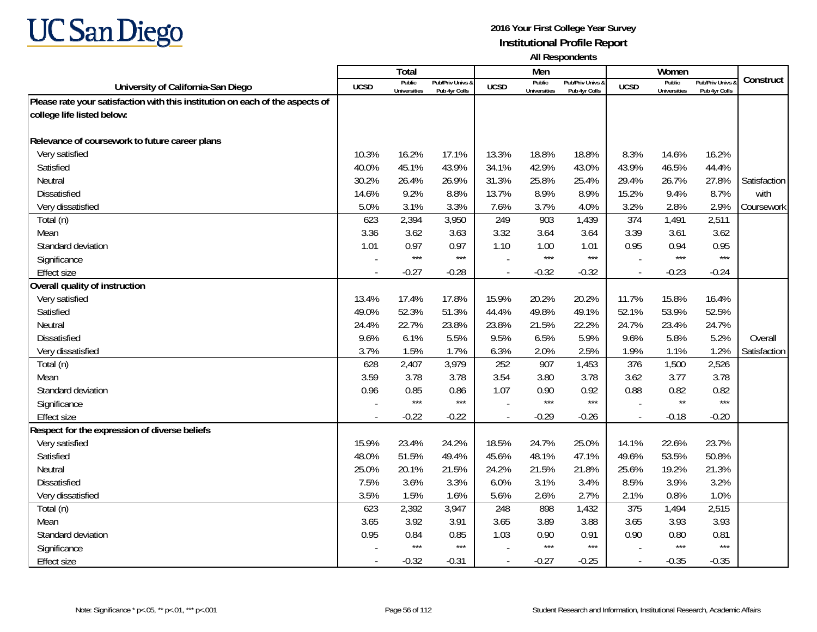

|                                                                               |             | <b>Total</b>                  |                                   |                | Men                           |                                   |                          | Women                         |                                        |              |
|-------------------------------------------------------------------------------|-------------|-------------------------------|-----------------------------------|----------------|-------------------------------|-----------------------------------|--------------------------|-------------------------------|----------------------------------------|--------------|
| University of California-San Diego                                            | <b>UCSD</b> | Public<br><b>Universities</b> | Pub/Priv Univs &<br>Pub 4yr Colls | <b>UCSD</b>    | Public<br><b>Universities</b> | Pub/Priv Univs &<br>Pub 4yr Colls | <b>UCSD</b>              | Public<br><b>Universities</b> | <b>Pub/Priv Univs</b><br>Pub 4yr Colls | Construct    |
| Please rate your satisfaction with this institution on each of the aspects of |             |                               |                                   |                |                               |                                   |                          |                               |                                        |              |
| college life listed below:                                                    |             |                               |                                   |                |                               |                                   |                          |                               |                                        |              |
|                                                                               |             |                               |                                   |                |                               |                                   |                          |                               |                                        |              |
| Relevance of coursework to future career plans                                |             |                               |                                   |                |                               |                                   |                          |                               |                                        |              |
| Very satisfied                                                                | 10.3%       | 16.2%                         | 17.1%                             | 13.3%          | 18.8%                         | 18.8%                             | 8.3%                     | 14.6%                         | 16.2%                                  |              |
| Satisfied                                                                     | 40.0%       | 45.1%                         | 43.9%                             | 34.1%          | 42.9%                         | 43.0%                             | 43.9%                    | 46.5%                         | 44.4%                                  |              |
| Neutral                                                                       | 30.2%       | 26.4%                         | 26.9%                             | 31.3%          | 25.8%                         | 25.4%                             | 29.4%                    | 26.7%                         | 27.8%                                  | Satisfaction |
| Dissatisfied                                                                  | 14.6%       | 9.2%                          | 8.8%                              | 13.7%          | 8.9%                          | 8.9%                              | 15.2%                    | 9.4%                          | 8.7%                                   | with         |
| Very dissatisfied                                                             | 5.0%        | 3.1%                          | 3.3%                              | 7.6%           | 3.7%                          | 4.0%                              | 3.2%                     | 2.8%                          | 2.9%                                   | Coursework   |
| Total (n)                                                                     | 623         | 2,394                         | 3,950                             | 249            | 903                           | 1,439                             | 374                      | 1,491                         | 2,511                                  |              |
| Mean                                                                          | 3.36        | 3.62                          | 3.63                              | 3.32           | 3.64                          | 3.64                              | 3.39                     | 3.61                          | 3.62                                   |              |
| Standard deviation                                                            | 1.01        | 0.97                          | 0.97                              | 1.10           | 1.00                          | 1.01                              | 0.95                     | 0.94                          | 0.95                                   |              |
| Significance                                                                  |             | $***$                         | $***$                             |                | $***$                         | $***$                             |                          | $***$                         | $***$                                  |              |
| <b>Effect size</b>                                                            |             | $-0.27$                       | $-0.28$                           |                | $-0.32$                       | $-0.32$                           | $\overline{a}$           | $-0.23$                       | $-0.24$                                |              |
| Overall quality of instruction                                                |             |                               |                                   |                |                               |                                   |                          |                               |                                        |              |
| Very satisfied                                                                | 13.4%       | 17.4%                         | 17.8%                             | 15.9%          | 20.2%                         | 20.2%                             | 11.7%                    | 15.8%                         | 16.4%                                  |              |
| Satisfied                                                                     | 49.0%       | 52.3%                         | 51.3%                             | 44.4%          | 49.8%                         | 49.1%                             | 52.1%                    | 53.9%                         | 52.5%                                  |              |
| Neutral                                                                       | 24.4%       | 22.7%                         | 23.8%                             | 23.8%          | 21.5%                         | 22.2%                             | 24.7%                    | 23.4%                         | 24.7%                                  |              |
| <b>Dissatisfied</b>                                                           | 9.6%        | 6.1%                          | 5.5%                              | 9.5%           | 6.5%                          | 5.9%                              | 9.6%                     | 5.8%                          | 5.2%                                   | Overall      |
| Very dissatisfied                                                             | 3.7%        | 1.5%                          | 1.7%                              | 6.3%           | 2.0%                          | 2.5%                              | 1.9%                     | 1.1%                          | 1.2%                                   | Satisfaction |
| Total (n)                                                                     | 628         | 2,407                         | 3,979                             | 252            | 907                           | 1,453                             | 376                      | 1,500                         | 2,526                                  |              |
| Mean                                                                          | 3.59        | 3.78                          | 3.78                              | 3.54           | 3.80                          | 3.78                              | 3.62                     | 3.77                          | 3.78                                   |              |
| Standard deviation                                                            | 0.96        | 0.85                          | 0.86                              | 1.07           | 0.90                          | 0.92                              | 0.88                     | 0.82                          | 0.82                                   |              |
| Significance                                                                  |             | $***$                         | $***$                             |                | $***$                         | $***$                             |                          | $\star\star$                  | $***$                                  |              |
| <b>Effect size</b>                                                            | $\sim$      | $-0.22$                       | $-0.22$                           | $\overline{a}$ | $-0.29$                       | $-0.26$                           | $\overline{\phantom{a}}$ | $-0.18$                       | $-0.20$                                |              |
| Respect for the expression of diverse beliefs                                 |             |                               |                                   |                |                               |                                   |                          |                               |                                        |              |
| Very satisfied                                                                | 15.9%       | 23.4%                         | 24.2%                             | 18.5%          | 24.7%                         | 25.0%                             | 14.1%                    | 22.6%                         | 23.7%                                  |              |
| Satisfied                                                                     | 48.0%       | 51.5%                         | 49.4%                             | 45.6%          | 48.1%                         | 47.1%                             | 49.6%                    | 53.5%                         | 50.8%                                  |              |
| Neutral                                                                       | 25.0%       | 20.1%                         | 21.5%                             | 24.2%          | 21.5%                         | 21.8%                             | 25.6%                    | 19.2%                         | 21.3%                                  |              |
| <b>Dissatisfied</b>                                                           | 7.5%        | 3.6%                          | 3.3%                              | 6.0%           | 3.1%                          | 3.4%                              | 8.5%                     | 3.9%                          | 3.2%                                   |              |
| Very dissatisfied                                                             | 3.5%        | 1.5%                          | 1.6%                              | 5.6%           | 2.6%                          | 2.7%                              | 2.1%                     | 0.8%                          | 1.0%                                   |              |
| Total (n)                                                                     | 623         | 2,392                         | 3,947                             | 248            | 898                           | 1,432                             | 375                      | 1,494                         | 2,515                                  |              |
| Mean                                                                          | 3.65        | 3.92                          | 3.91                              | 3.65           | 3.89                          | 3.88                              | 3.65                     | 3.93                          | 3.93                                   |              |
| Standard deviation                                                            | 0.95        | 0.84                          | 0.85                              | 1.03           | 0.90                          | 0.91                              | 0.90                     | 0.80                          | 0.81                                   |              |
| Significance                                                                  |             | $***$                         | $***$                             |                | $***$                         | $***$                             |                          | $***$                         | $***$                                  |              |
| <b>Effect size</b>                                                            | $\sim$      | $-0.32$                       | $-0.31$                           | $\blacksquare$ | $-0.27$                       | $-0.25$                           | $\overline{\phantom{a}}$ | $-0.35$                       | $-0.35$                                |              |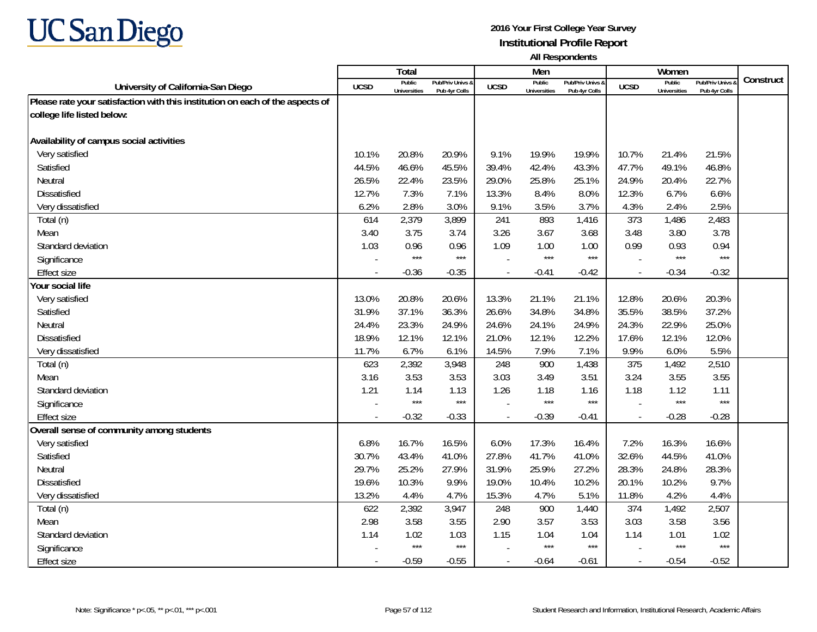

|                                                                               |                | Total                         |                                   |                          | Men                           |                                   |                          | Women                         |                                        |           |
|-------------------------------------------------------------------------------|----------------|-------------------------------|-----------------------------------|--------------------------|-------------------------------|-----------------------------------|--------------------------|-------------------------------|----------------------------------------|-----------|
| University of California-San Diego                                            | <b>UCSD</b>    | Public<br><b>Universities</b> | Pub/Priv Univs &<br>Pub 4yr Colls | <b>UCSD</b>              | Public<br><b>Universities</b> | Pub/Priv Univs &<br>Pub 4yr Colls | <b>UCSD</b>              | Public<br><b>Universities</b> | <b>Pub/Priv Univs</b><br>Pub 4yr Colls | Construct |
| Please rate your satisfaction with this institution on each of the aspects of |                |                               |                                   |                          |                               |                                   |                          |                               |                                        |           |
| college life listed below:                                                    |                |                               |                                   |                          |                               |                                   |                          |                               |                                        |           |
|                                                                               |                |                               |                                   |                          |                               |                                   |                          |                               |                                        |           |
| Availability of campus social activities                                      |                |                               |                                   |                          |                               |                                   |                          |                               |                                        |           |
| Very satisfied                                                                | 10.1%          | 20.8%                         | 20.9%                             | 9.1%                     | 19.9%                         | 19.9%                             | 10.7%                    | 21.4%                         | 21.5%                                  |           |
| Satisfied                                                                     | 44.5%          | 46.6%                         | 45.5%                             | 39.4%                    | 42.4%                         | 43.3%                             | 47.7%                    | 49.1%                         | 46.8%                                  |           |
| Neutral                                                                       | 26.5%          | 22.4%                         | 23.5%                             | 29.0%                    | 25.8%                         | 25.1%                             | 24.9%                    | 20.4%                         | 22.7%                                  |           |
| Dissatisfied                                                                  | 12.7%          | 7.3%                          | 7.1%                              | 13.3%                    | 8.4%                          | 8.0%                              | 12.3%                    | 6.7%                          | 6.6%                                   |           |
| Very dissatisfied                                                             | 6.2%           | 2.8%                          | 3.0%                              | 9.1%                     | 3.5%                          | 3.7%                              | 4.3%                     | 2.4%                          | 2.5%                                   |           |
| Total (n)                                                                     | 614            | 2,379                         | 3,899                             | 241                      | 893                           | 1,416                             | 373                      | 1,486                         | 2,483                                  |           |
| Mean                                                                          | 3.40           | 3.75                          | 3.74                              | 3.26                     | 3.67                          | 3.68                              | 3.48                     | 3.80                          | 3.78                                   |           |
| Standard deviation                                                            | 1.03           | 0.96                          | 0.96                              | 1.09                     | 1.00                          | 1.00                              | 0.99                     | 0.93                          | 0.94                                   |           |
| Significance                                                                  |                | $***$                         | $***$                             |                          | $***$                         | $***$                             |                          | $***$                         | $***$                                  |           |
| <b>Effect size</b>                                                            | $\sim$         | $-0.36$                       | $-0.35$                           | $\overline{a}$           | $-0.41$                       | $-0.42$                           | $\overline{\phantom{a}}$ | $-0.34$                       | $-0.32$                                |           |
| Your social life                                                              |                |                               |                                   |                          |                               |                                   |                          |                               |                                        |           |
| Very satisfied                                                                | 13.0%          | 20.8%                         | 20.6%                             | 13.3%                    | 21.1%                         | 21.1%                             | 12.8%                    | 20.6%                         | 20.3%                                  |           |
| Satisfied                                                                     | 31.9%          | 37.1%                         | 36.3%                             | 26.6%                    | 34.8%                         | 34.8%                             | 35.5%                    | 38.5%                         | 37.2%                                  |           |
| Neutral                                                                       | 24.4%          | 23.3%                         | 24.9%                             | 24.6%                    | 24.1%                         | 24.9%                             | 24.3%                    | 22.9%                         | 25.0%                                  |           |
| <b>Dissatisfied</b>                                                           | 18.9%          | 12.1%                         | 12.1%                             | 21.0%                    | 12.1%                         | 12.2%                             | 17.6%                    | 12.1%                         | 12.0%                                  |           |
| Very dissatisfied                                                             | 11.7%          | 6.7%                          | 6.1%                              | 14.5%                    | 7.9%                          | 7.1%                              | 9.9%                     | 6.0%                          | 5.5%                                   |           |
| Total (n)                                                                     | 623            | 2,392                         | 3,948                             | 248                      | 900                           | 1,438                             | 375                      | 1,492                         | 2,510                                  |           |
| Mean                                                                          | 3.16           | 3.53                          | 3.53                              | 3.03                     | 3.49                          | 3.51                              | 3.24                     | 3.55                          | 3.55                                   |           |
| Standard deviation                                                            | 1.21           | 1.14                          | 1.13                              | 1.26                     | 1.18                          | 1.16                              | 1.18                     | 1.12                          | 1.11                                   |           |
| Significance                                                                  |                | $***$                         | $***$                             |                          | ***                           | $***$                             |                          | $***$                         | $***$                                  |           |
| <b>Effect size</b>                                                            | $\overline{a}$ | $-0.32$                       | $-0.33$                           | $\overline{a}$           | $-0.39$                       | $-0.41$                           | $\blacksquare$           | $-0.28$                       | $-0.28$                                |           |
| Overall sense of community among students                                     |                |                               |                                   |                          |                               |                                   |                          |                               |                                        |           |
| Very satisfied                                                                | 6.8%           | 16.7%                         | 16.5%                             | 6.0%                     | 17.3%                         | 16.4%                             | 7.2%                     | 16.3%                         | 16.6%                                  |           |
| Satisfied                                                                     | 30.7%          | 43.4%                         | 41.0%                             | 27.8%                    | 41.7%                         | 41.0%                             | 32.6%                    | 44.5%                         | 41.0%                                  |           |
| Neutral                                                                       | 29.7%          | 25.2%                         | 27.9%                             | 31.9%                    | 25.9%                         | 27.2%                             | 28.3%                    | 24.8%                         | 28.3%                                  |           |
| <b>Dissatisfied</b>                                                           | 19.6%          | 10.3%                         | 9.9%                              | 19.0%                    | 10.4%                         | 10.2%                             | 20.1%                    | 10.2%                         | 9.7%                                   |           |
| Very dissatisfied                                                             | 13.2%          | 4.4%                          | 4.7%                              | 15.3%                    | 4.7%                          | 5.1%                              | 11.8%                    | 4.2%                          | 4.4%                                   |           |
| Total (n)                                                                     | 622            | 2,392                         | 3,947                             | 248                      | 900                           | 1,440                             | 374                      | 1,492                         | 2,507                                  |           |
| Mean                                                                          | 2.98           | 3.58                          | 3.55                              | 2.90                     | 3.57                          | 3.53                              | 3.03                     | 3.58                          | 3.56                                   |           |
| Standard deviation                                                            | 1.14           | 1.02                          | 1.03                              | 1.15                     | 1.04                          | 1.04                              | 1.14                     | 1.01                          | 1.02                                   |           |
| Significance                                                                  |                | $***$                         | $***$                             |                          | ***                           | $***$                             |                          | $***$                         | $***$                                  |           |
| <b>Effect size</b>                                                            |                | $-0.59$                       | $-0.55$                           | $\overline{\phantom{a}}$ | $-0.64$                       | $-0.61$                           | $\overline{\phantom{a}}$ | $-0.54$                       | $-0.52$                                |           |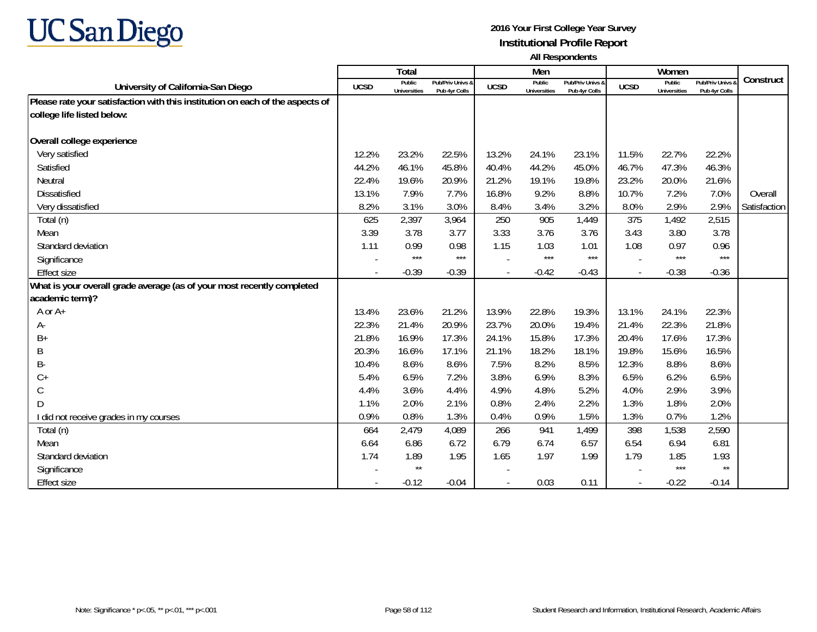

|                                                                               |             | Total                         |                                   |             | Men                           |                                   |             | Women                         |                                 |              |
|-------------------------------------------------------------------------------|-------------|-------------------------------|-----------------------------------|-------------|-------------------------------|-----------------------------------|-------------|-------------------------------|---------------------------------|--------------|
| University of California-San Diego                                            | <b>UCSD</b> | Public<br><b>Universities</b> | Pub/Priv Univs &<br>Pub 4yr Colls | <b>UCSD</b> | Public<br><b>Universities</b> | Pub/Priv Univs &<br>Pub 4yr Colls | <b>UCSD</b> | Public<br><b>Universities</b> | Pub/Priv Univs<br>Pub 4yr Colls | Construct    |
| Please rate your satisfaction with this institution on each of the aspects of |             |                               |                                   |             |                               |                                   |             |                               |                                 |              |
| college life listed below:                                                    |             |                               |                                   |             |                               |                                   |             |                               |                                 |              |
|                                                                               |             |                               |                                   |             |                               |                                   |             |                               |                                 |              |
| Overall college experience                                                    |             |                               |                                   |             |                               |                                   |             |                               |                                 |              |
| Very satisfied                                                                | 12.2%       | 23.2%                         | 22.5%                             | 13.2%       | 24.1%                         | 23.1%                             | 11.5%       | 22.7%                         | 22.2%                           |              |
| Satisfied                                                                     | 44.2%       | 46.1%                         | 45.8%                             | 40.4%       | 44.2%                         | 45.0%                             | 46.7%       | 47.3%                         | 46.3%                           |              |
| Neutral                                                                       | 22.4%       | 19.6%                         | 20.9%                             | 21.2%       | 19.1%                         | 19.8%                             | 23.2%       | 20.0%                         | 21.6%                           |              |
| <b>Dissatisfied</b>                                                           | 13.1%       | 7.9%                          | 7.7%                              | 16.8%       | 9.2%                          | 8.8%                              | 10.7%       | 7.2%                          | 7.0%                            | Overall      |
| Very dissatisfied                                                             | 8.2%        | 3.1%                          | 3.0%                              | 8.4%        | 3.4%                          | 3.2%                              | 8.0%        | 2.9%                          | 2.9%                            | Satisfaction |
| Total (n)                                                                     | 625         | 2,397                         | 3,964                             | 250         | 905                           | 1,449                             | 375         | 1,492                         | 2,515                           |              |
| Mean                                                                          | 3.39        | 3.78                          | 3.77                              | 3.33        | 3.76                          | 3.76                              | 3.43        | 3.80                          | 3.78                            |              |
| Standard deviation                                                            | 1.11        | 0.99                          | 0.98                              | 1.15        | 1.03                          | 1.01                              | 1.08        | 0.97                          | 0.96                            |              |
| Significance                                                                  |             | $***$                         | $***$                             |             | $***$                         | $***$                             |             | $***$                         | $***$                           |              |
| <b>Effect size</b>                                                            |             | $-0.39$                       | $-0.39$                           |             | $-0.42$                       | $-0.43$                           |             | $-0.38$                       | $-0.36$                         |              |
| What is your overall grade average (as of your most recently completed        |             |                               |                                   |             |                               |                                   |             |                               |                                 |              |
| academic term)?                                                               |             |                               |                                   |             |                               |                                   |             |                               |                                 |              |
| A or A+                                                                       | 13.4%       | 23.6%                         | 21.2%                             | 13.9%       | 22.8%                         | 19.3%                             | 13.1%       | 24.1%                         | 22.3%                           |              |
| А-                                                                            | 22.3%       | 21.4%                         | 20.9%                             | 23.7%       | 20.0%                         | 19.4%                             | 21.4%       | 22.3%                         | 21.8%                           |              |
| B+                                                                            | 21.8%       | 16.9%                         | 17.3%                             | 24.1%       | 15.8%                         | 17.3%                             | 20.4%       | 17.6%                         | 17.3%                           |              |
| Β                                                                             | 20.3%       | 16.6%                         | 17.1%                             | 21.1%       | 18.2%                         | 18.1%                             | 19.8%       | 15.6%                         | 16.5%                           |              |
| B-                                                                            | 10.4%       | 8.6%                          | 8.6%                              | 7.5%        | 8.2%                          | 8.5%                              | 12.3%       | 8.8%                          | 8.6%                            |              |
| $C +$                                                                         | 5.4%        | 6.5%                          | 7.2%                              | 3.8%        | 6.9%                          | 8.3%                              | 6.5%        | 6.2%                          | 6.5%                            |              |
| С                                                                             | 4.4%        | 3.6%                          | 4.4%                              | 4.9%        | 4.8%                          | 5.2%                              | 4.0%        | 2.9%                          | 3.9%                            |              |
| D                                                                             | 1.1%        | 2.0%                          | 2.1%                              | 0.8%        | 2.4%                          | 2.2%                              | 1.3%        | 1.8%                          | 2.0%                            |              |
| I did not receive grades in my courses                                        | 0.9%        | 0.8%                          | 1.3%                              | 0.4%        | 0.9%                          | 1.5%                              | 1.3%        | 0.7%                          | 1.2%                            |              |
| Total (n)                                                                     | 664         | 2,479                         | 4,089                             | 266         | 941                           | 1,499                             | 398         | 1,538                         | 2,590                           |              |
| Mean                                                                          | 6.64        | 6.86                          | 6.72                              | 6.79        | 6.74                          | 6.57                              | 6.54        | 6.94                          | 6.81                            |              |
| Standard deviation                                                            | 1.74        | 1.89                          | 1.95                              | 1.65        | 1.97                          | 1.99                              | 1.79        | 1.85                          | 1.93                            |              |
| Significance                                                                  |             | $\star\star$                  |                                   |             |                               |                                   |             | $***$                         | $\star\star$                    |              |
| <b>Effect size</b>                                                            |             | $-0.12$                       | $-0.04$                           |             | 0.03                          | 0.11                              |             | $-0.22$                       | $-0.14$                         |              |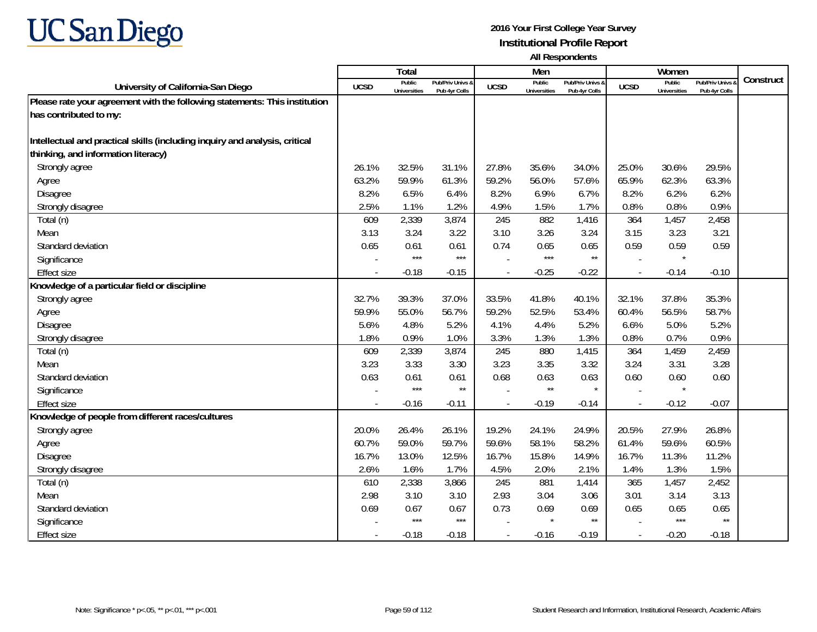

|                                                                             |             | <b>Total</b>                  |                                   |                | Men                           |                                   |                          | Women                         |                                        |           |
|-----------------------------------------------------------------------------|-------------|-------------------------------|-----------------------------------|----------------|-------------------------------|-----------------------------------|--------------------------|-------------------------------|----------------------------------------|-----------|
| University of California-San Diego                                          | <b>UCSD</b> | Public<br><b>Universities</b> | Pub/Priv Univs 8<br>Pub 4yr Colls | <b>UCSD</b>    | Public<br><b>Universities</b> | Pub/Priv Univs &<br>Pub 4yr Colls | <b>UCSD</b>              | Public<br><b>Universities</b> | <b>Pub/Priv Univs</b><br>Pub 4yr Colls | Construct |
| Please rate your agreement with the following statements: This institution  |             |                               |                                   |                |                               |                                   |                          |                               |                                        |           |
| has contributed to my:                                                      |             |                               |                                   |                |                               |                                   |                          |                               |                                        |           |
|                                                                             |             |                               |                                   |                |                               |                                   |                          |                               |                                        |           |
| Intellectual and practical skills (including inquiry and analysis, critical |             |                               |                                   |                |                               |                                   |                          |                               |                                        |           |
| thinking, and information literacy)                                         |             |                               |                                   |                |                               |                                   |                          |                               |                                        |           |
| Strongly agree                                                              | 26.1%       | 32.5%                         | 31.1%                             | 27.8%          | 35.6%                         | 34.0%                             | 25.0%                    | 30.6%                         | 29.5%                                  |           |
| Agree                                                                       | 63.2%       | 59.9%                         | 61.3%                             | 59.2%          | 56.0%                         | 57.6%                             | 65.9%                    | 62.3%                         | 63.3%                                  |           |
| <b>Disagree</b>                                                             | 8.2%        | 6.5%                          | 6.4%                              | 8.2%           | 6.9%                          | 6.7%                              | 8.2%                     | 6.2%                          | 6.2%                                   |           |
| Strongly disagree                                                           | 2.5%        | 1.1%                          | 1.2%                              | 4.9%           | 1.5%                          | 1.7%                              | 0.8%                     | 0.8%                          | 0.9%                                   |           |
| Total (n)                                                                   | 609         | 2,339                         | 3,874                             | 245            | 882                           | 1,416                             | 364                      | 1,457                         | 2,458                                  |           |
| Mean                                                                        | 3.13        | 3.24                          | 3.22                              | 3.10           | 3.26                          | 3.24                              | 3.15                     | 3.23                          | 3.21                                   |           |
| Standard deviation                                                          | 0.65        | 0.61                          | 0.61                              | 0.74           | 0.65                          | 0.65                              | 0.59                     | 0.59                          | 0.59                                   |           |
| Significance                                                                |             | $***$                         | $***$                             |                | $***$                         | $\star\star$                      |                          | $\star$                       |                                        |           |
| <b>Effect size</b>                                                          |             | $-0.18$                       | $-0.15$                           |                | $-0.25$                       | $-0.22$                           | $\overline{a}$           | $-0.14$                       | $-0.10$                                |           |
| Knowledge of a particular field or discipline                               |             |                               |                                   |                |                               |                                   |                          |                               |                                        |           |
| Strongly agree                                                              | 32.7%       | 39.3%                         | 37.0%                             | 33.5%          | 41.8%                         | 40.1%                             | 32.1%                    | 37.8%                         | 35.3%                                  |           |
| Agree                                                                       | 59.9%       | 55.0%                         | 56.7%                             | 59.2%          | 52.5%                         | 53.4%                             | 60.4%                    | 56.5%                         | 58.7%                                  |           |
| Disagree                                                                    | 5.6%        | 4.8%                          | 5.2%                              | 4.1%           | 4.4%                          | 5.2%                              | 6.6%                     | 5.0%                          | 5.2%                                   |           |
| Strongly disagree                                                           | 1.8%        | 0.9%                          | 1.0%                              | 3.3%           | 1.3%                          | 1.3%                              | 0.8%                     | 0.7%                          | 0.9%                                   |           |
| Total (n)                                                                   | 609         | 2,339                         | 3,874                             | 245            | 880                           | 1,415                             | 364                      | 1,459                         | 2,459                                  |           |
| Mean                                                                        | 3.23        | 3.33                          | 3.30                              | 3.23           | 3.35                          | 3.32                              | 3.24                     | 3.31                          | 3.28                                   |           |
| Standard deviation                                                          | 0.63        | 0.61                          | 0.61                              | 0.68           | 0.63                          | 0.63                              | 0.60                     | 0.60                          | 0.60                                   |           |
| Significance                                                                |             | $***$                         | $^{\star\star}$                   |                | $***$                         | $\star$                           |                          | $\star$                       |                                        |           |
| <b>Effect size</b>                                                          |             | $-0.16$                       | $-0.11$                           | $\overline{a}$ | $-0.19$                       | $-0.14$                           | $\overline{a}$           | $-0.12$                       | $-0.07$                                |           |
| Knowledge of people from different races/cultures                           |             |                               |                                   |                |                               |                                   |                          |                               |                                        |           |
| Strongly agree                                                              | 20.0%       | 26.4%                         | 26.1%                             | 19.2%          | 24.1%                         | 24.9%                             | 20.5%                    | 27.9%                         | 26.8%                                  |           |
| Agree                                                                       | 60.7%       | 59.0%                         | 59.7%                             | 59.6%          | 58.1%                         | 58.2%                             | 61.4%                    | 59.6%                         | 60.5%                                  |           |
| <b>Disagree</b>                                                             | 16.7%       | 13.0%                         | 12.5%                             | 16.7%          | 15.8%                         | 14.9%                             | 16.7%                    | 11.3%                         | 11.2%                                  |           |
| Strongly disagree                                                           | 2.6%        | 1.6%                          | 1.7%                              | 4.5%           | 2.0%                          | 2.1%                              | 1.4%                     | 1.3%                          | 1.5%                                   |           |
| Total (n)                                                                   | 610         | 2,338                         | 3,866                             | 245            | 881                           | 1,414                             | 365                      | 1,457                         | 2,452                                  |           |
| Mean                                                                        | 2.98        | 3.10                          | 3.10                              | 2.93           | 3.04                          | 3.06                              | 3.01                     | 3.14                          | 3.13                                   |           |
| Standard deviation                                                          | 0.69        | 0.67                          | 0.67                              | 0.73           | 0.69                          | 0.69                              | 0.65                     | 0.65                          | 0.65                                   |           |
| Significance                                                                |             | $***$                         | $***$                             |                | $\star$                       | $\star\star$                      |                          | $***$                         | $\star\star$                           |           |
| <b>Effect size</b>                                                          |             | $-0.18$                       | $-0.18$                           |                | $-0.16$                       | $-0.19$                           | $\overline{\phantom{a}}$ | $-0.20$                       | $-0.18$                                |           |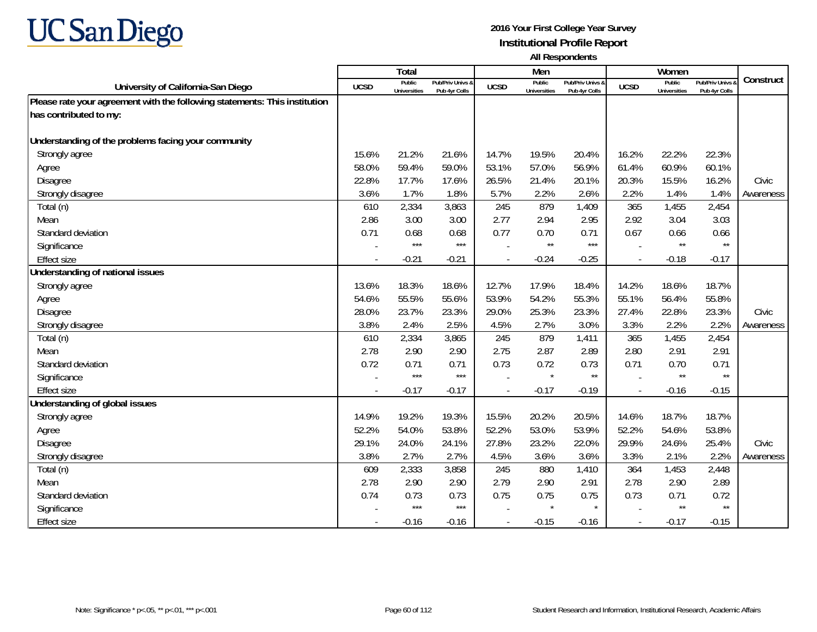

|                                                                            |             | <b>Total</b>                  |                                   |             | Men                           |                                   |                          | Women                         |                                        |           |
|----------------------------------------------------------------------------|-------------|-------------------------------|-----------------------------------|-------------|-------------------------------|-----------------------------------|--------------------------|-------------------------------|----------------------------------------|-----------|
| University of California-San Diego                                         | <b>UCSD</b> | Public<br><b>Universities</b> | Pub/Priv Univs &<br>Pub 4yr Colls | <b>UCSD</b> | Public<br><b>Universities</b> | Pub/Priv Univs &<br>Pub 4yr Colls | <b>UCSD</b>              | Public<br><b>Universities</b> | <b>Pub/Priv Univs</b><br>Pub 4yr Colls | Construct |
| Please rate your agreement with the following statements: This institution |             |                               |                                   |             |                               |                                   |                          |                               |                                        |           |
| has contributed to my:                                                     |             |                               |                                   |             |                               |                                   |                          |                               |                                        |           |
|                                                                            |             |                               |                                   |             |                               |                                   |                          |                               |                                        |           |
| Understanding of the problems facing your community                        |             |                               |                                   |             |                               |                                   |                          |                               |                                        |           |
| Strongly agree                                                             | 15.6%       | 21.2%                         | 21.6%                             | 14.7%       | 19.5%                         | 20.4%                             | 16.2%                    | 22.2%                         | 22.3%                                  |           |
| Agree                                                                      | 58.0%       | 59.4%                         | 59.0%                             | 53.1%       | 57.0%                         | 56.9%                             | 61.4%                    | 60.9%                         | 60.1%                                  |           |
| Disagree                                                                   | 22.8%       | 17.7%                         | 17.6%                             | 26.5%       | 21.4%                         | 20.1%                             | 20.3%                    | 15.5%                         | 16.2%                                  | Civic     |
| Strongly disagree                                                          | 3.6%        | 1.7%                          | 1.8%                              | 5.7%        | 2.2%                          | 2.6%                              | 2.2%                     | 1.4%                          | 1.4%                                   | Awareness |
| Total (n)                                                                  | 610         | 2,334                         | 3,863                             | 245         | 879                           | 1,409                             | 365                      | 1,455                         | 2,454                                  |           |
| Mean                                                                       | 2.86        | 3.00                          | 3.00                              | 2.77        | 2.94                          | 2.95                              | 2.92                     | 3.04                          | 3.03                                   |           |
| Standard deviation                                                         | 0.71        | 0.68                          | 0.68                              | 0.77        | 0.70                          | 0.71                              | 0.67                     | 0.66                          | 0.66                                   |           |
| Significance                                                               |             | $***$                         | $***$                             |             | $\star\star$                  | $***$                             |                          | $\star\star$                  | $\star\star$                           |           |
| <b>Effect size</b>                                                         |             | $-0.21$                       | $-0.21$                           |             | $-0.24$                       | $-0.25$                           |                          | $-0.18$                       | $-0.17$                                |           |
| Understanding of national issues                                           |             |                               |                                   |             |                               |                                   |                          |                               |                                        |           |
| Strongly agree                                                             | 13.6%       | 18.3%                         | 18.6%                             | 12.7%       | 17.9%                         | 18.4%                             | 14.2%                    | 18.6%                         | 18.7%                                  |           |
| Agree                                                                      | 54.6%       | 55.5%                         | 55.6%                             | 53.9%       | 54.2%                         | 55.3%                             | 55.1%                    | 56.4%                         | 55.8%                                  |           |
| Disagree                                                                   | 28.0%       | 23.7%                         | 23.3%                             | 29.0%       | 25.3%                         | 23.3%                             | 27.4%                    | 22.8%                         | 23.3%                                  | Civic     |
| Strongly disagree                                                          | 3.8%        | 2.4%                          | 2.5%                              | 4.5%        | 2.7%                          | 3.0%                              | 3.3%                     | 2.2%                          | 2.2%                                   | Awareness |
| Total (n)                                                                  | 610         | 2,334                         | 3,865                             | 245         | 879                           | 1,411                             | 365                      | 1,455                         | 2,454                                  |           |
| Mean                                                                       | 2.78        | 2.90                          | 2.90                              | 2.75        | 2.87                          | 2.89                              | 2.80                     | 2.91                          | 2.91                                   |           |
| Standard deviation                                                         | 0.72        | 0.71                          | 0.71                              | 0.73        | 0.72                          | 0.73                              | 0.71                     | 0.70                          | 0.71                                   |           |
| Significance                                                               |             | $***$                         | $***$                             |             | $\star$                       | $\star\star$                      |                          | $\star\star$                  | $\star\star$                           |           |
| <b>Effect size</b>                                                         |             | $-0.17$                       | $-0.17$                           |             | $-0.17$                       | $-0.19$                           | $\overline{\phantom{a}}$ | $-0.16$                       | $-0.15$                                |           |
| Understanding of global issues                                             |             |                               |                                   |             |                               |                                   |                          |                               |                                        |           |
| Strongly agree                                                             | 14.9%       | 19.2%                         | 19.3%                             | 15.5%       | 20.2%                         | 20.5%                             | 14.6%                    | 18.7%                         | 18.7%                                  |           |
| Agree                                                                      | 52.2%       | 54.0%                         | 53.8%                             | 52.2%       | 53.0%                         | 53.9%                             | 52.2%                    | 54.6%                         | 53.8%                                  |           |
| Disagree                                                                   | 29.1%       | 24.0%                         | 24.1%                             | 27.8%       | 23.2%                         | 22.0%                             | 29.9%                    | 24.6%                         | 25.4%                                  | Civic     |
| Strongly disagree                                                          | 3.8%        | 2.7%                          | 2.7%                              | 4.5%        | 3.6%                          | 3.6%                              | 3.3%                     | 2.1%                          | 2.2%                                   | Awareness |
| Total (n)                                                                  | 609         | 2,333                         | 3,858                             | 245         | 880                           | 1,410                             | 364                      | 1,453                         | 2,448                                  |           |
| Mean                                                                       | 2.78        | 2.90                          | 2.90                              | 2.79        | 2.90                          | 2.91                              | 2.78                     | 2.90                          | 2.89                                   |           |
| Standard deviation                                                         | 0.74        | 0.73                          | 0.73                              | 0.75        | 0.75                          | 0.75                              | 0.73                     | 0.71                          | 0.72                                   |           |
| Significance                                                               |             | $***$                         | $***$                             |             | $\star$                       | $\star$                           |                          | $\star\star$                  | $\star\star$                           |           |
| <b>Effect size</b>                                                         |             | $-0.16$                       | $-0.16$                           |             | $-0.15$                       | $-0.16$                           | $\blacksquare$           | $-0.17$                       | $-0.15$                                |           |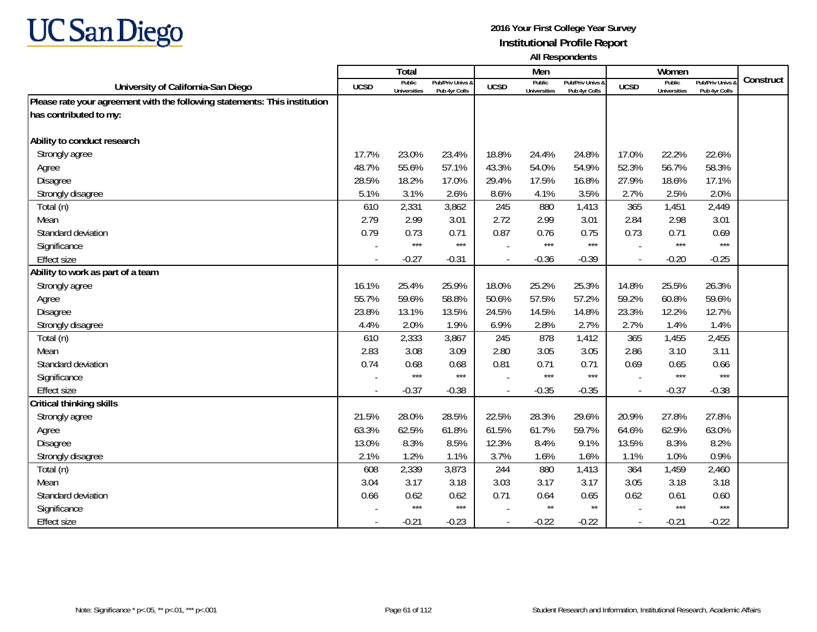

|                                                                            |             | <b>Total</b>                  |                                   |             | Men                           |                                   |                          | Women                         |                                        |           |
|----------------------------------------------------------------------------|-------------|-------------------------------|-----------------------------------|-------------|-------------------------------|-----------------------------------|--------------------------|-------------------------------|----------------------------------------|-----------|
| University of California-San Diego                                         | <b>UCSD</b> | Public<br><b>Universities</b> | Pub/Priv Univs &<br>Pub 4yr Colls | <b>UCSD</b> | Public<br><b>Universities</b> | Pub/Priv Univs &<br>Pub 4yr Colls | <b>UCSD</b>              | Public<br><b>Universities</b> | <b>Pub/Priv Univs</b><br>Pub 4yr Colls | Construct |
| Please rate your agreement with the following statements: This institution |             |                               |                                   |             |                               |                                   |                          |                               |                                        |           |
| has contributed to my:                                                     |             |                               |                                   |             |                               |                                   |                          |                               |                                        |           |
|                                                                            |             |                               |                                   |             |                               |                                   |                          |                               |                                        |           |
| Ability to conduct research                                                |             |                               |                                   |             |                               |                                   |                          |                               |                                        |           |
| Strongly agree                                                             | 17.7%       | 23.0%                         | 23.4%                             | 18.8%       | 24.4%                         | 24.8%                             | 17.0%                    | 22.2%                         | 22.6%                                  |           |
| Agree                                                                      | 48.7%       | 55.6%                         | 57.1%                             | 43.3%       | 54.0%                         | 54.9%                             | 52.3%                    | 56.7%                         | 58.3%                                  |           |
| Disagree                                                                   | 28.5%       | 18.2%                         | 17.0%                             | 29.4%       | 17.5%                         | 16.8%                             | 27.9%                    | 18.6%                         | 17.1%                                  |           |
| Strongly disagree                                                          | 5.1%        | 3.1%                          | 2.6%                              | 8.6%        | 4.1%                          | 3.5%                              | 2.7%                     | 2.5%                          | 2.0%                                   |           |
| Total (n)                                                                  | 610         | 2,331                         | 3,862                             | 245         | 880                           | 1,413                             | 365                      | 1,451                         | 2,449                                  |           |
| Mean                                                                       | 2.79        | 2.99                          | 3.01                              | 2.72        | 2.99                          | 3.01                              | 2.84                     | 2.98                          | 3.01                                   |           |
| Standard deviation                                                         | 0.79        | 0.73                          | 0.71                              | 0.87        | 0.76                          | 0.75                              | 0.73                     | 0.71                          | 0.69                                   |           |
| Significance                                                               |             | $***$                         | $***$                             |             | $***$                         | $***$                             |                          | $***$                         | $***$                                  |           |
| <b>Effect size</b>                                                         | $\sim$      | $-0.27$                       | $-0.31$                           |             | $-0.36$                       | $-0.39$                           | $\overline{\phantom{a}}$ | $-0.20$                       | $-0.25$                                |           |
| Ability to work as part of a team                                          |             |                               |                                   |             |                               |                                   |                          |                               |                                        |           |
| Strongly agree                                                             | 16.1%       | 25.4%                         | 25.9%                             | 18.0%       | 25.2%                         | 25.3%                             | 14.8%                    | 25.5%                         | 26.3%                                  |           |
| Agree                                                                      | 55.7%       | 59.6%                         | 58.8%                             | 50.6%       | 57.5%                         | 57.2%                             | 59.2%                    | 60.8%                         | 59.6%                                  |           |
| Disagree                                                                   | 23.8%       | 13.1%                         | 13.5%                             | 24.5%       | 14.5%                         | 14.8%                             | 23.3%                    | 12.2%                         | 12.7%                                  |           |
| Strongly disagree                                                          | 4.4%        | 2.0%                          | 1.9%                              | 6.9%        | 2.8%                          | 2.7%                              | 2.7%                     | 1.4%                          | 1.4%                                   |           |
| Total (n)                                                                  | 610         | 2,333                         | 3,867                             | 245         | 878                           | 1,412                             | 365                      | 1,455                         | 2,455                                  |           |
| Mean                                                                       | 2.83        | 3.08                          | 3.09                              | 2.80        | 3.05                          | 3.05                              | 2.86                     | 3.10                          | 3.11                                   |           |
| Standard deviation                                                         | 0.74        | 0.68                          | 0.68                              | 0.81        | 0.71                          | 0.71                              | 0.69                     | 0.65                          | 0.66                                   |           |
| Significance                                                               |             | $***$                         | $***$                             |             | $***$                         | $***$                             |                          | $***$                         | $***$                                  |           |
| <b>Effect size</b>                                                         | $\sim$      | $-0.37$                       | $-0.38$                           |             | $-0.35$                       | $-0.35$                           | $\overline{\phantom{a}}$ | $-0.37$                       | $-0.38$                                |           |
| Critical thinking skills                                                   |             |                               |                                   |             |                               |                                   |                          |                               |                                        |           |
| Strongly agree                                                             | 21.5%       | 28.0%                         | 28.5%                             | 22.5%       | 28.3%                         | 29.6%                             | 20.9%                    | 27.8%                         | 27.8%                                  |           |
| Agree                                                                      | 63.3%       | 62.5%                         | 61.8%                             | 61.5%       | 61.7%                         | 59.7%                             | 64.6%                    | 62.9%                         | 63.0%                                  |           |
| Disagree                                                                   | 13.0%       | 8.3%                          | 8.5%                              | 12.3%       | 8.4%                          | 9.1%                              | 13.5%                    | 8.3%                          | 8.2%                                   |           |
| Strongly disagree                                                          | 2.1%        | 1.2%                          | 1.1%                              | 3.7%        | 1.6%                          | 1.6%                              | 1.1%                     | 1.0%                          | 0.9%                                   |           |
| Total (n)                                                                  | 608         | 2,339                         | 3,873                             | 244         | 880                           | 1,413                             | 364                      | 1,459                         | 2,460                                  |           |
| Mean                                                                       | 3.04        | 3.17                          | 3.18                              | 3.03        | 3.17                          | 3.17                              | 3.05                     | 3.18                          | 3.18                                   |           |
| Standard deviation                                                         | 0.66        | 0.62                          | 0.62                              | 0.71        | 0.64                          | 0.65                              | 0.62                     | 0.61                          | 0.60                                   |           |
| Significance                                                               |             | $***$                         | $***$                             |             | $\star\star$                  | $^{\star\star}$                   |                          | $***$                         | $***$                                  |           |
| <b>Effect size</b>                                                         | $\sim$      | $-0.21$                       | $-0.23$                           |             | $-0.22$                       | $-0.22$                           | $\overline{\phantom{a}}$ | $-0.21$                       | $-0.22$                                |           |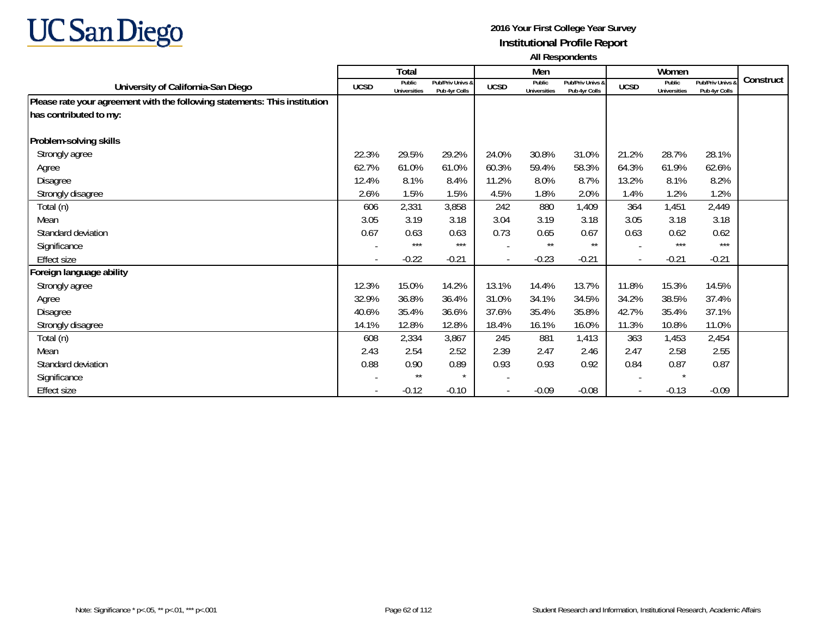

|                                                                            |                          | <b>Total</b>                  |                                   |             | Men                           |                                   |                          | Women                         |                                   |           |
|----------------------------------------------------------------------------|--------------------------|-------------------------------|-----------------------------------|-------------|-------------------------------|-----------------------------------|--------------------------|-------------------------------|-----------------------------------|-----------|
| University of California-San Diego                                         | <b>UCSD</b>              | Public<br><b>Universities</b> | Pub/Priv Univs &<br>Pub 4yr Colls | <b>UCSD</b> | Public<br><b>Universities</b> | Pub/Priv Univs &<br>Pub 4yr Colls | <b>UCSD</b>              | Public<br><b>Universities</b> | Pub/Priv Univs &<br>Pub 4yr Colls | Construct |
| Please rate your agreement with the following statements: This institution |                          |                               |                                   |             |                               |                                   |                          |                               |                                   |           |
| has contributed to my:                                                     |                          |                               |                                   |             |                               |                                   |                          |                               |                                   |           |
| Problem-solving skills                                                     |                          |                               |                                   |             |                               |                                   |                          |                               |                                   |           |
| Strongly agree                                                             | 22.3%                    | 29.5%                         | 29.2%                             | 24.0%       | 30.8%                         | 31.0%                             | 21.2%                    | 28.7%                         | 28.1%                             |           |
|                                                                            |                          |                               |                                   |             |                               |                                   |                          |                               |                                   |           |
| Agree                                                                      | 62.7%                    | 61.0%                         | 61.0%                             | 60.3%       | 59.4%                         | 58.3%                             | 64.3%                    | 61.9%                         | 62.6%                             |           |
| Disagree                                                                   | 12.4%                    | 8.1%                          | 8.4%                              | 11.2%       | 8.0%                          | 8.7%                              | 13.2%                    | 8.1%                          | 8.2%                              |           |
| Strongly disagree                                                          | 2.6%                     | 1.5%                          | 1.5%                              | 4.5%        | 1.8%                          | 2.0%                              | 1.4%                     | 1.2%                          | 1.2%                              |           |
| Total (n)                                                                  | 606                      | 2,331                         | 3,858                             | 242         | 880                           | 1,409                             | 364                      | 1,451                         | 2,449                             |           |
| Mean                                                                       | 3.05                     | 3.19                          | 3.18                              | 3.04        | 3.19                          | 3.18                              | 3.05                     | 3.18                          | 3.18                              |           |
| Standard deviation                                                         | 0.67                     | 0.63                          | 0.63                              | 0.73        | 0.65                          | 0.67                              | 0.63                     | 0.62                          | 0.62                              |           |
| Significance                                                               |                          | $***$                         | $***$                             |             | $***$                         | $***$                             |                          | $***$                         | $***$                             |           |
| Effect size                                                                | $\overline{\phantom{a}}$ | $-0.22$                       | $-0.21$                           |             | $-0.23$                       | $-0.21$                           | $\overline{a}$           | $-0.21$                       | $-0.21$                           |           |
| Foreign language ability                                                   |                          |                               |                                   |             |                               |                                   |                          |                               |                                   |           |
| Strongly agree                                                             | 12.3%                    | 15.0%                         | 14.2%                             | 13.1%       | 14.4%                         | 13.7%                             | 11.8%                    | 15.3%                         | 14.5%                             |           |
| Agree                                                                      | 32.9%                    | 36.8%                         | 36.4%                             | 31.0%       | 34.1%                         | 34.5%                             | 34.2%                    | 38.5%                         | 37.4%                             |           |
| Disagree                                                                   | 40.6%                    | 35.4%                         | 36.6%                             | 37.6%       | 35.4%                         | 35.8%                             | 42.7%                    | 35.4%                         | 37.1%                             |           |
| Strongly disagree                                                          | 14.1%                    | 12.8%                         | 12.8%                             | 18.4%       | 16.1%                         | 16.0%                             | 11.3%                    | 10.8%                         | 11.0%                             |           |
| Total (n)                                                                  | 608                      | 2,334                         | 3,867                             | 245         | 881                           | 1,413                             | 363                      | 1,453                         | 2,454                             |           |
| Mean                                                                       | 2.43                     | 2.54                          | 2.52                              | 2.39        | 2.47                          | 2.46                              | 2.47                     | 2.58                          | 2.55                              |           |
| Standard deviation                                                         | 0.88                     | 0.90                          | 0.89                              | 0.93        | 0.93                          | 0.92                              | 0.84                     | 0.87                          | 0.87                              |           |
| Significance                                                               |                          | $***$                         | $\star$                           |             |                               |                                   |                          | $\star$                       |                                   |           |
| Effect size                                                                |                          | $-0.12$                       | $-0.10$                           |             | $-0.09$                       | $-0.08$                           | $\overline{\phantom{a}}$ | $-0.13$                       | $-0.09$                           |           |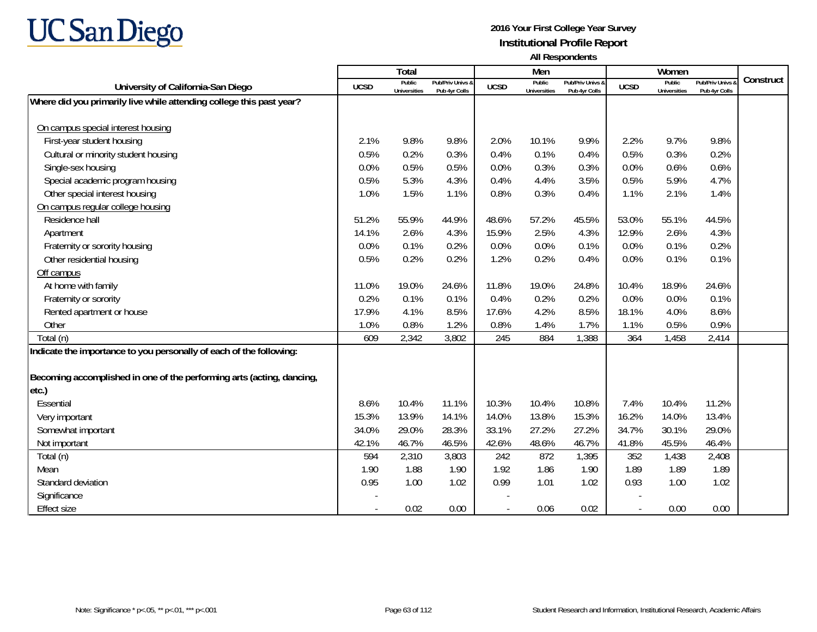

|                                                                       |                          | Total                         |                                   |             | Men                           |                                   |                          | Women                         |                                        |           |
|-----------------------------------------------------------------------|--------------------------|-------------------------------|-----------------------------------|-------------|-------------------------------|-----------------------------------|--------------------------|-------------------------------|----------------------------------------|-----------|
| University of California-San Diego                                    | <b>UCSD</b>              | Public<br><b>Universities</b> | Pub/Priv Univs 8<br>Pub 4yr Colls | <b>UCSD</b> | Public<br><b>Universities</b> | Pub/Priv Univs 8<br>Pub 4yr Colls | <b>UCSD</b>              | Public<br><b>Universities</b> | <b>Pub/Priv Univs</b><br>Pub 4yr Colls | Construct |
| Where did you primarily live while attending college this past year?  |                          |                               |                                   |             |                               |                                   |                          |                               |                                        |           |
|                                                                       |                          |                               |                                   |             |                               |                                   |                          |                               |                                        |           |
| On campus special interest housing                                    |                          |                               |                                   |             |                               |                                   |                          |                               |                                        |           |
| First-year student housing                                            | 2.1%                     | 9.8%                          | 9.8%                              | 2.0%        | 10.1%                         | 9.9%                              | 2.2%                     | 9.7%                          | 9.8%                                   |           |
| Cultural or minority student housing                                  | 0.5%                     | 0.2%                          | 0.3%                              | 0.4%        | 0.1%                          | 0.4%                              | 0.5%                     | 0.3%                          | 0.2%                                   |           |
| Single-sex housing                                                    | 0.0%                     | 0.5%                          | 0.5%                              | 0.0%        | 0.3%                          | 0.3%                              | 0.0%                     | 0.6%                          | 0.6%                                   |           |
| Special academic program housing                                      | 0.5%                     | 5.3%                          | 4.3%                              | 0.4%        | 4.4%                          | 3.5%                              | 0.5%                     | 5.9%                          | 4.7%                                   |           |
| Other special interest housing                                        | 1.0%                     | 1.5%                          | 1.1%                              | 0.8%        | 0.3%                          | 0.4%                              | 1.1%                     | 2.1%                          | 1.4%                                   |           |
| On campus regular college housing                                     |                          |                               |                                   |             |                               |                                   |                          |                               |                                        |           |
| Residence hall                                                        | 51.2%                    | 55.9%                         | 44.9%                             | 48.6%       | 57.2%                         | 45.5%                             | 53.0%                    | 55.1%                         | 44.5%                                  |           |
| Apartment                                                             | 14.1%                    | 2.6%                          | 4.3%                              | 15.9%       | 2.5%                          | 4.3%                              | 12.9%                    | 2.6%                          | 4.3%                                   |           |
| Fraternity or sorority housing                                        | 0.0%                     | 0.1%                          | 0.2%                              | 0.0%        | 0.0%                          | 0.1%                              | 0.0%                     | 0.1%                          | 0.2%                                   |           |
| Other residential housing                                             | 0.5%                     | 0.2%                          | 0.2%                              | 1.2%        | 0.2%                          | 0.4%                              | 0.0%                     | 0.1%                          | 0.1%                                   |           |
| Off campus                                                            |                          |                               |                                   |             |                               |                                   |                          |                               |                                        |           |
| At home with family                                                   | 11.0%                    | 19.0%                         | 24.6%                             | 11.8%       | 19.0%                         | 24.8%                             | 10.4%                    | 18.9%                         | 24.6%                                  |           |
| Fraternity or sorority                                                | 0.2%                     | 0.1%                          | 0.1%                              | 0.4%        | 0.2%                          | 0.2%                              | 0.0%                     | 0.0%                          | 0.1%                                   |           |
| Rented apartment or house                                             | 17.9%                    | 4.1%                          | 8.5%                              | 17.6%       | 4.2%                          | 8.5%                              | 18.1%                    | 4.0%                          | 8.6%                                   |           |
| Other                                                                 | 1.0%                     | 0.8%                          | 1.2%                              | 0.8%        | 1.4%                          | 1.7%                              | 1.1%                     | 0.5%                          | 0.9%                                   |           |
| Total (n)                                                             | 609                      | 2,342                         | 3,802                             | 245         | 884                           | 1,388                             | 364                      | 1,458                         | 2,414                                  |           |
| Indicate the importance to you personally of each of the following:   |                          |                               |                                   |             |                               |                                   |                          |                               |                                        |           |
|                                                                       |                          |                               |                                   |             |                               |                                   |                          |                               |                                        |           |
| Becoming accomplished in one of the performing arts (acting, dancing, |                          |                               |                                   |             |                               |                                   |                          |                               |                                        |           |
| etc.)                                                                 |                          |                               |                                   |             |                               |                                   |                          |                               |                                        |           |
| Essential                                                             | 8.6%                     | 10.4%                         | 11.1%                             | 10.3%       | 10.4%                         | 10.8%                             | 7.4%                     | 10.4%                         | 11.2%                                  |           |
| Very important                                                        | 15.3%                    | 13.9%                         | 14.1%                             | 14.0%       | 13.8%                         | 15.3%                             | 16.2%                    | 14.0%                         | 13.4%                                  |           |
| Somewhat important                                                    | 34.0%                    | 29.0%                         | 28.3%                             | 33.1%       | 27.2%                         | 27.2%                             | 34.7%                    | 30.1%                         | 29.0%                                  |           |
| Not important                                                         | 42.1%                    | 46.7%                         | 46.5%                             | 42.6%       | 48.6%                         | 46.7%                             | 41.8%                    | 45.5%                         | 46.4%                                  |           |
| Total (n)                                                             | 594                      | 2,310                         | 3,803                             | 242         | 872                           | 1,395                             | 352                      | 1,438                         | 2,408                                  |           |
| Mean                                                                  | 1.90                     | 1.88                          | 1.90                              | 1.92        | 1.86                          | 1.90                              | 1.89                     | 1.89                          | 1.89                                   |           |
| Standard deviation                                                    | 0.95                     | 1.00                          | 1.02                              | 0.99        | 1.01                          | 1.02                              | 0.93                     | 1.00                          | 1.02                                   |           |
| Significance                                                          |                          |                               |                                   |             |                               |                                   |                          |                               |                                        |           |
| <b>Effect size</b>                                                    | $\overline{\phantom{a}}$ | 0.02                          | 0.00                              |             | 0.06                          | 0.02                              | $\overline{\phantom{a}}$ | 0.00                          | 0.00                                   |           |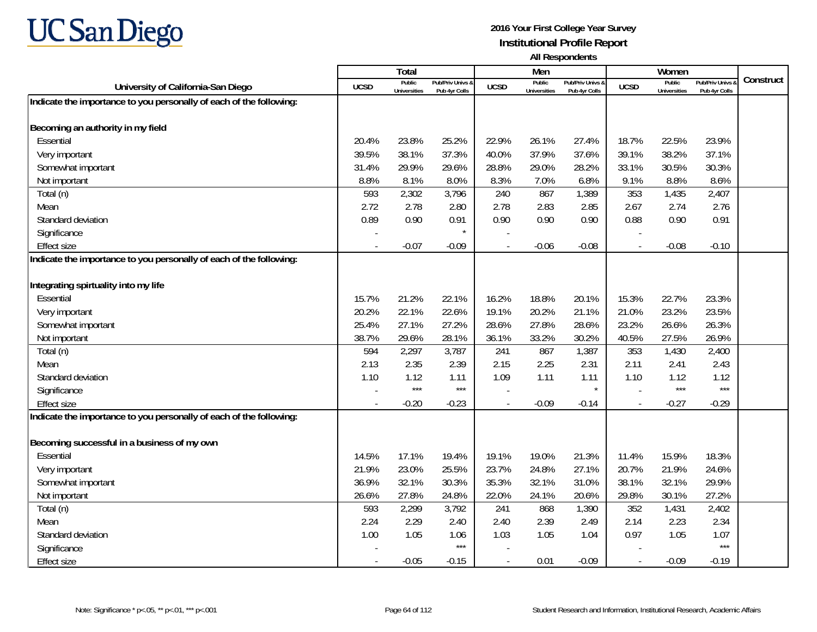

|                                                                     |                          | <b>Total</b>                  |                                   |             | Men                           |                                 |                | Women                         |                                        |           |
|---------------------------------------------------------------------|--------------------------|-------------------------------|-----------------------------------|-------------|-------------------------------|---------------------------------|----------------|-------------------------------|----------------------------------------|-----------|
| University of California-San Diego                                  | <b>UCSD</b>              | Public<br><b>Universities</b> | Pub/Priv Univs &<br>Pub 4yr Colls | <b>UCSD</b> | Public<br><b>Universities</b> | Pub/Priv Univs<br>Pub 4yr Colls | <b>UCSD</b>    | Public<br><b>Universities</b> | <b>Pub/Priv Univs</b><br>Pub 4yr Colls | Construct |
| Indicate the importance to you personally of each of the following: |                          |                               |                                   |             |                               |                                 |                |                               |                                        |           |
|                                                                     |                          |                               |                                   |             |                               |                                 |                |                               |                                        |           |
| Becoming an authority in my field                                   |                          |                               |                                   |             |                               |                                 |                |                               |                                        |           |
| Essential                                                           | 20.4%                    | 23.8%                         | 25.2%                             | 22.9%       | 26.1%                         | 27.4%                           | 18.7%          | 22.5%                         | 23.9%                                  |           |
| Very important                                                      | 39.5%                    | 38.1%                         | 37.3%                             | 40.0%       | 37.9%                         | 37.6%                           | 39.1%          | 38.2%                         | 37.1%                                  |           |
| Somewhat important                                                  | 31.4%                    | 29.9%                         | 29.6%                             | 28.8%       | 29.0%                         | 28.2%                           | 33.1%          | 30.5%                         | 30.3%                                  |           |
| Not important                                                       | 8.8%                     | 8.1%                          | 8.0%                              | 8.3%        | 7.0%                          | 6.8%                            | 9.1%           | 8.8%                          | 8.6%                                   |           |
| Total (n)                                                           | 593                      | 2,302                         | 3,796                             | 240         | 867                           | 1,389                           | 353            | 1,435                         | 2,407                                  |           |
| Mean                                                                | 2.72                     | 2.78                          | 2.80                              | 2.78        | 2.83                          | 2.85                            | 2.67           | 2.74                          | 2.76                                   |           |
| Standard deviation                                                  | 0.89                     | 0.90                          | 0.91                              | 0.90        | 0.90                          | 0.90                            | 0.88           | 0.90                          | 0.91                                   |           |
| Significance                                                        |                          |                               | $\star$                           |             |                               |                                 |                |                               |                                        |           |
| <b>Effect size</b>                                                  |                          | $-0.07$                       | $-0.09$                           |             | $-0.06$                       | $-0.08$                         |                | $-0.08$                       | $-0.10$                                |           |
| Indicate the importance to you personally of each of the following: |                          |                               |                                   |             |                               |                                 |                |                               |                                        |           |
|                                                                     |                          |                               |                                   |             |                               |                                 |                |                               |                                        |           |
| Integrating spirtuality into my life                                |                          |                               |                                   |             |                               |                                 |                |                               |                                        |           |
| Essential                                                           | 15.7%                    | 21.2%                         | 22.1%                             | 16.2%       | 18.8%                         | 20.1%                           | 15.3%          | 22.7%                         | 23.3%                                  |           |
| Very important                                                      | 20.2%                    | 22.1%                         | 22.6%                             | 19.1%       | 20.2%                         | 21.1%                           | 21.0%          | 23.2%                         | 23.5%                                  |           |
| Somewhat important                                                  | 25.4%                    | 27.1%                         | 27.2%                             | 28.6%       | 27.8%                         | 28.6%                           | 23.2%          | 26.6%                         | 26.3%                                  |           |
| Not important                                                       | 38.7%                    | 29.6%                         | 28.1%                             | 36.1%       | 33.2%                         | 30.2%                           | 40.5%          | 27.5%                         | 26.9%                                  |           |
| Total (n)                                                           | 594                      | 2,297                         | 3,787                             | 241         | 867                           | 1,387                           | 353            | 1,430                         | 2,400                                  |           |
| Mean                                                                | 2.13                     | 2.35                          | 2.39                              | 2.15        | 2.25                          | 2.31                            | 2.11           | 2.41                          | 2.43                                   |           |
| Standard deviation                                                  | 1.10                     | 1.12                          | 1.11                              | 1.09        | 1.11                          | 1.11                            | 1.10           | 1.12                          | 1.12                                   |           |
| Significance                                                        |                          | $***$                         | $***$                             |             |                               | $\star$                         |                | $***$                         | $***$                                  |           |
| <b>Effect size</b>                                                  |                          | $-0.20$                       | $-0.23$                           |             | $-0.09$                       | $-0.14$                         |                | $-0.27$                       | $-0.29$                                |           |
| Indicate the importance to you personally of each of the following: |                          |                               |                                   |             |                               |                                 |                |                               |                                        |           |
|                                                                     |                          |                               |                                   |             |                               |                                 |                |                               |                                        |           |
| Becoming successful in a business of my own                         |                          |                               |                                   |             |                               |                                 |                |                               |                                        |           |
| Essential                                                           | 14.5%                    | 17.1%                         | 19.4%                             | 19.1%       | 19.0%                         | 21.3%                           | 11.4%          | 15.9%                         | 18.3%                                  |           |
| Very important                                                      | 21.9%                    | 23.0%                         | 25.5%                             | 23.7%       | 24.8%                         | 27.1%                           | 20.7%          | 21.9%                         | 24.6%                                  |           |
| Somewhat important                                                  | 36.9%                    | 32.1%                         | 30.3%                             | 35.3%       | 32.1%                         | 31.0%                           | 38.1%          | 32.1%                         | 29.9%                                  |           |
| Not important                                                       | 26.6%                    | 27.8%                         | 24.8%                             | 22.0%       | 24.1%                         | 20.6%                           | 29.8%          | 30.1%                         | 27.2%                                  |           |
| Total (n)                                                           | 593                      | 2,299                         | 3,792                             | 241         | 868                           | 1,390                           | 352            | 1,431                         | 2,402                                  |           |
| Mean                                                                | 2.24                     | 2.29                          | 2.40                              | 2.40        | 2.39                          | 2.49                            | 2.14           | 2.23                          | 2.34                                   |           |
| Standard deviation                                                  | 1.00                     | 1.05                          | 1.06                              | 1.03        | 1.05                          | 1.04                            | 0.97           | 1.05                          | 1.07                                   |           |
| Significance                                                        |                          |                               | $***$                             |             |                               |                                 |                |                               | $***$                                  |           |
| <b>Effect size</b>                                                  | $\overline{\phantom{a}}$ | $-0.05$                       | $-0.15$                           |             | 0.01                          | $-0.09$                         | $\blacksquare$ | $-0.09$                       | $-0.19$                                |           |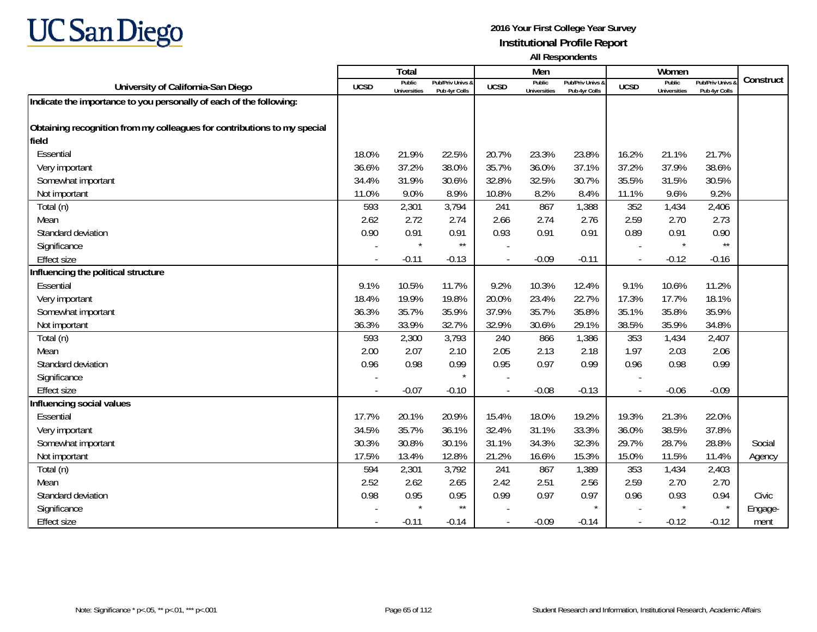

|                                                                          |                          | <b>Total</b>                  |                                   |             | Men                           |                                   |                          | Women                         |                                        |           |
|--------------------------------------------------------------------------|--------------------------|-------------------------------|-----------------------------------|-------------|-------------------------------|-----------------------------------|--------------------------|-------------------------------|----------------------------------------|-----------|
| University of California-San Diego                                       | <b>UCSD</b>              | Public<br><b>Universities</b> | Pub/Priv Univs &<br>Pub 4yr Colls | <b>UCSD</b> | Public<br><b>Universities</b> | Pub/Priv Univs &<br>Pub 4yr Colls | <b>UCSD</b>              | Public<br><b>Universities</b> | <b>Pub/Priv Univs</b><br>Pub 4yr Colls | Construct |
| Indicate the importance to you personally of each of the following:      |                          |                               |                                   |             |                               |                                   |                          |                               |                                        |           |
|                                                                          |                          |                               |                                   |             |                               |                                   |                          |                               |                                        |           |
| Obtaining recognition from my colleagues for contributions to my special |                          |                               |                                   |             |                               |                                   |                          |                               |                                        |           |
| field                                                                    |                          |                               |                                   |             |                               |                                   |                          |                               |                                        |           |
| Essential                                                                | 18.0%                    | 21.9%                         | 22.5%                             | 20.7%       | 23.3%                         | 23.8%                             | 16.2%                    | 21.1%                         | 21.7%                                  |           |
| Very important                                                           | 36.6%                    | 37.2%                         | 38.0%                             | 35.7%       | 36.0%                         | 37.1%                             | 37.2%                    | 37.9%                         | 38.6%                                  |           |
| Somewhat important                                                       | 34.4%                    | 31.9%                         | 30.6%                             | 32.8%       | 32.5%                         | 30.7%                             | 35.5%                    | 31.5%                         | 30.5%                                  |           |
| Not important                                                            | 11.0%                    | 9.0%                          | 8.9%                              | 10.8%       | 8.2%                          | 8.4%                              | 11.1%                    | 9.6%                          | 9.2%                                   |           |
| Total (n)                                                                | 593                      | 2,301                         | 3,794                             | 241         | 867                           | 1,388                             | 352                      | 1,434                         | 2,406                                  |           |
| Mean                                                                     | 2.62                     | 2.72                          | 2.74                              | 2.66        | 2.74                          | 2.76                              | 2.59                     | 2.70                          | 2.73                                   |           |
| Standard deviation                                                       | 0.90                     | 0.91                          | 0.91                              | 0.93        | 0.91                          | 0.91                              | 0.89                     | 0.91                          | 0.90                                   |           |
| Significance                                                             |                          | $\star$                       | $\star\star$                      |             |                               |                                   |                          | $\star$                       | $^{\star\star}$                        |           |
| <b>Effect size</b>                                                       | $\overline{\phantom{a}}$ | $-0.11$                       | $-0.13$                           |             | $-0.09$                       | $-0.11$                           | $\overline{\phantom{a}}$ | $-0.12$                       | $-0.16$                                |           |
| Influencing the political structure                                      |                          |                               |                                   |             |                               |                                   |                          |                               |                                        |           |
| Essential                                                                | 9.1%                     | 10.5%                         | 11.7%                             | 9.2%        | 10.3%                         | 12.4%                             | 9.1%                     | 10.6%                         | 11.2%                                  |           |
| Very important                                                           | 18.4%                    | 19.9%                         | 19.8%                             | 20.0%       | 23.4%                         | 22.7%                             | 17.3%                    | 17.7%                         | 18.1%                                  |           |
| Somewhat important                                                       | 36.3%                    | 35.7%                         | 35.9%                             | 37.9%       | 35.7%                         | 35.8%                             | 35.1%                    | 35.8%                         | 35.9%                                  |           |
| Not important                                                            | 36.3%                    | 33.9%                         | 32.7%                             | 32.9%       | 30.6%                         | 29.1%                             | 38.5%                    | 35.9%                         | 34.8%                                  |           |
| Total (n)                                                                | 593                      | 2,300                         | 3,793                             | 240         | 866                           | 1,386                             | 353                      | 1,434                         | 2,407                                  |           |
| Mean                                                                     | 2.00                     | 2.07                          | 2.10                              | 2.05        | 2.13                          | 2.18                              | 1.97                     | 2.03                          | 2.06                                   |           |
| Standard deviation                                                       | 0.96                     | 0.98                          | 0.99                              | 0.95        | 0.97                          | 0.99                              | 0.96                     | 0.98                          | 0.99                                   |           |
| Significance                                                             |                          |                               | $\star$                           |             |                               |                                   |                          |                               |                                        |           |
| <b>Effect size</b>                                                       | $\overline{\phantom{a}}$ | $-0.07$                       | $-0.10$                           |             | $-0.08$                       | $-0.13$                           | $\overline{\phantom{a}}$ | $-0.06$                       | $-0.09$                                |           |
| Influencing social values                                                |                          |                               |                                   |             |                               |                                   |                          |                               |                                        |           |
| Essential                                                                | 17.7%                    | 20.1%                         | 20.9%                             | 15.4%       | 18.0%                         | 19.2%                             | 19.3%                    | 21.3%                         | 22.0%                                  |           |
| Very important                                                           | 34.5%                    | 35.7%                         | 36.1%                             | 32.4%       | 31.1%                         | 33.3%                             | 36.0%                    | 38.5%                         | 37.8%                                  |           |
| Somewhat important                                                       | 30.3%                    | 30.8%                         | 30.1%                             | 31.1%       | 34.3%                         | 32.3%                             | 29.7%                    | 28.7%                         | 28.8%                                  | Social    |
| Not important                                                            | 17.5%                    | 13.4%                         | 12.8%                             | 21.2%       | 16.6%                         | 15.3%                             | 15.0%                    | 11.5%                         | 11.4%                                  | Agency    |
| Total (n)                                                                | 594                      | 2,301                         | 3,792                             | 241         | 867                           | 1,389                             | 353                      | 1,434                         | 2,403                                  |           |
| Mean                                                                     | 2.52                     | 2.62                          | 2.65                              | 2.42        | 2.51                          | 2.56                              | 2.59                     | 2.70                          | 2.70                                   |           |
| Standard deviation                                                       | 0.98                     | 0.95                          | 0.95                              | 0.99        | 0.97                          | 0.97                              | 0.96                     | 0.93                          | 0.94                                   | Civic     |
| Significance                                                             |                          | $\star$                       | $^{\star\star}$                   |             |                               | $\star$                           |                          | $\star$                       | $\star$                                | Engage-   |
| <b>Effect size</b>                                                       | $\sim$                   | $-0.11$                       | $-0.14$                           |             | $-0.09$                       | $-0.14$                           | $\blacksquare$           | $-0.12$                       | $-0.12$                                | ment      |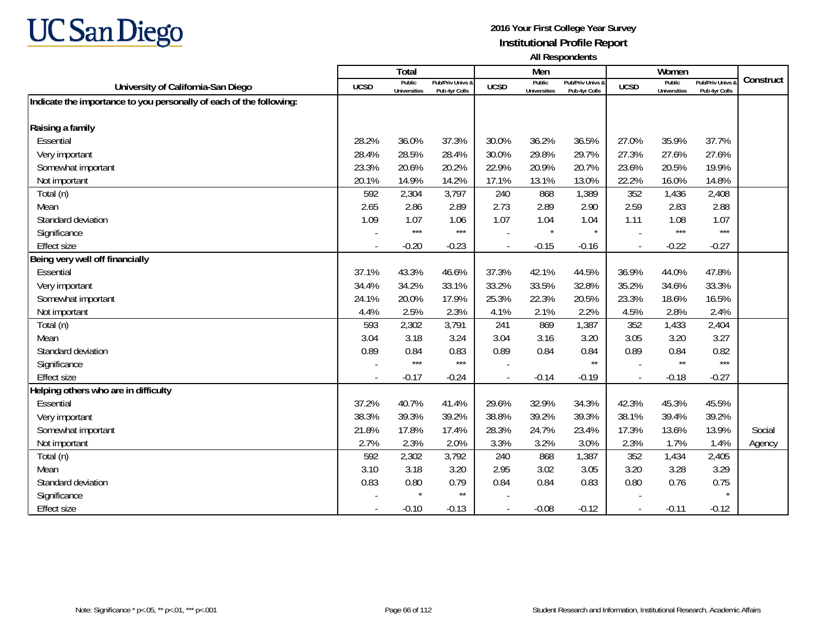

|                                                                     |             | Total                         |                                   |             | Men                           |                                   |                | Women                         |                                        |           |
|---------------------------------------------------------------------|-------------|-------------------------------|-----------------------------------|-------------|-------------------------------|-----------------------------------|----------------|-------------------------------|----------------------------------------|-----------|
| University of California-San Diego                                  | <b>UCSD</b> | Public<br><b>Universities</b> | Pub/Priv Univs &<br>Pub 4yr Colls | <b>UCSD</b> | Public<br><b>Universities</b> | Pub/Priv Univs 8<br>Pub 4yr Colls | <b>UCSD</b>    | Public<br><b>Universities</b> | <b>Pub/Priv Univs</b><br>Pub 4yr Colls | Construct |
| Indicate the importance to you personally of each of the following: |             |                               |                                   |             |                               |                                   |                |                               |                                        |           |
|                                                                     |             |                               |                                   |             |                               |                                   |                |                               |                                        |           |
| Raising a family                                                    |             |                               |                                   |             |                               |                                   |                |                               |                                        |           |
| Essential                                                           | 28.2%       | 36.0%                         | 37.3%                             | 30.0%       | 36.2%                         | 36.5%                             | 27.0%          | 35.9%                         | 37.7%                                  |           |
| Very important                                                      | 28.4%       | 28.5%                         | 28.4%                             | 30.0%       | 29.8%                         | 29.7%                             | 27.3%          | 27.6%                         | 27.6%                                  |           |
| Somewhat important                                                  | 23.3%       | 20.6%                         | 20.2%                             | 22.9%       | 20.9%                         | 20.7%                             | 23.6%          | 20.5%                         | 19.9%                                  |           |
| Not important                                                       | 20.1%       | 14.9%                         | 14.2%                             | 17.1%       | 13.1%                         | 13.0%                             | 22.2%          | 16.0%                         | 14.8%                                  |           |
| Total (n)                                                           | 592         | 2,304                         | 3,797                             | 240         | 868                           | 1,389                             | 352            | 1,436                         | 2,408                                  |           |
| Mean                                                                | 2.65        | 2.86                          | 2.89                              | 2.73        | 2.89                          | 2.90                              | 2.59           | 2.83                          | 2.88                                   |           |
| Standard deviation                                                  | 1.09        | 1.07                          | 1.06                              | 1.07        | 1.04                          | 1.04                              | 1.11           | 1.08                          | 1.07                                   |           |
| Significance                                                        |             | $***$                         | $***$                             |             | $\star$                       | $\star$                           |                | $***$                         | $***$                                  |           |
| <b>Effect size</b>                                                  |             | $-0.20$                       | $-0.23$                           |             | $-0.15$                       | $-0.16$                           |                | $-0.22$                       | $-0.27$                                |           |
| Being very well off financially                                     |             |                               |                                   |             |                               |                                   |                |                               |                                        |           |
| Essential                                                           | 37.1%       | 43.3%                         | 46.6%                             | 37.3%       | 42.1%                         | 44.5%                             | 36.9%          | 44.0%                         | 47.8%                                  |           |
| Very important                                                      | 34.4%       | 34.2%                         | 33.1%                             | 33.2%       | 33.5%                         | 32.8%                             | 35.2%          | 34.6%                         | 33.3%                                  |           |
| Somewhat important                                                  | 24.1%       | 20.0%                         | 17.9%                             | 25.3%       | 22.3%                         | 20.5%                             | 23.3%          | 18.6%                         | 16.5%                                  |           |
| Not important                                                       | 4.4%        | 2.5%                          | 2.3%                              | 4.1%        | 2.1%                          | 2.2%                              | 4.5%           | 2.8%                          | 2.4%                                   |           |
| Total (n)                                                           | 593         | 2,302                         | 3,791                             | 241         | 869                           | 1,387                             | 352            | 1,433                         | 2,404                                  |           |
| Mean                                                                | 3.04        | 3.18                          | 3.24                              | 3.04        | 3.16                          | 3.20                              | 3.05           | 3.20                          | 3.27                                   |           |
| Standard deviation                                                  | 0.89        | 0.84                          | 0.83                              | 0.89        | 0.84                          | 0.84                              | 0.89           | 0.84                          | 0.82                                   |           |
| Significance                                                        |             | $***$                         | $***$                             |             |                               | $\star\star$                      |                | $\star\star$                  | $***$                                  |           |
| <b>Effect size</b>                                                  | $\sim$      | $-0.17$                       | $-0.24$                           |             | $-0.14$                       | $-0.19$                           | $\sim$         | $-0.18$                       | $-0.27$                                |           |
| Helping others who are in difficulty                                |             |                               |                                   |             |                               |                                   |                |                               |                                        |           |
| Essential                                                           | 37.2%       | 40.7%                         | 41.4%                             | 29.6%       | 32.9%                         | 34.3%                             | 42.3%          | 45.3%                         | 45.5%                                  |           |
| Very important                                                      | 38.3%       | 39.3%                         | 39.2%                             | 38.8%       | 39.2%                         | 39.3%                             | 38.1%          | 39.4%                         | 39.2%                                  |           |
| Somewhat important                                                  | 21.8%       | 17.8%                         | 17.4%                             | 28.3%       | 24.7%                         | 23.4%                             | 17.3%          | 13.6%                         | 13.9%                                  | Social    |
| Not important                                                       | 2.7%        | 2.3%                          | 2.0%                              | 3.3%        | 3.2%                          | 3.0%                              | 2.3%           | 1.7%                          | 1.4%                                   | Agency    |
| Total (n)                                                           | 592         | 2,302                         | 3,792                             | 240         | 868                           | 1,387                             | 352            | 1,434                         | 2,405                                  |           |
| Mean                                                                | 3.10        | 3.18                          | 3.20                              | 2.95        | 3.02                          | 3.05                              | 3.20           | 3.28                          | 3.29                                   |           |
| Standard deviation                                                  | 0.83        | 0.80                          | 0.79                              | 0.84        | 0.84                          | 0.83                              | 0.80           | 0.76                          | 0.75                                   |           |
| Significance                                                        |             |                               | $\star\star$                      |             |                               |                                   |                |                               |                                        |           |
| Effect size                                                         |             | $-0.10$                       | $-0.13$                           |             | $-0.08$                       | $-0.12$                           | $\blacksquare$ | $-0.11$                       | $-0.12$                                |           |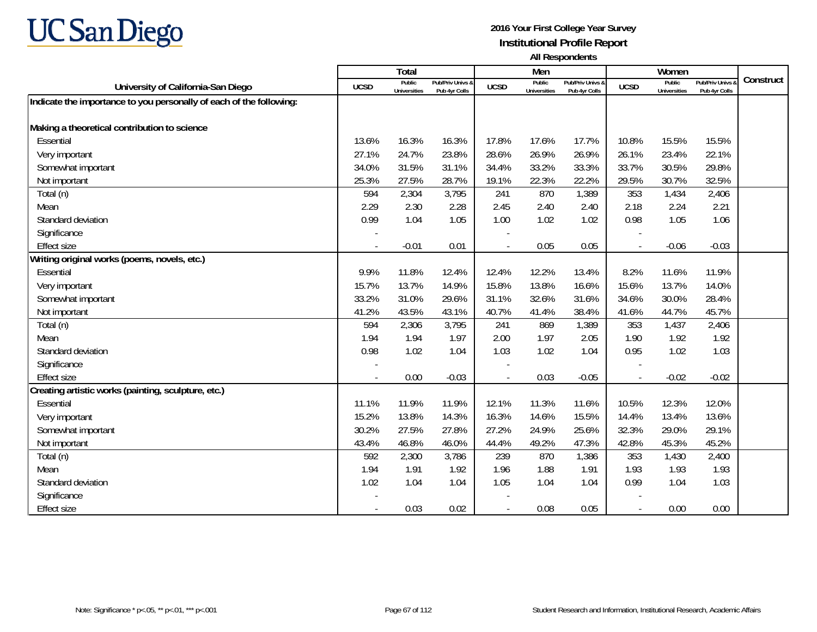

|                                                                     |                          | <b>Total</b>                  |                                   |                | Men                           |                                   |                          | Women                         |                                        |           |
|---------------------------------------------------------------------|--------------------------|-------------------------------|-----------------------------------|----------------|-------------------------------|-----------------------------------|--------------------------|-------------------------------|----------------------------------------|-----------|
| University of California-San Diego                                  | <b>UCSD</b>              | Public<br><b>Universities</b> | Pub/Priv Univs &<br>Pub 4yr Colls | <b>UCSD</b>    | Public<br><b>Universities</b> | Pub/Priv Univs &<br>Pub 4yr Colls | <b>UCSD</b>              | Public<br><b>Universities</b> | <b>Pub/Priv Univs</b><br>Pub 4yr Colls | Construct |
| Indicate the importance to you personally of each of the following: |                          |                               |                                   |                |                               |                                   |                          |                               |                                        |           |
|                                                                     |                          |                               |                                   |                |                               |                                   |                          |                               |                                        |           |
| Making a theoretical contribution to science                        |                          |                               |                                   |                |                               |                                   |                          |                               |                                        |           |
| Essential                                                           | 13.6%                    | 16.3%                         | 16.3%                             | 17.8%          | 17.6%                         | 17.7%                             | 10.8%                    | 15.5%                         | 15.5%                                  |           |
| Very important                                                      | 27.1%                    | 24.7%                         | 23.8%                             | 28.6%          | 26.9%                         | 26.9%                             | 26.1%                    | 23.4%                         | 22.1%                                  |           |
| Somewhat important                                                  | 34.0%                    | 31.5%                         | 31.1%                             | 34.4%          | 33.2%                         | 33.3%                             | 33.7%                    | 30.5%                         | 29.8%                                  |           |
| Not important                                                       | 25.3%                    | 27.5%                         | 28.7%                             | 19.1%          | 22.3%                         | 22.2%                             | 29.5%                    | 30.7%                         | 32.5%                                  |           |
| Total (n)                                                           | 594                      | 2,304                         | 3,795                             | 241            | 870                           | 1,389                             | 353                      | 1,434                         | 2,406                                  |           |
| Mean                                                                | 2.29                     | 2.30                          | 2.28                              | 2.45           | 2.40                          | 2.40                              | 2.18                     | 2.24                          | 2.21                                   |           |
| Standard deviation                                                  | 0.99                     | 1.04                          | 1.05                              | 1.00           | 1.02                          | 1.02                              | 0.98                     | 1.05                          | 1.06                                   |           |
| Significance                                                        |                          |                               |                                   |                |                               |                                   |                          |                               |                                        |           |
| <b>Effect size</b>                                                  |                          | $-0.01$                       | 0.01                              |                | 0.05                          | 0.05                              | $\overline{\phantom{a}}$ | $-0.06$                       | $-0.03$                                |           |
| Writing original works (poems, novels, etc.)                        |                          |                               |                                   |                |                               |                                   |                          |                               |                                        |           |
| Essential                                                           | 9.9%                     | 11.8%                         | 12.4%                             | 12.4%          | 12.2%                         | 13.4%                             | 8.2%                     | 11.6%                         | 11.9%                                  |           |
| Very important                                                      | 15.7%                    | 13.7%                         | 14.9%                             | 15.8%          | 13.8%                         | 16.6%                             | 15.6%                    | 13.7%                         | 14.0%                                  |           |
| Somewhat important                                                  | 33.2%                    | 31.0%                         | 29.6%                             | 31.1%          | 32.6%                         | 31.6%                             | 34.6%                    | 30.0%                         | 28.4%                                  |           |
| Not important                                                       | 41.2%                    | 43.5%                         | 43.1%                             | 40.7%          | 41.4%                         | 38.4%                             | 41.6%                    | 44.7%                         | 45.7%                                  |           |
| Total (n)                                                           | 594                      | 2,306                         | 3,795                             | 241            | 869                           | 1,389                             | 353                      | 1,437                         | 2,406                                  |           |
| Mean                                                                | 1.94                     | 1.94                          | 1.97                              | 2.00           | 1.97                          | 2.05                              | 1.90                     | 1.92                          | 1.92                                   |           |
| Standard deviation                                                  | 0.98                     | 1.02                          | 1.04                              | 1.03           | 1.02                          | 1.04                              | 0.95                     | 1.02                          | 1.03                                   |           |
| Significance                                                        |                          |                               |                                   |                |                               |                                   |                          |                               |                                        |           |
| <b>Effect size</b>                                                  |                          | 0.00                          | $-0.03$                           |                | 0.03                          | $-0.05$                           |                          | $-0.02$                       | $-0.02$                                |           |
| Creating artistic works (painting, sculpture, etc.)                 |                          |                               |                                   |                |                               |                                   |                          |                               |                                        |           |
| Essential                                                           | 11.1%                    | 11.9%                         | 11.9%                             | 12.1%          | 11.3%                         | 11.6%                             | 10.5%                    | 12.3%                         | 12.0%                                  |           |
| Very important                                                      | 15.2%                    | 13.8%                         | 14.3%                             | 16.3%          | 14.6%                         | 15.5%                             | 14.4%                    | 13.4%                         | 13.6%                                  |           |
| Somewhat important                                                  | 30.2%                    | 27.5%                         | 27.8%                             | 27.2%          | 24.9%                         | 25.6%                             | 32.3%                    | 29.0%                         | 29.1%                                  |           |
| Not important                                                       | 43.4%                    | 46.8%                         | 46.0%                             | 44.4%          | 49.2%                         | 47.3%                             | 42.8%                    | 45.3%                         | 45.2%                                  |           |
| Total (n)                                                           | 592                      | 2,300                         | 3,786                             | 239            | 870                           | 1,386                             | 353                      | 1,430                         | 2,400                                  |           |
| Mean                                                                | 1.94                     | 1.91                          | 1.92                              | 1.96           | 1.88                          | 1.91                              | 1.93                     | 1.93                          | 1.93                                   |           |
| Standard deviation                                                  | 1.02                     | 1.04                          | 1.04                              | 1.05           | 1.04                          | 1.04                              | 0.99                     | 1.04                          | 1.03                                   |           |
| Significance                                                        |                          |                               |                                   |                |                               |                                   |                          |                               |                                        |           |
| <b>Effect size</b>                                                  | $\overline{\phantom{a}}$ | 0.03                          | 0.02                              | $\blacksquare$ | 0.08                          | 0.05                              | $\overline{\phantom{a}}$ | 0.00                          | 0.00                                   |           |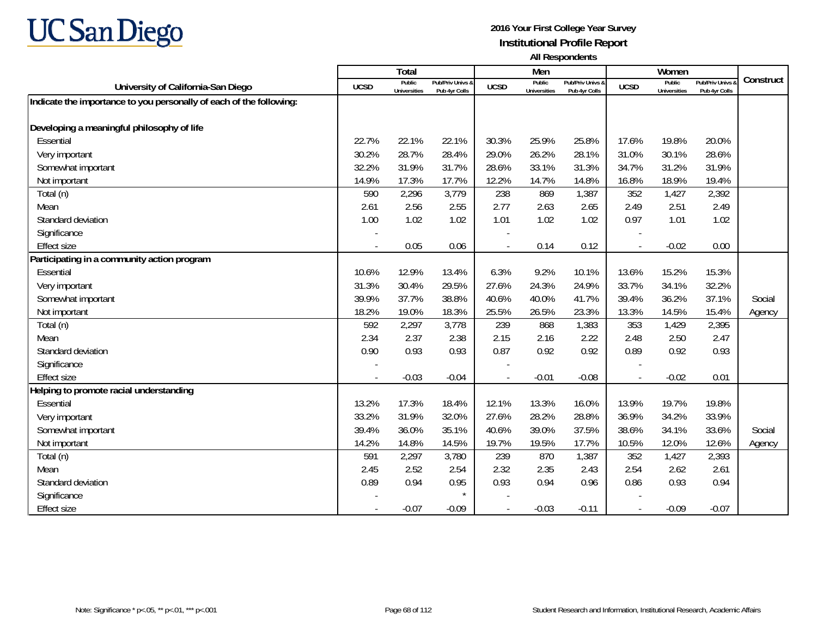

|                                                                     |                          | <b>Total</b>                  |                                   |             | Men                           |                                   |                          | Women                         |                                        |           |
|---------------------------------------------------------------------|--------------------------|-------------------------------|-----------------------------------|-------------|-------------------------------|-----------------------------------|--------------------------|-------------------------------|----------------------------------------|-----------|
| University of California-San Diego                                  | <b>UCSD</b>              | Public<br><b>Universities</b> | Pub/Priv Univs &<br>Pub 4yr Colls | <b>UCSD</b> | Public<br><b>Universities</b> | Pub/Priv Univs &<br>Pub 4yr Colls | <b>UCSD</b>              | Public<br><b>Universities</b> | <b>Pub/Priv Univs</b><br>Pub 4yr Colls | Construct |
| Indicate the importance to you personally of each of the following: |                          |                               |                                   |             |                               |                                   |                          |                               |                                        |           |
|                                                                     |                          |                               |                                   |             |                               |                                   |                          |                               |                                        |           |
| Developing a meaningful philosophy of life                          |                          |                               |                                   |             |                               |                                   |                          |                               |                                        |           |
| Essential                                                           | 22.7%                    | 22.1%                         | 22.1%                             | 30.3%       | 25.9%                         | 25.8%                             | 17.6%                    | 19.8%                         | 20.0%                                  |           |
| Very important                                                      | 30.2%                    | 28.7%                         | 28.4%                             | 29.0%       | 26.2%                         | 28.1%                             | 31.0%                    | 30.1%                         | 28.6%                                  |           |
| Somewhat important                                                  | 32.2%                    | 31.9%                         | 31.7%                             | 28.6%       | 33.1%                         | 31.3%                             | 34.7%                    | 31.2%                         | 31.9%                                  |           |
| Not important                                                       | 14.9%                    | 17.3%                         | 17.7%                             | 12.2%       | 14.7%                         | 14.8%                             | 16.8%                    | 18.9%                         | 19.4%                                  |           |
| Total (n)                                                           | 590                      | 2,296                         | 3,779                             | 238         | 869                           | 1,387                             | 352                      | 1,427                         | 2,392                                  |           |
| Mean                                                                | 2.61                     | 2.56                          | 2.55                              | 2.77        | 2.63                          | 2.65                              | 2.49                     | 2.51                          | 2.49                                   |           |
| Standard deviation                                                  | 1.00                     | 1.02                          | 1.02                              | 1.01        | 1.02                          | 1.02                              | 0.97                     | 1.01                          | 1.02                                   |           |
| Significance                                                        |                          |                               |                                   |             |                               |                                   |                          |                               |                                        |           |
| <b>Effect size</b>                                                  |                          | 0.05                          | 0.06                              |             | 0.14                          | 0.12                              | $\overline{\phantom{a}}$ | $-0.02$                       | 0.00                                   |           |
| Participating in a community action program                         |                          |                               |                                   |             |                               |                                   |                          |                               |                                        |           |
| Essential                                                           | 10.6%                    | 12.9%                         | 13.4%                             | 6.3%        | 9.2%                          | 10.1%                             | 13.6%                    | 15.2%                         | 15.3%                                  |           |
| Very important                                                      | 31.3%                    | 30.4%                         | 29.5%                             | 27.6%       | 24.3%                         | 24.9%                             | 33.7%                    | 34.1%                         | 32.2%                                  |           |
| Somewhat important                                                  | 39.9%                    | 37.7%                         | 38.8%                             | 40.6%       | 40.0%                         | 41.7%                             | 39.4%                    | 36.2%                         | 37.1%                                  | Social    |
| Not important                                                       | 18.2%                    | 19.0%                         | 18.3%                             | 25.5%       | 26.5%                         | 23.3%                             | 13.3%                    | 14.5%                         | 15.4%                                  | Agency    |
| Total (n)                                                           | 592                      | 2,297                         | 3,778                             | 239         | 868                           | 1,383                             | 353                      | 1,429                         | 2,395                                  |           |
| Mean                                                                | 2.34                     | 2.37                          | 2.38                              | 2.15        | 2.16                          | 2.22                              | 2.48                     | 2.50                          | 2.47                                   |           |
| Standard deviation                                                  | 0.90                     | 0.93                          | 0.93                              | 0.87        | 0.92                          | 0.92                              | 0.89                     | 0.92                          | 0.93                                   |           |
| Significance                                                        |                          |                               |                                   |             |                               |                                   |                          |                               |                                        |           |
| <b>Effect size</b>                                                  | $\overline{\phantom{a}}$ | $-0.03$                       | $-0.04$                           | $\sim$      | $-0.01$                       | $-0.08$                           | $\sim$                   | $-0.02$                       | 0.01                                   |           |
| Helping to promote racial understanding                             |                          |                               |                                   |             |                               |                                   |                          |                               |                                        |           |
| Essential                                                           | 13.2%                    | 17.3%                         | 18.4%                             | 12.1%       | 13.3%                         | 16.0%                             | 13.9%                    | 19.7%                         | 19.8%                                  |           |
| Very important                                                      | 33.2%                    | 31.9%                         | 32.0%                             | 27.6%       | 28.2%                         | 28.8%                             | 36.9%                    | 34.2%                         | 33.9%                                  |           |
| Somewhat important                                                  | 39.4%                    | 36.0%                         | 35.1%                             | 40.6%       | 39.0%                         | 37.5%                             | 38.6%                    | 34.1%                         | 33.6%                                  | Social    |
| Not important                                                       | 14.2%                    | 14.8%                         | 14.5%                             | 19.7%       | 19.5%                         | 17.7%                             | 10.5%                    | 12.0%                         | 12.6%                                  | Agency    |
| Total (n)                                                           | 591                      | 2,297                         | 3,780                             | 239         | 870                           | 1,387                             | 352                      | 1,427                         | 2,393                                  |           |
| Mean                                                                | 2.45                     | 2.52                          | 2.54                              | 2.32        | 2.35                          | 2.43                              | 2.54                     | 2.62                          | 2.61                                   |           |
| Standard deviation                                                  | 0.89                     | 0.94                          | 0.95                              | 0.93        | 0.94                          | 0.96                              | 0.86                     | 0.93                          | 0.94                                   |           |
| Significance                                                        |                          |                               | $\star$                           |             |                               |                                   |                          |                               |                                        |           |
| <b>Effect size</b>                                                  |                          | $-0.07$                       | $-0.09$                           | $\sim$      | $-0.03$                       | $-0.11$                           |                          | $-0.09$                       | $-0.07$                                |           |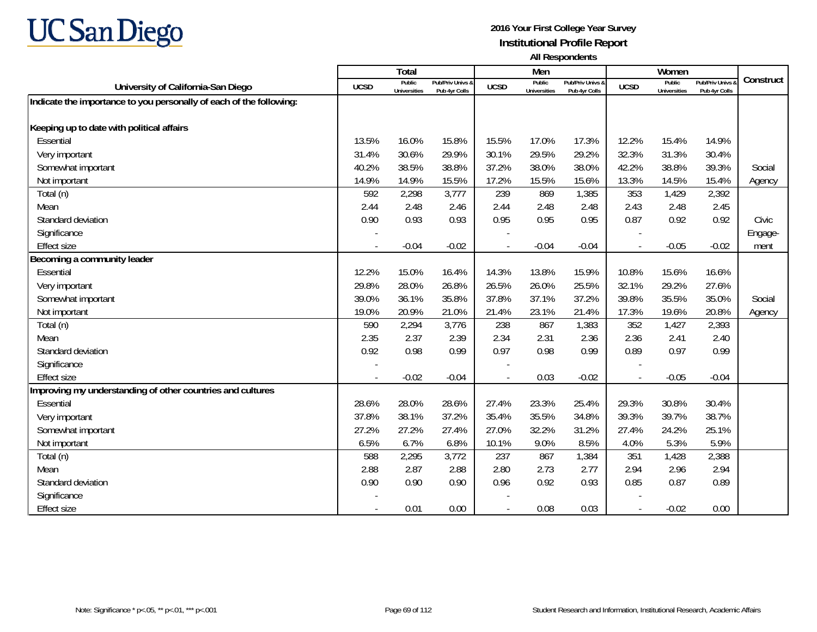

|                                                                     |                          | <b>Total</b>                  |                                   |                | Men                           |                                   |             | Women                         |                                        |           |
|---------------------------------------------------------------------|--------------------------|-------------------------------|-----------------------------------|----------------|-------------------------------|-----------------------------------|-------------|-------------------------------|----------------------------------------|-----------|
| University of California-San Diego                                  | <b>UCSD</b>              | Public<br><b>Universities</b> | Pub/Priv Univs &<br>Pub 4yr Colls | <b>UCSD</b>    | Public<br><b>Universities</b> | Pub/Priv Univs &<br>Pub 4yr Colls | <b>UCSD</b> | Public<br><b>Universities</b> | <b>Pub/Priv Univs</b><br>Pub 4yr Colls | Construct |
| Indicate the importance to you personally of each of the following: |                          |                               |                                   |                |                               |                                   |             |                               |                                        |           |
|                                                                     |                          |                               |                                   |                |                               |                                   |             |                               |                                        |           |
| Keeping up to date with political affairs                           |                          |                               |                                   |                |                               |                                   |             |                               |                                        |           |
| Essential                                                           | 13.5%                    | 16.0%                         | 15.8%                             | 15.5%          | 17.0%                         | 17.3%                             | 12.2%       | 15.4%                         | 14.9%                                  |           |
| Very important                                                      | 31.4%                    | 30.6%                         | 29.9%                             | 30.1%          | 29.5%                         | 29.2%                             | 32.3%       | 31.3%                         | 30.4%                                  |           |
| Somewhat important                                                  | 40.2%                    | 38.5%                         | 38.8%                             | 37.2%          | 38.0%                         | 38.0%                             | 42.2%       | 38.8%                         | 39.3%                                  | Social    |
| Not important                                                       | 14.9%                    | 14.9%                         | 15.5%                             | 17.2%          | 15.5%                         | 15.6%                             | 13.3%       | 14.5%                         | 15.4%                                  | Agency    |
| Total (n)                                                           | 592                      | 2,298                         | 3,777                             | 239            | 869                           | 1,385                             | 353         | 1,429                         | 2,392                                  |           |
| Mean                                                                | 2.44                     | 2.48                          | 2.46                              | 2.44           | 2.48                          | 2.48                              | 2.43        | 2.48                          | 2.45                                   |           |
| Standard deviation                                                  | 0.90                     | 0.93                          | 0.93                              | 0.95           | 0.95                          | 0.95                              | 0.87        | 0.92                          | 0.92                                   | Civic     |
| Significance                                                        |                          |                               |                                   |                |                               |                                   |             |                               |                                        | Engage-   |
| <b>Effect size</b>                                                  |                          | $-0.04$                       | $-0.02$                           |                | $-0.04$                       | $-0.04$                           | $\sim$      | $-0.05$                       | $-0.02$                                | ment      |
| Becoming a community leader                                         |                          |                               |                                   |                |                               |                                   |             |                               |                                        |           |
| Essential                                                           | 12.2%                    | 15.0%                         | 16.4%                             | 14.3%          | 13.8%                         | 15.9%                             | 10.8%       | 15.6%                         | 16.6%                                  |           |
| Very important                                                      | 29.8%                    | 28.0%                         | 26.8%                             | 26.5%          | 26.0%                         | 25.5%                             | 32.1%       | 29.2%                         | 27.6%                                  |           |
| Somewhat important                                                  | 39.0%                    | 36.1%                         | 35.8%                             | 37.8%          | 37.1%                         | 37.2%                             | 39.8%       | 35.5%                         | 35.0%                                  | Social    |
| Not important                                                       | 19.0%                    | 20.9%                         | 21.0%                             | 21.4%          | 23.1%                         | 21.4%                             | 17.3%       | 19.6%                         | 20.8%                                  | Agency    |
| Total (n)                                                           | 590                      | 2,294                         | 3,776                             | 238            | 867                           | 1,383                             | 352         | 1,427                         | 2,393                                  |           |
| Mean                                                                | 2.35                     | 2.37                          | 2.39                              | 2.34           | 2.31                          | 2.36                              | 2.36        | 2.41                          | 2.40                                   |           |
| Standard deviation                                                  | 0.92                     | 0.98                          | 0.99                              | 0.97           | 0.98                          | 0.99                              | 0.89        | 0.97                          | 0.99                                   |           |
| Significance                                                        |                          |                               |                                   |                |                               |                                   |             |                               |                                        |           |
| <b>Effect size</b>                                                  |                          | $-0.02$                       | $-0.04$                           |                | 0.03                          | $-0.02$                           |             | $-0.05$                       | $-0.04$                                |           |
| Improving my understanding of other countries and cultures          |                          |                               |                                   |                |                               |                                   |             |                               |                                        |           |
| Essential                                                           | 28.6%                    | 28.0%                         | 28.6%                             | 27.4%          | 23.3%                         | 25.4%                             | 29.3%       | 30.8%                         | 30.4%                                  |           |
| Very important                                                      | 37.8%                    | 38.1%                         | 37.2%                             | 35.4%          | 35.5%                         | 34.8%                             | 39.3%       | 39.7%                         | 38.7%                                  |           |
| Somewhat important                                                  | 27.2%                    | 27.2%                         | 27.4%                             | 27.0%          | 32.2%                         | 31.2%                             | 27.4%       | 24.2%                         | 25.1%                                  |           |
| Not important                                                       | 6.5%                     | 6.7%                          | 6.8%                              | 10.1%          | 9.0%                          | 8.5%                              | 4.0%        | 5.3%                          | 5.9%                                   |           |
| Total (n)                                                           | 588                      | 2,295                         | 3,772                             | 237            | 867                           | 1,384                             | 351         | 1,428                         | 2,388                                  |           |
| Mean                                                                | 2.88                     | 2.87                          | 2.88                              | 2.80           | 2.73                          | 2.77                              | 2.94        | 2.96                          | 2.94                                   |           |
| Standard deviation                                                  | 0.90                     | 0.90                          | 0.90                              | 0.96           | 0.92                          | 0.93                              | 0.85        | 0.87                          | 0.89                                   |           |
| Significance                                                        |                          |                               |                                   |                |                               |                                   |             |                               |                                        |           |
| <b>Effect size</b>                                                  | $\overline{\phantom{a}}$ | 0.01                          | 0.00                              | $\overline{a}$ | 0.08                          | 0.03                              |             | $-0.02$                       | 0.00                                   |           |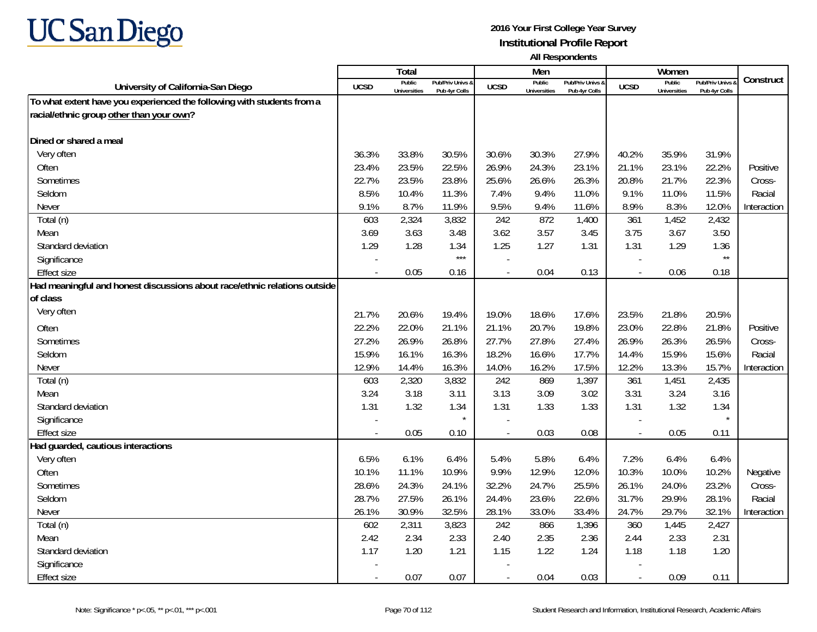

|                                                                           |                | Total                         |                                   |                          | Men                           |                                   |                          | Women                         |                                        |             |
|---------------------------------------------------------------------------|----------------|-------------------------------|-----------------------------------|--------------------------|-------------------------------|-----------------------------------|--------------------------|-------------------------------|----------------------------------------|-------------|
| University of California-San Diego                                        | <b>UCSD</b>    | Public<br><b>Universities</b> | Pub/Priv Univs &<br>Pub 4yr Colls | <b>UCSD</b>              | Public<br><b>Universities</b> | Pub/Priv Univs &<br>Pub 4yr Colls | <b>UCSD</b>              | Public<br><b>Universities</b> | <b>Pub/Priv Univs</b><br>Pub 4yr Colls | Construct   |
| To what extent have you experienced the following with students from a    |                |                               |                                   |                          |                               |                                   |                          |                               |                                        |             |
| racial/ethnic group other than your own?                                  |                |                               |                                   |                          |                               |                                   |                          |                               |                                        |             |
|                                                                           |                |                               |                                   |                          |                               |                                   |                          |                               |                                        |             |
| Dined or shared a meal                                                    |                |                               |                                   |                          |                               |                                   |                          |                               |                                        |             |
| Very often                                                                | 36.3%          | 33.8%                         | 30.5%                             | 30.6%                    | 30.3%                         | 27.9%                             | 40.2%                    | 35.9%                         | 31.9%                                  |             |
| Often                                                                     | 23.4%          | 23.5%                         | 22.5%                             | 26.9%                    | 24.3%                         | 23.1%                             | 21.1%                    | 23.1%                         | 22.2%                                  | Positive    |
| Sometimes                                                                 | 22.7%          | 23.5%                         | 23.8%                             | 25.6%                    | 26.6%                         | 26.3%                             | 20.8%                    | 21.7%                         | 22.3%                                  | Cross-      |
| Seldom                                                                    | 8.5%           | 10.4%                         | 11.3%                             | 7.4%                     | 9.4%                          | 11.0%                             | 9.1%                     | 11.0%                         | 11.5%                                  | Racial      |
| Never                                                                     | 9.1%           | 8.7%                          | 11.9%                             | 9.5%                     | 9.4%                          | 11.6%                             | 8.9%                     | 8.3%                          | 12.0%                                  | Interaction |
| Total (n)                                                                 | 603            | 2,324                         | 3,832                             | 242                      | 872                           | 1,400                             | 361                      | 1,452                         | 2,432                                  |             |
| Mean                                                                      | 3.69           | 3.63                          | 3.48                              | 3.62                     | 3.57                          | 3.45                              | 3.75                     | 3.67                          | 3.50                                   |             |
| Standard deviation                                                        | 1.29           | 1.28                          | 1.34                              | 1.25                     | 1.27                          | 1.31                              | 1.31                     | 1.29                          | 1.36                                   |             |
| Significance                                                              |                |                               | $***$                             |                          |                               |                                   |                          |                               | $\star\star$                           |             |
| <b>Effect size</b>                                                        | $\overline{a}$ | 0.05                          | 0.16                              |                          | 0.04                          | 0.13                              | $\overline{\phantom{a}}$ | 0.06                          | 0.18                                   |             |
| Had meaningful and honest discussions about race/ethnic relations outside |                |                               |                                   |                          |                               |                                   |                          |                               |                                        |             |
| of class                                                                  |                |                               |                                   |                          |                               |                                   |                          |                               |                                        |             |
| Very often                                                                | 21.7%          | 20.6%                         | 19.4%                             | 19.0%                    | 18.6%                         | 17.6%                             | 23.5%                    | 21.8%                         | 20.5%                                  |             |
| Often                                                                     | 22.2%          | 22.0%                         | 21.1%                             | 21.1%                    | 20.7%                         | 19.8%                             | 23.0%                    | 22.8%                         | 21.8%                                  | Positive    |
| Sometimes                                                                 | 27.2%          | 26.9%                         | 26.8%                             | 27.7%                    | 27.8%                         | 27.4%                             | 26.9%                    | 26.3%                         | 26.5%                                  | Cross-      |
| Seldom                                                                    | 15.9%          | 16.1%                         | 16.3%                             | 18.2%                    | 16.6%                         | 17.7%                             | 14.4%                    | 15.9%                         | 15.6%                                  | Racial      |
| Never                                                                     | 12.9%          | 14.4%                         | 16.3%                             | 14.0%                    | 16.2%                         | 17.5%                             | 12.2%                    | 13.3%                         | 15.7%                                  | Interaction |
| Total (n)                                                                 | 603            | 2,320                         | 3,832                             | 242                      | 869                           | 1,397                             | 361                      | 1,451                         | 2,435                                  |             |
| Mean                                                                      | 3.24           | 3.18                          | 3.11                              | 3.13                     | 3.09                          | 3.02                              | 3.31                     | 3.24                          | 3.16                                   |             |
| Standard deviation                                                        | 1.31           | 1.32                          | 1.34                              | 1.31                     | 1.33                          | 1.33                              | 1.31                     | 1.32                          | 1.34                                   |             |
| Significance                                                              |                |                               |                                   |                          |                               |                                   |                          |                               |                                        |             |
| Effect size                                                               |                | 0.05                          | 0.10                              |                          | 0.03                          | 0.08                              | $\blacksquare$           | 0.05                          | 0.11                                   |             |
| Had guarded, cautious interactions                                        |                |                               |                                   |                          |                               |                                   |                          |                               |                                        |             |
| Very often                                                                | 6.5%           | 6.1%                          | 6.4%                              | 5.4%                     | 5.8%                          | 6.4%                              | 7.2%                     | 6.4%                          | 6.4%                                   |             |
| Often                                                                     | 10.1%          | 11.1%                         | 10.9%                             | 9.9%                     | 12.9%                         | 12.0%                             | 10.3%                    | 10.0%                         | 10.2%                                  | Negative    |
| Sometimes                                                                 | 28.6%          | 24.3%                         | 24.1%                             | 32.2%                    | 24.7%                         | 25.5%                             | 26.1%                    | 24.0%                         | 23.2%                                  | Cross-      |
| Seldom                                                                    | 28.7%          | 27.5%                         | 26.1%                             | 24.4%                    | 23.6%                         | 22.6%                             | 31.7%                    | 29.9%                         | 28.1%                                  | Racial      |
| Never                                                                     | 26.1%          | 30.9%                         | 32.5%                             | 28.1%                    | 33.0%                         | 33.4%                             | 24.7%                    | 29.7%                         | 32.1%                                  | Interaction |
| Total (n)                                                                 | 602            | 2,311                         | 3,823                             | 242                      | 866                           | 1,396                             | 360                      | 1,445                         | 2,427                                  |             |
| Mean                                                                      | 2.42           | 2.34                          | 2.33                              | 2.40                     | 2.35                          | 2.36                              | 2.44                     | 2.33                          | 2.31                                   |             |
| Standard deviation                                                        | 1.17           | 1.20                          | 1.21                              | 1.15                     | 1.22                          | 1.24                              | 1.18                     | 1.18                          | 1.20                                   |             |
| Significance                                                              |                |                               |                                   |                          |                               |                                   |                          |                               |                                        |             |
| <b>Effect size</b>                                                        |                | 0.07                          | 0.07                              | $\overline{\phantom{a}}$ | 0.04                          | 0.03                              | $\overline{\phantom{a}}$ | 0.09                          | 0.11                                   |             |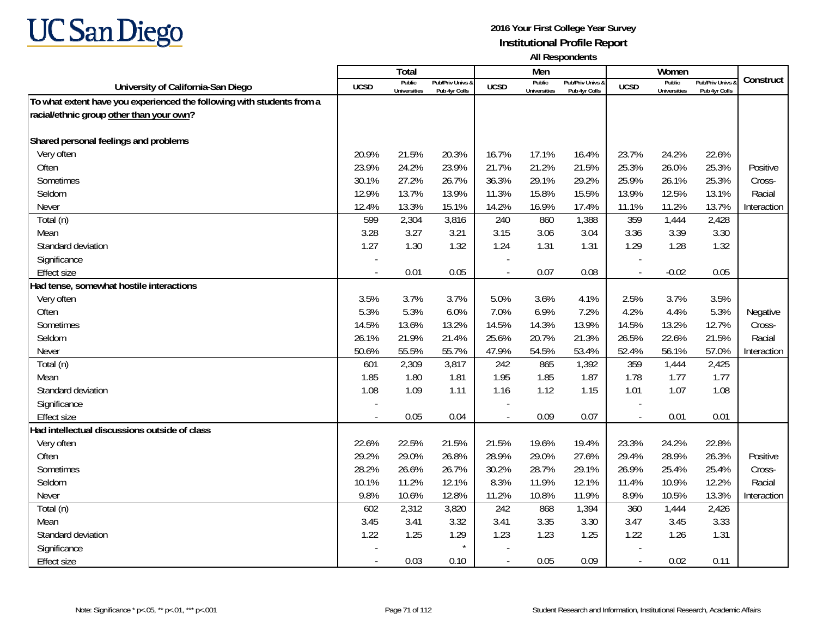

|                                                                        |                | Total                         |                                   |                | Men                           |                                   |                          | Women                         |                                        |             |
|------------------------------------------------------------------------|----------------|-------------------------------|-----------------------------------|----------------|-------------------------------|-----------------------------------|--------------------------|-------------------------------|----------------------------------------|-------------|
| University of California-San Diego                                     | <b>UCSD</b>    | Public<br><b>Universities</b> | Pub/Priv Univs &<br>Pub 4yr Colls | <b>UCSD</b>    | Public<br><b>Universities</b> | Pub/Priv Univs &<br>Pub 4yr Colls | <b>UCSD</b>              | Public<br><b>Universities</b> | <b>Pub/Priv Univs</b><br>Pub 4yr Colls | Construct   |
| To what extent have you experienced the following with students from a |                |                               |                                   |                |                               |                                   |                          |                               |                                        |             |
| racial/ethnic group other than your own?                               |                |                               |                                   |                |                               |                                   |                          |                               |                                        |             |
|                                                                        |                |                               |                                   |                |                               |                                   |                          |                               |                                        |             |
| Shared personal feelings and problems                                  |                |                               |                                   |                |                               |                                   |                          |                               |                                        |             |
| Very often                                                             | 20.9%          | 21.5%                         | 20.3%                             | 16.7%          | 17.1%                         | 16.4%                             | 23.7%                    | 24.2%                         | 22.6%                                  |             |
| Often                                                                  | 23.9%          | 24.2%                         | 23.9%                             | 21.7%          | 21.2%                         | 21.5%                             | 25.3%                    | 26.0%                         | 25.3%                                  | Positive    |
| Sometimes                                                              | 30.1%          | 27.2%                         | 26.7%                             | 36.3%          | 29.1%                         | 29.2%                             | 25.9%                    | 26.1%                         | 25.3%                                  | Cross-      |
| Seldom                                                                 | 12.9%          | 13.7%                         | 13.9%                             | 11.3%          | 15.8%                         | 15.5%                             | 13.9%                    | 12.5%                         | 13.1%                                  | Racial      |
| Never                                                                  | 12.4%          | 13.3%                         | 15.1%                             | 14.2%          | 16.9%                         | 17.4%                             | 11.1%                    | 11.2%                         | 13.7%                                  | Interaction |
| Total (n)                                                              | 599            | 2,304                         | 3,816                             | 240            | 860                           | 1,388                             | 359                      | 1,444                         | 2,428                                  |             |
| Mean                                                                   | 3.28           | 3.27                          | 3.21                              | 3.15           | 3.06                          | 3.04                              | 3.36                     | 3.39                          | 3.30                                   |             |
| Standard deviation                                                     | 1.27           | 1.30                          | 1.32                              | 1.24           | 1.31                          | 1.31                              | 1.29                     | 1.28                          | 1.32                                   |             |
| Significance                                                           |                |                               |                                   |                |                               |                                   |                          |                               |                                        |             |
| <b>Effect size</b>                                                     |                | 0.01                          | 0.05                              |                | 0.07                          | 0.08                              | $\overline{\phantom{a}}$ | $-0.02$                       | 0.05                                   |             |
| Had tense, somewhat hostile interactions                               |                |                               |                                   |                |                               |                                   |                          |                               |                                        |             |
| Very often                                                             | 3.5%           | 3.7%                          | 3.7%                              | 5.0%           | 3.6%                          | 4.1%                              | 2.5%                     | 3.7%                          | 3.5%                                   |             |
| Often                                                                  | 5.3%           | 5.3%                          | 6.0%                              | 7.0%           | 6.9%                          | 7.2%                              | 4.2%                     | 4.4%                          | 5.3%                                   | Negative    |
| Sometimes                                                              | 14.5%          | 13.6%                         | 13.2%                             | 14.5%          | 14.3%                         | 13.9%                             | 14.5%                    | 13.2%                         | 12.7%                                  | Cross-      |
| Seldom                                                                 | 26.1%          | 21.9%                         | 21.4%                             | 25.6%          | 20.7%                         | 21.3%                             | 26.5%                    | 22.6%                         | 21.5%                                  | Racial      |
| Never                                                                  | 50.6%          | 55.5%                         | 55.7%                             | 47.9%          | 54.5%                         | 53.4%                             | 52.4%                    | 56.1%                         | 57.0%                                  | Interaction |
| Total (n)                                                              | 601            | 2,309                         | 3,817                             | 242            | 865                           | 1,392                             | 359                      | 1,444                         | 2,425                                  |             |
| Mean                                                                   | 1.85           | 1.80                          | 1.81                              | 1.95           | 1.85                          | 1.87                              | 1.78                     | 1.77                          | 1.77                                   |             |
| Standard deviation                                                     | 1.08           | 1.09                          | 1.11                              | 1.16           | 1.12                          | 1.15                              | 1.01                     | 1.07                          | 1.08                                   |             |
| Significance                                                           |                |                               |                                   |                |                               |                                   |                          |                               |                                        |             |
| <b>Effect size</b>                                                     | $\overline{a}$ | 0.05                          | 0.04                              | $\sim$         | 0.09                          | 0.07                              | $\blacksquare$           | 0.01                          | 0.01                                   |             |
| Had intellectual discussions outside of class                          |                |                               |                                   |                |                               |                                   |                          |                               |                                        |             |
| Very often                                                             | 22.6%          | 22.5%                         | 21.5%                             | 21.5%          | 19.6%                         | 19.4%                             | 23.3%                    | 24.2%                         | 22.8%                                  |             |
| Often                                                                  | 29.2%          | 29.0%                         | 26.8%                             | 28.9%          | 29.0%                         | 27.6%                             | 29.4%                    | 28.9%                         | 26.3%                                  | Positive    |
| Sometimes                                                              | 28.2%          | 26.6%                         | 26.7%                             | 30.2%          | 28.7%                         | 29.1%                             | 26.9%                    | 25.4%                         | 25.4%                                  | Cross-      |
| Seldom                                                                 | 10.1%          | 11.2%                         | 12.1%                             | 8.3%           | 11.9%                         | 12.1%                             | 11.4%                    | 10.9%                         | 12.2%                                  | Racial      |
| Never                                                                  | 9.8%           | 10.6%                         | 12.8%                             | 11.2%          | 10.8%                         | 11.9%                             | 8.9%                     | 10.5%                         | 13.3%                                  | Interaction |
| Total (n)                                                              | 602            | 2,312                         | 3,820                             | 242            | 868                           | 1,394                             | 360                      | 1,444                         | 2,426                                  |             |
| Mean                                                                   | 3.45           | 3.41                          | 3.32                              | 3.41           | 3.35                          | 3.30                              | 3.47                     | 3.45                          | 3.33                                   |             |
| Standard deviation                                                     | 1.22           | 1.25                          | 1.29                              | 1.23           | 1.23                          | 1.25                              | 1.22                     | 1.26                          | 1.31                                   |             |
| Significance                                                           |                |                               | $\star$                           |                |                               |                                   |                          |                               |                                        |             |
| <b>Effect size</b>                                                     |                | 0.03                          | 0.10                              | $\blacksquare$ | 0.05                          | 0.09                              | $\overline{\phantom{a}}$ | 0.02                          | 0.11                                   |             |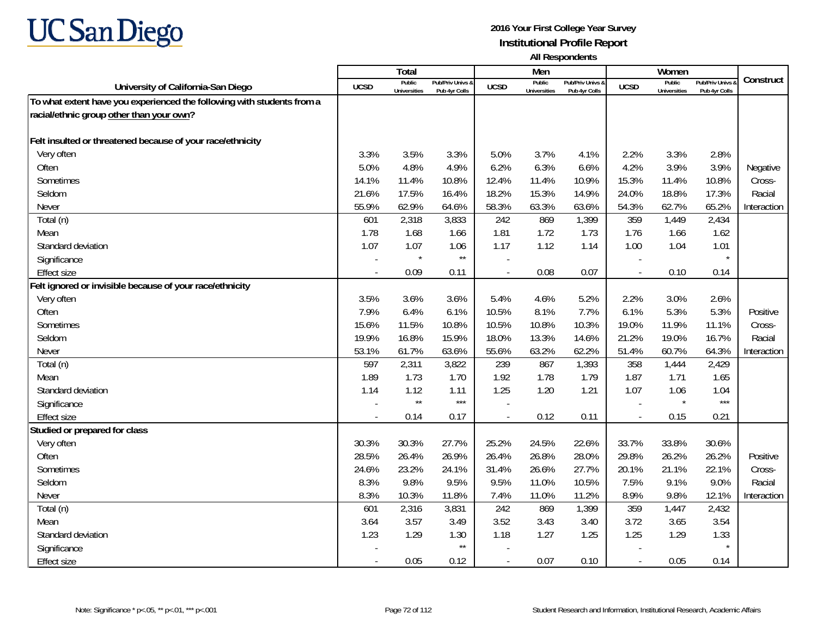

|                                                                        |             | Total                         |                                   |                | Men                           |                                              |                          | Women                         |                                        |             |
|------------------------------------------------------------------------|-------------|-------------------------------|-----------------------------------|----------------|-------------------------------|----------------------------------------------|--------------------------|-------------------------------|----------------------------------------|-------------|
| University of California-San Diego                                     | <b>UCSD</b> | Public<br><b>Universities</b> | Pub/Priv Univs &<br>Pub 4yr Colls | <b>UCSD</b>    | Public<br><b>Universities</b> | <b>Pub/Priv Univs &amp;</b><br>Pub 4yr Colls | <b>UCSD</b>              | Public<br><b>Universities</b> | <b>Pub/Priv Univs</b><br>Pub 4yr Colls | Construct   |
| To what extent have you experienced the following with students from a |             |                               |                                   |                |                               |                                              |                          |                               |                                        |             |
| racial/ethnic group other than your own?                               |             |                               |                                   |                |                               |                                              |                          |                               |                                        |             |
|                                                                        |             |                               |                                   |                |                               |                                              |                          |                               |                                        |             |
| Felt insulted or threatened because of your race/ethnicity             |             |                               |                                   |                |                               |                                              |                          |                               |                                        |             |
| Very often                                                             | 3.3%        | 3.5%                          | 3.3%                              | 5.0%           | 3.7%                          | 4.1%                                         | 2.2%                     | 3.3%                          | 2.8%                                   |             |
| Often                                                                  | 5.0%        | 4.8%                          | 4.9%                              | 6.2%           | 6.3%                          | 6.6%                                         | 4.2%                     | 3.9%                          | 3.9%                                   | Negative    |
| Sometimes                                                              | 14.1%       | 11.4%                         | 10.8%                             | 12.4%          | 11.4%                         | 10.9%                                        | 15.3%                    | 11.4%                         | 10.8%                                  | Cross-      |
| Seldom                                                                 | 21.6%       | 17.5%                         | 16.4%                             | 18.2%          | 15.3%                         | 14.9%                                        | 24.0%                    | 18.8%                         | 17.3%                                  | Racial      |
| Never                                                                  | 55.9%       | 62.9%                         | 64.6%                             | 58.3%          | 63.3%                         | 63.6%                                        | 54.3%                    | 62.7%                         | 65.2%                                  | Interaction |
| Total (n)                                                              | 601         | 2,318                         | 3,833                             | 242            | 869                           | 1,399                                        | 359                      | 1,449                         | 2,434                                  |             |
| Mean                                                                   | 1.78        | 1.68                          | 1.66                              | 1.81           | 1.72                          | 1.73                                         | 1.76                     | 1.66                          | 1.62                                   |             |
| Standard deviation                                                     | 1.07        | 1.07                          | 1.06                              | 1.17           | 1.12                          | 1.14                                         | 1.00                     | 1.04                          | 1.01                                   |             |
| Significance                                                           |             | $\star$                       | $\star\star$                      |                |                               |                                              |                          |                               | $\star$                                |             |
| <b>Effect size</b>                                                     |             | 0.09                          | 0.11                              |                | 0.08                          | 0.07                                         |                          | 0.10                          | 0.14                                   |             |
| Felt ignored or invisible because of your race/ethnicity               |             |                               |                                   |                |                               |                                              |                          |                               |                                        |             |
| Very often                                                             | 3.5%        | 3.6%                          | 3.6%                              | 5.4%           | 4.6%                          | 5.2%                                         | 2.2%                     | 3.0%                          | 2.6%                                   |             |
| Often                                                                  | 7.9%        | 6.4%                          | 6.1%                              | 10.5%          | 8.1%                          | 7.7%                                         | 6.1%                     | 5.3%                          | 5.3%                                   | Positive    |
| Sometimes                                                              | 15.6%       | 11.5%                         | 10.8%                             | 10.5%          | 10.8%                         | 10.3%                                        | 19.0%                    | 11.9%                         | 11.1%                                  | Cross-      |
| Seldom                                                                 | 19.9%       | 16.8%                         | 15.9%                             | 18.0%          | 13.3%                         | 14.6%                                        | 21.2%                    | 19.0%                         | 16.7%                                  | Racial      |
| Never                                                                  | 53.1%       | 61.7%                         | 63.6%                             | 55.6%          | 63.2%                         | 62.2%                                        | 51.4%                    | 60.7%                         | 64.3%                                  | Interaction |
| Total (n)                                                              | 597         | 2,311                         | 3,822                             | 239            | 867                           | 1,393                                        | 358                      | 1,444                         | 2,429                                  |             |
| Mean                                                                   | 1.89        | 1.73                          | 1.70                              | 1.92           | 1.78                          | 1.79                                         | 1.87                     | 1.71                          | 1.65                                   |             |
| Standard deviation                                                     | 1.14        | 1.12                          | 1.11                              | 1.25           | 1.20                          | 1.21                                         | 1.07                     | 1.06                          | 1.04                                   |             |
| Significance                                                           |             | $\star\star$                  | $***$                             |                |                               |                                              |                          | $\star$                       | $***$                                  |             |
| Effect size                                                            | $\sim$      | 0.14                          | 0.17                              | $\overline{a}$ | 0.12                          | 0.11                                         | $\overline{\phantom{a}}$ | 0.15                          | 0.21                                   |             |
| Studied or prepared for class                                          |             |                               |                                   |                |                               |                                              |                          |                               |                                        |             |
| Very often                                                             | 30.3%       | 30.3%                         | 27.7%                             | 25.2%          | 24.5%                         | 22.6%                                        | 33.7%                    | 33.8%                         | 30.6%                                  |             |
| Often                                                                  | 28.5%       | 26.4%                         | 26.9%                             | 26.4%          | 26.8%                         | 28.0%                                        | 29.8%                    | 26.2%                         | 26.2%                                  | Positive    |
| Sometimes                                                              | 24.6%       | 23.2%                         | 24.1%                             | 31.4%          | 26.6%                         | 27.7%                                        | 20.1%                    | 21.1%                         | 22.1%                                  | Cross-      |
| Seldom                                                                 | 8.3%        | 9.8%                          | 9.5%                              | 9.5%           | 11.0%                         | 10.5%                                        | 7.5%                     | 9.1%                          | 9.0%                                   | Racial      |
| Never                                                                  | 8.3%        | 10.3%                         | 11.8%                             | 7.4%           | 11.0%                         | 11.2%                                        | 8.9%                     | 9.8%                          | 12.1%                                  | Interaction |
| Total (n)                                                              | 601         | 2,316                         | 3,831                             | 242            | 869                           | 1,399                                        | 359                      | 1,447                         | 2,432                                  |             |
| Mean                                                                   | 3.64        | 3.57                          | 3.49                              | 3.52           | 3.43                          | 3.40                                         | 3.72                     | 3.65                          | 3.54                                   |             |
| Standard deviation                                                     | 1.23        | 1.29                          | 1.30                              | 1.18           | 1.27                          | 1.25                                         | 1.25                     | 1.29                          | 1.33                                   |             |
| Significance                                                           |             |                               | $\star\star$                      |                |                               |                                              |                          |                               | $\star$                                |             |
| <b>Effect size</b>                                                     |             | 0.05                          | 0.12                              | $\blacksquare$ | 0.07                          | 0.10                                         | $\overline{\phantom{a}}$ | 0.05                          | 0.14                                   |             |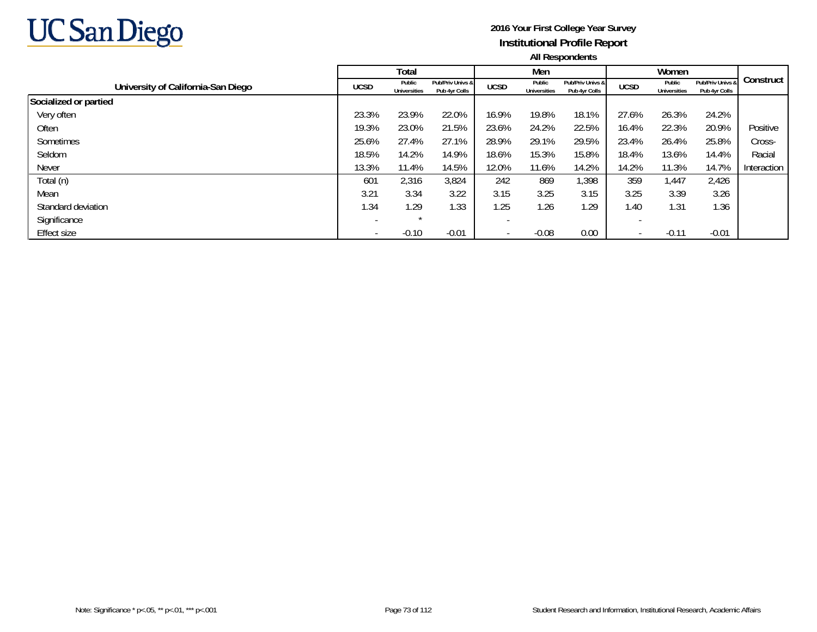

|                                    |                          | <b>Total</b>                  |                                   |                          | Men                    |                                   |             | Women                         |                                   |             |
|------------------------------------|--------------------------|-------------------------------|-----------------------------------|--------------------------|------------------------|-----------------------------------|-------------|-------------------------------|-----------------------------------|-------------|
| University of California-San Diego | <b>UCSD</b>              | Public<br><b>Universities</b> | Pub/Priv Univs &<br>Pub 4yr Colls | <b>UCSD</b>              | Public<br>Universities | Pub/Priv Univs &<br>Pub 4yr Colls | <b>UCSD</b> | Public<br><b>Universities</b> | Pub/Priv Univs &<br>Pub 4yr Colls | Construct   |
| Socialized or partied              |                          |                               |                                   |                          |                        |                                   |             |                               |                                   |             |
| Very often                         | 23.3%                    | 23.9%                         | 22.0%                             | 16.9%                    | 19.8%                  | 18.1%                             | 27.6%       | 26.3%                         | 24.2%                             |             |
| Often                              | 19.3%                    | 23.0%                         | 21.5%                             | 23.6%                    | 24.2%                  | 22.5%                             | 16.4%       | 22.3%                         | 20.9%                             | Positive    |
| Sometimes                          | 25.6%                    | 27.4%                         | 27.1%                             | 28.9%                    | 29.1%                  | 29.5%                             | 23.4%       | 26.4%                         | 25.8%                             | Cross-      |
| Seldom                             | 18.5%                    | 14.2%                         | 14.9%                             | 18.6%                    | 15.3%                  | 15.8%                             | 18.4%       | 13.6%                         | 14.4%                             | Racial      |
| <b>Never</b>                       | 13.3%                    | 11.4%                         | 14.5%                             | 12.0%                    | 11.6%                  | 14.2%                             | 14.2%       | 11.3%                         | 14.7%                             | Interaction |
| Total (n)                          | 601                      | 2,316                         | 3,824                             | 242                      | 869                    | 1,398                             | 359         | 1,447                         | 2,426                             |             |
| Mean                               | 3.21                     | 3.34                          | 3.22                              | 3.15                     | 3.25                   | 3.15                              | 3.25        | 3.39                          | 3.26                              |             |
| Standard deviation                 | 1.34                     | 1.29                          | 1.33                              | 1.25                     | 1.26                   | 1.29                              | 1.40        | 1.31                          | .36                               |             |
| Significance                       | $\overline{\phantom{a}}$ | $\star$                       |                                   | $\overline{\phantom{a}}$ |                        |                                   |             |                               |                                   |             |
| <b>Effect size</b>                 |                          | $-0.10$                       | $-0.01$                           | $\overline{\phantom{a}}$ | $-0.08$                | 0.00                              |             | $-0.11$                       | $-0.01$                           |             |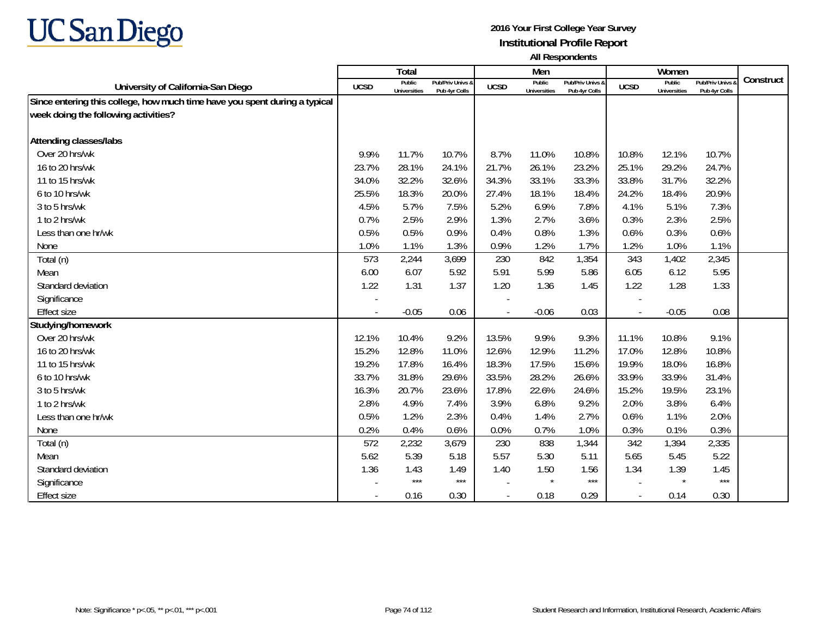

|                                                                            |             | <b>Total</b>                  |                                   |             | Men                           |                                   |             | Women                         |                                        |           |
|----------------------------------------------------------------------------|-------------|-------------------------------|-----------------------------------|-------------|-------------------------------|-----------------------------------|-------------|-------------------------------|----------------------------------------|-----------|
| University of California-San Diego                                         | <b>UCSD</b> | Public<br><b>Universities</b> | Pub/Priv Univs &<br>Pub 4yr Colls | <b>UCSD</b> | Public<br><b>Universities</b> | Pub/Priv Univs &<br>Pub 4vr Colls | <b>UCSD</b> | Public<br><b>Universities</b> | <b>Pub/Priv Univs</b><br>Pub 4yr Colls | Construct |
| Since entering this college, how much time have you spent during a typical |             |                               |                                   |             |                               |                                   |             |                               |                                        |           |
| week doing the following activities?                                       |             |                               |                                   |             |                               |                                   |             |                               |                                        |           |
|                                                                            |             |                               |                                   |             |                               |                                   |             |                               |                                        |           |
| Attending classes/labs                                                     |             |                               |                                   |             |                               |                                   |             |                               |                                        |           |
| Over 20 hrs/wk                                                             | 9.9%        | 11.7%                         | 10.7%                             | 8.7%        | 11.0%                         | 10.8%                             | 10.8%       | 12.1%                         | 10.7%                                  |           |
| 16 to 20 hrs/wk                                                            | 23.7%       | 28.1%                         | 24.1%                             | 21.7%       | 26.1%                         | 23.2%                             | 25.1%       | 29.2%                         | 24.7%                                  |           |
| 11 to 15 hrs/wk                                                            | 34.0%       | 32.2%                         | 32.6%                             | 34.3%       | 33.1%                         | 33.3%                             | 33.8%       | 31.7%                         | 32.2%                                  |           |
| 6 to 10 hrs/wk                                                             | 25.5%       | 18.3%                         | 20.0%                             | 27.4%       | 18.1%                         | 18.4%                             | 24.2%       | 18.4%                         | 20.9%                                  |           |
| 3 to 5 hrs/wk                                                              | 4.5%        | 5.7%                          | 7.5%                              | 5.2%        | 6.9%                          | 7.8%                              | 4.1%        | 5.1%                          | 7.3%                                   |           |
| 1 to 2 hrs/wk                                                              | 0.7%        | 2.5%                          | 2.9%                              | 1.3%        | 2.7%                          | 3.6%                              | 0.3%        | 2.3%                          | 2.5%                                   |           |
| Less than one hr/wk                                                        | 0.5%        | 0.5%                          | 0.9%                              | 0.4%        | 0.8%                          | 1.3%                              | 0.6%        | 0.3%                          | 0.6%                                   |           |
| None                                                                       | 1.0%        | 1.1%                          | 1.3%                              | 0.9%        | 1.2%                          | 1.7%                              | 1.2%        | 1.0%                          | 1.1%                                   |           |
| Total (n)                                                                  | 573         | 2,244                         | 3,699                             | 230         | 842                           | 1,354                             | 343         | 1,402                         | 2,345                                  |           |
| Mean                                                                       | 6.00        | 6.07                          | 5.92                              | 5.91        | 5.99                          | 5.86                              | 6.05        | 6.12                          | 5.95                                   |           |
| Standard deviation                                                         | 1.22        | 1.31                          | 1.37                              | 1.20        | 1.36                          | 1.45                              | 1.22        | 1.28                          | 1.33                                   |           |
| Significance                                                               |             |                               |                                   |             |                               |                                   |             |                               |                                        |           |
| <b>Effect size</b>                                                         |             | $-0.05$                       | 0.06                              |             | $-0.06$                       | 0.03                              |             | $-0.05$                       | 0.08                                   |           |
| Studying/homework                                                          |             |                               |                                   |             |                               |                                   |             |                               |                                        |           |
| Over 20 hrs/wk                                                             | 12.1%       | 10.4%                         | 9.2%                              | 13.5%       | 9.9%                          | 9.3%                              | 11.1%       | 10.8%                         | 9.1%                                   |           |
| 16 to 20 hrs/wk                                                            | 15.2%       | 12.8%                         | 11.0%                             | 12.6%       | 12.9%                         | 11.2%                             | 17.0%       | 12.8%                         | 10.8%                                  |           |
| 11 to 15 hrs/wk                                                            | 19.2%       | 17.8%                         | 16.4%                             | 18.3%       | 17.5%                         | 15.6%                             | 19.9%       | 18.0%                         | 16.8%                                  |           |
| 6 to 10 hrs/wk                                                             | 33.7%       | 31.8%                         | 29.6%                             | 33.5%       | 28.2%                         | 26.6%                             | 33.9%       | 33.9%                         | 31.4%                                  |           |
| 3 to 5 hrs/wk                                                              | 16.3%       | 20.7%                         | 23.6%                             | 17.8%       | 22.6%                         | 24.6%                             | 15.2%       | 19.5%                         | 23.1%                                  |           |
| 1 to 2 hrs/wk                                                              | 2.8%        | 4.9%                          | 7.4%                              | 3.9%        | 6.8%                          | 9.2%                              | 2.0%        | 3.8%                          | 6.4%                                   |           |
| Less than one hr/wk                                                        | 0.5%        | 1.2%                          | 2.3%                              | 0.4%        | 1.4%                          | 2.7%                              | 0.6%        | 1.1%                          | 2.0%                                   |           |
| None                                                                       | 0.2%        | 0.4%                          | 0.6%                              | 0.0%        | 0.7%                          | 1.0%                              | 0.3%        | 0.1%                          | 0.3%                                   |           |
| Total (n)                                                                  | 572         | 2,232                         | 3,679                             | 230         | 838                           | 1,344                             | 342         | 1,394                         | 2,335                                  |           |
| Mean                                                                       | 5.62        | 5.39                          | 5.18                              | 5.57        | 5.30                          | 5.11                              | 5.65        | 5.45                          | 5.22                                   |           |
| Standard deviation                                                         | 1.36        | 1.43                          | 1.49                              | 1.40        | 1.50                          | 1.56                              | 1.34        | 1.39                          | 1.45                                   |           |
| Significance                                                               |             | $***$                         | $***$                             |             | $\star$                       | $***$                             |             | $\star$                       | $***$                                  |           |
| <b>Effect size</b>                                                         |             | 0.16                          | 0.30                              |             | 0.18                          | 0.29                              | $\sim$      | 0.14                          | 0.30                                   |           |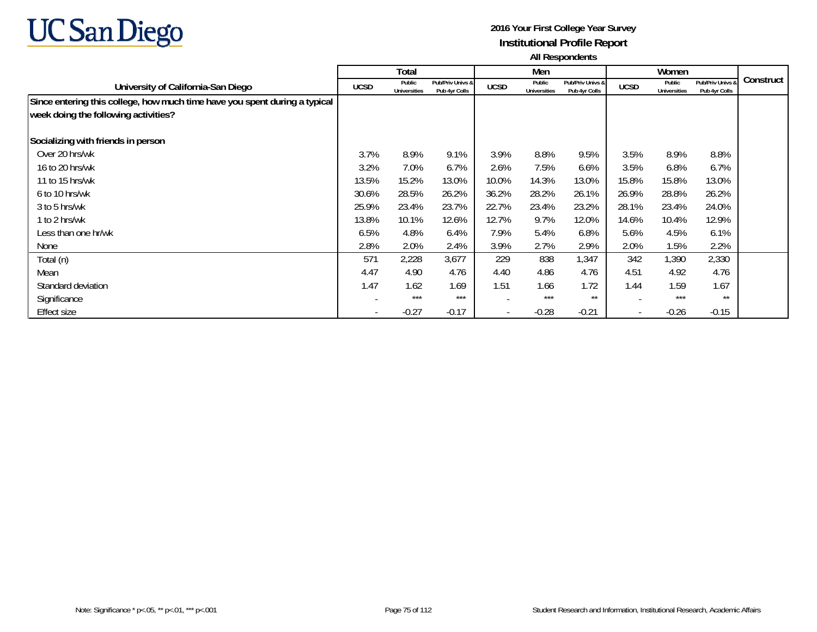

|                                                                            |                          | Total                         |                                   |             | Men                           |                                   |                          | Women                         |                                   |           |
|----------------------------------------------------------------------------|--------------------------|-------------------------------|-----------------------------------|-------------|-------------------------------|-----------------------------------|--------------------------|-------------------------------|-----------------------------------|-----------|
| University of California-San Diego                                         | <b>UCSD</b>              | Public<br><b>Universities</b> | Pub/Priv Univs &<br>Pub 4yr Colls | <b>UCSD</b> | Public<br><b>Universities</b> | Pub/Priv Univs &<br>Pub 4yr Colls | <b>UCSD</b>              | Public<br><b>Universities</b> | Pub/Priv Univs &<br>Pub 4yr Colls | Construct |
| Since entering this college, how much time have you spent during a typical |                          |                               |                                   |             |                               |                                   |                          |                               |                                   |           |
| week doing the following activities?                                       |                          |                               |                                   |             |                               |                                   |                          |                               |                                   |           |
| Socializing with friends in person                                         |                          |                               |                                   |             |                               |                                   |                          |                               |                                   |           |
| Over 20 hrs/wk                                                             | 3.7%                     | 8.9%                          | 9.1%                              | 3.9%        | 8.8%                          | 9.5%                              | 3.5%                     | 8.9%                          | 8.8%                              |           |
| 16 to 20 hrs/wk                                                            | 3.2%                     | 7.0%                          | 6.7%                              | 2.6%        | 7.5%                          | 6.6%                              | 3.5%                     | 6.8%                          | 6.7%                              |           |
| 11 to 15 hrs/wk                                                            | 13.5%                    | 15.2%                         | 13.0%                             | 10.0%       | 14.3%                         | 13.0%                             | 15.8%                    | 15.8%                         | 13.0%                             |           |
| 6 to 10 hrs/wk                                                             | 30.6%                    | 28.5%                         | 26.2%                             | 36.2%       | 28.2%                         | 26.1%                             | 26.9%                    | 28.8%                         | 26.2%                             |           |
| 3 to 5 hrs/wk                                                              | 25.9%                    | 23.4%                         | 23.7%                             | 22.7%       | 23.4%                         | 23.2%                             | 28.1%                    | 23.4%                         | 24.0%                             |           |
| 1 to 2 hrs/wk                                                              | 13.8%                    | 10.1%                         | 12.6%                             | 12.7%       | 9.7%                          | 12.0%                             | 14.6%                    | 10.4%                         | 12.9%                             |           |
| Less than one hr/wk                                                        | 6.5%                     | 4.8%                          | 6.4%                              | 7.9%        | 5.4%                          | 6.8%                              | 5.6%                     | 4.5%                          | 6.1%                              |           |
| None                                                                       | 2.8%                     | 2.0%                          | 2.4%                              | 3.9%        | 2.7%                          | 2.9%                              | 2.0%                     | 1.5%                          | 2.2%                              |           |
| Total (n)                                                                  | 571                      | 2,228                         | 3,677                             | 229         | 838                           | 1,347                             | 342                      | 1,390                         | 2,330                             |           |
| Mean                                                                       | 4.47                     | 4.90                          | 4.76                              | 4.40        | 4.86                          | 4.76                              | 4.51                     | 4.92                          | 4.76                              |           |
| Standard deviation                                                         | 1.47                     | 1.62                          | 1.69                              | 1.51        | 1.66                          | 1.72                              | 1.44                     | 1.59                          | 1.67                              |           |
| Significance                                                               |                          | $***$                         | ***                               |             | ***                           | $***$                             |                          | ***                           | $***$                             |           |
| <b>Effect size</b>                                                         | $\overline{\phantom{a}}$ | $-0.27$                       | $-0.17$                           |             | $-0.28$                       | $-0.21$                           | $\overline{\phantom{a}}$ | $-0.26$                       | $-0.15$                           |           |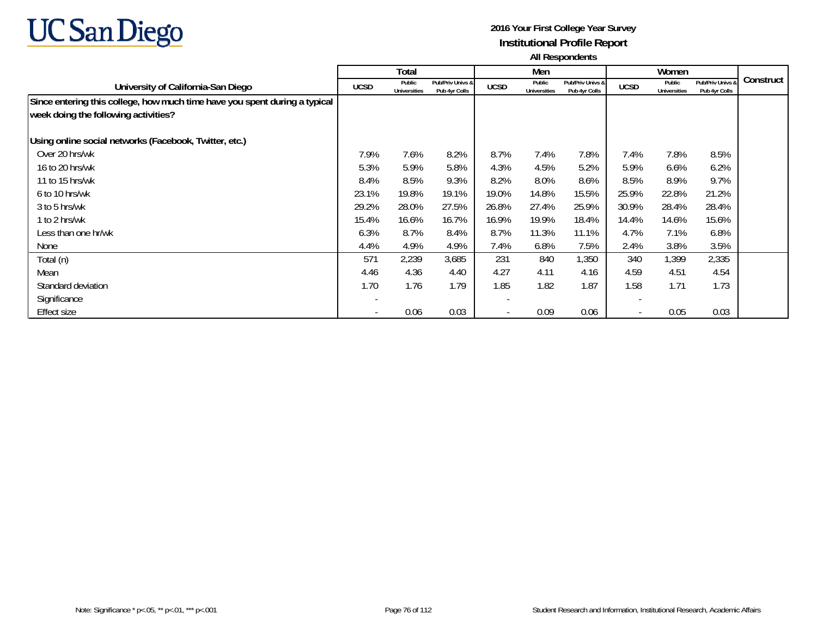

|                                                                            |                          | Total                         |                                   |                          | Men                           |                                   |                          | Women                         |                                   |           |
|----------------------------------------------------------------------------|--------------------------|-------------------------------|-----------------------------------|--------------------------|-------------------------------|-----------------------------------|--------------------------|-------------------------------|-----------------------------------|-----------|
| University of California-San Diego                                         | <b>UCSD</b>              | Public<br><b>Universities</b> | Pub/Priv Univs &<br>Pub 4yr Colls | <b>UCSD</b>              | Public<br><b>Universities</b> | Pub/Priv Univs &<br>Pub 4yr Colls | <b>UCSD</b>              | Public<br><b>Universities</b> | Pub/Priv Univs &<br>Pub 4yr Colls | Construct |
| Since entering this college, how much time have you spent during a typical |                          |                               |                                   |                          |                               |                                   |                          |                               |                                   |           |
| week doing the following activities?                                       |                          |                               |                                   |                          |                               |                                   |                          |                               |                                   |           |
| Using online social networks (Facebook, Twitter, etc.)                     |                          |                               |                                   |                          |                               |                                   |                          |                               |                                   |           |
| Over 20 hrs/wk                                                             | 7.9%                     | 7.6%                          | 8.2%                              | 8.7%                     | 7.4%                          | 7.8%                              | 7.4%                     | 7.8%                          | 8.5%                              |           |
| 16 to 20 hrs/wk                                                            | 5.3%                     | 5.9%                          | 5.8%                              | 4.3%                     | 4.5%                          | 5.2%                              | 5.9%                     | 6.6%                          | 6.2%                              |           |
| 11 to 15 hrs/wk                                                            | 8.4%                     | 8.5%                          | 9.3%                              | 8.2%                     | 8.0%                          | 8.6%                              | 8.5%                     | 8.9%                          | 9.7%                              |           |
| 6 to 10 hrs/wk                                                             | 23.1%                    | 19.8%                         | 19.1%                             | 19.0%                    | 14.8%                         | 15.5%                             | 25.9%                    | 22.8%                         | 21.2%                             |           |
| 3 to 5 hrs/wk                                                              | 29.2%                    | 28.0%                         | 27.5%                             | 26.8%                    | 27.4%                         | 25.9%                             | 30.9%                    | 28.4%                         | 28.4%                             |           |
| 1 to 2 hrs/wk                                                              | 15.4%                    | 16.6%                         | 16.7%                             | 16.9%                    | 19.9%                         | 18.4%                             | 14.4%                    | 14.6%                         | 15.6%                             |           |
| Less than one hr/wk                                                        | 6.3%                     | 8.7%                          | 8.4%                              | 8.7%                     | 11.3%                         | 11.1%                             | 4.7%                     | 7.1%                          | 6.8%                              |           |
| None                                                                       | 4.4%                     | 4.9%                          | 4.9%                              | 7.4%                     | 6.8%                          | 7.5%                              | 2.4%                     | 3.8%                          | 3.5%                              |           |
| Total (n)                                                                  | 571                      | 2,239                         | 3,685                             | 231                      | 840                           | 1,350                             | 340                      | 1,399                         | 2,335                             |           |
| Mean                                                                       | 4.46                     | 4.36                          | 4.40                              | 4.27                     | 4.11                          | 4.16                              | 4.59                     | 4.51                          | 4.54                              |           |
| Standard deviation                                                         | 1.70                     | 1.76                          | 1.79                              | 1.85                     | 1.82                          | 1.87                              | 1.58                     | 1.71                          | 1.73                              |           |
| Significance                                                               |                          |                               |                                   | $\overline{\phantom{0}}$ |                               |                                   |                          |                               |                                   |           |
| <b>Effect size</b>                                                         | $\overline{\phantom{a}}$ | 0.06                          | 0.03                              |                          | 0.09                          | 0.06                              | $\overline{\phantom{a}}$ | 0.05                          | 0.03                              |           |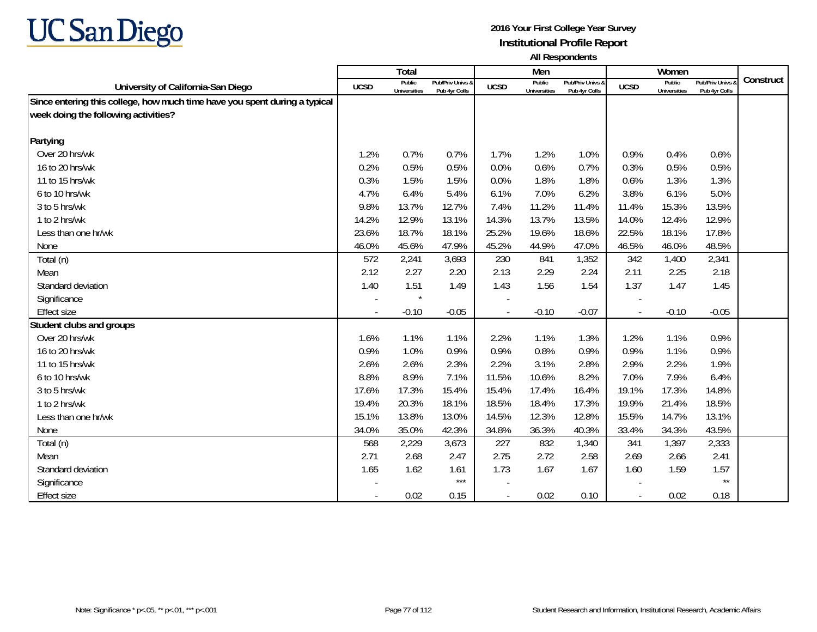

|                                                                            |             | <b>Total</b>                  |                                   |                          | Men                           |                                   |                | Women                                |                                        |           |
|----------------------------------------------------------------------------|-------------|-------------------------------|-----------------------------------|--------------------------|-------------------------------|-----------------------------------|----------------|--------------------------------------|----------------------------------------|-----------|
| University of California-San Diego                                         | <b>UCSD</b> | Public<br><b>Universities</b> | Pub/Priv Univs &<br>Pub 4yr Colls | <b>UCSD</b>              | Public<br><b>Universities</b> | Pub/Priv Univs &<br>Pub 4vr Colls | <b>UCSD</b>    | <b>Public</b><br><b>Universities</b> | <b>Pub/Priv Univs</b><br>Pub 4yr Colls | Construct |
| Since entering this college, how much time have you spent during a typical |             |                               |                                   |                          |                               |                                   |                |                                      |                                        |           |
| week doing the following activities?                                       |             |                               |                                   |                          |                               |                                   |                |                                      |                                        |           |
|                                                                            |             |                               |                                   |                          |                               |                                   |                |                                      |                                        |           |
| Partying                                                                   |             |                               |                                   |                          |                               |                                   |                |                                      |                                        |           |
| Over 20 hrs/wk                                                             | 1.2%        | 0.7%                          | 0.7%                              | 1.7%                     | 1.2%                          | 1.0%                              | 0.9%           | 0.4%                                 | 0.6%                                   |           |
| 16 to 20 hrs/wk                                                            | 0.2%        | 0.5%                          | 0.5%                              | 0.0%                     | 0.6%                          | 0.7%                              | 0.3%           | 0.5%                                 | 0.5%                                   |           |
| 11 to 15 hrs/wk                                                            | 0.3%        | 1.5%                          | 1.5%                              | 0.0%                     | 1.8%                          | 1.8%                              | 0.6%           | 1.3%                                 | 1.3%                                   |           |
| 6 to 10 hrs/wk                                                             | 4.7%        | 6.4%                          | 5.4%                              | 6.1%                     | 7.0%                          | 6.2%                              | 3.8%           | 6.1%                                 | 5.0%                                   |           |
| 3 to 5 hrs/wk                                                              | 9.8%        | 13.7%                         | 12.7%                             | 7.4%                     | 11.2%                         | 11.4%                             | 11.4%          | 15.3%                                | 13.5%                                  |           |
| 1 to 2 hrs/wk                                                              | 14.2%       | 12.9%                         | 13.1%                             | 14.3%                    | 13.7%                         | 13.5%                             | 14.0%          | 12.4%                                | 12.9%                                  |           |
| Less than one hr/wk                                                        | 23.6%       | 18.7%                         | 18.1%                             | 25.2%                    | 19.6%                         | 18.6%                             | 22.5%          | 18.1%                                | 17.8%                                  |           |
| None                                                                       | 46.0%       | 45.6%                         | 47.9%                             | 45.2%                    | 44.9%                         | 47.0%                             | 46.5%          | 46.0%                                | 48.5%                                  |           |
| Total (n)                                                                  | 572         | 2,241                         | 3,693                             | 230                      | 841                           | 1,352                             | 342            | 1,400                                | 2,341                                  |           |
| Mean                                                                       | 2.12        | 2.27                          | 2.20                              | 2.13                     | 2.29                          | 2.24                              | 2.11           | 2.25                                 | 2.18                                   |           |
| Standard deviation                                                         | 1.40        | 1.51                          | 1.49                              | 1.43                     | 1.56                          | 1.54                              | 1.37           | 1.47                                 | 1.45                                   |           |
| Significance                                                               |             | $\star$                       |                                   |                          |                               |                                   |                |                                      |                                        |           |
| <b>Effect size</b>                                                         |             | $-0.10$                       | $-0.05$                           |                          | $-0.10$                       | $-0.07$                           | $\blacksquare$ | $-0.10$                              | $-0.05$                                |           |
| Student clubs and groups                                                   |             |                               |                                   |                          |                               |                                   |                |                                      |                                        |           |
| Over 20 hrs/wk                                                             | 1.6%        | 1.1%                          | 1.1%                              | 2.2%                     | 1.1%                          | 1.3%                              | 1.2%           | 1.1%                                 | 0.9%                                   |           |
| 16 to 20 hrs/wk                                                            | 0.9%        | 1.0%                          | 0.9%                              | 0.9%                     | 0.8%                          | 0.9%                              | 0.9%           | 1.1%                                 | 0.9%                                   |           |
| 11 to 15 hrs/wk                                                            | 2.6%        | 2.6%                          | 2.3%                              | 2.2%                     | 3.1%                          | 2.8%                              | 2.9%           | 2.2%                                 | 1.9%                                   |           |
| 6 to 10 hrs/wk                                                             | 8.8%        | 8.9%                          | 7.1%                              | 11.5%                    | 10.6%                         | 8.2%                              | 7.0%           | 7.9%                                 | 6.4%                                   |           |
| 3 to 5 hrs/wk                                                              | 17.6%       | 17.3%                         | 15.4%                             | 15.4%                    | 17.4%                         | 16.4%                             | 19.1%          | 17.3%                                | 14.8%                                  |           |
| 1 to 2 hrs/wk                                                              | 19.4%       | 20.3%                         | 18.1%                             | 18.5%                    | 18.4%                         | 17.3%                             | 19.9%          | 21.4%                                | 18.5%                                  |           |
| Less than one hr/wk                                                        | 15.1%       | 13.8%                         | 13.0%                             | 14.5%                    | 12.3%                         | 12.8%                             | 15.5%          | 14.7%                                | 13.1%                                  |           |
| None                                                                       | 34.0%       | 35.0%                         | 42.3%                             | 34.8%                    | 36.3%                         | 40.3%                             | 33.4%          | 34.3%                                | 43.5%                                  |           |
| Total (n)                                                                  | 568         | 2,229                         | 3,673                             | 227                      | 832                           | 1,340                             | 341            | 1,397                                | 2,333                                  |           |
| Mean                                                                       | 2.71        | 2.68                          | 2.47                              | 2.75                     | 2.72                          | 2.58                              | 2.69           | 2.66                                 | 2.41                                   |           |
| Standard deviation                                                         | 1.65        | 1.62                          | 1.61                              | 1.73                     | 1.67                          | 1.67                              | 1.60           | 1.59                                 | 1.57                                   |           |
| Significance                                                               |             |                               | $***$                             |                          |                               |                                   |                |                                      | $\star\star$                           |           |
| <b>Effect size</b>                                                         |             | 0.02                          | 0.15                              | $\overline{\phantom{a}}$ | 0.02                          | 0.10                              | $\sim$         | 0.02                                 | 0.18                                   |           |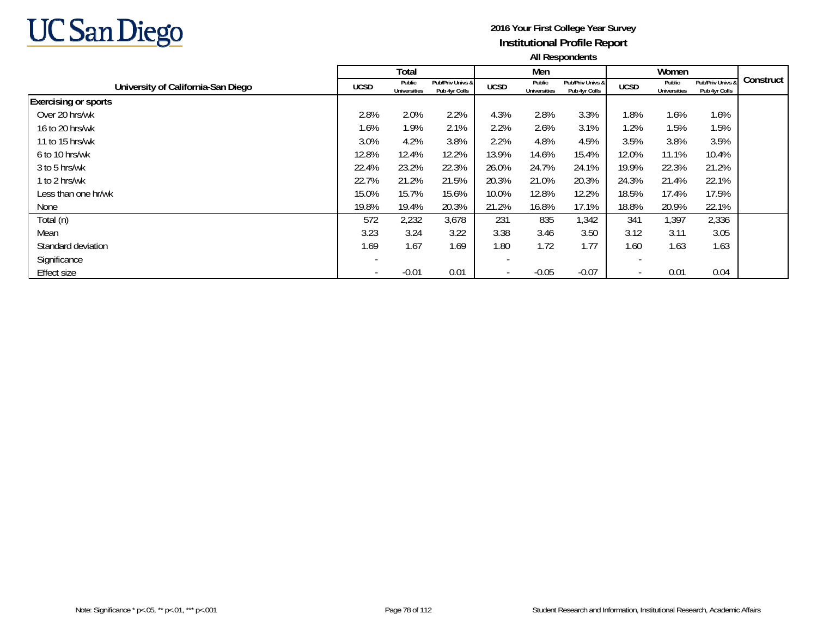

|                                    |                          | Total                         |                                   |             | Men                    |                                   |             | Women                         |                                   |           |
|------------------------------------|--------------------------|-------------------------------|-----------------------------------|-------------|------------------------|-----------------------------------|-------------|-------------------------------|-----------------------------------|-----------|
| University of California-San Diego | <b>UCSD</b>              | Public<br><b>Universities</b> | Pub/Priv Univs &<br>Pub 4yr Colls | <b>UCSD</b> | Public<br>Universities | Pub/Priv Univs &<br>Pub 4yr Colls | <b>UCSD</b> | Public<br><b>Universities</b> | Pub/Priv Univs &<br>Pub 4yr Colls | Construct |
| <b>Exercising or sports</b>        |                          |                               |                                   |             |                        |                                   |             |                               |                                   |           |
| Over 20 hrs/wk                     | 2.8%                     | 2.0%                          | 2.2%                              | 4.3%        | 2.8%                   | 3.3%                              | l.8%        | 1.6%                          | 1.6%                              |           |
| 16 to 20 hrs/wk                    | 1.6%                     | 1.9%                          | 2.1%                              | 2.2%        | 2.6%                   | 3.1%                              | 1.2%        | 1.5%                          | 1.5%                              |           |
| 11 to 15 hrs/wk                    | 3.0%                     | 4.2%                          | 3.8%                              | 2.2%        | 4.8%                   | 4.5%                              | 3.5%        | 3.8%                          | 3.5%                              |           |
| 6 to 10 hrs/wk                     | 12.8%                    | 12.4%                         | 12.2%                             | 13.9%       | 14.6%                  | 15.4%                             | 12.0%       | 11.1%                         | 10.4%                             |           |
| 3 to 5 hrs/wk                      | 22.4%                    | 23.2%                         | 22.3%                             | 26.0%       | 24.7%                  | 24.1%                             | 19.9%       | 22.3%                         | 21.2%                             |           |
| 1 to 2 hrs/wk                      | 22.7%                    | 21.2%                         | 21.5%                             | 20.3%       | 21.0%                  | 20.3%                             | 24.3%       | 21.4%                         | 22.1%                             |           |
| Less than one hr/wk                | 15.0%                    | 15.7%                         | 15.6%                             | 10.0%       | 12.8%                  | 12.2%                             | 18.5%       | 17.4%                         | 17.5%                             |           |
| None                               | 19.8%                    | 19.4%                         | 20.3%                             | 21.2%       | 16.8%                  | 17.1%                             | 18.8%       | 20.9%                         | 22.1%                             |           |
| Total (n)                          | 572                      | 2,232                         | 3,678                             | 231         | 835                    | 1,342                             | 341         | 1,397                         | 2,336                             |           |
| Mean                               | 3.23                     | 3.24                          | 3.22                              | 3.38        | 3.46                   | 3.50                              | 3.12        | 3.11                          | 3.05                              |           |
| Standard deviation                 | 1.69                     | 1.67                          | 1.69                              | 1.80        | 1.72                   | 1.77                              | 1.60        | 1.63                          | 1.63                              |           |
| Significance                       | $\overline{\phantom{a}}$ |                               |                                   |             |                        |                                   |             |                               |                                   |           |
| <b>Effect size</b>                 | $\overline{\phantom{a}}$ | $-0.01$                       | 0.01                              |             | $-0.05$                | $-0.07$                           |             | 0.01                          | 0.04                              |           |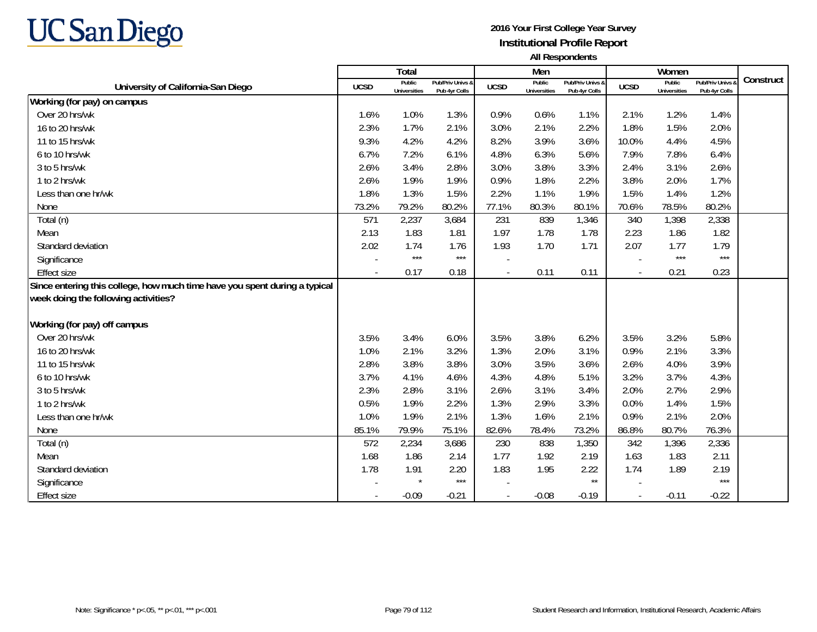

|                                                                            |                          | Total                         |                                   |                          | Men                           |                                   |                          | Women                         |                                 |           |
|----------------------------------------------------------------------------|--------------------------|-------------------------------|-----------------------------------|--------------------------|-------------------------------|-----------------------------------|--------------------------|-------------------------------|---------------------------------|-----------|
| University of California-San Diego                                         | <b>UCSD</b>              | Public<br><b>Universities</b> | Pub/Priv Univs &<br>Pub 4yr Colls | <b>UCSD</b>              | Public<br><b>Universities</b> | Pub/Priv Univs &<br>Pub 4yr Colls | <b>UCSD</b>              | Public<br><b>Universities</b> | Pub/Priv Univs<br>Pub 4yr Colls | Construct |
| Working (for pay) on campus                                                |                          |                               |                                   |                          |                               |                                   |                          |                               |                                 |           |
| Over 20 hrs/wk                                                             | 1.6%                     | 1.0%                          | 1.3%                              | 0.9%                     | 0.6%                          | 1.1%                              | 2.1%                     | 1.2%                          | 1.4%                            |           |
| 16 to 20 hrs/wk                                                            | 2.3%                     | 1.7%                          | 2.1%                              | 3.0%                     | 2.1%                          | 2.2%                              | 1.8%                     | 1.5%                          | 2.0%                            |           |
| 11 to 15 hrs/wk                                                            | 9.3%                     | 4.2%                          | 4.2%                              | 8.2%                     | 3.9%                          | 3.6%                              | 10.0%                    | 4.4%                          | 4.5%                            |           |
| 6 to 10 hrs/wk                                                             | 6.7%                     | 7.2%                          | 6.1%                              | 4.8%                     | 6.3%                          | 5.6%                              | 7.9%                     | 7.8%                          | 6.4%                            |           |
| 3 to 5 hrs/wk                                                              | 2.6%                     | 3.4%                          | 2.8%                              | 3.0%                     | 3.8%                          | 3.3%                              | 2.4%                     | 3.1%                          | 2.6%                            |           |
| 1 to 2 hrs/wk                                                              | 2.6%                     | 1.9%                          | 1.9%                              | 0.9%                     | 1.8%                          | 2.2%                              | 3.8%                     | 2.0%                          | 1.7%                            |           |
| Less than one hr/wk                                                        | 1.8%                     | 1.3%                          | 1.5%                              | 2.2%                     | 1.1%                          | 1.9%                              | 1.5%                     | 1.4%                          | 1.2%                            |           |
| None                                                                       | 73.2%                    | 79.2%                         | 80.2%                             | 77.1%                    | 80.3%                         | 80.1%                             | 70.6%                    | 78.5%                         | 80.2%                           |           |
| Total (n)                                                                  | 571                      | 2,237                         | 3,684                             | 231                      | 839                           | 1,346                             | 340                      | 1,398                         | 2,338                           |           |
| Mean                                                                       | 2.13                     | 1.83                          | 1.81                              | 1.97                     | 1.78                          | 1.78                              | 2.23                     | 1.86                          | 1.82                            |           |
| Standard deviation                                                         | 2.02                     | 1.74                          | 1.76                              | 1.93                     | 1.70                          | 1.71                              | 2.07                     | 1.77                          | 1.79                            |           |
| Significance                                                               |                          | $***$                         | $***$                             |                          |                               |                                   |                          | $***$                         | $***$                           |           |
| <b>Effect size</b>                                                         | $\overline{\phantom{a}}$ | 0.17                          | 0.18                              |                          | 0.11                          | 0.11                              | $\blacksquare$           | 0.21                          | 0.23                            |           |
| Since entering this college, how much time have you spent during a typical |                          |                               |                                   |                          |                               |                                   |                          |                               |                                 |           |
| week doing the following activities?                                       |                          |                               |                                   |                          |                               |                                   |                          |                               |                                 |           |
| Working (for pay) off campus                                               |                          |                               |                                   |                          |                               |                                   |                          |                               |                                 |           |
| Over 20 hrs/wk                                                             | 3.5%                     | 3.4%                          | 6.0%                              | 3.5%                     | 3.8%                          | 6.2%                              | 3.5%                     | 3.2%                          | 5.8%                            |           |
| 16 to 20 hrs/wk                                                            | 1.0%                     | 2.1%                          | 3.2%                              | 1.3%                     | 2.0%                          | 3.1%                              | 0.9%                     | 2.1%                          | 3.3%                            |           |
| 11 to 15 hrs/wk                                                            | 2.8%                     | 3.8%                          | 3.8%                              | 3.0%                     | 3.5%                          | 3.6%                              | 2.6%                     | 4.0%                          | 3.9%                            |           |
| 6 to 10 hrs/wk                                                             | 3.7%                     | 4.1%                          | 4.6%                              | 4.3%                     | 4.8%                          | 5.1%                              | 3.2%                     | 3.7%                          | 4.3%                            |           |
| 3 to 5 hrs/wk                                                              | 2.3%                     | 2.8%                          | 3.1%                              | 2.6%                     | 3.1%                          | 3.4%                              | 2.0%                     | 2.7%                          | 2.9%                            |           |
| 1 to 2 hrs/wk                                                              | 0.5%                     | 1.9%                          | 2.2%                              | 1.3%                     | 2.9%                          | 3.3%                              | 0.0%                     | 1.4%                          | 1.5%                            |           |
| Less than one hr/wk                                                        | 1.0%                     | 1.9%                          | 2.1%                              | 1.3%                     | 1.6%                          | 2.1%                              | 0.9%                     | 2.1%                          | 2.0%                            |           |
| None                                                                       | 85.1%                    | 79.9%                         | 75.1%                             | 82.6%                    | 78.4%                         | 73.2%                             | 86.8%                    | 80.7%                         | 76.3%                           |           |
| Total (n)                                                                  | 572                      | 2,234                         | 3,686                             | 230                      | 838                           | 1,350                             | 342                      | 1,396                         | 2,336                           |           |
| Mean                                                                       | 1.68                     | 1.86                          | 2.14                              | 1.77                     | 1.92                          | 2.19                              | 1.63                     | 1.83                          | 2.11                            |           |
| Standard deviation                                                         | 1.78                     | 1.91                          | 2.20                              | 1.83                     | 1.95                          | 2.22                              | 1.74                     | 1.89                          | 2.19                            |           |
| Significance                                                               |                          | $\star$                       | $***$                             |                          |                               | $\star\star$                      |                          |                               | $***$                           |           |
| <b>Effect size</b>                                                         |                          | $-0.09$                       | $-0.21$                           | $\overline{\phantom{a}}$ | $-0.08$                       | $-0.19$                           | $\overline{\phantom{a}}$ | $-0.11$                       | $-0.22$                         |           |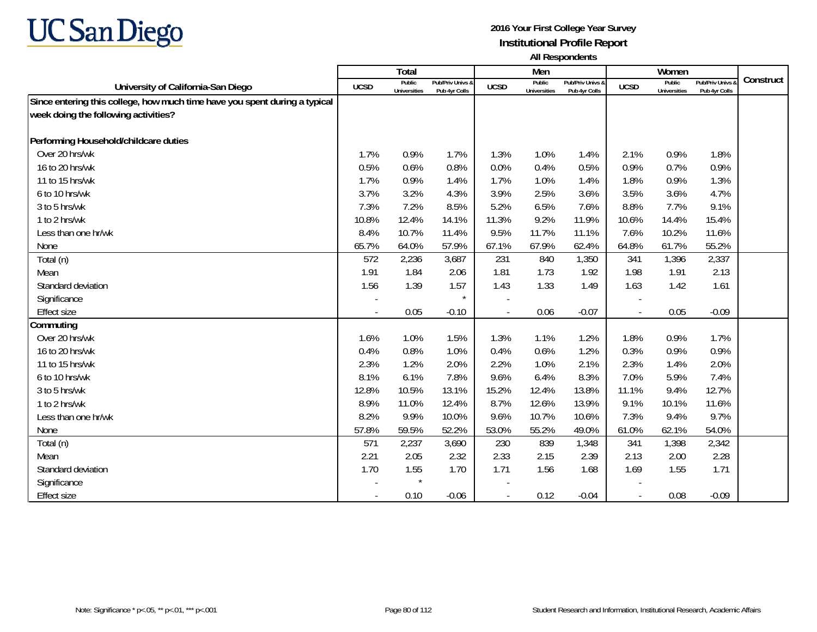

|                                                                            |       | Total                         |                                   |             | Men                           |                                   |                          | Women                         |                                        |           |
|----------------------------------------------------------------------------|-------|-------------------------------|-----------------------------------|-------------|-------------------------------|-----------------------------------|--------------------------|-------------------------------|----------------------------------------|-----------|
| University of California-San Diego                                         | UCSD  | Public<br><b>Universities</b> | Pub/Priv Univs &<br>Pub 4yr Colls | <b>UCSD</b> | Public<br><b>Universities</b> | Pub/Priv Univs &<br>Pub 4yr Colls | <b>UCSD</b>              | Public<br><b>Universities</b> | <b>Pub/Priv Univs</b><br>Pub 4yr Colls | Construct |
| Since entering this college, how much time have you spent during a typical |       |                               |                                   |             |                               |                                   |                          |                               |                                        |           |
| week doing the following activities?                                       |       |                               |                                   |             |                               |                                   |                          |                               |                                        |           |
|                                                                            |       |                               |                                   |             |                               |                                   |                          |                               |                                        |           |
| Performing Household/childcare duties                                      |       |                               |                                   |             |                               |                                   |                          |                               |                                        |           |
| Over 20 hrs/wk                                                             | 1.7%  | 0.9%                          | 1.7%                              | 1.3%        | 1.0%                          | 1.4%                              | 2.1%                     | 0.9%                          | 1.8%                                   |           |
| 16 to 20 hrs/wk                                                            | 0.5%  | 0.6%                          | 0.8%                              | 0.0%        | 0.4%                          | 0.5%                              | 0.9%                     | 0.7%                          | 0.9%                                   |           |
| 11 to 15 hrs/wk                                                            | 1.7%  | 0.9%                          | 1.4%                              | 1.7%        | 1.0%                          | 1.4%                              | 1.8%                     | 0.9%                          | 1.3%                                   |           |
| 6 to 10 hrs/wk                                                             | 3.7%  | 3.2%                          | 4.3%                              | 3.9%        | 2.5%                          | 3.6%                              | 3.5%                     | 3.6%                          | 4.7%                                   |           |
| 3 to 5 hrs/wk                                                              | 7.3%  | 7.2%                          | 8.5%                              | 5.2%        | 6.5%                          | 7.6%                              | 8.8%                     | 7.7%                          | 9.1%                                   |           |
| 1 to 2 hrs/wk                                                              | 10.8% | 12.4%                         | 14.1%                             | 11.3%       | 9.2%                          | 11.9%                             | 10.6%                    | 14.4%                         | 15.4%                                  |           |
| Less than one hr/wk                                                        | 8.4%  | 10.7%                         | 11.4%                             | 9.5%        | 11.7%                         | 11.1%                             | 7.6%                     | 10.2%                         | 11.6%                                  |           |
| None                                                                       | 65.7% | 64.0%                         | 57.9%                             | 67.1%       | 67.9%                         | 62.4%                             | 64.8%                    | 61.7%                         | 55.2%                                  |           |
| Total (n)                                                                  | 572   | 2,236                         | 3,687                             | 231         | 840                           | 1,350                             | 341                      | 1,396                         | 2,337                                  |           |
| Mean                                                                       | 1.91  | 1.84                          | 2.06                              | 1.81        | 1.73                          | 1.92                              | 1.98                     | 1.91                          | 2.13                                   |           |
| Standard deviation                                                         | 1.56  | 1.39                          | 1.57                              | 1.43        | 1.33                          | 1.49                              | 1.63                     | 1.42                          | 1.61                                   |           |
| Significance                                                               |       |                               | $\star$                           |             |                               |                                   |                          |                               |                                        |           |
| Effect size                                                                |       | 0.05                          | $-0.10$                           |             | 0.06                          | $-0.07$                           | $\blacksquare$           | 0.05                          | $-0.09$                                |           |
| Commuting                                                                  |       |                               |                                   |             |                               |                                   |                          |                               |                                        |           |
| Over 20 hrs/wk                                                             | 1.6%  | 1.0%                          | 1.5%                              | 1.3%        | 1.1%                          | 1.2%                              | 1.8%                     | 0.9%                          | 1.7%                                   |           |
| 16 to 20 hrs/wk                                                            | 0.4%  | 0.8%                          | 1.0%                              | 0.4%        | 0.6%                          | 1.2%                              | 0.3%                     | 0.9%                          | 0.9%                                   |           |
| 11 to 15 hrs/wk                                                            | 2.3%  | 1.2%                          | 2.0%                              | 2.2%        | 1.0%                          | 2.1%                              | 2.3%                     | 1.4%                          | 2.0%                                   |           |
| 6 to 10 hrs/wk                                                             | 8.1%  | 6.1%                          | 7.8%                              | 9.6%        | 6.4%                          | 8.3%                              | 7.0%                     | 5.9%                          | 7.4%                                   |           |
| 3 to 5 hrs/wk                                                              | 12.8% | 10.5%                         | 13.1%                             | 15.2%       | 12.4%                         | 13.8%                             | 11.1%                    | 9.4%                          | 12.7%                                  |           |
| 1 to 2 hrs/wk                                                              | 8.9%  | 11.0%                         | 12.4%                             | 8.7%        | 12.6%                         | 13.9%                             | 9.1%                     | 10.1%                         | 11.6%                                  |           |
| Less than one hr/wk                                                        | 8.2%  | 9.9%                          | 10.0%                             | 9.6%        | 10.7%                         | 10.6%                             | 7.3%                     | 9.4%                          | 9.7%                                   |           |
| None                                                                       | 57.8% | 59.5%                         | 52.2%                             | 53.0%       | 55.2%                         | 49.0%                             | 61.0%                    | 62.1%                         | 54.0%                                  |           |
| Total (n)                                                                  | 571   | 2,237                         | 3,690                             | 230         | 839                           | 1,348                             | 341                      | 1,398                         | 2,342                                  |           |
| Mean                                                                       | 2.21  | 2.05                          | 2.32                              | 2.33        | 2.15                          | 2.39                              | 2.13                     | 2.00                          | 2.28                                   |           |
| Standard deviation                                                         | 1.70  | 1.55                          | 1.70                              | 1.71        | 1.56                          | 1.68                              | 1.69                     | 1.55                          | 1.71                                   |           |
| Significance                                                               |       | $\star$                       |                                   |             |                               |                                   |                          |                               |                                        |           |
| Effect size                                                                |       | 0.10                          | $-0.06$                           |             | 0.12                          | $-0.04$                           | $\overline{\phantom{a}}$ | 0.08                          | $-0.09$                                |           |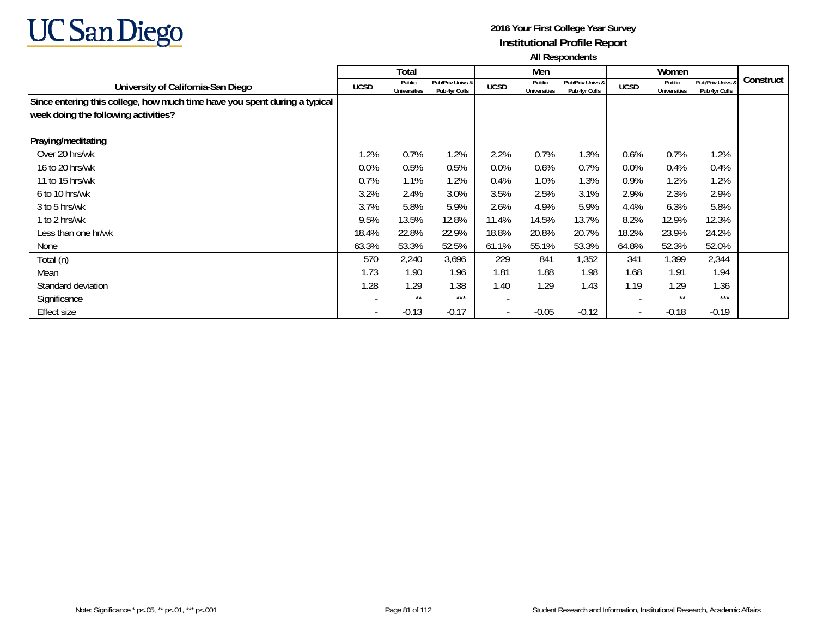

|                                                                            |                          | Total                         |                                   |                          | Men                           |                                   |                          | Women                         |                                   |           |
|----------------------------------------------------------------------------|--------------------------|-------------------------------|-----------------------------------|--------------------------|-------------------------------|-----------------------------------|--------------------------|-------------------------------|-----------------------------------|-----------|
| University of California-San Diego                                         | <b>UCSD</b>              | Public<br><b>Universities</b> | Pub/Priv Univs &<br>Pub 4yr Colls | <b>UCSD</b>              | Public<br><b>Universities</b> | Pub/Priv Univs &<br>Pub 4yr Colls | <b>UCSD</b>              | Public<br><b>Universities</b> | Pub/Priv Univs &<br>Pub 4yr Colls | Construct |
| Since entering this college, how much time have you spent during a typical |                          |                               |                                   |                          |                               |                                   |                          |                               |                                   |           |
| week doing the following activities?                                       |                          |                               |                                   |                          |                               |                                   |                          |                               |                                   |           |
| Praying/meditating                                                         |                          |                               |                                   |                          |                               |                                   |                          |                               |                                   |           |
| Over 20 hrs/wk                                                             | 1.2%                     | 0.7%                          | 1.2%                              | 2.2%                     | 0.7%                          | 1.3%                              | 0.6%                     | 0.7%                          | 1.2%                              |           |
| 16 to 20 hrs/wk                                                            | 0.0%                     | 0.5%                          | 0.5%                              | $0.0\%$                  | 0.6%                          | 0.7%                              | 0.0%                     | 0.4%                          | 0.4%                              |           |
| 11 to 15 hrs/wk                                                            | 0.7%                     | 1.1%                          | 1.2%                              | 0.4%                     | 1.0%                          | 1.3%                              | 0.9%                     | 1.2%                          | 1.2%                              |           |
| 6 to 10 hrs/wk                                                             | 3.2%                     | 2.4%                          | 3.0%                              | 3.5%                     | 2.5%                          | 3.1%                              | 2.9%                     | 2.3%                          | 2.9%                              |           |
| 3 to 5 hrs/wk                                                              | 3.7%                     | 5.8%                          | 5.9%                              | 2.6%                     | 4.9%                          | 5.9%                              | 4.4%                     | 6.3%                          | 5.8%                              |           |
| 1 to 2 hrs/wk                                                              | 9.5%                     | 13.5%                         | 12.8%                             | 11.4%                    | 14.5%                         | 13.7%                             | 8.2%                     | 12.9%                         | 12.3%                             |           |
| Less than one hr/wk                                                        | 18.4%                    | 22.8%                         | 22.9%                             | 18.8%                    | 20.8%                         | 20.7%                             | 18.2%                    | 23.9%                         | 24.2%                             |           |
| None                                                                       | 63.3%                    | 53.3%                         | 52.5%                             | 61.1%                    | 55.1%                         | 53.3%                             | 64.8%                    | 52.3%                         | 52.0%                             |           |
| Total (n)                                                                  | 570                      | 2,240                         | 3,696                             | 229                      | 841                           | 1,352                             | 341                      | 1,399                         | 2,344                             |           |
| Mean                                                                       | 1.73                     | 1.90                          | 1.96                              | 1.81                     | 1.88                          | 1.98                              | 1.68                     | 1.91                          | 1.94                              |           |
| Standard deviation                                                         | 1.28                     | 1.29                          | 1.38                              | 1.40                     | 1.29                          | 1.43                              | 1.19                     | 1.29                          | 1.36                              |           |
| Significance                                                               |                          | $***$                         | ***                               |                          |                               |                                   |                          | $***$                         | ***                               |           |
| <b>Effect size</b>                                                         | $\overline{\phantom{a}}$ | $-0.13$                       | $-0.17$                           | $\overline{\phantom{0}}$ | $-0.05$                       | $-0.12$                           | $\overline{\phantom{a}}$ | $-0.18$                       | $-0.19$                           |           |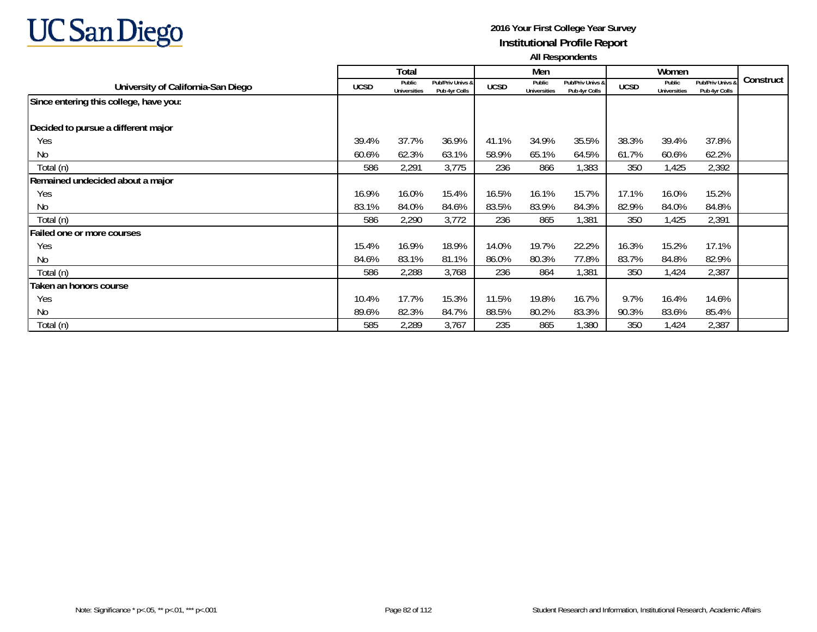

|                                        |             | Total                         |                                   |             | Men                           |                                   |             | Women                         |                                   |           |
|----------------------------------------|-------------|-------------------------------|-----------------------------------|-------------|-------------------------------|-----------------------------------|-------------|-------------------------------|-----------------------------------|-----------|
| University of California-San Diego     | <b>UCSD</b> | Public<br><b>Universities</b> | Pub/Priv Univs &<br>Pub 4yr Colls | <b>UCSD</b> | Public<br><b>Universities</b> | Pub/Priv Univs &<br>Pub 4yr Colls | <b>UCSD</b> | Public<br><b>Universities</b> | Pub/Priv Univs 8<br>Pub 4yr Colls | Construct |
| Since entering this college, have you: |             |                               |                                   |             |                               |                                   |             |                               |                                   |           |
| Decided to pursue a different major    |             |                               |                                   |             |                               |                                   |             |                               |                                   |           |
| Yes                                    | 39.4%       | 37.7%                         | 36.9%                             | 41.1%       | 34.9%                         | 35.5%                             | 38.3%       | 39.4%                         | 37.8%                             |           |
| N <sub>0</sub>                         | 60.6%       | 62.3%                         | 63.1%                             | 58.9%       | 65.1%                         | 64.5%                             | 61.7%       | 60.6%                         | 62.2%                             |           |
| Total (n)                              | 586         | 2,291                         | 3,775                             | 236         | 866                           | 1,383                             | 350         | 1,425                         | 2,392                             |           |
| Remained undecided about a major       |             |                               |                                   |             |                               |                                   |             |                               |                                   |           |
| Yes                                    | 16.9%       | 16.0%                         | 15.4%                             | 16.5%       | 16.1%                         | 15.7%                             | 17.1%       | 16.0%                         | 15.2%                             |           |
| N <sub>0</sub>                         | 83.1%       | 84.0%                         | 84.6%                             | 83.5%       | 83.9%                         | 84.3%                             | 82.9%       | 84.0%                         | 84.8%                             |           |
| Total (n)                              | 586         | 2,290                         | 3,772                             | 236         | 865                           | 1,381                             | 350         | 1,425                         | 2,391                             |           |
| Failed one or more courses             |             |                               |                                   |             |                               |                                   |             |                               |                                   |           |
| Yes                                    | 15.4%       | 16.9%                         | 18.9%                             | 14.0%       | 19.7%                         | 22.2%                             | 16.3%       | 15.2%                         | 17.1%                             |           |
| No                                     | 84.6%       | 83.1%                         | 81.1%                             | 86.0%       | 80.3%                         | 77.8%                             | 83.7%       | 84.8%                         | 82.9%                             |           |
| Total (n)                              | 586         | 2,288                         | 3,768                             | 236         | 864                           | 1,381                             | 350         | 1,424                         | 2,387                             |           |
| Taken an honors course                 |             |                               |                                   |             |                               |                                   |             |                               |                                   |           |
| Yes                                    | 10.4%       | 17.7%                         | 15.3%                             | 11.5%       | 19.8%                         | 16.7%                             | 9.7%        | 16.4%                         | 14.6%                             |           |
| N <sub>0</sub>                         | 89.6%       | 82.3%                         | 84.7%                             | 88.5%       | 80.2%                         | 83.3%                             | 90.3%       | 83.6%                         | 85.4%                             |           |
| Total (n)                              | 585         | 2,289                         | 3,767                             | 235         | 865                           | 1,380                             | 350         | 1,424                         | 2,387                             |           |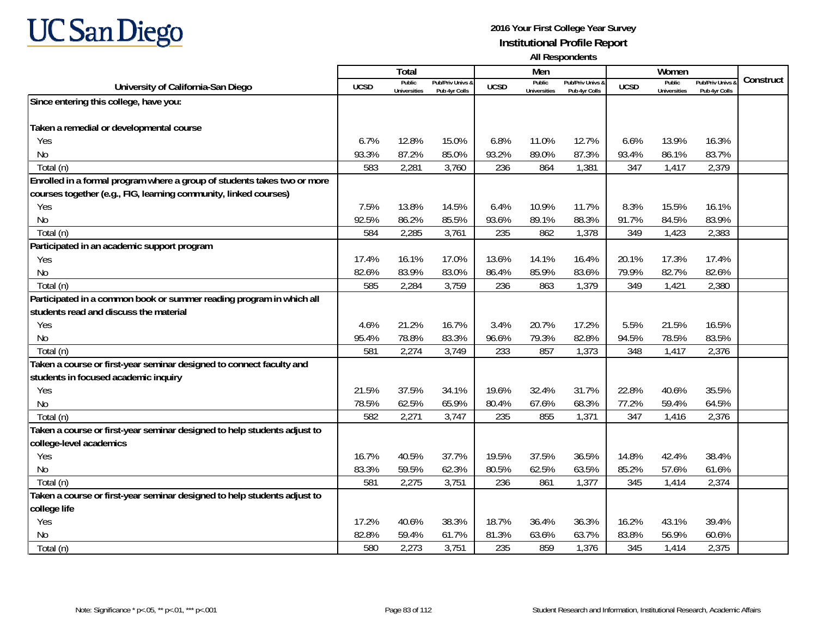

|                                                                          |             | <b>Total</b>                  |                                   |             | Men                           |                                   |             | Women                                |                                        |           |
|--------------------------------------------------------------------------|-------------|-------------------------------|-----------------------------------|-------------|-------------------------------|-----------------------------------|-------------|--------------------------------------|----------------------------------------|-----------|
| University of California-San Diego                                       | <b>UCSD</b> | Public<br><b>Universities</b> | Pub/Priv Univs 8<br>Pub 4yr Colls | <b>UCSD</b> | Public<br><b>Universities</b> | Pub/Priv Univs &<br>Pub 4yr Colls | <b>UCSD</b> | <b>Public</b><br><b>Universities</b> | <b>Pub/Priv Univs</b><br>Pub 4yr Colls | Construct |
| Since entering this college, have you:                                   |             |                               |                                   |             |                               |                                   |             |                                      |                                        |           |
|                                                                          |             |                               |                                   |             |                               |                                   |             |                                      |                                        |           |
| Taken a remedial or developmental course                                 |             |                               |                                   |             |                               |                                   |             |                                      |                                        |           |
| Yes                                                                      | 6.7%        | 12.8%                         | 15.0%                             | 6.8%        | 11.0%                         | 12.7%                             | 6.6%        | 13.9%                                | 16.3%                                  |           |
| No                                                                       | 93.3%       | 87.2%                         | 85.0%                             | 93.2%       | 89.0%                         | 87.3%                             | 93.4%       | 86.1%                                | 83.7%                                  |           |
| Total (n)                                                                | 583         | 2,281                         | 3,760                             | 236         | 864                           | 1,381                             | 347         | 1,417                                | 2,379                                  |           |
| Enrolled in a formal program where a group of students takes two or more |             |                               |                                   |             |                               |                                   |             |                                      |                                        |           |
| courses together (e.g., FIG, learning community, linked courses)         |             |                               |                                   |             |                               |                                   |             |                                      |                                        |           |
| Yes                                                                      | 7.5%        | 13.8%                         | 14.5%                             | 6.4%        | 10.9%                         | 11.7%                             | 8.3%        | 15.5%                                | 16.1%                                  |           |
| No                                                                       | 92.5%       | 86.2%                         | 85.5%                             | 93.6%       | 89.1%                         | 88.3%                             | 91.7%       | 84.5%                                | 83.9%                                  |           |
| Total (n)                                                                | 584         | 2,285                         | 3,761                             | 235         | 862                           | 1,378                             | 349         | 1,423                                | 2,383                                  |           |
| Participated in an academic support program                              |             |                               |                                   |             |                               |                                   |             |                                      |                                        |           |
| Yes                                                                      | 17.4%       | 16.1%                         | 17.0%                             | 13.6%       | 14.1%                         | 16.4%                             | 20.1%       | 17.3%                                | 17.4%                                  |           |
| No                                                                       | 82.6%       | 83.9%                         | 83.0%                             | 86.4%       | 85.9%                         | 83.6%                             | 79.9%       | 82.7%                                | 82.6%                                  |           |
| Total (n)                                                                | 585         | 2,284                         | 3,759                             | 236         | 863                           | 1,379                             | 349         | 1,421                                | 2,380                                  |           |
| Participated in a common book or summer reading program in which all     |             |                               |                                   |             |                               |                                   |             |                                      |                                        |           |
| students read and discuss the material                                   |             |                               |                                   |             |                               |                                   |             |                                      |                                        |           |
| Yes                                                                      | 4.6%        | 21.2%                         | 16.7%                             | 3.4%        | 20.7%                         | 17.2%                             | 5.5%        | 21.5%                                | 16.5%                                  |           |
| No                                                                       | 95.4%       | 78.8%                         | 83.3%                             | 96.6%       | 79.3%                         | 82.8%                             | 94.5%       | 78.5%                                | 83.5%                                  |           |
| Total (n)                                                                | 581         | 2,274                         | 3,749                             | 233         | 857                           | 1,373                             | 348         | 1,417                                | 2,376                                  |           |
| Taken a course or first-year seminar designed to connect faculty and     |             |                               |                                   |             |                               |                                   |             |                                      |                                        |           |
| students in focused academic inquiry                                     |             |                               |                                   |             |                               |                                   |             |                                      |                                        |           |
| Yes.                                                                     | 21.5%       | 37.5%                         | 34.1%                             | 19.6%       | 32.4%                         | 31.7%                             | 22.8%       | 40.6%                                | 35.5%                                  |           |
| <b>No</b>                                                                | 78.5%       | 62.5%                         | 65.9%                             | 80.4%       | 67.6%                         | 68.3%                             | 77.2%       | 59.4%                                | 64.5%                                  |           |
| Total (n)                                                                | 582         | 2,271                         | 3,747                             | 235         | 855                           | 1,371                             | 347         | 1,416                                | 2,376                                  |           |
| Taken a course or first-year seminar designed to help students adjust to |             |                               |                                   |             |                               |                                   |             |                                      |                                        |           |
| college-level academics                                                  |             |                               |                                   |             |                               |                                   |             |                                      |                                        |           |
| Yes                                                                      | 16.7%       | 40.5%                         | 37.7%                             | 19.5%       | 37.5%                         | 36.5%                             | 14.8%       | 42.4%                                | 38.4%                                  |           |
| <b>No</b>                                                                | 83.3%       | 59.5%                         | 62.3%                             | 80.5%       | 62.5%                         | 63.5%                             | 85.2%       | 57.6%                                | 61.6%                                  |           |
| Total (n)                                                                | 581         | 2,275                         | 3,751                             | 236         | 861                           | 1,377                             | 345         | 1,414                                | 2,374                                  |           |
| Taken a course or first-year seminar designed to help students adjust to |             |                               |                                   |             |                               |                                   |             |                                      |                                        |           |
| college life                                                             |             |                               |                                   |             |                               |                                   |             |                                      |                                        |           |
| Yes                                                                      | 17.2%       | 40.6%                         | 38.3%                             | 18.7%       | 36.4%                         | 36.3%                             | 16.2%       | 43.1%                                | 39.4%                                  |           |
| N <sub>0</sub>                                                           | 82.8%       | 59.4%                         | 61.7%                             | 81.3%       | 63.6%                         | 63.7%                             | 83.8%       | 56.9%                                | 60.6%                                  |           |
| Total (n)                                                                | 580         | 2,273                         | 3,751                             | 235         | 859                           | 1,376                             | 345         | 1,414                                | 2,375                                  |           |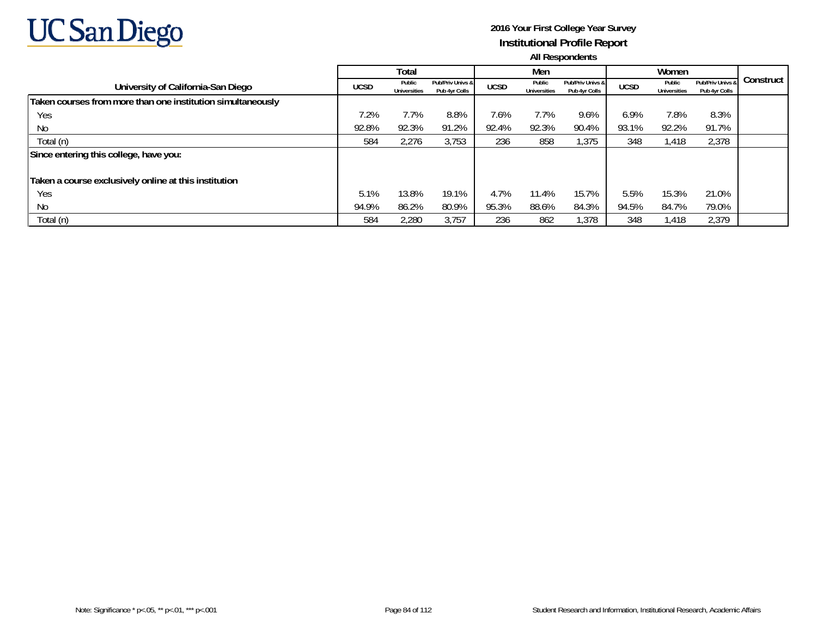

|                                                             |             | Total                         |                                   |             | Men                           |                                   |             | Women                         |                                   |           |
|-------------------------------------------------------------|-------------|-------------------------------|-----------------------------------|-------------|-------------------------------|-----------------------------------|-------------|-------------------------------|-----------------------------------|-----------|
| University of California-San Diego                          | <b>UCSD</b> | Public<br><b>Universities</b> | Pub/Priv Univs &<br>Pub 4yr Colls | <b>UCSD</b> | Public<br><b>Universities</b> | Pub/Priv Univs &<br>Pub 4yr Colls | <b>UCSD</b> | Public<br><b>Universities</b> | Pub/Priv Univs &<br>Pub 4yr Colls | Construct |
| Taken courses from more than one institution simultaneously |             |                               |                                   |             |                               |                                   |             |                               |                                   |           |
| Yes                                                         | 7.2%        | 7.7%                          | 8.8%                              | 7.6%        | 7.7%                          | 9.6%                              | 6.9%        | 7.8%                          | 8.3%                              |           |
| No                                                          | 92.8%       | 92.3%                         | 91.2%                             | 92.4%       | 92.3%                         | 90.4%                             | 93.1%       | 92.2%                         | 91.7%                             |           |
| Total (n)                                                   | 584         | 2,276                         | 3,753                             | 236         | 858                           | 1,375                             | 348         | 1,418                         | 2,378                             |           |
| Since entering this college, have you:                      |             |                               |                                   |             |                               |                                   |             |                               |                                   |           |
|                                                             |             |                               |                                   |             |                               |                                   |             |                               |                                   |           |
| Taken a course exclusively online at this institution       |             |                               |                                   |             |                               |                                   |             |                               |                                   |           |
| Yes                                                         | 5.1%        | 13.8%                         | 19.1%                             | 4.7%        | 11.4%                         | 15.7%                             | 5.5%        | 15.3%                         | 21.0%                             |           |
| No                                                          | 94.9%       | 86.2%                         | 80.9%                             | 95.3%       | 88.6%                         | 84.3%                             | 94.5%       | 84.7%                         | 79.0%                             |           |
| Total (n)                                                   | 584         | 2,280                         | 3,757                             | 236         | 862                           | 1,378                             | 348         | 1,418                         | 2,379                             |           |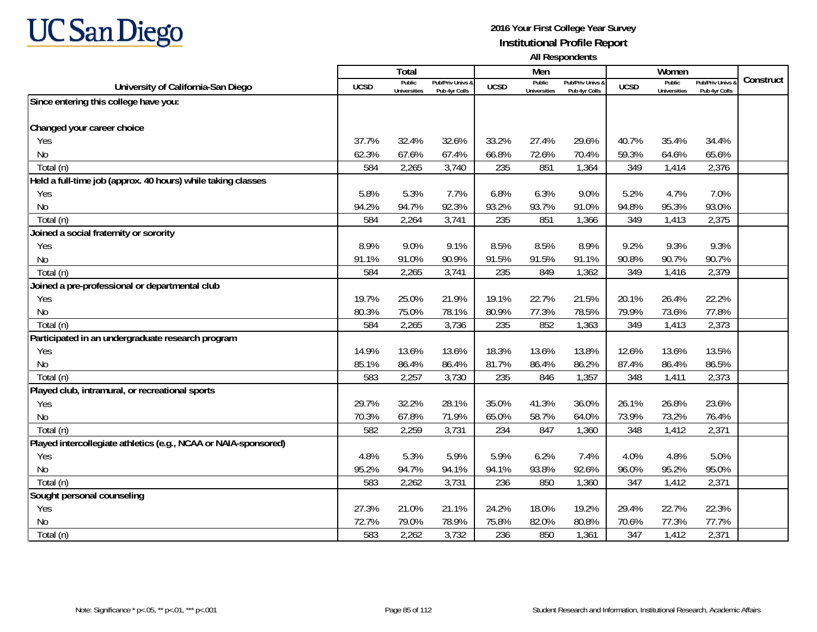

|                                                                 |             | Total                         |                                   |             | Men                           |                                   |             | Women                         |                                        |           |
|-----------------------------------------------------------------|-------------|-------------------------------|-----------------------------------|-------------|-------------------------------|-----------------------------------|-------------|-------------------------------|----------------------------------------|-----------|
| University of California-San Diego                              | <b>UCSD</b> | Public<br><b>Universities</b> | Pub/Priv Univs 8<br>Pub 4yr Colls | <b>UCSD</b> | Public<br><b>Universities</b> | Pub/Priv Univs &<br>Pub 4yr Colls | <b>UCSD</b> | Public<br><b>Universities</b> | <b>Pub/Priv Univs</b><br>Pub 4yr Colls | Construct |
| Since entering this college have you:                           |             |                               |                                   |             |                               |                                   |             |                               |                                        |           |
|                                                                 |             |                               |                                   |             |                               |                                   |             |                               |                                        |           |
| Changed your career choice                                      |             |                               |                                   |             |                               |                                   |             |                               |                                        |           |
| Yes                                                             | 37.7%       | 32.4%                         | 32.6%                             | 33.2%       | 27.4%                         | 29.6%                             | 40.7%       | 35.4%                         | 34.4%                                  |           |
| No                                                              | 62.3%       | 67.6%                         | 67.4%                             | 66.8%       | 72.6%                         | 70.4%                             | 59.3%       | 64.6%                         | 65.6%                                  |           |
| Total (n)                                                       | 584         | 2,265                         | 3,740                             | 235         | 851                           | 1,364                             | 349         | 1,414                         | 2,376                                  |           |
| Held a full-time job (approx. 40 hours) while taking classes    |             |                               |                                   |             |                               |                                   |             |                               |                                        |           |
| Yes                                                             | 5.8%        | 5.3%                          | 7.7%                              | 6.8%        | 6.3%                          | 9.0%                              | 5.2%        | 4.7%                          | 7.0%                                   |           |
| No                                                              | 94.2%       | 94.7%                         | 92.3%                             | 93.2%       | 93.7%                         | 91.0%                             | 94.8%       | 95.3%                         | 93.0%                                  |           |
| Total (n)                                                       | 584         | 2,264                         | 3,741                             | 235         | 851                           | 1,366                             | 349         | 1,413                         | 2,375                                  |           |
| Joined a social fraternity or sorority                          |             |                               |                                   |             |                               |                                   |             |                               |                                        |           |
| Yes                                                             | 8.9%        | 9.0%                          | 9.1%                              | 8.5%        | 8.5%                          | 8.9%                              | 9.2%        | 9.3%                          | 9.3%                                   |           |
| No                                                              | 91.1%       | 91.0%                         | 90.9%                             | 91.5%       | 91.5%                         | 91.1%                             | 90.8%       | 90.7%                         | 90.7%                                  |           |
| Total (n)                                                       | 584         | 2,265                         | 3,741                             | 235         | 849                           | 1,362                             | 349         | 1,416                         | 2,379                                  |           |
| Joined a pre-professional or departmental club                  |             |                               |                                   |             |                               |                                   |             |                               |                                        |           |
| Yes                                                             | 19.7%       | 25.0%                         | 21.9%                             | 19.1%       | 22.7%                         | 21.5%                             | 20.1%       | 26.4%                         | 22.2%                                  |           |
| No                                                              | 80.3%       | 75.0%                         | 78.1%                             | 80.9%       | 77.3%                         | 78.5%                             | 79.9%       | 73.6%                         | 77.8%                                  |           |
| Total (n)                                                       | 584         | 2,265                         | 3,736                             | 235         | 852                           | 1,363                             | 349         | 1,413                         | 2,373                                  |           |
| Participated in an undergraduate research program               |             |                               |                                   |             |                               |                                   |             |                               |                                        |           |
| Yes                                                             | 14.9%       | 13.6%                         | 13.6%                             | 18.3%       | 13.6%                         | 13.8%                             | 12.6%       | 13.6%                         | 13.5%                                  |           |
| <b>No</b>                                                       | 85.1%       | 86.4%                         | 86.4%                             | 81.7%       | 86.4%                         | 86.2%                             | 87.4%       | 86.4%                         | 86.5%                                  |           |
| Total (n)                                                       | 583         | 2,257                         | 3,730                             | 235         | 846                           | 1,357                             | 348         | 1,411                         | 2,373                                  |           |
| Played club, intramural, or recreational sports                 |             |                               |                                   |             |                               |                                   |             |                               |                                        |           |
| Yes                                                             | 29.7%       | 32.2%                         | 28.1%                             | 35.0%       | 41.3%                         | 36.0%                             | 26.1%       | 26.8%                         | 23.6%                                  |           |
| No                                                              | 70.3%       | 67.8%                         | 71.9%                             | 65.0%       | 58.7%                         | 64.0%                             | 73.9%       | 73.2%                         | 76.4%                                  |           |
| Total (n)                                                       | 582         | 2,259                         | 3,731                             | 234         | 847                           | 1,360                             | 348         | 1,412                         | 2,371                                  |           |
| Played intercollegiate athletics (e.g., NCAA or NAIA-sponsored) |             |                               |                                   |             |                               |                                   |             |                               |                                        |           |
| Yes                                                             | 4.8%        | 5.3%                          | 5.9%                              | 5.9%        | 6.2%                          | 7.4%                              | 4.0%        | 4.8%                          | 5.0%                                   |           |
| No                                                              | 95.2%       | 94.7%                         | 94.1%                             | 94.1%       | 93.8%                         | 92.6%                             | 96.0%       | 95.2%                         | 95.0%                                  |           |
| Total (n)                                                       | 583         | 2,262                         | 3,731                             | 236         | 850                           | 1,360                             | 347         | 1,412                         | 2,371                                  |           |
| Sought personal counseling                                      |             |                               |                                   |             |                               |                                   |             |                               |                                        |           |
| Yes                                                             | 27.3%       | 21.0%                         | 21.1%                             | 24.2%       | 18.0%                         | 19.2%                             | 29.4%       | 22.7%                         | 22.3%                                  |           |
| N <sub>0</sub>                                                  | 72.7%       | 79.0%                         | 78.9%                             | 75.8%       | 82.0%                         | 80.8%                             | 70.6%       | 77.3%                         | 77.7%                                  |           |
| Total (n)                                                       | 583         | 2,262                         | 3,732                             | 236         | 850                           | 1,361                             | 347         | 1,412                         | 2,371                                  |           |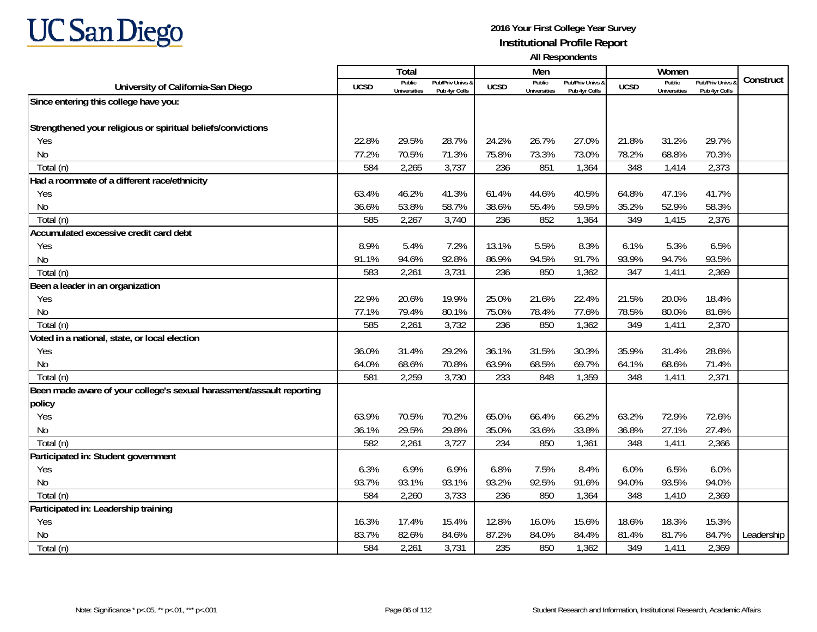# **UC San Diego**

|                                                                       |             | <b>Total</b>                  |                                 |             | Men                           |                                   |             | Women                                |                                 |            |
|-----------------------------------------------------------------------|-------------|-------------------------------|---------------------------------|-------------|-------------------------------|-----------------------------------|-------------|--------------------------------------|---------------------------------|------------|
| University of California-San Diego                                    | <b>UCSD</b> | Public<br><b>Universities</b> | Pub/Priv Univs<br>Pub 4yr Colls | <b>UCSD</b> | Public<br><b>Universities</b> | Pub/Priv Univs &<br>Pub 4yr Colls | <b>UCSD</b> | <b>Public</b><br><b>Universities</b> | Pub/Priv Univs<br>Pub 4yr Colls | Construct  |
| Since entering this college have you:                                 |             |                               |                                 |             |                               |                                   |             |                                      |                                 |            |
|                                                                       |             |                               |                                 |             |                               |                                   |             |                                      |                                 |            |
| Strengthened your religious or spiritual beliefs/convictions          |             |                               |                                 |             |                               |                                   |             |                                      |                                 |            |
| Yes                                                                   | 22.8%       | 29.5%                         | 28.7%                           | 24.2%       | 26.7%                         | 27.0%                             | 21.8%       | 31.2%                                | 29.7%                           |            |
| No                                                                    | 77.2%       | 70.5%                         | 71.3%                           | 75.8%       | 73.3%                         | 73.0%                             | 78.2%       | 68.8%                                | 70.3%                           |            |
| Total (n)                                                             | 584         | 2,265                         | 3,737                           | 236         | 851                           | 1,364                             | 348         | 1,414                                | 2,373                           |            |
| Had a roommate of a different race/ethnicity                          |             |                               |                                 |             |                               |                                   |             |                                      |                                 |            |
| Yes                                                                   | 63.4%       | 46.2%                         | 41.3%                           | 61.4%       | 44.6%                         | 40.5%                             | 64.8%       | 47.1%                                | 41.7%                           |            |
| No                                                                    | 36.6%       | 53.8%                         | 58.7%                           | 38.6%       | 55.4%                         | 59.5%                             | 35.2%       | 52.9%                                | 58.3%                           |            |
| Total (n)                                                             | 585         | 2,267                         | 3,740                           | 236         | 852                           | 1,364                             | 349         | 1,415                                | 2,376                           |            |
| Accumulated excessive credit card debt                                |             |                               |                                 |             |                               |                                   |             |                                      |                                 |            |
| Yes                                                                   | 8.9%        | 5.4%                          | 7.2%                            | 13.1%       | 5.5%                          | 8.3%                              | 6.1%        | 5.3%                                 | 6.5%                            |            |
| <b>No</b>                                                             | 91.1%       | 94.6%                         | 92.8%                           | 86.9%       | 94.5%                         | 91.7%                             | 93.9%       | 94.7%                                | 93.5%                           |            |
| Total (n)                                                             | 583         | 2,261                         | 3,731                           | 236         | 850                           | 1,362                             | 347         | 1,411                                | 2,369                           |            |
| Been a leader in an organization                                      |             |                               |                                 |             |                               |                                   |             |                                      |                                 |            |
| Yes                                                                   | 22.9%       | 20.6%                         | 19.9%                           | 25.0%       | 21.6%                         | 22.4%                             | 21.5%       | 20.0%                                | 18.4%                           |            |
| No                                                                    | 77.1%       | 79.4%                         | 80.1%                           | 75.0%       | 78.4%                         | 77.6%                             | 78.5%       | 80.0%                                | 81.6%                           |            |
| Total (n)                                                             | 585         | 2,261                         | 3,732                           | 236         | 850                           | 1,362                             | 349         | 1,411                                | 2,370                           |            |
| Voted in a national, state, or local election                         |             |                               |                                 |             |                               |                                   |             |                                      |                                 |            |
| Yes                                                                   | 36.0%       | 31.4%                         | 29.2%                           | 36.1%       | 31.5%                         | 30.3%                             | 35.9%       | 31.4%                                | 28.6%                           |            |
| No                                                                    | 64.0%       | 68.6%                         | 70.8%                           | 63.9%       | 68.5%                         | 69.7%                             | 64.1%       | 68.6%                                | 71.4%                           |            |
| Total (n)                                                             | 581         | 2,259                         | 3,730                           | 233         | 848                           | 1,359                             | 348         | 1,411                                | 2,371                           |            |
| Been made aware of your college's sexual harassment/assault reporting |             |                               |                                 |             |                               |                                   |             |                                      |                                 |            |
| policy                                                                |             |                               |                                 |             |                               |                                   |             |                                      |                                 |            |
| Yes                                                                   | 63.9%       | 70.5%                         | 70.2%                           | 65.0%       | 66.4%                         | 66.2%                             | 63.2%       | 72.9%                                | 72.6%                           |            |
| No                                                                    | 36.1%       | 29.5%                         | 29.8%                           | 35.0%       | 33.6%                         | 33.8%                             | 36.8%       | 27.1%                                | 27.4%                           |            |
| Total (n)                                                             | 582         | 2,261                         | 3,727                           | 234         | 850                           | 1,361                             | 348         | 1,411                                | 2,366                           |            |
| Participated in: Student government                                   |             |                               |                                 |             |                               |                                   |             |                                      |                                 |            |
| Yes                                                                   | 6.3%        | 6.9%                          | 6.9%                            | 6.8%        | 7.5%                          | 8.4%                              | 6.0%        | 6.5%                                 | 6.0%                            |            |
| No                                                                    | 93.7%       | 93.1%                         | 93.1%                           | 93.2%       | 92.5%                         | 91.6%                             | 94.0%       | 93.5%                                | 94.0%                           |            |
| Total (n)                                                             | 584         | 2,260                         | 3,733                           | 236         | 850                           | 1,364                             | 348         | 1,410                                | 2,369                           |            |
| Participated in: Leadership training                                  |             |                               |                                 |             |                               |                                   |             |                                      |                                 |            |
| Yes                                                                   | 16.3%       | 17.4%                         | 15.4%                           | 12.8%       | 16.0%                         | 15.6%                             | 18.6%       | 18.3%                                | 15.3%                           |            |
| No                                                                    | 83.7%       | 82.6%                         | 84.6%                           | 87.2%       | 84.0%                         | 84.4%                             | 81.4%       | 81.7%                                | 84.7%                           | Leadership |
| Total (n)                                                             | 584         | 2,261                         | 3,731                           | 235         | 850                           | 1,362                             | 349         | 1,411                                | 2,369                           |            |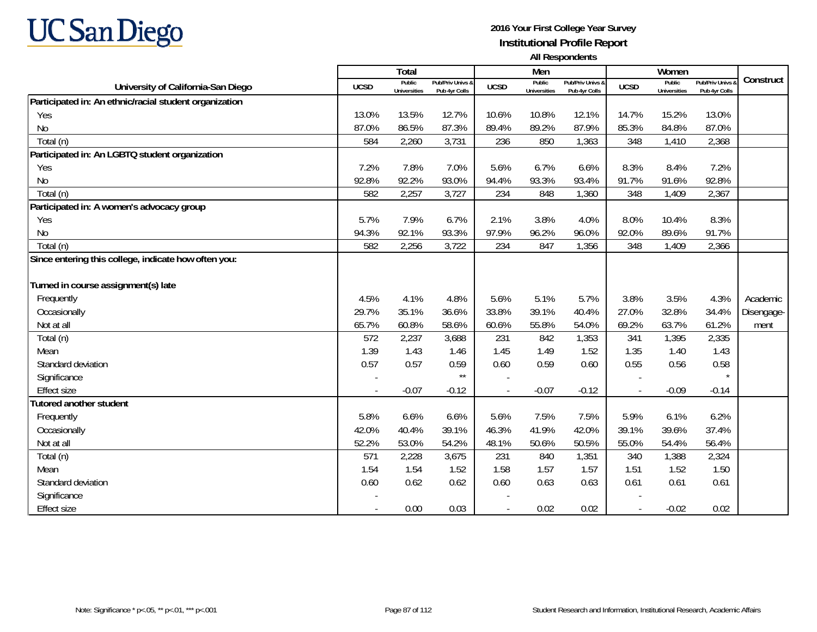# **UC San Diego**

|                                                        |                          | Total                         |                                   |             | Men                           |                                   |                          | Women                         |                                        |            |
|--------------------------------------------------------|--------------------------|-------------------------------|-----------------------------------|-------------|-------------------------------|-----------------------------------|--------------------------|-------------------------------|----------------------------------------|------------|
| University of California-San Diego                     | <b>UCSD</b>              | Public<br><b>Universities</b> | Pub/Priv Univs &<br>Pub 4yr Colls | <b>UCSD</b> | Public<br><b>Universities</b> | Pub/Priv Univs &<br>Pub 4yr Colls | <b>UCSD</b>              | Public<br><b>Universities</b> | <b>Pub/Priv Univs</b><br>Pub 4yr Colls | Construct  |
| Participated in: An ethnic/racial student organization |                          |                               |                                   |             |                               |                                   |                          |                               |                                        |            |
| Yes                                                    | 13.0%                    | 13.5%                         | 12.7%                             | 10.6%       | 10.8%                         | 12.1%                             | 14.7%                    | 15.2%                         | 13.0%                                  |            |
| <b>No</b>                                              | 87.0%                    | 86.5%                         | 87.3%                             | 89.4%       | 89.2%                         | 87.9%                             | 85.3%                    | 84.8%                         | 87.0%                                  |            |
| Total (n)                                              | 584                      | 2,260                         | 3,731                             | 236         | 850                           | 1,363                             | 348                      | 1,410                         | 2,368                                  |            |
| Participated in: An LGBTQ student organization         |                          |                               |                                   |             |                               |                                   |                          |                               |                                        |            |
| Yes                                                    | 7.2%                     | 7.8%                          | 7.0%                              | 5.6%        | 6.7%                          | 6.6%                              | 8.3%                     | 8.4%                          | 7.2%                                   |            |
| No                                                     | 92.8%                    | 92.2%                         | 93.0%                             | 94.4%       | 93.3%                         | 93.4%                             | 91.7%                    | 91.6%                         | 92.8%                                  |            |
| Total (n)                                              | 582                      | 2,257                         | 3,727                             | 234         | 848                           | 1,360                             | 348                      | 1,409                         | 2,367                                  |            |
| Participated in: A women's advocacy group              |                          |                               |                                   |             |                               |                                   |                          |                               |                                        |            |
| Yes                                                    | 5.7%                     | 7.9%                          | 6.7%                              | 2.1%        | 3.8%                          | 4.0%                              | 8.0%                     | 10.4%                         | 8.3%                                   |            |
| <b>No</b>                                              | 94.3%                    | 92.1%                         | 93.3%                             | 97.9%       | 96.2%                         | 96.0%                             | 92.0%                    | 89.6%                         | 91.7%                                  |            |
| Total (n)                                              | 582                      | 2,256                         | 3,722                             | 234         | 847                           | 1,356                             | 348                      | 1,409                         | 2,366                                  |            |
| Since entering this college, indicate how often you:   |                          |                               |                                   |             |                               |                                   |                          |                               |                                        |            |
|                                                        |                          |                               |                                   |             |                               |                                   |                          |                               |                                        |            |
| Turned in course assignment(s) late                    |                          |                               |                                   |             |                               |                                   |                          |                               |                                        |            |
| Frequently                                             | 4.5%                     | 4.1%                          | 4.8%                              | 5.6%        | 5.1%                          | 5.7%                              | 3.8%                     | 3.5%                          | 4.3%                                   | Academic   |
| Occasionally                                           | 29.7%                    | 35.1%                         | 36.6%                             | 33.8%       | 39.1%                         | 40.4%                             | 27.0%                    | 32.8%                         | 34.4%                                  | Disengage- |
| Not at all                                             | 65.7%                    | 60.8%                         | 58.6%                             | 60.6%       | 55.8%                         | 54.0%                             | 69.2%                    | 63.7%                         | 61.2%                                  | ment       |
| Total (n)                                              | 572                      | 2,237                         | 3,688                             | 231         | 842                           | 1,353                             | 341                      | 1,395                         | 2,335                                  |            |
| Mean                                                   | 1.39                     | 1.43                          | 1.46                              | 1.45        | 1.49                          | 1.52                              | 1.35                     | 1.40                          | 1.43                                   |            |
| Standard deviation                                     | 0.57                     | 0.57                          | 0.59                              | 0.60        | 0.59                          | 0.60                              | 0.55                     | 0.56                          | 0.58                                   |            |
| Significance                                           |                          |                               | $\star\star$                      |             |                               |                                   |                          |                               |                                        |            |
| <b>Effect size</b>                                     | $\overline{\phantom{a}}$ | $-0.07$                       | $-0.12$                           |             | $-0.07$                       | $-0.12$                           | $\overline{\phantom{a}}$ | $-0.09$                       | $-0.14$                                |            |
| Tutored another student                                |                          |                               |                                   |             |                               |                                   |                          |                               |                                        |            |
| Frequently                                             | 5.8%                     | 6.6%                          | 6.6%                              | 5.6%        | 7.5%                          | 7.5%                              | 5.9%                     | 6.1%                          | 6.2%                                   |            |
| Occasionally                                           | 42.0%                    | 40.4%                         | 39.1%                             | 46.3%       | 41.9%                         | 42.0%                             | 39.1%                    | 39.6%                         | 37.4%                                  |            |
| Not at all                                             | 52.2%                    | 53.0%                         | 54.2%                             | 48.1%       | 50.6%                         | 50.5%                             | 55.0%                    | 54.4%                         | 56.4%                                  |            |
| Total (n)                                              | 571                      | 2,228                         | 3,675                             | 231         | 840                           | 1,351                             | 340                      | 1,388                         | 2,324                                  |            |
| Mean                                                   | 1.54                     | 1.54                          | 1.52                              | 1.58        | 1.57                          | 1.57                              | 1.51                     | 1.52                          | 1.50                                   |            |
| Standard deviation                                     | 0.60                     | 0.62                          | 0.62                              | 0.60        | 0.63                          | 0.63                              | 0.61                     | 0.61                          | 0.61                                   |            |
| Significance                                           |                          |                               |                                   |             |                               |                                   |                          |                               |                                        |            |
| <b>Effect size</b>                                     |                          | 0.00                          | 0.03                              |             | 0.02                          | 0.02                              |                          | $-0.02$                       | 0.02                                   |            |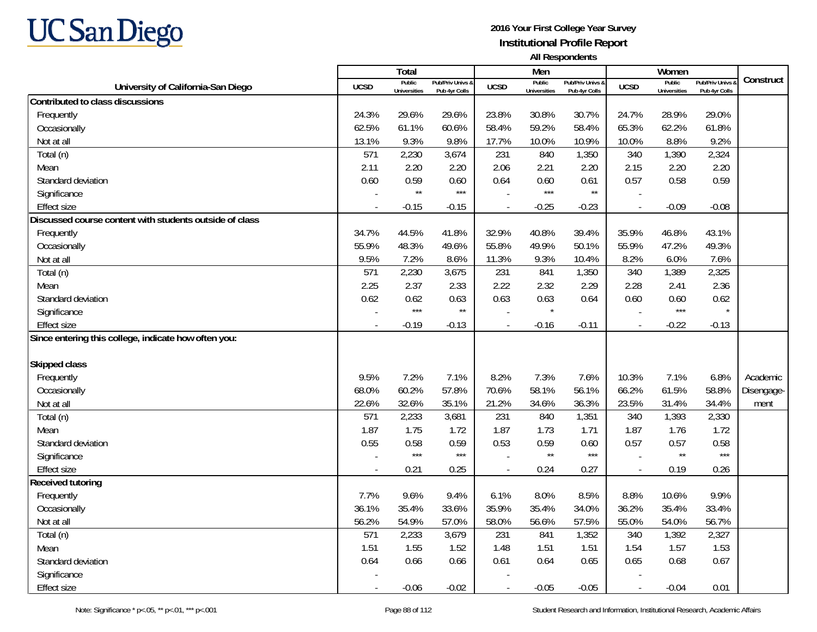

|                                                         |                          | Total                         |                                              |                          | Men                           |                                   |                          | Women                         |                                        |            |
|---------------------------------------------------------|--------------------------|-------------------------------|----------------------------------------------|--------------------------|-------------------------------|-----------------------------------|--------------------------|-------------------------------|----------------------------------------|------------|
| University of California-San Diego                      | <b>UCSD</b>              | Public<br><b>Universities</b> | <b>Pub/Priv Univs &amp;</b><br>Pub 4yr Colls | <b>UCSD</b>              | Public<br><b>Universities</b> | Pub/Priv Univs &<br>Pub 4yr Colls | <b>UCSD</b>              | Public<br><b>Universities</b> | <b>Pub/Priv Univs</b><br>Pub 4yr Colls | Construct  |
| Contributed to class discussions                        |                          |                               |                                              |                          |                               |                                   |                          |                               |                                        |            |
| Frequently                                              | 24.3%                    | 29.6%                         | 29.6%                                        | 23.8%                    | 30.8%                         | 30.7%                             | 24.7%                    | 28.9%                         | 29.0%                                  |            |
| Occasionally                                            | 62.5%                    | 61.1%                         | 60.6%                                        | 58.4%                    | 59.2%                         | 58.4%                             | 65.3%                    | 62.2%                         | 61.8%                                  |            |
| Not at all                                              | 13.1%                    | 9.3%                          | 9.8%                                         | 17.7%                    | 10.0%                         | 10.9%                             | 10.0%                    | 8.8%                          | 9.2%                                   |            |
| Total (n)                                               | 571                      | 2,230                         | 3,674                                        | 231                      | 840                           | 1,350                             | 340                      | 1,390                         | 2,324                                  |            |
| Mean                                                    | 2.11                     | 2.20                          | 2.20                                         | 2.06                     | 2.21                          | 2.20                              | 2.15                     | 2.20                          | 2.20                                   |            |
| Standard deviation                                      | 0.60                     | 0.59                          | 0.60                                         | 0.64                     | 0.60                          | 0.61                              | 0.57                     | 0.58                          | 0.59                                   |            |
| Significance                                            |                          | $\star\star$                  | $***$                                        |                          | $***$                         | $^{\star\star}$                   |                          |                               |                                        |            |
| <b>Effect size</b>                                      | $\overline{\phantom{a}}$ | $-0.15$                       | $-0.15$                                      | $\overline{\phantom{a}}$ | $-0.25$                       | $-0.23$                           | $\overline{\phantom{a}}$ | $-0.09$                       | $-0.08$                                |            |
| Discussed course content with students outside of class |                          |                               |                                              |                          |                               |                                   |                          |                               |                                        |            |
| Frequently                                              | 34.7%                    | 44.5%                         | 41.8%                                        | 32.9%                    | 40.8%                         | 39.4%                             | 35.9%                    | 46.8%                         | 43.1%                                  |            |
| Occasionally                                            | 55.9%                    | 48.3%                         | 49.6%                                        | 55.8%                    | 49.9%                         | 50.1%                             | 55.9%                    | 47.2%                         | 49.3%                                  |            |
| Not at all                                              | 9.5%                     | 7.2%                          | 8.6%                                         | 11.3%                    | 9.3%                          | 10.4%                             | 8.2%                     | 6.0%                          | 7.6%                                   |            |
| Total (n)                                               | 571                      | 2,230                         | 3,675                                        | 231                      | 841                           | 1,350                             | 340                      | 1,389                         | 2,325                                  |            |
| Mean                                                    | 2.25                     | 2.37                          | 2.33                                         | 2.22                     | 2.32                          | 2.29                              | 2.28                     | 2.41                          | 2.36                                   |            |
| Standard deviation                                      | 0.62                     | 0.62                          | 0.63                                         | 0.63                     | 0.63                          | 0.64                              | 0.60                     | 0.60                          | 0.62                                   |            |
| Significance                                            |                          | $***$                         | $\star\star$                                 |                          | $\star$                       |                                   |                          | $***$                         | $\star$                                |            |
| <b>Effect size</b>                                      |                          | $-0.19$                       | $-0.13$                                      | $\overline{a}$           | $-0.16$                       | $-0.11$                           | $\overline{\phantom{a}}$ | $-0.22$                       | $-0.13$                                |            |
| Since entering this college, indicate how often you:    |                          |                               |                                              |                          |                               |                                   |                          |                               |                                        |            |
| <b>Skipped class</b>                                    |                          |                               |                                              |                          |                               |                                   |                          |                               |                                        |            |
| Frequently                                              | 9.5%                     | 7.2%                          | 7.1%                                         | 8.2%                     | 7.3%                          | 7.6%                              | 10.3%                    | 7.1%                          | 6.8%                                   | Academic   |
| Occasionally                                            | 68.0%                    | 60.2%                         | 57.8%                                        | 70.6%                    | 58.1%                         | 56.1%                             | 66.2%                    | 61.5%                         | 58.8%                                  | Disengage- |
| Not at all                                              | 22.6%                    | 32.6%                         | 35.1%                                        | 21.2%                    | 34.6%                         | 36.3%                             | 23.5%                    | 31.4%                         | 34.4%                                  | ment       |
| Total (n)                                               | 571                      | 2,233                         | 3,681                                        | 231                      | 840                           | 1,351                             | 340                      | 1,393                         | 2,330                                  |            |
| Mean                                                    | 1.87                     | 1.75                          | 1.72                                         | 1.87                     | 1.73                          | 1.71                              | 1.87                     | 1.76                          | 1.72                                   |            |
| Standard deviation                                      | 0.55                     | 0.58                          | 0.59                                         | 0.53                     | 0.59                          | 0.60                              | 0.57                     | 0.57                          | 0.58                                   |            |
| Significance                                            |                          | $***$                         | $***$                                        |                          | $\star\star$                  | $***$                             | $\overline{\phantom{a}}$ | $\star\star$                  | $***$                                  |            |
| <b>Effect size</b>                                      |                          | 0.21                          | 0.25                                         | $\overline{a}$           | 0.24                          | 0.27                              | $\overline{\phantom{a}}$ | 0.19                          | 0.26                                   |            |
| <b>Received tutoring</b>                                |                          |                               |                                              |                          |                               |                                   |                          |                               |                                        |            |
| Frequently                                              | 7.7%                     | 9.6%                          | 9.4%                                         | 6.1%                     | 8.0%                          | 8.5%                              | 8.8%                     | 10.6%                         | 9.9%                                   |            |
| Occasionally                                            | 36.1%                    | 35.4%                         | 33.6%                                        | 35.9%                    | 35.4%                         | 34.0%                             | 36.2%                    | 35.4%                         | 33.4%                                  |            |
| Not at all                                              | 56.2%                    | 54.9%                         | 57.0%                                        | 58.0%                    | 56.6%                         | 57.5%                             | 55.0%                    | 54.0%                         | 56.7%                                  |            |
| Total (n)                                               | 571                      | 2,233                         | 3,679                                        | 231                      | 841                           | 1,352                             | 340                      | 1,392                         | 2,327                                  |            |
| Mean                                                    | 1.51                     | 1.55                          | 1.52                                         | 1.48                     | 1.51                          | 1.51                              | 1.54                     | 1.57                          | 1.53                                   |            |
| Standard deviation                                      | 0.64                     | 0.66                          | 0.66                                         | 0.61                     | 0.64                          | 0.65                              | 0.65                     | 0.68                          | 0.67                                   |            |
| Significance                                            |                          |                               |                                              |                          |                               |                                   |                          |                               |                                        |            |
| <b>Effect size</b>                                      |                          | $-0.06$                       | $-0.02$                                      | $\overline{\phantom{a}}$ | $-0.05$                       | $-0.05$                           | $\overline{a}$           | $-0.04$                       | 0.01                                   |            |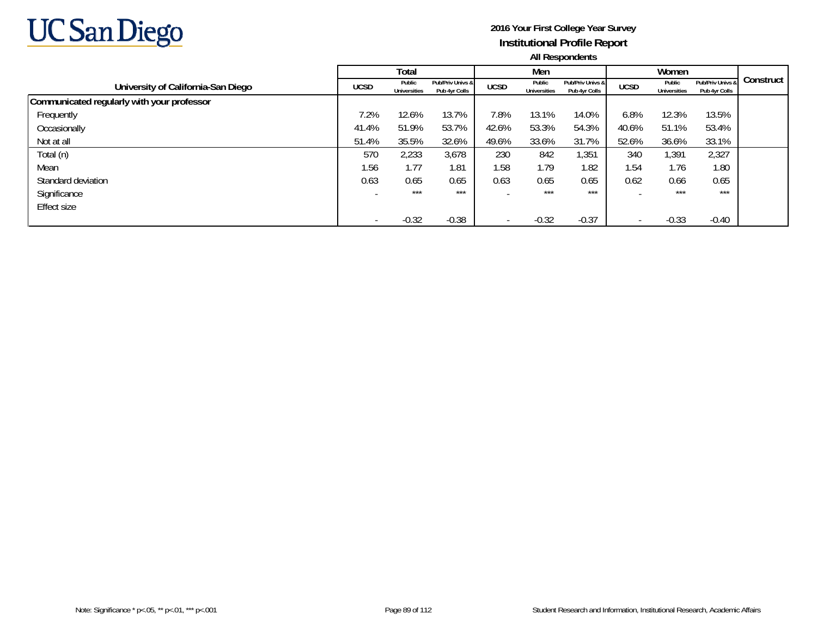

|                                            |             | Total                         |                                   |             | Men                           |                                   |                          | Women                  |                                   |           |
|--------------------------------------------|-------------|-------------------------------|-----------------------------------|-------------|-------------------------------|-----------------------------------|--------------------------|------------------------|-----------------------------------|-----------|
| University of California-San Diego         | <b>UCSD</b> | Public<br><b>Universities</b> | Pub/Priv Univs &<br>Pub 4yr Colls | <b>UCSD</b> | Public<br><b>Universities</b> | Pub/Priv Univs &<br>Pub 4yr Colls | <b>UCSD</b>              | Public<br>Universities | Pub/Priv Univs &<br>Pub 4yr Colls | Construct |
| Communicated regularly with your professor |             |                               |                                   |             |                               |                                   |                          |                        |                                   |           |
| Frequently                                 | 1.2%        | 12.6%                         | 13.7%                             | 7.8%        | 13.1%                         | 14.0%                             | 6.8%                     | 12.3%                  | 13.5%                             |           |
| Occasionally                               | 41.4%       | 51.9%                         | 53.7%                             | 42.6%       | 53.3%                         | 54.3%                             | 40.6%                    | 51.1%                  | 53.4%                             |           |
| Not at all                                 | 51.4%       | 35.5%                         | 32.6%                             | 49.6%       | 33.6%                         | 31.7%                             | 52.6%                    | 36.6%                  | 33.1%                             |           |
| Total (n)                                  | 570         | 2,233                         | 3,678                             | 230         | 842                           | 1,351                             | 340                      | 1,391                  | 2,327                             |           |
| Mean                                       | 1.56        | 1.77                          | 1.81                              | 1.58        | 1.79                          | 1.82                              | 1.54                     | 1.76                   | 1.80                              |           |
| Standard deviation                         | 0.63        | 0.65                          | 0.65                              | 0.63        | 0.65                          | 0.65                              | 0.62                     | 0.66                   | 0.65                              |           |
| Significance                               |             | $***$                         | $***$                             |             | $***$                         | $***$                             |                          | $***$                  | $***$                             |           |
| Effect size                                |             |                               |                                   |             |                               |                                   |                          |                        |                                   |           |
|                                            |             | $-0.32$                       | $-0.38$                           |             | $-0.32$                       | $-0.37$                           | $\overline{\phantom{0}}$ | $-0.33$                | $-0.40$                           |           |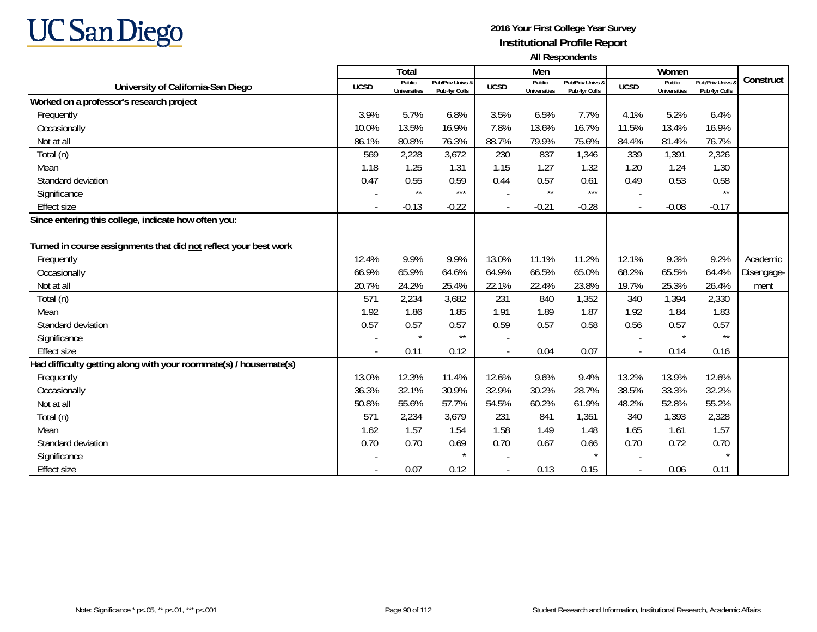

|                                                                   |             | Total                         |                                   |             | Men                           |                                   |                          | Women                         |                                        |            |
|-------------------------------------------------------------------|-------------|-------------------------------|-----------------------------------|-------------|-------------------------------|-----------------------------------|--------------------------|-------------------------------|----------------------------------------|------------|
| University of California-San Diego                                | <b>UCSD</b> | Public<br><b>Universities</b> | Pub/Priv Univs &<br>Pub 4yr Colls | <b>UCSD</b> | Public<br><b>Universities</b> | Pub/Priv Univs &<br>Pub 4yr Colls | <b>UCSD</b>              | Public<br><b>Universities</b> | <b>Pub/Priv Univs</b><br>Pub 4yr Colls | Construct  |
| Worked on a professor's research project                          |             |                               |                                   |             |                               |                                   |                          |                               |                                        |            |
| Frequently                                                        | 3.9%        | 5.7%                          | 6.8%                              | 3.5%        | 6.5%                          | 7.7%                              | 4.1%                     | 5.2%                          | 6.4%                                   |            |
| Occasionally                                                      | 10.0%       | 13.5%                         | 16.9%                             | 7.8%        | 13.6%                         | 16.7%                             | 11.5%                    | 13.4%                         | 16.9%                                  |            |
| Not at all                                                        | 86.1%       | 80.8%                         | 76.3%                             | 88.7%       | 79.9%                         | 75.6%                             | 84.4%                    | 81.4%                         | 76.7%                                  |            |
| Total (n)                                                         | 569         | 2,228                         | 3,672                             | 230         | 837                           | 1,346                             | 339                      | 1,391                         | 2,326                                  |            |
| Mean                                                              | 1.18        | 1.25                          | 1.31                              | 1.15        | 1.27                          | 1.32                              | 1.20                     | 1.24                          | 1.30                                   |            |
| Standard deviation                                                | 0.47        | 0.55                          | 0.59                              | 0.44        | 0.57                          | 0.61                              | 0.49                     | 0.53                          | 0.58                                   |            |
| Significance                                                      |             | $\star\star$                  | $***$                             |             | $\star\star$                  | $***$                             | $\overline{\phantom{a}}$ |                               | $\star\star$                           |            |
| <b>Effect size</b>                                                |             | $-0.13$                       | $-0.22$                           |             | $-0.21$                       | $-0.28$                           | $\overline{\phantom{a}}$ | $-0.08$                       | $-0.17$                                |            |
| Since entering this college, indicate how often you:              |             |                               |                                   |             |                               |                                   |                          |                               |                                        |            |
|                                                                   |             |                               |                                   |             |                               |                                   |                          |                               |                                        |            |
| Turned in course assignments that did not reflect your best work  |             |                               |                                   |             |                               |                                   |                          |                               |                                        |            |
| Frequently                                                        | 12.4%       | 9.9%                          | 9.9%                              | 13.0%       | 11.1%                         | 11.2%                             | 12.1%                    | 9.3%                          | 9.2%                                   | Academic   |
| Occasionally                                                      | 66.9%       | 65.9%                         | 64.6%                             | 64.9%       | 66.5%                         | 65.0%                             | 68.2%                    | 65.5%                         | 64.4%                                  | Disengage- |
| Not at all                                                        | 20.7%       | 24.2%                         | 25.4%                             | 22.1%       | 22.4%                         | 23.8%                             | 19.7%                    | 25.3%                         | 26.4%                                  | ment       |
| Total (n)                                                         | 571         | 2,234                         | 3,682                             | 231         | 840                           | 1,352                             | 340                      | 1,394                         | 2,330                                  |            |
| Mean                                                              | 1.92        | 1.86                          | 1.85                              | 1.91        | 1.89                          | 1.87                              | 1.92                     | 1.84                          | 1.83                                   |            |
| Standard deviation                                                | 0.57        | 0.57                          | 0.57                              | 0.59        | 0.57                          | 0.58                              | 0.56                     | 0.57                          | 0.57                                   |            |
| Significance                                                      |             | $\star$                       | $\star\star$                      |             |                               |                                   |                          | $\star$                       | $\star\star$                           |            |
| <b>Effect size</b>                                                |             | 0.11                          | 0.12                              |             | 0.04                          | 0.07                              | $\overline{\phantom{a}}$ | 0.14                          | 0.16                                   |            |
| Had difficulty getting along with your roommate(s) / housemate(s) |             |                               |                                   |             |                               |                                   |                          |                               |                                        |            |
| Frequently                                                        | 13.0%       | 12.3%                         | 11.4%                             | 12.6%       | 9.6%                          | 9.4%                              | 13.2%                    | 13.9%                         | 12.6%                                  |            |
| Occasionally                                                      | 36.3%       | 32.1%                         | 30.9%                             | 32.9%       | 30.2%                         | 28.7%                             | 38.5%                    | 33.3%                         | 32.2%                                  |            |
| Not at all                                                        | 50.8%       | 55.6%                         | 57.7%                             | 54.5%       | 60.2%                         | 61.9%                             | 48.2%                    | 52.8%                         | 55.2%                                  |            |
| Total (n)                                                         | 571         | 2,234                         | 3,679                             | 231         | 841                           | 1,351                             | 340                      | 1,393                         | 2,328                                  |            |
| Mean                                                              | 1.62        | 1.57                          | 1.54                              | 1.58        | 1.49                          | 1.48                              | 1.65                     | 1.61                          | 1.57                                   |            |
| Standard deviation                                                | 0.70        | 0.70                          | 0.69                              | 0.70        | 0.67                          | 0.66                              | 0.70                     | 0.72                          | 0.70                                   |            |
| Significance                                                      |             |                               | $\star$                           |             |                               |                                   |                          |                               |                                        |            |
| <b>Effect size</b>                                                |             | 0.07                          | 0.12                              |             | 0.13                          | 0.15                              |                          | 0.06                          | 0.11                                   |            |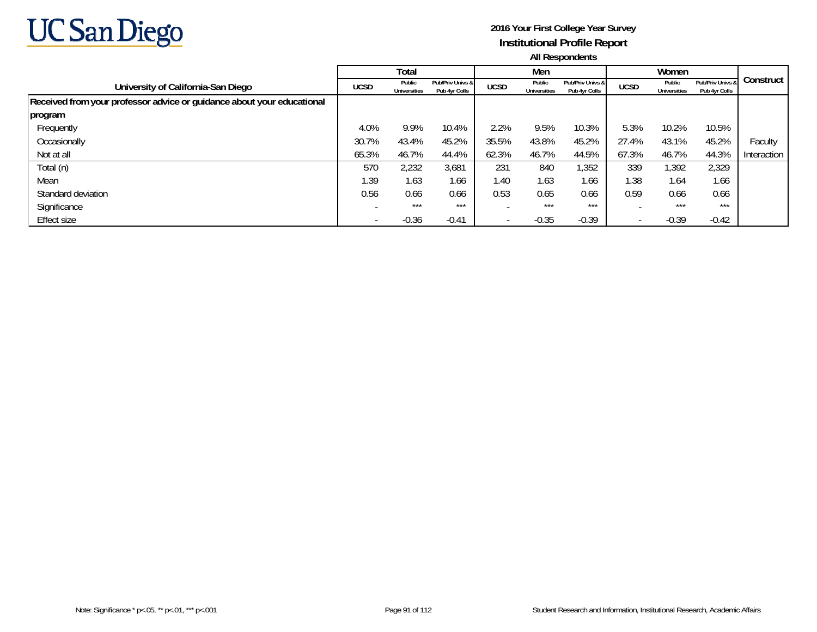

|                                                                        |             | Total                         |                                   |             | Men                           |                                   |             | Women                  |                                   |             |
|------------------------------------------------------------------------|-------------|-------------------------------|-----------------------------------|-------------|-------------------------------|-----------------------------------|-------------|------------------------|-----------------------------------|-------------|
| University of California-San Diego                                     | <b>UCSD</b> | Public<br><b>Universities</b> | Pub/Priv Univs &<br>Pub 4yr Colls | <b>UCSD</b> | Public<br><b>Universities</b> | Pub/Priv Univs &<br>Pub 4yr Colls | <b>UCSD</b> | Public<br>Universities | Pub/Priv Univs &<br>Pub 4yr Colls | Construct   |
| Received from your professor advice or guidance about your educational |             |                               |                                   |             |                               |                                   |             |                        |                                   |             |
| program                                                                |             |                               |                                   |             |                               |                                   |             |                        |                                   |             |
| Frequently                                                             | 4.0%        | 9.9%                          | 10.4%                             | 2.2%        | 9.5%                          | 10.3%                             | 5.3%        | 10.2%                  | 10.5%                             |             |
| Occasionally                                                           | 30.7%       | 43.4%                         | 45.2%                             | 35.5%       | 43.8%                         | 45.2%                             | 27.4%       | 43.1%                  | 45.2%                             | Faculty     |
| Not at all                                                             | 65.3%       | 46.7%                         | 44.4%                             | 62.3%       | 46.7%                         | 44.5%                             | 67.3%       | 46.7%                  | 44.3%                             | Interaction |
| Total (n)                                                              | 570         | 2,232                         | 3,681                             | 231         | 840                           | 1,352                             | 339         | 1,392                  | 2,329                             |             |
| Mean                                                                   | 1.39        | 1.63                          | 1.66                              | 1.40        | 1.63                          | 1.66                              | 1.38        | 1.64                   | 1.66                              |             |
| Standard deviation                                                     | 0.56        | 0.66                          | 0.66                              | 0.53        | 0.65                          | 0.66                              | 0.59        | 0.66                   | 0.66                              |             |
| Significance                                                           |             | $***$                         | ***                               |             | $***$                         | $***$                             |             | ***                    | $***$                             |             |
| Effect size                                                            |             | $-0.36$                       | $-0.41$                           |             | $-0.35$                       | $-0.39$                           |             | $-0.39$                | $-0.42$                           |             |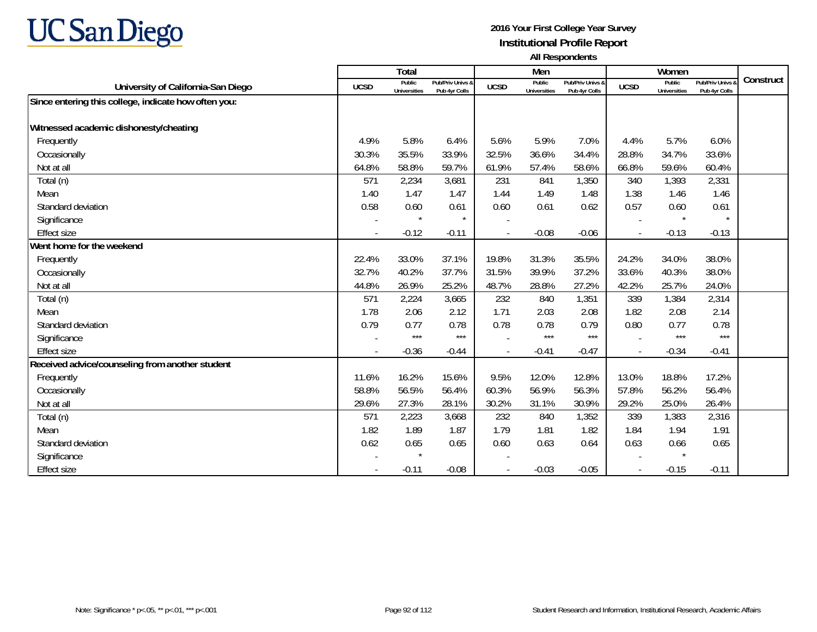# **UC San Diego**

|                                                      |             | Total                         |                                   |                          | Men                           |                                   |                | Women                         |                                 |           |
|------------------------------------------------------|-------------|-------------------------------|-----------------------------------|--------------------------|-------------------------------|-----------------------------------|----------------|-------------------------------|---------------------------------|-----------|
| University of California-San Diego                   | <b>UCSD</b> | Public<br><b>Universities</b> | Pub/Priv Univs &<br>Pub 4yr Colls | <b>UCSD</b>              | Public<br><b>Universities</b> | Pub/Priv Univs &<br>Pub 4yr Colls | <b>UCSD</b>    | Public<br><b>Universities</b> | Pub/Priv Univs<br>Pub 4yr Colls | Construct |
| Since entering this college, indicate how often you: |             |                               |                                   |                          |                               |                                   |                |                               |                                 |           |
|                                                      |             |                               |                                   |                          |                               |                                   |                |                               |                                 |           |
| Witnessed academic dishonesty/cheating               |             |                               |                                   |                          |                               |                                   |                |                               |                                 |           |
| Frequently                                           | 4.9%        | 5.8%                          | 6.4%                              | 5.6%                     | 5.9%                          | 7.0%                              | 4.4%           | 5.7%                          | 6.0%                            |           |
| Occasionally                                         | 30.3%       | 35.5%                         | 33.9%                             | 32.5%                    | 36.6%                         | 34.4%                             | 28.8%          | 34.7%                         | 33.6%                           |           |
| Not at all                                           | 64.8%       | 58.8%                         | 59.7%                             | 61.9%                    | 57.4%                         | 58.6%                             | 66.8%          | 59.6%                         | 60.4%                           |           |
| Total (n)                                            | 571         | 2,234                         | 3,681                             | 231                      | 841                           | 1,350                             | 340            | 1,393                         | 2,331                           |           |
| Mean                                                 | 1.40        | 1.47                          | 1.47                              | 1.44                     | 1.49                          | 1.48                              | 1.38           | 1.46                          | 1.46                            |           |
| Standard deviation                                   | 0.58        | 0.60                          | 0.61                              | 0.60                     | 0.61                          | 0.62                              | 0.57           | 0.60                          | 0.61                            |           |
| Significance                                         |             | $\star$                       | $\star$                           |                          |                               |                                   |                |                               |                                 |           |
| <b>Effect size</b>                                   |             | $-0.12$                       | $-0.11$                           |                          | $-0.08$                       | $-0.06$                           |                | $-0.13$                       | $-0.13$                         |           |
| Went home for the weekend                            |             |                               |                                   |                          |                               |                                   |                |                               |                                 |           |
| Frequently                                           | 22.4%       | 33.0%                         | 37.1%                             | 19.8%                    | 31.3%                         | 35.5%                             | 24.2%          | 34.0%                         | 38.0%                           |           |
| Occasionally                                         | 32.7%       | 40.2%                         | 37.7%                             | 31.5%                    | 39.9%                         | 37.2%                             | 33.6%          | 40.3%                         | 38.0%                           |           |
| Not at all                                           | 44.8%       | 26.9%                         | 25.2%                             | 48.7%                    | 28.8%                         | 27.2%                             | 42.2%          | 25.7%                         | 24.0%                           |           |
| Total (n)                                            | 571         | 2,224                         | 3,665                             | 232                      | 840                           | 1,351                             | 339            | 1,384                         | 2,314                           |           |
| Mean                                                 | 1.78        | 2.06                          | 2.12                              | 1.71                     | 2.03                          | 2.08                              | 1.82           | 2.08                          | 2.14                            |           |
| Standard deviation                                   | 0.79        | 0.77                          | 0.78                              | 0.78                     | 0.78                          | 0.79                              | 0.80           | 0.77                          | 0.78                            |           |
| Significance                                         |             | $***$                         | $***$                             |                          | $***$                         | $***$                             |                | $***$                         | $***$                           |           |
| <b>Effect size</b>                                   | $\sim$      | $-0.36$                       | $-0.44$                           |                          | $-0.41$                       | $-0.47$                           | $\overline{a}$ | $-0.34$                       | $-0.41$                         |           |
| Received advice/counseling from another student      |             |                               |                                   |                          |                               |                                   |                |                               |                                 |           |
| Frequently                                           | 11.6%       | 16.2%                         | 15.6%                             | 9.5%                     | 12.0%                         | 12.8%                             | 13.0%          | 18.8%                         | 17.2%                           |           |
| Occasionally                                         | 58.8%       | 56.5%                         | 56.4%                             | 60.3%                    | 56.9%                         | 56.3%                             | 57.8%          | 56.2%                         | 56.4%                           |           |
| Not at all                                           | 29.6%       | 27.3%                         | 28.1%                             | 30.2%                    | 31.1%                         | 30.9%                             | 29.2%          | 25.0%                         | 26.4%                           |           |
| Total (n)                                            | 571         | 2,223                         | 3,668                             | 232                      | 840                           | 1,352                             | 339            | 1,383                         | 2,316                           |           |
| Mean                                                 | 1.82        | 1.89                          | 1.87                              | 1.79                     | 1.81                          | 1.82                              | 1.84           | 1.94                          | 1.91                            |           |
| Standard deviation                                   | 0.62        | 0.65                          | 0.65                              | 0.60                     | 0.63                          | 0.64                              | 0.63           | 0.66                          | 0.65                            |           |
| Significance                                         |             |                               |                                   |                          |                               |                                   |                | $\star$                       |                                 |           |
| <b>Effect size</b>                                   |             | $-0.11$                       | $-0.08$                           | $\overline{\phantom{a}}$ | $-0.03$                       | $-0.05$                           | $\blacksquare$ | $-0.15$                       | $-0.11$                         |           |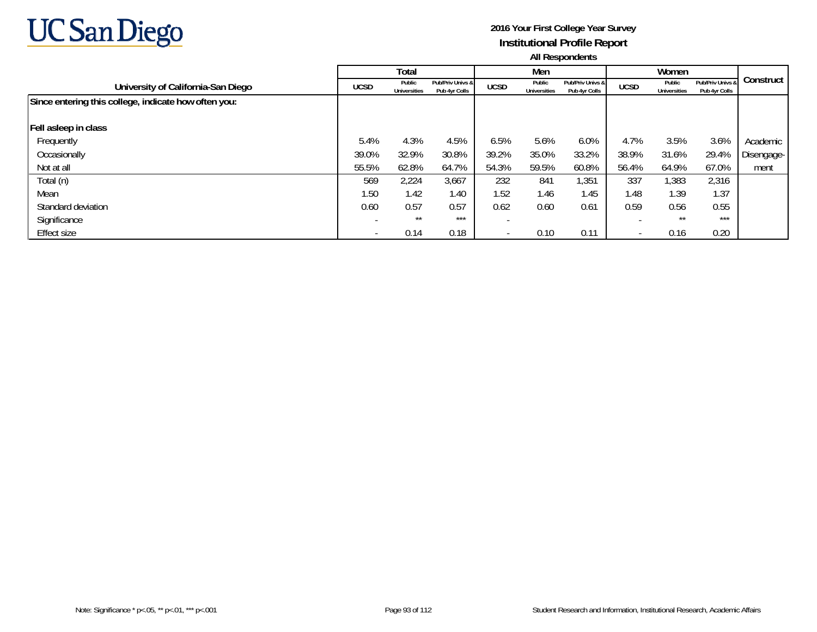

|                                                      |                          | Total                         |                                   |             | Men                           |                                   |             | Women                         |                                   |            |
|------------------------------------------------------|--------------------------|-------------------------------|-----------------------------------|-------------|-------------------------------|-----------------------------------|-------------|-------------------------------|-----------------------------------|------------|
| University of California-San Diego                   | <b>UCSD</b>              | Public<br><b>Universities</b> | Pub/Priv Univs &<br>Pub 4yr Colls | <b>UCSD</b> | Public<br><b>Universities</b> | Pub/Priv Univs &<br>Pub 4yr Colls | <b>UCSD</b> | Public<br><b>Universities</b> | Pub/Priv Univs &<br>Pub 4yr Colls | Construct  |
| Since entering this college, indicate how often you: |                          |                               |                                   |             |                               |                                   |             |                               |                                   |            |
| Fell asleep in class                                 |                          |                               |                                   |             |                               |                                   |             |                               |                                   |            |
| Frequently                                           | 5.4%                     | 4.3%                          | 4.5%                              | 6.5%        | 5.6%                          | 6.0%                              | 4.7%        | 3.5%                          | 3.6%                              | Academic   |
| Occasionally                                         | 39.0%                    | 32.9%                         | 30.8%                             | 39.2%       | 35.0%                         | 33.2%                             | 38.9%       | 31.6%                         | 29.4%                             | Disengage- |
| Not at all                                           | 55.5%                    | 62.8%                         | 64.7%                             | 54.3%       | 59.5%                         | 60.8%                             | 56.4%       | 64.9%                         | 67.0%                             | ment       |
| Total (n)                                            | 569                      | 2,224                         | 3,667                             | 232         | 841                           | 1,351                             | 337         | 1,383                         | 2,316                             |            |
| Mean                                                 | 1.50                     | 1.42                          | 1.40                              | 1.52        | 1.46                          | 1.45                              | 1.48        | 1.39                          | 1.37                              |            |
| Standard deviation                                   | 0.60                     | 0.57                          | 0.57                              | 0.62        | 0.60                          | 0.61                              | 0.59        | 0.56                          | 0.55                              |            |
| Significance                                         |                          | $***$                         | ***                               |             |                               |                                   |             | $***$                         | ***                               |            |
| Effect size                                          | $\overline{\phantom{a}}$ | 0.14                          | 0.18                              |             | 0.10                          | 0.11                              |             | 0.16                          | 0.20                              |            |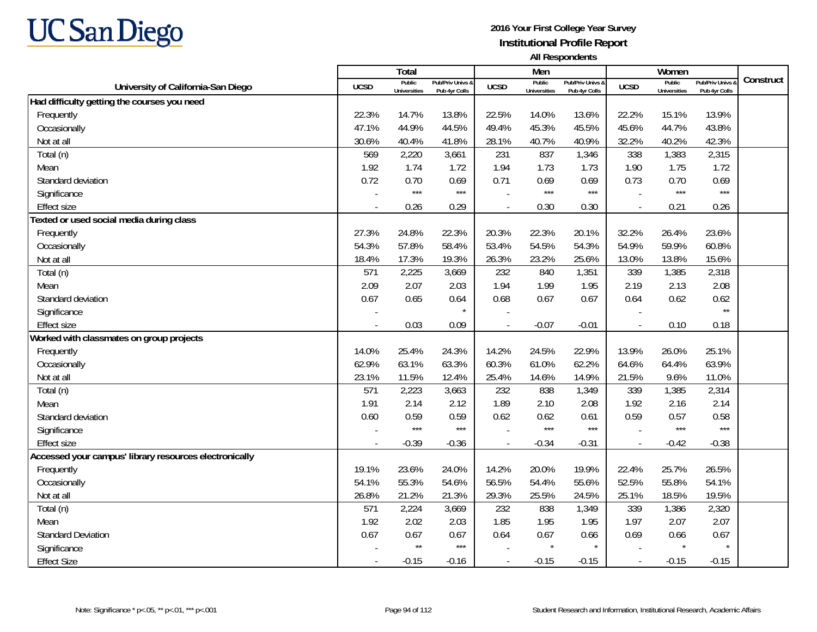

|                                                        |             | Total                         |                                   |                | Men                           |                                   |                          | Women                         |                                        |           |
|--------------------------------------------------------|-------------|-------------------------------|-----------------------------------|----------------|-------------------------------|-----------------------------------|--------------------------|-------------------------------|----------------------------------------|-----------|
| University of California-San Diego                     | <b>UCSD</b> | Public<br><b>Universities</b> | Pub/Priv Univs &<br>Pub 4yr Colls | <b>UCSD</b>    | Public<br><b>Universities</b> | Pub/Priv Univs &<br>Pub 4yr Colls | <b>UCSD</b>              | Public<br><b>Universities</b> | <b>Pub/Priv Univs</b><br>Pub 4yr Colls | Construct |
| Had difficulty getting the courses you need            |             |                               |                                   |                |                               |                                   |                          |                               |                                        |           |
| Frequently                                             | 22.3%       | 14.7%                         | 13.8%                             | 22.5%          | 14.0%                         | 13.6%                             | 22.2%                    | 15.1%                         | 13.9%                                  |           |
| Occasionally                                           | 47.1%       | 44.9%                         | 44.5%                             | 49.4%          | 45.3%                         | 45.5%                             | 45.6%                    | 44.7%                         | 43.8%                                  |           |
| Not at all                                             | 30.6%       | 40.4%                         | 41.8%                             | 28.1%          | 40.7%                         | 40.9%                             | 32.2%                    | 40.2%                         | 42.3%                                  |           |
| Total (n)                                              | 569         | 2,220                         | 3,661                             | 231            | 837                           | 1,346                             | 338                      | 1,383                         | 2,315                                  |           |
| Mean                                                   | 1.92        | 1.74                          | 1.72                              | 1.94           | 1.73                          | 1.73                              | 1.90                     | 1.75                          | 1.72                                   |           |
| Standard deviation                                     | 0.72        | 0.70                          | 0.69                              | 0.71           | 0.69                          | 0.69                              | 0.73                     | 0.70                          | 0.69                                   |           |
| Significance                                           |             | $***$                         | $***$                             |                | $***$                         | $***$                             |                          | $***$                         | $***$                                  |           |
| <b>Effect size</b>                                     |             | 0.26                          | 0.29                              |                | 0.30                          | 0.30                              | $\blacksquare$           | 0.21                          | 0.26                                   |           |
| Texted or used social media during class               |             |                               |                                   |                |                               |                                   |                          |                               |                                        |           |
| Frequently                                             | 27.3%       | 24.8%                         | 22.3%                             | 20.3%          | 22.3%                         | 20.1%                             | 32.2%                    | 26.4%                         | 23.6%                                  |           |
| Occasionally                                           | 54.3%       | 57.8%                         | 58.4%                             | 53.4%          | 54.5%                         | 54.3%                             | 54.9%                    | 59.9%                         | 60.8%                                  |           |
| Not at all                                             | 18.4%       | 17.3%                         | 19.3%                             | 26.3%          | 23.2%                         | 25.6%                             | 13.0%                    | 13.8%                         | 15.6%                                  |           |
| Total (n)                                              | 571         | 2,225                         | 3,669                             | 232            | 840                           | 1,351                             | 339                      | 1,385                         | 2,318                                  |           |
| Mean                                                   | 2.09        | 2.07                          | 2.03                              | 1.94           | 1.99                          | 1.95                              | 2.19                     | 2.13                          | 2.08                                   |           |
| Standard deviation                                     | 0.67        | 0.65                          | 0.64                              | 0.68           | 0.67                          | 0.67                              | 0.64                     | 0.62                          | 0.62                                   |           |
| Significance                                           |             |                               | $\star$                           |                |                               |                                   |                          |                               | $\star\star$                           |           |
| <b>Effect size</b>                                     |             | 0.03                          | 0.09                              |                | $-0.07$                       | $-0.01$                           | $\overline{\phantom{a}}$ | 0.10                          | 0.18                                   |           |
| Worked with classmates on group projects               |             |                               |                                   |                |                               |                                   |                          |                               |                                        |           |
| Frequently                                             | 14.0%       | 25.4%                         | 24.3%                             | 14.2%          | 24.5%                         | 22.9%                             | 13.9%                    | 26.0%                         | 25.1%                                  |           |
| Occasionally                                           | 62.9%       | 63.1%                         | 63.3%                             | 60.3%          | 61.0%                         | 62.2%                             | 64.6%                    | 64.4%                         | 63.9%                                  |           |
| Not at all                                             | 23.1%       | 11.5%                         | 12.4%                             | 25.4%          | 14.6%                         | 14.9%                             | 21.5%                    | 9.6%                          | 11.0%                                  |           |
| Total (n)                                              | 571         | 2,223                         | 3,663                             | 232            | 838                           | 1,349                             | 339                      | 1,385                         | 2,314                                  |           |
| Mean                                                   | 1.91        | 2.14                          | 2.12                              | 1.89           | 2.10                          | 2.08                              | 1.92                     | 2.16                          | 2.14                                   |           |
| Standard deviation                                     | 0.60        | 0.59                          | 0.59                              | 0.62           | 0.62                          | 0.61                              | 0.59                     | 0.57                          | 0.58                                   |           |
| Significance                                           |             | $***$                         | $***$                             |                | ***                           | $***$                             |                          | $***$                         | $***$                                  |           |
| <b>Effect size</b>                                     | $\sim$      | $-0.39$                       | $-0.36$                           | $\blacksquare$ | $-0.34$                       | $-0.31$                           | $\overline{\phantom{a}}$ | $-0.42$                       | $-0.38$                                |           |
| Accessed your campus' library resources electronically |             |                               |                                   |                |                               |                                   |                          |                               |                                        |           |
| Frequently                                             | 19.1%       | 23.6%                         | 24.0%                             | 14.2%          | 20.0%                         | 19.9%                             | 22.4%                    | 25.7%                         | 26.5%                                  |           |
| Occasionally                                           | 54.1%       | 55.3%                         | 54.6%                             | 56.5%          | 54.4%                         | 55.6%                             | 52.5%                    | 55.8%                         | 54.1%                                  |           |
| Not at all                                             | 26.8%       | 21.2%                         | 21.3%                             | 29.3%          | 25.5%                         | 24.5%                             | 25.1%                    | 18.5%                         | 19.5%                                  |           |
| Total (n)                                              | 571         | 2,224                         | 3,669                             | 232            | 838                           | 1,349                             | 339                      | 1,386                         | 2,320                                  |           |
| Mean                                                   | 1.92        | 2.02                          | 2.03                              | 1.85           | 1.95                          | 1.95                              | 1.97                     | 2.07                          | 2.07                                   |           |
| <b>Standard Deviation</b>                              | 0.67        | 0.67                          | 0.67                              | 0.64           | 0.67                          | 0.66                              | 0.69                     | 0.66                          | 0.67                                   |           |
| Significance                                           |             | $\star\star$                  | $***$                             |                | $\star$                       |                                   |                          |                               |                                        |           |
| <b>Effect Size</b>                                     |             | $-0.15$                       | $-0.16$                           |                | $-0.15$                       | $-0.15$                           | $\overline{\phantom{a}}$ | $-0.15$                       | $-0.15$                                |           |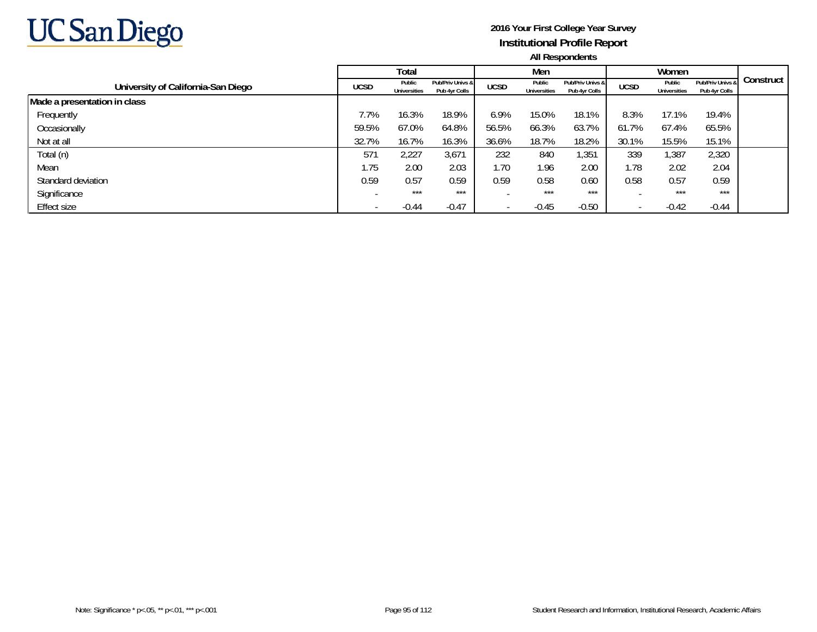

|                                    |                 | Total                         |                                   |             | Men                           |                                   |                          | Women                         |                                   |           |
|------------------------------------|-----------------|-------------------------------|-----------------------------------|-------------|-------------------------------|-----------------------------------|--------------------------|-------------------------------|-----------------------------------|-----------|
| University of California-San Diego | <b>UCSD</b>     | Public<br><b>Universities</b> | Pub/Priv Univs &<br>Pub 4yr Colls | <b>UCSD</b> | Public<br><b>Universities</b> | Pub/Priv Univs &<br>Pub 4yr Colls | <b>UCSD</b>              | Public<br><b>Universities</b> | Pub/Priv Univs &<br>Pub 4yr Colls | Construct |
| Made a presentation in class       |                 |                               |                                   |             |                               |                                   |                          |                               |                                   |           |
| Frequently                         | 7.7%            | 16.3%                         | 18.9%                             | 6.9%        | 15.0%                         | 18.1%                             | 8.3%                     | 17.1%                         | 19.4%                             |           |
| Occasionally                       | 59.5%           | 67.0%                         | 64.8%                             | 56.5%       | 66.3%                         | 63.7%                             | 61.7%                    | 67.4%                         | 65.5%                             |           |
| Not at all                         | 32.7%           | 16.7%                         | 16.3%                             | 36.6%       | 18.7%                         | 18.2%                             | 30.1%                    | 15.5%                         | 15.1%                             |           |
| Total (n)                          | 57 <sup>°</sup> | 2,227                         | 3,671                             | 232         | 840                           | 1,351                             | 339                      | 1,387                         | 2,320                             |           |
| Mean                               | 1.75            | 2.00                          | 2.03                              | 1.70        | 1.96                          | 2.00                              | 1.78                     | 2.02                          | 2.04                              |           |
| Standard deviation                 | 0.59            | 0.57                          | 0.59                              | 0.59        | 0.58                          | 0.60                              | 0.58                     | 0.57                          | 0.59                              |           |
| Significance                       |                 | ***                           | ***                               |             | ***                           | ***                               |                          | ***                           | ***                               |           |
| Effect size                        |                 | $-0.44$                       | $-0.47$                           |             | $-0.45$                       | $-0.50$                           | $\overline{\phantom{a}}$ | $-0.42$                       | $-0.44$                           |           |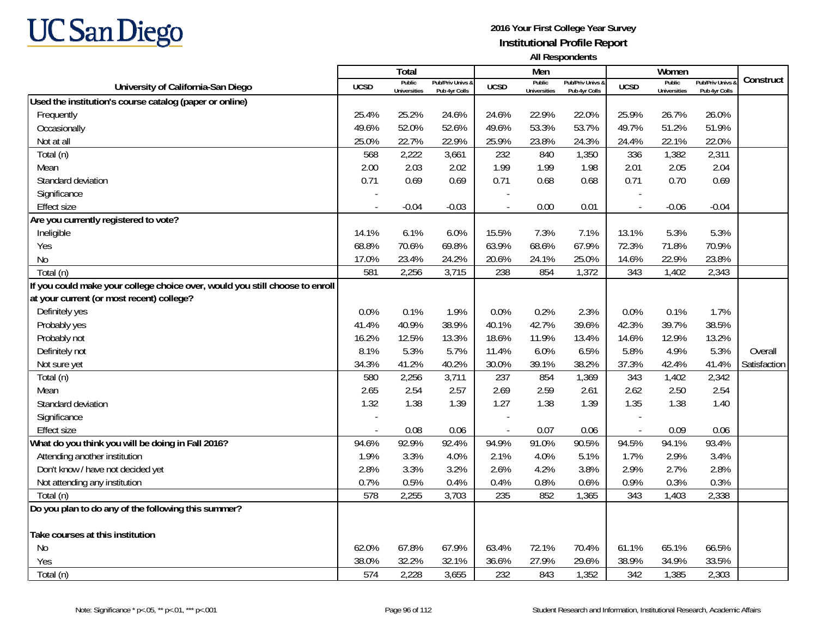

|                                                                              |             | <b>Total</b>                  |                                   |             | Men                           |                                   |                          | Women                         |                                        |              |
|------------------------------------------------------------------------------|-------------|-------------------------------|-----------------------------------|-------------|-------------------------------|-----------------------------------|--------------------------|-------------------------------|----------------------------------------|--------------|
| University of California-San Diego                                           | <b>UCSD</b> | Public<br><b>Universities</b> | Pub/Priv Univs &<br>Pub 4yr Colls | <b>UCSD</b> | Public<br><b>Universities</b> | Pub/Priv Univs &<br>Pub 4yr Colls | <b>UCSD</b>              | Public<br><b>Universities</b> | <b>Pub/Priv Univs</b><br>Pub 4yr Colls | Construct    |
| Used the institution's course catalog (paper or online)                      |             |                               |                                   |             |                               |                                   |                          |                               |                                        |              |
| Frequently                                                                   | 25.4%       | 25.2%                         | 24.6%                             | 24.6%       | 22.9%                         | 22.0%                             | 25.9%                    | 26.7%                         | 26.0%                                  |              |
| Occasionally                                                                 | 49.6%       | 52.0%                         | 52.6%                             | 49.6%       | 53.3%                         | 53.7%                             | 49.7%                    | 51.2%                         | 51.9%                                  |              |
| Not at all                                                                   | 25.0%       | 22.7%                         | 22.9%                             | 25.9%       | 23.8%                         | 24.3%                             | 24.4%                    | 22.1%                         | 22.0%                                  |              |
| Total (n)                                                                    | 568         | 2,222                         | 3,661                             | 232         | 840                           | 1,350                             | 336                      | 1,382                         | 2,311                                  |              |
| Mean                                                                         | 2.00        | 2.03                          | 2.02                              | 1.99        | 1.99                          | 1.98                              | 2.01                     | 2.05                          | 2.04                                   |              |
| Standard deviation                                                           | 0.71        | 0.69                          | 0.69                              | 0.71        | 0.68                          | 0.68                              | 0.71                     | 0.70                          | 0.69                                   |              |
| Significance                                                                 |             |                               |                                   |             |                               |                                   |                          |                               |                                        |              |
| Effect size                                                                  |             | $-0.04$                       | $-0.03$                           |             | 0.00                          | 0.01                              | $\overline{\phantom{a}}$ | $-0.06$                       | $-0.04$                                |              |
| Are you currently registered to vote?                                        |             |                               |                                   |             |                               |                                   |                          |                               |                                        |              |
| Ineligible                                                                   | 14.1%       | 6.1%                          | 6.0%                              | 15.5%       | 7.3%                          | 7.1%                              | 13.1%                    | 5.3%                          | 5.3%                                   |              |
| Yes                                                                          | 68.8%       | 70.6%                         | 69.8%                             | 63.9%       | 68.6%                         | 67.9%                             | 72.3%                    | 71.8%                         | 70.9%                                  |              |
| <b>No</b>                                                                    | 17.0%       | 23.4%                         | 24.2%                             | 20.6%       | 24.1%                         | 25.0%                             | 14.6%                    | 22.9%                         | 23.8%                                  |              |
| Total (n)                                                                    | 581         | 2,256                         | 3,715                             | 238         | 854                           | 1,372                             | 343                      | 1,402                         | 2,343                                  |              |
| If you could make your college choice over, would you still choose to enroll |             |                               |                                   |             |                               |                                   |                          |                               |                                        |              |
| at your current (or most recent) college?                                    |             |                               |                                   |             |                               |                                   |                          |                               |                                        |              |
| Definitely yes                                                               | 0.0%        | 0.1%                          | 1.9%                              | 0.0%        | 0.2%                          | 2.3%                              | 0.0%                     | 0.1%                          | 1.7%                                   |              |
| Probably yes                                                                 | 41.4%       | 40.9%                         | 38.9%                             | 40.1%       | 42.7%                         | 39.6%                             | 42.3%                    | 39.7%                         | 38.5%                                  |              |
| Probably not                                                                 | 16.2%       | 12.5%                         | 13.3%                             | 18.6%       | 11.9%                         | 13.4%                             | 14.6%                    | 12.9%                         | 13.2%                                  |              |
| Definitely not                                                               | 8.1%        | 5.3%                          | 5.7%                              | 11.4%       | 6.0%                          | 6.5%                              | 5.8%                     | 4.9%                          | 5.3%                                   | Overall      |
| Not sure yet                                                                 | 34.3%       | 41.2%                         | 40.2%                             | 30.0%       | 39.1%                         | 38.2%                             | 37.3%                    | 42.4%                         | 41.4%                                  | Satisfaction |
| Total (n)                                                                    | 580         | 2,256                         | 3,711                             | 237         | 854                           | 1,369                             | 343                      | 1,402                         | 2,342                                  |              |
| Mean                                                                         | 2.65        | 2.54                          | 2.57                              | 2.69        | 2.59                          | 2.61                              | 2.62                     | 2.50                          | 2.54                                   |              |
| Standard deviation                                                           | 1.32        | 1.38                          | 1.39                              | 1.27        | 1.38                          | 1.39                              | 1.35                     | 1.38                          | 1.40                                   |              |
| Significance                                                                 |             |                               |                                   |             |                               |                                   |                          |                               |                                        |              |
| <b>Effect size</b>                                                           |             | 0.08                          | 0.06                              |             | 0.07                          | 0.06                              | $\overline{a}$           | 0.09                          | 0.06                                   |              |
| What do you think you will be doing in Fall 2016?                            | 94.6%       | 92.9%                         | 92.4%                             | 94.9%       | 91.0%                         | 90.5%                             | 94.5%                    | 94.1%                         | 93.4%                                  |              |
| Attending another institution                                                | 1.9%        | 3.3%                          | 4.0%                              | 2.1%        | 4.0%                          | 5.1%                              | 1.7%                     | 2.9%                          | 3.4%                                   |              |
| Don't know / have not decided yet                                            | 2.8%        | 3.3%                          | 3.2%                              | 2.6%        | 4.2%                          | 3.8%                              | 2.9%                     | 2.7%                          | 2.8%                                   |              |
| Not attending any institution                                                | 0.7%        | 0.5%                          | 0.4%                              | 0.4%        | 0.8%                          | 0.6%                              | 0.9%                     | 0.3%                          | 0.3%                                   |              |
| Total (n)                                                                    | 578         | 2,255                         | 3,703                             | 235         | 852                           | 1,365                             | 343                      | 1,403                         | 2,338                                  |              |
| Do you plan to do any of the following this summer?                          |             |                               |                                   |             |                               |                                   |                          |                               |                                        |              |
| Take courses at this institution                                             |             |                               |                                   |             |                               |                                   |                          |                               |                                        |              |
| <b>No</b>                                                                    | 62.0%       | 67.8%                         | 67.9%                             | 63.4%       | 72.1%                         | 70.4%                             | 61.1%                    | 65.1%                         | 66.5%                                  |              |
| Yes                                                                          | 38.0%       | 32.2%                         | 32.1%                             | 36.6%       | 27.9%                         | 29.6%                             | 38.9%                    | 34.9%                         | 33.5%                                  |              |
| Total (n)                                                                    | 574         | 2,228                         | 3,655                             | 232         | 843                           | 1,352                             | 342                      | 1,385                         | 2,303                                  |              |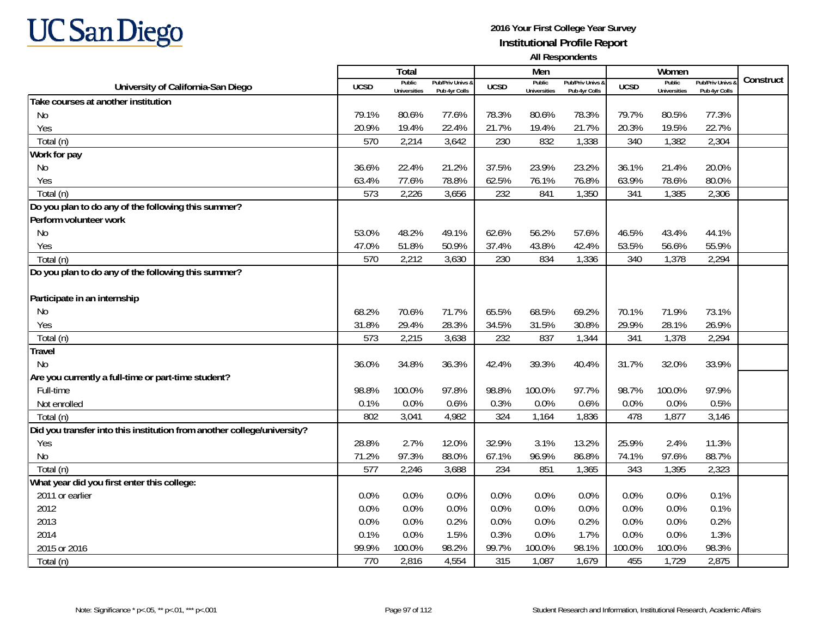

|                                                                         |             | Total                         |                                   |             | Men                           |                                   |             | Women                         |                                        |           |
|-------------------------------------------------------------------------|-------------|-------------------------------|-----------------------------------|-------------|-------------------------------|-----------------------------------|-------------|-------------------------------|----------------------------------------|-----------|
| University of California-San Diego                                      | <b>UCSD</b> | Public<br><b>Universities</b> | Pub/Priv Univs &<br>Pub 4yr Colls | <b>UCSD</b> | Public<br><b>Universities</b> | Pub/Priv Univs &<br>Pub 4yr Colls | <b>UCSD</b> | Public<br><b>Universities</b> | <b>Pub/Priv Univs</b><br>Pub 4yr Colls | Construct |
| Take courses at another institution                                     |             |                               |                                   |             |                               |                                   |             |                               |                                        |           |
| N <sub>0</sub>                                                          | 79.1%       | 80.6%                         | 77.6%                             | 78.3%       | 80.6%                         | 78.3%                             | 79.7%       | 80.5%                         | 77.3%                                  |           |
| Yes                                                                     | 20.9%       | 19.4%                         | 22.4%                             | 21.7%       | 19.4%                         | 21.7%                             | 20.3%       | 19.5%                         | 22.7%                                  |           |
| Total (n)                                                               | 570         | 2,214                         | 3,642                             | 230         | 832                           | 1,338                             | 340         | 1,382                         | 2,304                                  |           |
| Work for pay                                                            |             |                               |                                   |             |                               |                                   |             |                               |                                        |           |
| No                                                                      | 36.6%       | 22.4%                         | 21.2%                             | 37.5%       | 23.9%                         | 23.2%                             | 36.1%       | 21.4%                         | 20.0%                                  |           |
| Yes                                                                     | 63.4%       | 77.6%                         | 78.8%                             | 62.5%       | 76.1%                         | 76.8%                             | 63.9%       | 78.6%                         | 80.0%                                  |           |
| Total (n)                                                               | 573         | 2,226                         | 3,656                             | 232         | 841                           | 1,350                             | 341         | 1,385                         | 2,306                                  |           |
| Do you plan to do any of the following this summer?                     |             |                               |                                   |             |                               |                                   |             |                               |                                        |           |
| Perform volunteer work                                                  |             |                               |                                   |             |                               |                                   |             |                               |                                        |           |
| <b>No</b>                                                               | 53.0%       | 48.2%                         | 49.1%                             | 62.6%       | 56.2%                         | 57.6%                             | 46.5%       | 43.4%                         | 44.1%                                  |           |
| Yes                                                                     | 47.0%       | 51.8%                         | 50.9%                             | 37.4%       | 43.8%                         | 42.4%                             | 53.5%       | 56.6%                         | 55.9%                                  |           |
| Total (n)                                                               | 570         | 2,212                         | 3,630                             | 230         | 834                           | 1,336                             | 340         | 1,378                         | 2,294                                  |           |
| Do you plan to do any of the following this summer?                     |             |                               |                                   |             |                               |                                   |             |                               |                                        |           |
|                                                                         |             |                               |                                   |             |                               |                                   |             |                               |                                        |           |
| Participate in an internship                                            |             |                               |                                   |             |                               |                                   |             |                               |                                        |           |
| No.                                                                     | 68.2%       | 70.6%                         | 71.7%                             | 65.5%       | 68.5%                         | 69.2%                             | 70.1%       | 71.9%                         | 73.1%                                  |           |
| Yes                                                                     | 31.8%       | 29.4%                         | 28.3%                             | 34.5%       | 31.5%                         | 30.8%                             | 29.9%       | 28.1%                         | 26.9%                                  |           |
| Total (n)                                                               | 573         | 2,215                         | 3,638                             | 232         | 837                           | 1,344                             | 341         | 1,378                         | 2,294                                  |           |
| <b>Travel</b>                                                           |             |                               |                                   |             |                               |                                   |             |                               |                                        |           |
| <b>No</b>                                                               | 36.0%       | 34.8%                         | 36.3%                             | 42.4%       | 39.3%                         | 40.4%                             | 31.7%       | 32.0%                         | 33.9%                                  |           |
| Are you currently a full-time or part-time student?                     |             |                               |                                   |             |                               |                                   |             |                               |                                        |           |
| Full-time                                                               | 98.8%       | 100.0%                        | 97.8%                             | 98.8%       | 100.0%                        | 97.7%                             | 98.7%       | 100.0%                        | 97.9%                                  |           |
| Not enrolled                                                            | 0.1%        | 0.0%                          | 0.6%                              | 0.3%        | 0.0%                          | 0.6%                              | 0.0%        | 0.0%                          | 0.5%                                   |           |
| Total (n)                                                               | 802         | 3,041                         | 4,982                             | 324         | 1,164                         | 1,836                             | 478         | 1,877                         | 3,146                                  |           |
| Did you transfer into this institution from another college/university? |             |                               |                                   |             |                               |                                   |             |                               |                                        |           |
| Yes                                                                     | 28.8%       | 2.7%                          | 12.0%                             | 32.9%       | 3.1%                          | 13.2%                             | 25.9%       | 2.4%                          | 11.3%                                  |           |
| No                                                                      | 71.2%       | 97.3%                         | 88.0%                             | 67.1%       | 96.9%                         | 86.8%                             | 74.1%       | 97.6%                         | 88.7%                                  |           |
| Total (n)                                                               | 577         | 2,246                         | 3,688                             | 234         | 851                           | 1,365                             | 343         | 1,395                         | 2,323                                  |           |
| What year did you first enter this college:                             |             |                               |                                   |             |                               |                                   |             |                               |                                        |           |
| 2011 or earlier                                                         | 0.0%        | 0.0%                          | 0.0%                              | 0.0%        | 0.0%                          | 0.0%                              | 0.0%        | 0.0%                          | 0.1%                                   |           |
| 2012                                                                    | 0.0%        | 0.0%                          | 0.0%                              | 0.0%        | 0.0%                          | 0.0%                              | 0.0%        | 0.0%                          | 0.1%                                   |           |
| 2013                                                                    | 0.0%        | 0.0%                          | 0.2%                              | 0.0%        | 0.0%                          | 0.2%                              | 0.0%        | 0.0%                          | 0.2%                                   |           |
| 2014                                                                    | 0.1%        | 0.0%                          | 1.5%                              | 0.3%        | 0.0%                          | 1.7%                              | 0.0%        | 0.0%                          | 1.3%                                   |           |
| 2015 or 2016                                                            | 99.9%       | 100.0%                        | 98.2%                             | 99.7%       | 100.0%                        | 98.1%                             | 100.0%      | 100.0%                        | 98.3%                                  |           |
| Total (n)                                                               | 770         | 2,816                         | 4,554                             | 315         | 1,087                         | 1,679                             | 455         | 1,729                         | 2,875                                  |           |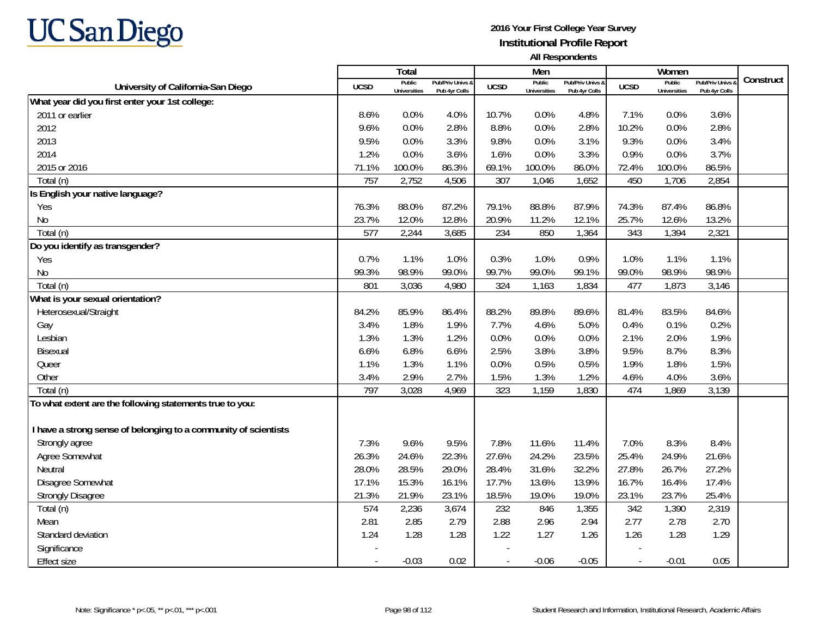

|                                                                 |                          | Total                         |                                   |                | Men                           |                                   |                          | Women                         |                                        |           |
|-----------------------------------------------------------------|--------------------------|-------------------------------|-----------------------------------|----------------|-------------------------------|-----------------------------------|--------------------------|-------------------------------|----------------------------------------|-----------|
| University of California-San Diego                              | <b>UCSD</b>              | Public<br><b>Universities</b> | Pub/Priv Univs &<br>Pub 4yr Colls | <b>UCSD</b>    | Public<br><b>Universities</b> | Pub/Priv Univs &<br>Pub 4yr Colls | <b>UCSD</b>              | Public<br><b>Universities</b> | <b>Pub/Priv Univs</b><br>Pub 4yr Colls | Construct |
| What year did you first enter your 1st college:                 |                          |                               |                                   |                |                               |                                   |                          |                               |                                        |           |
| 2011 or earlier                                                 | 8.6%                     | 0.0%                          | 4.0%                              | 10.7%          | 0.0%                          | 4.8%                              | 7.1%                     | 0.0%                          | 3.6%                                   |           |
| 2012                                                            | 9.6%                     | 0.0%                          | 2.8%                              | 8.8%           | 0.0%                          | 2.8%                              | 10.2%                    | 0.0%                          | 2.8%                                   |           |
| 2013                                                            | 9.5%                     | 0.0%                          | 3.3%                              | 9.8%           | 0.0%                          | 3.1%                              | 9.3%                     | 0.0%                          | 3.4%                                   |           |
| 2014                                                            | 1.2%                     | 0.0%                          | 3.6%                              | 1.6%           | 0.0%                          | 3.3%                              | 0.9%                     | 0.0%                          | 3.7%                                   |           |
| 2015 or 2016                                                    | 71.1%                    | 100.0%                        | 86.3%                             | 69.1%          | 100.0%                        | 86.0%                             | 72.4%                    | 100.0%                        | 86.5%                                  |           |
| Total (n)                                                       | 757                      | 2,752                         | 4,506                             | 307            | 1,046                         | 1,652                             | 450                      | 1,706                         | 2,854                                  |           |
| Is English your native language?                                |                          |                               |                                   |                |                               |                                   |                          |                               |                                        |           |
| Yes                                                             | 76.3%                    | 88.0%                         | 87.2%                             | 79.1%          | 88.8%                         | 87.9%                             | 74.3%                    | 87.4%                         | 86.8%                                  |           |
| N <sub>0</sub>                                                  | 23.7%                    | 12.0%                         | 12.8%                             | 20.9%          | 11.2%                         | 12.1%                             | 25.7%                    | 12.6%                         | 13.2%                                  |           |
| Total (n)                                                       | 577                      | 2,244                         | 3,685                             | 234            | 850                           | 1,364                             | 343                      | 1,394                         | 2,321                                  |           |
| Do you identify as transgender?                                 |                          |                               |                                   |                |                               |                                   |                          |                               |                                        |           |
| Yes                                                             | 0.7%                     | 1.1%                          | 1.0%                              | 0.3%           | 1.0%                          | 0.9%                              | 1.0%                     | 1.1%                          | 1.1%                                   |           |
| <b>No</b>                                                       | 99.3%                    | 98.9%                         | 99.0%                             | 99.7%          | 99.0%                         | 99.1%                             | 99.0%                    | 98.9%                         | 98.9%                                  |           |
| Total (n)                                                       | 801                      | 3,036                         | 4,980                             | 324            | 1,163                         | 1,834                             | 477                      | 1,873                         | 3,146                                  |           |
| What is your sexual orientation?                                |                          |                               |                                   |                |                               |                                   |                          |                               |                                        |           |
| Heterosexual/Straight                                           | 84.2%                    | 85.9%                         | 86.4%                             | 88.2%          | 89.8%                         | 89.6%                             | 81.4%                    | 83.5%                         | 84.6%                                  |           |
| Gay                                                             | 3.4%                     | 1.8%                          | 1.9%                              | 7.7%           | 4.6%                          | 5.0%                              | 0.4%                     | 0.1%                          | 0.2%                                   |           |
| Lesbian                                                         | 1.3%                     | 1.3%                          | 1.2%                              | 0.0%           | 0.0%                          | 0.0%                              | 2.1%                     | 2.0%                          | 1.9%                                   |           |
| Bisexual                                                        | 6.6%                     | 6.8%                          | 6.6%                              | 2.5%           | 3.8%                          | 3.8%                              | 9.5%                     | 8.7%                          | 8.3%                                   |           |
| Queer                                                           | 1.1%                     | 1.3%                          | 1.1%                              | 0.0%           | 0.5%                          | 0.5%                              | 1.9%                     | 1.8%                          | 1.5%                                   |           |
| Other                                                           | 3.4%                     | 2.9%                          | 2.7%                              | 1.5%           | 1.3%                          | 1.2%                              | 4.6%                     | 4.0%                          | 3.6%                                   |           |
| Total (n)                                                       | 797                      | 3,028                         | 4,969                             | 323            | 1,159                         | 1,830                             | 474                      | 1,869                         | 3,139                                  |           |
| To what extent are the following statements true to you:        |                          |                               |                                   |                |                               |                                   |                          |                               |                                        |           |
|                                                                 |                          |                               |                                   |                |                               |                                   |                          |                               |                                        |           |
| I have a strong sense of belonging to a community of scientists |                          |                               |                                   |                |                               |                                   |                          |                               |                                        |           |
| Strongly agree                                                  | 7.3%                     | 9.6%                          | 9.5%                              | 7.8%           | 11.6%                         | 11.4%                             | 7.0%                     | 8.3%                          | 8.4%                                   |           |
| Agree Somewhat                                                  | 26.3%                    | 24.6%                         | 22.3%                             | 27.6%          | 24.2%                         | 23.5%                             | 25.4%                    | 24.9%                         | 21.6%                                  |           |
| Neutral                                                         | 28.0%                    | 28.5%                         | 29.0%                             | 28.4%          | 31.6%                         | 32.2%                             | 27.8%                    | 26.7%                         | 27.2%                                  |           |
| Disagree Somewhat                                               | 17.1%                    | 15.3%                         | 16.1%                             | 17.7%          | 13.6%                         | 13.9%                             | 16.7%                    | 16.4%                         | 17.4%                                  |           |
| <b>Strongly Disagree</b>                                        | 21.3%                    | 21.9%                         | 23.1%                             | 18.5%          | 19.0%                         | 19.0%                             | 23.1%                    | 23.7%                         | 25.4%                                  |           |
| Total (n)                                                       | 574                      | 2,236                         | 3,674                             | 232            | 846                           | 1,355                             | 342                      | 1,390                         | 2,319                                  |           |
| Mean                                                            | 2.81                     | 2.85                          | 2.79                              | 2.88           | 2.96                          | 2.94                              | 2.77                     | 2.78                          | 2.70                                   |           |
| Standard deviation                                              | 1.24                     | 1.28                          | 1.28                              | 1.22           | 1.27                          | 1.26                              | 1.26                     | 1.28                          | 1.29                                   |           |
| Significance                                                    |                          |                               |                                   |                |                               |                                   |                          |                               |                                        |           |
| <b>Effect size</b>                                              | $\overline{\phantom{a}}$ | $-0.03$                       | 0.02                              | $\blacksquare$ | $-0.06$                       | $-0.05$                           | $\overline{\phantom{a}}$ | $-0.01$                       | 0.05                                   |           |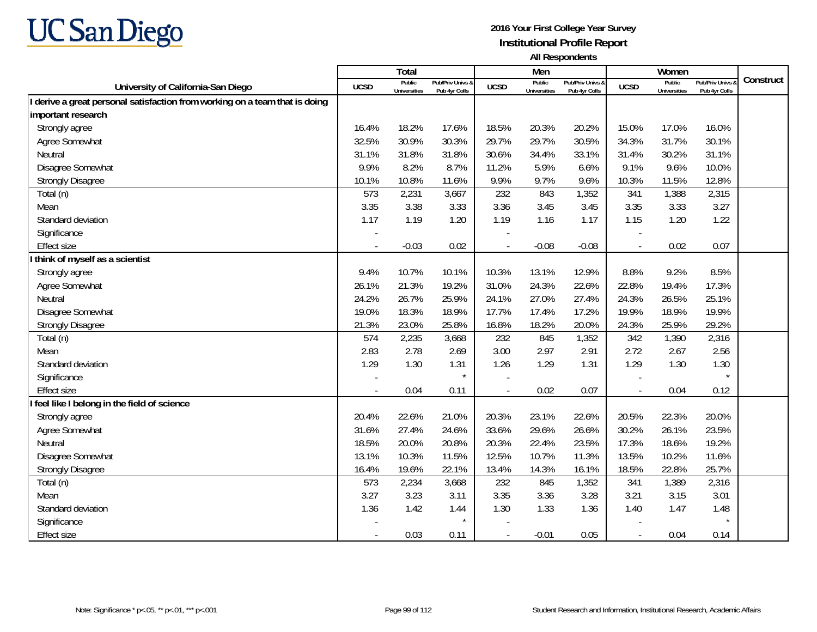

|                                                                             |                          | Total                         |                                   |                          | Men                           |                                   |                          | Women                         |                                 |           |
|-----------------------------------------------------------------------------|--------------------------|-------------------------------|-----------------------------------|--------------------------|-------------------------------|-----------------------------------|--------------------------|-------------------------------|---------------------------------|-----------|
| University of California-San Diego                                          | <b>UCSD</b>              | Public<br><b>Universities</b> | Pub/Priv Univs &<br>Pub 4yr Colls | <b>UCSD</b>              | Public<br><b>Universities</b> | Pub/Priv Univs &<br>Pub 4yr Colls | <b>UCSD</b>              | Public<br><b>Universities</b> | Pub/Priv Univs<br>Pub 4yr Colls | Construct |
| I derive a great personal satisfaction from working on a team that is doing |                          |                               |                                   |                          |                               |                                   |                          |                               |                                 |           |
| important research                                                          |                          |                               |                                   |                          |                               |                                   |                          |                               |                                 |           |
| Strongly agree                                                              | 16.4%                    | 18.2%                         | 17.6%                             | 18.5%                    | 20.3%                         | 20.2%                             | 15.0%                    | 17.0%                         | 16.0%                           |           |
| Agree Somewhat                                                              | 32.5%                    | 30.9%                         | 30.3%                             | 29.7%                    | 29.7%                         | 30.5%                             | 34.3%                    | 31.7%                         | 30.1%                           |           |
| Neutral                                                                     | 31.1%                    | 31.8%                         | 31.8%                             | 30.6%                    | 34.4%                         | 33.1%                             | 31.4%                    | 30.2%                         | 31.1%                           |           |
| Disagree Somewhat                                                           | 9.9%                     | 8.2%                          | 8.7%                              | 11.2%                    | 5.9%                          | 6.6%                              | 9.1%                     | 9.6%                          | 10.0%                           |           |
| <b>Strongly Disagree</b>                                                    | 10.1%                    | 10.8%                         | 11.6%                             | 9.9%                     | 9.7%                          | 9.6%                              | 10.3%                    | 11.5%                         | 12.8%                           |           |
| Total (n)                                                                   | 573                      | 2,231                         | 3,667                             | 232                      | 843                           | 1,352                             | 341                      | 1,388                         | 2,315                           |           |
| Mean                                                                        | 3.35                     | 3.38                          | 3.33                              | 3.36                     | 3.45                          | 3.45                              | 3.35                     | 3.33                          | 3.27                            |           |
| Standard deviation                                                          | 1.17                     | 1.19                          | 1.20                              | 1.19                     | 1.16                          | 1.17                              | 1.15                     | 1.20                          | 1.22                            |           |
| Significance                                                                |                          |                               |                                   |                          |                               |                                   |                          |                               |                                 |           |
| <b>Effect size</b>                                                          | $\overline{\phantom{a}}$ | $-0.03$                       | 0.02                              |                          | $-0.08$                       | $-0.08$                           | $\sim$                   | 0.02                          | 0.07                            |           |
| think of myself as a scientist                                              |                          |                               |                                   |                          |                               |                                   |                          |                               |                                 |           |
| Strongly agree                                                              | 9.4%                     | 10.7%                         | 10.1%                             | 10.3%                    | 13.1%                         | 12.9%                             | 8.8%                     | 9.2%                          | 8.5%                            |           |
| Agree Somewhat                                                              | 26.1%                    | 21.3%                         | 19.2%                             | 31.0%                    | 24.3%                         | 22.6%                             | 22.8%                    | 19.4%                         | 17.3%                           |           |
| Neutral                                                                     | 24.2%                    | 26.7%                         | 25.9%                             | 24.1%                    | 27.0%                         | 27.4%                             | 24.3%                    | 26.5%                         | 25.1%                           |           |
| Disagree Somewhat                                                           | 19.0%                    | 18.3%                         | 18.9%                             | 17.7%                    | 17.4%                         | 17.2%                             | 19.9%                    | 18.9%                         | 19.9%                           |           |
| <b>Strongly Disagree</b>                                                    | 21.3%                    | 23.0%                         | 25.8%                             | 16.8%                    | 18.2%                         | 20.0%                             | 24.3%                    | 25.9%                         | 29.2%                           |           |
| Total (n)                                                                   | 574                      | 2,235                         | 3,668                             | 232                      | 845                           | 1,352                             | 342                      | 1,390                         | 2,316                           |           |
| Mean                                                                        | 2.83                     | 2.78                          | 2.69                              | 3.00                     | 2.97                          | 2.91                              | 2.72                     | 2.67                          | 2.56                            |           |
| Standard deviation                                                          | 1.29                     | 1.30                          | 1.31                              | 1.26                     | 1.29                          | 1.31                              | 1.29                     | 1.30                          | 1.30                            |           |
| Significance                                                                |                          |                               | $\star$                           |                          |                               |                                   |                          |                               |                                 |           |
| <b>Effect size</b>                                                          |                          | 0.04                          | 0.11                              | $\sim$                   | 0.02                          | 0.07                              |                          | 0.04                          | 0.12                            |           |
| I feel like I belong in the field of science                                |                          |                               |                                   |                          |                               |                                   |                          |                               |                                 |           |
| Strongly agree                                                              | 20.4%                    | 22.6%                         | 21.0%                             | 20.3%                    | 23.1%                         | 22.6%                             | 20.5%                    | 22.3%                         | 20.0%                           |           |
| Agree Somewhat                                                              | 31.6%                    | 27.4%                         | 24.6%                             | 33.6%                    | 29.6%                         | 26.6%                             | 30.2%                    | 26.1%                         | 23.5%                           |           |
| Neutral                                                                     | 18.5%                    | 20.0%                         | 20.8%                             | 20.3%                    | 22.4%                         | 23.5%                             | 17.3%                    | 18.6%                         | 19.2%                           |           |
| Disagree Somewhat                                                           | 13.1%                    | 10.3%                         | 11.5%                             | 12.5%                    | 10.7%                         | 11.3%                             | 13.5%                    | 10.2%                         | 11.6%                           |           |
| <b>Strongly Disagree</b>                                                    | 16.4%                    | 19.6%                         | 22.1%                             | 13.4%                    | 14.3%                         | 16.1%                             | 18.5%                    | 22.8%                         | 25.7%                           |           |
| Total (n)                                                                   | 573                      | 2,234                         | 3,668                             | 232                      | 845                           | 1,352                             | 341                      | 1,389                         | 2,316                           |           |
| Mean                                                                        | 3.27                     | 3.23                          | 3.11                              | 3.35                     | 3.36                          | 3.28                              | 3.21                     | 3.15                          | 3.01                            |           |
| Standard deviation                                                          | 1.36                     | 1.42                          | 1.44                              | 1.30                     | 1.33                          | 1.36                              | 1.40                     | 1.47                          | 1.48                            |           |
| Significance                                                                |                          |                               | $\star$                           |                          |                               |                                   |                          |                               |                                 |           |
| <b>Effect size</b>                                                          | $\sim$                   | 0.03                          | 0.11                              | $\overline{\phantom{a}}$ | $-0.01$                       | 0.05                              | $\overline{\phantom{a}}$ | 0.04                          | 0.14                            |           |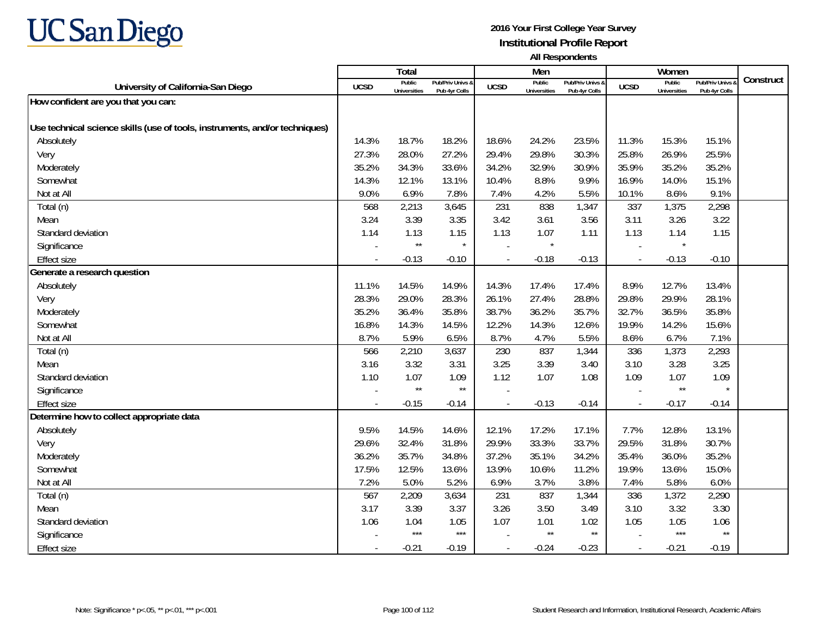

|                                                                             |                | Total                         |                                   |                          | Men                           |                                   |                          | Women                         |                                        |           |
|-----------------------------------------------------------------------------|----------------|-------------------------------|-----------------------------------|--------------------------|-------------------------------|-----------------------------------|--------------------------|-------------------------------|----------------------------------------|-----------|
| University of California-San Diego                                          | <b>UCSD</b>    | Public<br><b>Universities</b> | Pub/Priv Univs &<br>Pub 4yr Colls | <b>UCSD</b>              | Public<br><b>Universities</b> | Pub/Priv Univs &<br>Pub 4yr Colls | <b>UCSD</b>              | Public<br><b>Universities</b> | <b>Pub/Priv Univs</b><br>Pub 4yr Colls | Construct |
| How confident are you that you can:                                         |                |                               |                                   |                          |                               |                                   |                          |                               |                                        |           |
|                                                                             |                |                               |                                   |                          |                               |                                   |                          |                               |                                        |           |
| Use technical science skills (use of tools, instruments, and/or techniques) |                |                               |                                   |                          |                               |                                   |                          |                               |                                        |           |
| Absolutely                                                                  | 14.3%          | 18.7%                         | 18.2%                             | 18.6%                    | 24.2%                         | 23.5%                             | 11.3%                    | 15.3%                         | 15.1%                                  |           |
| Very                                                                        | 27.3%          | 28.0%                         | 27.2%                             | 29.4%                    | 29.8%                         | 30.3%                             | 25.8%                    | 26.9%                         | 25.5%                                  |           |
| Moderately                                                                  | 35.2%          | 34.3%                         | 33.6%                             | 34.2%                    | 32.9%                         | 30.9%                             | 35.9%                    | 35.2%                         | 35.2%                                  |           |
| Somewhat                                                                    | 14.3%          | 12.1%                         | 13.1%                             | 10.4%                    | 8.8%                          | 9.9%                              | 16.9%                    | 14.0%                         | 15.1%                                  |           |
| Not at All                                                                  | 9.0%           | 6.9%                          | 7.8%                              | 7.4%                     | 4.2%                          | 5.5%                              | 10.1%                    | 8.6%                          | 9.1%                                   |           |
| Total (n)                                                                   | 568            | 2,213                         | 3,645                             | 231                      | 838                           | 1,347                             | 337                      | 1,375                         | 2,298                                  |           |
| Mean                                                                        | 3.24           | 3.39                          | 3.35                              | 3.42                     | 3.61                          | 3.56                              | 3.11                     | 3.26                          | 3.22                                   |           |
| Standard deviation                                                          | 1.14           | 1.13                          | 1.15                              | 1.13                     | 1.07                          | 1.11                              | 1.13                     | 1.14                          | 1.15                                   |           |
| Significance                                                                |                | $\star\star$                  |                                   |                          | $\star$                       |                                   |                          | $\star$                       |                                        |           |
| <b>Effect size</b>                                                          | $\blacksquare$ | $-0.13$                       | $-0.10$                           | $\overline{\phantom{a}}$ | $-0.18$                       | $-0.13$                           | $\overline{\phantom{a}}$ | $-0.13$                       | $-0.10$                                |           |
| Generate a research question                                                |                |                               |                                   |                          |                               |                                   |                          |                               |                                        |           |
| Absolutely                                                                  | 11.1%          | 14.5%                         | 14.9%                             | 14.3%                    | 17.4%                         | 17.4%                             | 8.9%                     | 12.7%                         | 13.4%                                  |           |
| Very                                                                        | 28.3%          | 29.0%                         | 28.3%                             | 26.1%                    | 27.4%                         | 28.8%                             | 29.8%                    | 29.9%                         | 28.1%                                  |           |
| Moderately                                                                  | 35.2%          | 36.4%                         | 35.8%                             | 38.7%                    | 36.2%                         | 35.7%                             | 32.7%                    | 36.5%                         | 35.8%                                  |           |
| Somewhat                                                                    | 16.8%          | 14.3%                         | 14.5%                             | 12.2%                    | 14.3%                         | 12.6%                             | 19.9%                    | 14.2%                         | 15.6%                                  |           |
| Not at All                                                                  | 8.7%           | 5.9%                          | 6.5%                              | 8.7%                     | 4.7%                          | 5.5%                              | 8.6%                     | 6.7%                          | 7.1%                                   |           |
| Total (n)                                                                   | 566            | 2,210                         | 3,637                             | 230                      | 837                           | 1,344                             | 336                      | 1,373                         | 2,293                                  |           |
| Mean                                                                        | 3.16           | 3.32                          | 3.31                              | 3.25                     | 3.39                          | 3.40                              | 3.10                     | 3.28                          | 3.25                                   |           |
| Standard deviation                                                          | 1.10           | 1.07                          | 1.09                              | 1.12                     | 1.07                          | 1.08                              | 1.09                     | 1.07                          | 1.09                                   |           |
| Significance                                                                |                | $\star\star$                  | $\star\star$                      |                          |                               |                                   |                          | $\star\star$                  |                                        |           |
| <b>Effect size</b>                                                          | $\blacksquare$ | $-0.15$                       | $-0.14$                           | $\overline{\phantom{a}}$ | $-0.13$                       | $-0.14$                           | $\overline{\phantom{a}}$ | $-0.17$                       | $-0.14$                                |           |
| Determine how to collect appropriate data                                   |                |                               |                                   |                          |                               |                                   |                          |                               |                                        |           |
| Absolutely                                                                  | 9.5%           | 14.5%                         | 14.6%                             | 12.1%                    | 17.2%                         | 17.1%                             | 7.7%                     | 12.8%                         | 13.1%                                  |           |
| Very                                                                        | 29.6%          | 32.4%                         | 31.8%                             | 29.9%                    | 33.3%                         | 33.7%                             | 29.5%                    | 31.8%                         | 30.7%                                  |           |
| Moderately                                                                  | 36.2%          | 35.7%                         | 34.8%                             | 37.2%                    | 35.1%                         | 34.2%                             | 35.4%                    | 36.0%                         | 35.2%                                  |           |
| Somewhat                                                                    | 17.5%          | 12.5%                         | 13.6%                             | 13.9%                    | 10.6%                         | 11.2%                             | 19.9%                    | 13.6%                         | 15.0%                                  |           |
| Not at All                                                                  | 7.2%           | 5.0%                          | 5.2%                              | 6.9%                     | 3.7%                          | 3.8%                              | 7.4%                     | 5.8%                          | 6.0%                                   |           |
| Total (n)                                                                   | 567            | 2,209                         | 3,634                             | 231                      | 837                           | 1,344                             | 336                      | 1,372                         | 2,290                                  |           |
| Mean                                                                        | 3.17           | 3.39                          | 3.37                              | 3.26                     | 3.50                          | 3.49                              | 3.10                     | 3.32                          | 3.30                                   |           |
| Standard deviation                                                          | 1.06           | 1.04                          | 1.05                              | 1.07                     | 1.01                          | 1.02                              | 1.05                     | 1.05                          | 1.06                                   |           |
| Significance                                                                |                | $***$                         | $***$                             |                          | $\star\star$                  | $^{\star\star}$                   |                          | $***$                         | $\star\star$                           |           |
| <b>Effect size</b>                                                          | $\sim$         | $-0.21$                       | $-0.19$                           | $\sim$                   | $-0.24$                       | $-0.23$                           | $\sim$                   | $-0.21$                       | $-0.19$                                |           |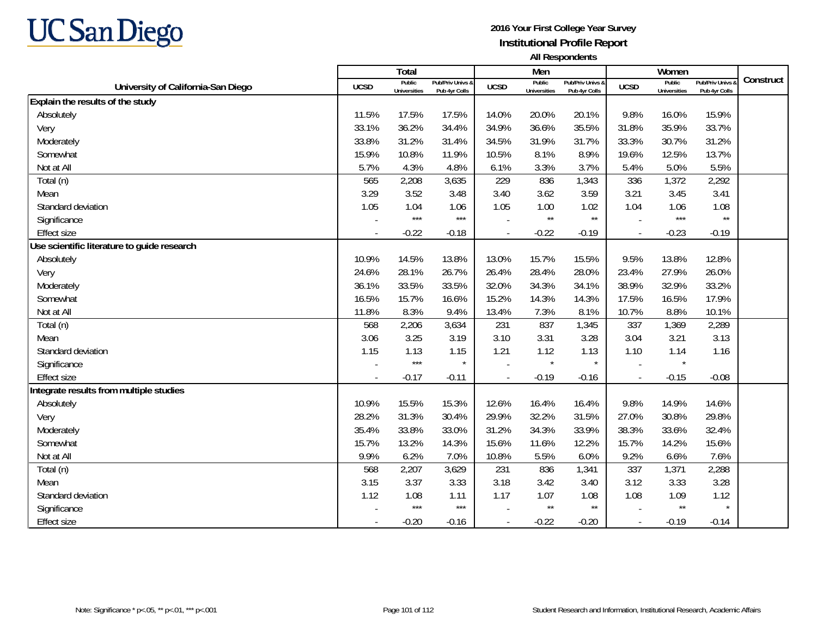

|                                             |             | Total                         |                                   |                | Men                           |                                   |                          | Women                         |                                        |           |
|---------------------------------------------|-------------|-------------------------------|-----------------------------------|----------------|-------------------------------|-----------------------------------|--------------------------|-------------------------------|----------------------------------------|-----------|
| University of California-San Diego          | <b>UCSD</b> | Public<br><b>Universities</b> | Pub/Priv Univs &<br>Pub 4yr Colls | <b>UCSD</b>    | Public<br><b>Universities</b> | Pub/Priv Univs 8<br>Pub 4yr Colls | <b>UCSD</b>              | Public<br><b>Universities</b> | <b>Pub/Priv Univs</b><br>Pub 4yr Colls | Construct |
| Explain the results of the study            |             |                               |                                   |                |                               |                                   |                          |                               |                                        |           |
| Absolutely                                  | 11.5%       | 17.5%                         | 17.5%                             | 14.0%          | 20.0%                         | 20.1%                             | 9.8%                     | 16.0%                         | 15.9%                                  |           |
| Very                                        | 33.1%       | 36.2%                         | 34.4%                             | 34.9%          | 36.6%                         | 35.5%                             | 31.8%                    | 35.9%                         | 33.7%                                  |           |
| Moderately                                  | 33.8%       | 31.2%                         | 31.4%                             | 34.5%          | 31.9%                         | 31.7%                             | 33.3%                    | 30.7%                         | 31.2%                                  |           |
| Somewhat                                    | 15.9%       | 10.8%                         | 11.9%                             | 10.5%          | 8.1%                          | 8.9%                              | 19.6%                    | 12.5%                         | 13.7%                                  |           |
| Not at All                                  | 5.7%        | 4.3%                          | 4.8%                              | 6.1%           | 3.3%                          | 3.7%                              | 5.4%                     | 5.0%                          | 5.5%                                   |           |
| Total (n)                                   | 565         | 2,208                         | 3,635                             | 229            | 836                           | 1,343                             | 336                      | 1,372                         | 2,292                                  |           |
| Mean                                        | 3.29        | 3.52                          | 3.48                              | 3.40           | 3.62                          | 3.59                              | 3.21                     | 3.45                          | 3.41                                   |           |
| Standard deviation                          | 1.05        | 1.04                          | 1.06                              | 1.05           | 1.00                          | 1.02                              | 1.04                     | 1.06                          | 1.08                                   |           |
| Significance                                |             | $***$                         | $***$                             |                | $\star\star$                  | $^{\star\star}$                   |                          | $***$                         | $\star\star$                           |           |
| <b>Effect size</b>                          |             | $-0.22$                       | $-0.18$                           | $\overline{a}$ | $-0.22$                       | $-0.19$                           | $\overline{\phantom{a}}$ | $-0.23$                       | $-0.19$                                |           |
| Use scientific literature to guide research |             |                               |                                   |                |                               |                                   |                          |                               |                                        |           |
| Absolutely                                  | 10.9%       | 14.5%                         | 13.8%                             | 13.0%          | 15.7%                         | 15.5%                             | 9.5%                     | 13.8%                         | 12.8%                                  |           |
| Very                                        | 24.6%       | 28.1%                         | 26.7%                             | 26.4%          | 28.4%                         | 28.0%                             | 23.4%                    | 27.9%                         | 26.0%                                  |           |
| Moderately                                  | 36.1%       | 33.5%                         | 33.5%                             | 32.0%          | 34.3%                         | 34.1%                             | 38.9%                    | 32.9%                         | 33.2%                                  |           |
| Somewhat                                    | 16.5%       | 15.7%                         | 16.6%                             | 15.2%          | 14.3%                         | 14.3%                             | 17.5%                    | 16.5%                         | 17.9%                                  |           |
| Not at All                                  | 11.8%       | 8.3%                          | 9.4%                              | 13.4%          | 7.3%                          | 8.1%                              | 10.7%                    | 8.8%                          | 10.1%                                  |           |
| Total (n)                                   | 568         | 2,206                         | 3,634                             | 231            | 837                           | 1,345                             | 337                      | 1,369                         | 2,289                                  |           |
| Mean                                        | 3.06        | 3.25                          | 3.19                              | 3.10           | 3.31                          | 3.28                              | 3.04                     | 3.21                          | 3.13                                   |           |
| Standard deviation                          | 1.15        | 1.13                          | 1.15                              | 1.21           | 1.12                          | 1.13                              | 1.10                     | 1.14                          | 1.16                                   |           |
| Significance                                |             | $***$                         | $\star$                           |                | $\star$                       |                                   | $\overline{\phantom{a}}$ | $\star$                       |                                        |           |
| <b>Effect size</b>                          |             | $-0.17$                       | $-0.11$                           | $\overline{a}$ | $-0.19$                       | $-0.16$                           | $\blacksquare$           | $-0.15$                       | $-0.08$                                |           |
| Integrate results from multiple studies     |             |                               |                                   |                |                               |                                   |                          |                               |                                        |           |
| Absolutely                                  | 10.9%       | 15.5%                         | 15.3%                             | 12.6%          | 16.4%                         | 16.4%                             | 9.8%                     | 14.9%                         | 14.6%                                  |           |
| Very                                        | 28.2%       | 31.3%                         | 30.4%                             | 29.9%          | 32.2%                         | 31.5%                             | 27.0%                    | 30.8%                         | 29.8%                                  |           |
| Moderately                                  | 35.4%       | 33.8%                         | 33.0%                             | 31.2%          | 34.3%                         | 33.9%                             | 38.3%                    | 33.6%                         | 32.4%                                  |           |
| Somewhat                                    | 15.7%       | 13.2%                         | 14.3%                             | 15.6%          | 11.6%                         | 12.2%                             | 15.7%                    | 14.2%                         | 15.6%                                  |           |
| Not at All                                  | 9.9%        | 6.2%                          | 7.0%                              | 10.8%          | 5.5%                          | 6.0%                              | 9.2%                     | 6.6%                          | 7.6%                                   |           |
| Total (n)                                   | 568         | 2,207                         | 3,629                             | 231            | 836                           | 1,341                             | 337                      | 1,371                         | 2,288                                  |           |
| Mean                                        | 3.15        | 3.37                          | 3.33                              | 3.18           | 3.42                          | 3.40                              | 3.12                     | 3.33                          | 3.28                                   |           |
| Standard deviation                          | 1.12        | 1.08                          | 1.11                              | 1.17           | 1.07                          | 1.08                              | 1.08                     | 1.09                          | 1.12                                   |           |
| Significance                                |             | $***$                         | $***$                             |                | $\star\star$                  | $\star\star$                      |                          | $\star\star$                  | $\star$                                |           |
| <b>Effect size</b>                          |             | $-0.20$                       | $-0.16$                           |                | $-0.22$                       | $-0.20$                           |                          | $-0.19$                       | $-0.14$                                |           |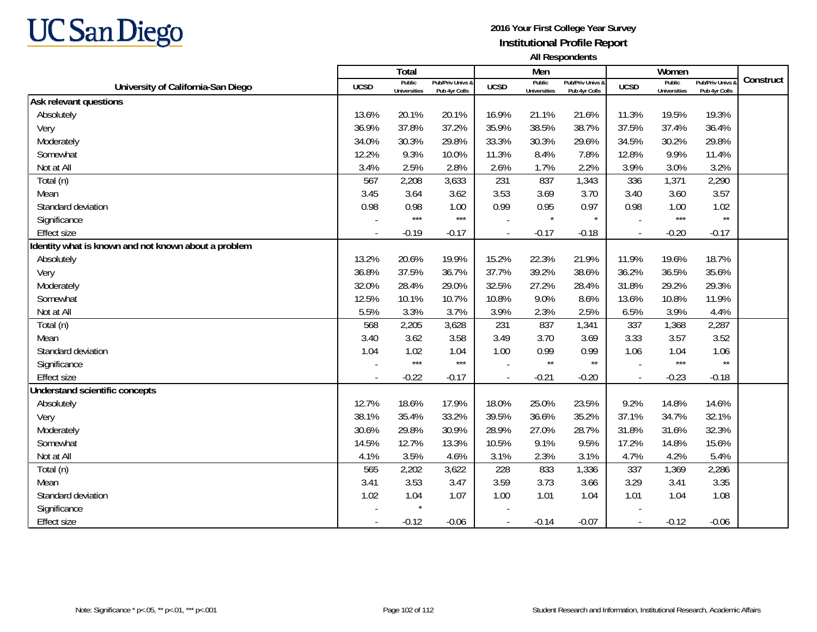

|                                                      |             | Total                         |                                   |                | Men                           |                                   |                          | Women                         |                                        |           |
|------------------------------------------------------|-------------|-------------------------------|-----------------------------------|----------------|-------------------------------|-----------------------------------|--------------------------|-------------------------------|----------------------------------------|-----------|
| University of California-San Diego                   | <b>UCSD</b> | Public<br><b>Universities</b> | Pub/Priv Univs &<br>Pub 4yr Colls | <b>UCSD</b>    | Public<br><b>Universities</b> | Pub/Priv Univs 8<br>Pub 4yr Colls | <b>UCSD</b>              | Public<br><b>Universities</b> | <b>Pub/Priv Univs</b><br>Pub 4yr Colls | Construct |
| Ask relevant questions                               |             |                               |                                   |                |                               |                                   |                          |                               |                                        |           |
| Absolutely                                           | 13.6%       | 20.1%                         | 20.1%                             | 16.9%          | 21.1%                         | 21.6%                             | 11.3%                    | 19.5%                         | 19.3%                                  |           |
| Very                                                 | 36.9%       | 37.8%                         | 37.2%                             | 35.9%          | 38.5%                         | 38.7%                             | 37.5%                    | 37.4%                         | 36.4%                                  |           |
| Moderately                                           | 34.0%       | 30.3%                         | 29.8%                             | 33.3%          | 30.3%                         | 29.6%                             | 34.5%                    | 30.2%                         | 29.8%                                  |           |
| Somewhat                                             | 12.2%       | 9.3%                          | 10.0%                             | 11.3%          | 8.4%                          | 7.8%                              | 12.8%                    | 9.9%                          | 11.4%                                  |           |
| Not at All                                           | 3.4%        | 2.5%                          | 2.8%                              | 2.6%           | 1.7%                          | 2.2%                              | 3.9%                     | 3.0%                          | 3.2%                                   |           |
| Total (n)                                            | 567         | 2,208                         | 3,633                             | 231            | 837                           | 1,343                             | 336                      | 1,371                         | 2,290                                  |           |
| Mean                                                 | 3.45        | 3.64                          | 3.62                              | 3.53           | 3.69                          | 3.70                              | 3.40                     | 3.60                          | 3.57                                   |           |
| Standard deviation                                   | 0.98        | 0.98                          | 1.00                              | 0.99           | 0.95                          | 0.97                              | 0.98                     | 1.00                          | 1.02                                   |           |
| Significance                                         |             | $***$                         | $***$                             |                | $\star$                       | $\star$                           |                          | $***$                         | $\star\star$                           |           |
| <b>Effect size</b>                                   |             | $-0.19$                       | $-0.17$                           | $\overline{a}$ | $-0.17$                       | $-0.18$                           | $\sim$                   | $-0.20$                       | $-0.17$                                |           |
| Identity what is known and not known about a problem |             |                               |                                   |                |                               |                                   |                          |                               |                                        |           |
| Absolutely                                           | 13.2%       | 20.6%                         | 19.9%                             | 15.2%          | 22.3%                         | 21.9%                             | 11.9%                    | 19.6%                         | 18.7%                                  |           |
| Very                                                 | 36.8%       | 37.5%                         | 36.7%                             | 37.7%          | 39.2%                         | 38.6%                             | 36.2%                    | 36.5%                         | 35.6%                                  |           |
| Moderately                                           | 32.0%       | 28.4%                         | 29.0%                             | 32.5%          | 27.2%                         | 28.4%                             | 31.8%                    | 29.2%                         | 29.3%                                  |           |
| Somewhat                                             | 12.5%       | 10.1%                         | 10.7%                             | 10.8%          | 9.0%                          | 8.6%                              | 13.6%                    | 10.8%                         | 11.9%                                  |           |
| Not at All                                           | 5.5%        | 3.3%                          | 3.7%                              | 3.9%           | 2.3%                          | 2.5%                              | 6.5%                     | 3.9%                          | 4.4%                                   |           |
| Total (n)                                            | 568         | 2,205                         | 3,628                             | 231            | 837                           | 1,341                             | 337                      | 1,368                         | 2,287                                  |           |
| Mean                                                 | 3.40        | 3.62                          | 3.58                              | 3.49           | 3.70                          | 3.69                              | 3.33                     | 3.57                          | 3.52                                   |           |
| Standard deviation                                   | 1.04        | 1.02                          | 1.04                              | 1.00           | 0.99                          | 0.99                              | 1.06                     | 1.04                          | 1.06                                   |           |
| Significance                                         |             | $***$                         | $***$                             |                | $\star\star$                  | $^{\star\star}$                   |                          | $***$                         | $\star\star$                           |           |
| <b>Effect size</b>                                   |             | $-0.22$                       | $-0.17$                           |                | $-0.21$                       | $-0.20$                           | $\overline{\phantom{a}}$ | $-0.23$                       | $-0.18$                                |           |
| Understand scientific concepts                       |             |                               |                                   |                |                               |                                   |                          |                               |                                        |           |
| Absolutely                                           | 12.7%       | 18.6%                         | 17.9%                             | 18.0%          | 25.0%                         | 23.5%                             | 9.2%                     | 14.8%                         | 14.6%                                  |           |
| Very                                                 | 38.1%       | 35.4%                         | 33.2%                             | 39.5%          | 36.6%                         | 35.2%                             | 37.1%                    | 34.7%                         | 32.1%                                  |           |
| Moderately                                           | 30.6%       | 29.8%                         | 30.9%                             | 28.9%          | 27.0%                         | 28.7%                             | 31.8%                    | 31.6%                         | 32.3%                                  |           |
| Somewhat                                             | 14.5%       | 12.7%                         | 13.3%                             | 10.5%          | 9.1%                          | 9.5%                              | 17.2%                    | 14.8%                         | 15.6%                                  |           |
| Not at All                                           | 4.1%        | 3.5%                          | 4.6%                              | 3.1%           | 2.3%                          | 3.1%                              | 4.7%                     | 4.2%                          | 5.4%                                   |           |
| Total (n)                                            | 565         | 2,202                         | 3,622                             | 228            | 833                           | 1,336                             | 337                      | 1,369                         | 2,286                                  |           |
| Mean                                                 | 3.41        | 3.53                          | 3.47                              | 3.59           | 3.73                          | 3.66                              | 3.29                     | 3.41                          | 3.35                                   |           |
| Standard deviation                                   | 1.02        | 1.04                          | 1.07                              | 1.00           | 1.01                          | 1.04                              | 1.01                     | 1.04                          | 1.08                                   |           |
| Significance                                         |             |                               |                                   |                |                               |                                   |                          |                               |                                        |           |
| <b>Effect size</b>                                   |             | $-0.12$                       | $-0.06$                           |                | $-0.14$                       | $-0.07$                           |                          | $-0.12$                       | $-0.06$                                |           |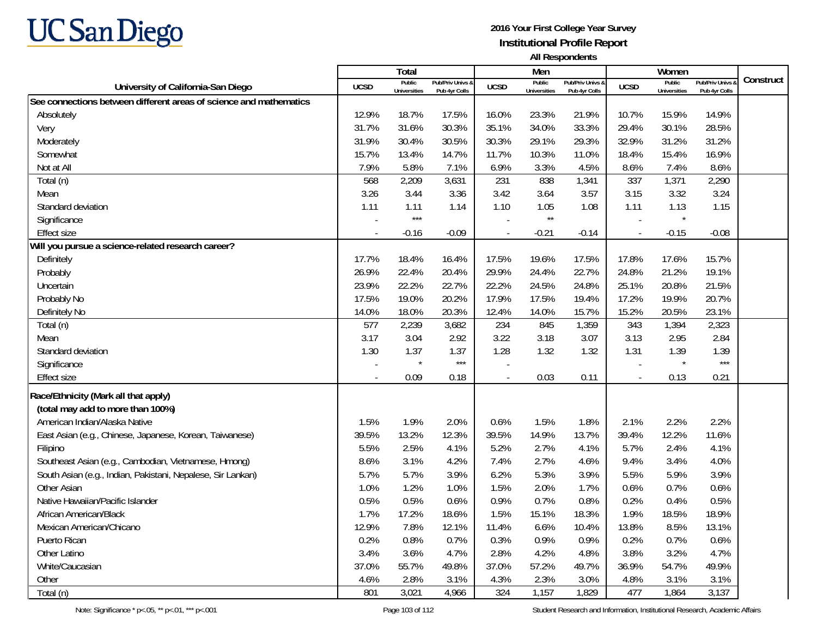

|                                                                    |             | Total                         |                                   |                | Men                           |                                   |                | Women                         |                                 |           |
|--------------------------------------------------------------------|-------------|-------------------------------|-----------------------------------|----------------|-------------------------------|-----------------------------------|----------------|-------------------------------|---------------------------------|-----------|
| University of California-San Diego                                 | <b>UCSD</b> | Public<br><b>Universities</b> | Pub/Priv Univs &<br>Pub 4yr Colls | <b>UCSD</b>    | Public<br><b>Universities</b> | Pub/Priv Univs &<br>Pub 4yr Colls | <b>UCSD</b>    | Public<br><b>Universities</b> | Pub/Priv Univs<br>Pub 4yr Colls | Construct |
| See connections between different areas of science and mathematics |             |                               |                                   |                |                               |                                   |                |                               |                                 |           |
| Absolutely                                                         | 12.9%       | 18.7%                         | 17.5%                             | 16.0%          | 23.3%                         | 21.9%                             | 10.7%          | 15.9%                         | 14.9%                           |           |
| Very                                                               | 31.7%       | 31.6%                         | 30.3%                             | 35.1%          | 34.0%                         | 33.3%                             | 29.4%          | 30.1%                         | 28.5%                           |           |
| Moderately                                                         | 31.9%       | 30.4%                         | 30.5%                             | 30.3%          | 29.1%                         | 29.3%                             | 32.9%          | 31.2%                         | 31.2%                           |           |
| Somewhat                                                           | 15.7%       | 13.4%                         | 14.7%                             | 11.7%          | 10.3%                         | 11.0%                             | 18.4%          | 15.4%                         | 16.9%                           |           |
| Not at All                                                         | 7.9%        | 5.8%                          | 7.1%                              | 6.9%           | 3.3%                          | 4.5%                              | 8.6%           | 7.4%                          | 8.6%                            |           |
| Total (n)                                                          | 568         | 2,209                         | 3,631                             | 231            | 838                           | 1,341                             | 337            | 1,371                         | 2,290                           |           |
| Mean                                                               | 3.26        | 3.44                          | 3.36                              | 3.42           | 3.64                          | 3.57                              | 3.15           | 3.32                          | 3.24                            |           |
| Standard deviation                                                 | 1.11        | 1.11                          | 1.14                              | 1.10           | 1.05                          | 1.08                              | 1.11           | 1.13                          | 1.15                            |           |
| Significance                                                       |             | $***$                         |                                   |                | $\star\star$                  |                                   |                |                               |                                 |           |
| <b>Effect size</b>                                                 |             | $-0.16$                       | $-0.09$                           | $\blacksquare$ | $-0.21$                       | $-0.14$                           | $\blacksquare$ | $-0.15$                       | $-0.08$                         |           |
| Will you pursue a science-related research career?                 |             |                               |                                   |                |                               |                                   |                |                               |                                 |           |
| Definitely                                                         | 17.7%       | 18.4%                         | 16.4%                             | 17.5%          | 19.6%                         | 17.5%                             | 17.8%          | 17.6%                         | 15.7%                           |           |
| Probably                                                           | 26.9%       | 22.4%                         | 20.4%                             | 29.9%          | 24.4%                         | 22.7%                             | 24.8%          | 21.2%                         | 19.1%                           |           |
| Uncertain                                                          | 23.9%       | 22.2%                         | 22.7%                             | 22.2%          | 24.5%                         | 24.8%                             | 25.1%          | 20.8%                         | 21.5%                           |           |
| Probably No                                                        | 17.5%       | 19.0%                         | 20.2%                             | 17.9%          | 17.5%                         | 19.4%                             | 17.2%          | 19.9%                         | 20.7%                           |           |
| Definitely No                                                      | 14.0%       | 18.0%                         | 20.3%                             | 12.4%          | 14.0%                         | 15.7%                             | 15.2%          | 20.5%                         | 23.1%                           |           |
| Total (n)                                                          | 577         | 2,239                         | 3,682                             | 234            | 845                           | 1,359                             | 343            | 1,394                         | 2,323                           |           |
| Mean                                                               | 3.17        | 3.04                          | 2.92                              | 3.22           | 3.18                          | 3.07                              | 3.13           | 2.95                          | 2.84                            |           |
| Standard deviation                                                 | 1.30        | 1.37                          | 1.37                              | 1.28           | 1.32                          | 1.32                              | 1.31           | 1.39                          | 1.39                            |           |
| Significance                                                       |             | $\star$                       | $***$                             |                |                               |                                   |                | $\star$                       | $***$                           |           |
| <b>Effect size</b>                                                 |             | 0.09                          | 0.18                              | $\overline{a}$ | 0.03                          | 0.11                              | $\sim$         | 0.13                          | 0.21                            |           |
| Race/Ethnicity (Mark all that apply)                               |             |                               |                                   |                |                               |                                   |                |                               |                                 |           |
| (total may add to more than 100%)                                  |             |                               |                                   |                |                               |                                   |                |                               |                                 |           |
| American Indian/Alaska Native                                      | 1.5%        | 1.9%                          | 2.0%                              | 0.6%           | 1.5%                          | 1.8%                              | 2.1%           | 2.2%                          | 2.2%                            |           |
| East Asian (e.g., Chinese, Japanese, Korean, Taiwanese)            | 39.5%       | 13.2%                         | 12.3%                             | 39.5%          | 14.9%                         | 13.7%                             | 39.4%          | 12.2%                         | 11.6%                           |           |
| Filipino                                                           | 5.5%        | 2.5%                          | 4.1%                              | 5.2%           | 2.7%                          | 4.1%                              | 5.7%           | 2.4%                          | 4.1%                            |           |
| Southeast Asian (e.g., Cambodian, Vietnamese, Hmong)               | 8.6%        | 3.1%                          | 4.2%                              | 7.4%           | 2.7%                          | 4.6%                              | 9.4%           | 3.4%                          | 4.0%                            |           |
| South Asian (e.g., Indian, Pakistani, Nepalese, Sir Lankan)        | 5.7%        | 5.7%                          | 3.9%                              | 6.2%           | 5.3%                          | 3.9%                              | 5.5%           | 5.9%                          | 3.9%                            |           |
| Other Asian                                                        | 1.0%        | 1.2%                          | 1.0%                              | 1.5%           | 2.0%                          | 1.7%                              | 0.6%           | 0.7%                          | 0.6%                            |           |
| Native Hawaiian/Pacific Islander                                   | 0.5%        | 0.5%                          | 0.6%                              | 0.9%           | 0.7%                          | 0.8%                              | 0.2%           | 0.4%                          | 0.5%                            |           |
| African American/Black                                             | 1.7%        | 17.2%                         | 18.6%                             | 1.5%           | 15.1%                         | 18.3%                             | 1.9%           | 18.5%                         | 18.9%                           |           |
| Mexican American/Chicano                                           | 12.9%       | 7.8%                          | 12.1%                             | 11.4%          | 6.6%                          | 10.4%                             | 13.8%          | 8.5%                          | 13.1%                           |           |
| Puerto Rican                                                       | 0.2%        | 0.8%                          | 0.7%                              | 0.3%           | 0.9%                          | 0.9%                              | 0.2%           | 0.7%                          | 0.6%                            |           |
| Other Latino                                                       | 3.4%        | 3.6%                          | 4.7%                              | 2.8%           | 4.2%                          | 4.8%                              | 3.8%           | 3.2%                          | 4.7%                            |           |
| White/Caucasian                                                    | 37.0%       | 55.7%                         | 49.8%                             | 37.0%          | 57.2%                         | 49.7%                             | 36.9%          | 54.7%                         | 49.9%                           |           |
| Other                                                              | 4.6%        | 2.8%                          | 3.1%                              | 4.3%           | 2.3%                          | 3.0%                              | 4.8%           | 3.1%                          | 3.1%                            |           |
| Total (n)                                                          | 801         | 3,021                         | 4,966                             | 324            | 1,157                         | 1,829                             | 477            | 1,864                         | 3,137                           |           |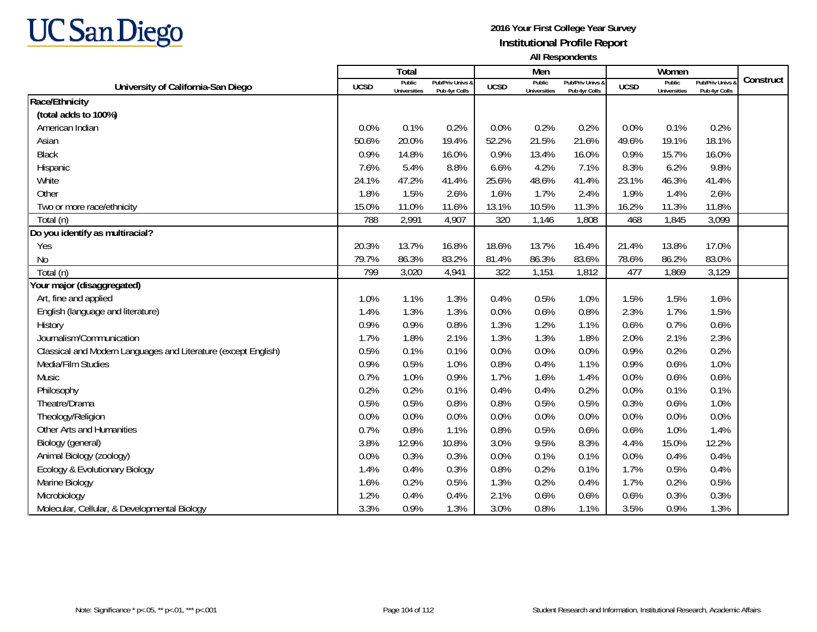

|                                                                |             | <b>Total</b>                  |                                   |             | Men                           |                                   |             | Women                         |                                        |           |
|----------------------------------------------------------------|-------------|-------------------------------|-----------------------------------|-------------|-------------------------------|-----------------------------------|-------------|-------------------------------|----------------------------------------|-----------|
| University of California-San Diego                             | <b>UCSD</b> | Public<br><b>Universities</b> | Pub/Priv Univs 8<br>Pub 4yr Colls | <b>UCSD</b> | Public<br><b>Universities</b> | Pub/Priv Univs &<br>Pub 4yr Colls | <b>UCSD</b> | Public<br><b>Universities</b> | <b>Pub/Priv Univs</b><br>Pub 4yr Colls | Construct |
| Race/Ethnicity                                                 |             |                               |                                   |             |                               |                                   |             |                               |                                        |           |
| (total adds to 100%)                                           |             |                               |                                   |             |                               |                                   |             |                               |                                        |           |
| American Indian                                                | 0.0%        | 0.1%                          | 0.2%                              | 0.0%        | 0.2%                          | 0.2%                              | 0.0%        | 0.1%                          | 0.2%                                   |           |
| Asian                                                          | 50.6%       | 20.0%                         | 19.4%                             | 52.2%       | 21.5%                         | 21.6%                             | 49.6%       | 19.1%                         | 18.1%                                  |           |
| Black                                                          | 0.9%        | 14.8%                         | 16.0%                             | 0.9%        | 13.4%                         | 16.0%                             | 0.9%        | 15.7%                         | 16.0%                                  |           |
| Hispanic                                                       | 7.6%        | 5.4%                          | 8.8%                              | 6.6%        | 4.2%                          | 7.1%                              | 8.3%        | 6.2%                          | 9.8%                                   |           |
| White                                                          | 24.1%       | 47.2%                         | 41.4%                             | 25.6%       | 48.6%                         | 41.4%                             | 23.1%       | 46.3%                         | 41.4%                                  |           |
| Other                                                          | 1.8%        | 1.5%                          | 2.6%                              | 1.6%        | 1.7%                          | 2.4%                              | 1.9%        | 1.4%                          | 2.6%                                   |           |
| Two or more race/ethnicity                                     | 15.0%       | 11.0%                         | 11.6%                             | 13.1%       | 10.5%                         | 11.3%                             | 16.2%       | 11.3%                         | 11.8%                                  |           |
| Total (n)                                                      | 788         | 2,991                         | 4,907                             | 320         | 1,146                         | 1,808                             | 468         | 1,845                         | 3,099                                  |           |
| Do you identify as multiracial?                                |             |                               |                                   |             |                               |                                   |             |                               |                                        |           |
| Yes                                                            | 20.3%       | 13.7%                         | 16.8%                             | 18.6%       | 13.7%                         | 16.4%                             | 21.4%       | 13.8%                         | 17.0%                                  |           |
| <b>No</b>                                                      | 79.7%       | 86.3%                         | 83.2%                             | 81.4%       | 86.3%                         | 83.6%                             | 78.6%       | 86.2%                         | 83.0%                                  |           |
| Total (n)                                                      | 799         | 3,020                         | 4,941                             | 322         | 1,151                         | 1,812                             | 477         | 1,869                         | 3,129                                  |           |
| Your major (disaggregated)                                     |             |                               |                                   |             |                               |                                   |             |                               |                                        |           |
| Art, fine and applied                                          | 1.0%        | 1.1%                          | 1.3%                              | 0.4%        | 0.5%                          | 1.0%                              | 1.5%        | 1.5%                          | 1.6%                                   |           |
| English (language and literature)                              | 1.4%        | 1.3%                          | 1.3%                              | 0.0%        | 0.6%                          | 0.8%                              | 2.3%        | 1.7%                          | 1.5%                                   |           |
| History                                                        | 0.9%        | 0.9%                          | 0.8%                              | 1.3%        | 1.2%                          | 1.1%                              | 0.6%        | 0.7%                          | 0.6%                                   |           |
| Journalism/Communication                                       | 1.7%        | 1.8%                          | 2.1%                              | 1.3%        | 1.3%                          | 1.8%                              | 2.0%        | 2.1%                          | 2.3%                                   |           |
| Classical and Modern Languages and Literature (except English) | 0.5%        | 0.1%                          | 0.1%                              | 0.0%        | 0.0%                          | 0.0%                              | 0.9%        | 0.2%                          | 0.2%                                   |           |
| Media/Film Studies                                             | 0.9%        | 0.5%                          | 1.0%                              | 0.8%        | 0.4%                          | 1.1%                              | 0.9%        | 0.6%                          | 1.0%                                   |           |
| Music                                                          | 0.7%        | 1.0%                          | 0.9%                              | 1.7%        | 1.6%                          | 1.4%                              | 0.0%        | 0.6%                          | 0.6%                                   |           |
| Philosophy                                                     | 0.2%        | 0.2%                          | 0.1%                              | 0.4%        | 0.4%                          | 0.2%                              | 0.0%        | 0.1%                          | 0.1%                                   |           |
| Theatre/Drama                                                  | 0.5%        | 0.5%                          | 0.8%                              | 0.8%        | 0.5%                          | 0.5%                              | 0.3%        | 0.6%                          | 1.0%                                   |           |
| Theology/Religion                                              | 0.0%        | 0.0%                          | 0.0%                              | 0.0%        | 0.0%                          | 0.0%                              | 0.0%        | 0.0%                          | 0.0%                                   |           |
| Other Arts and Humanities                                      | 0.7%        | 0.8%                          | 1.1%                              | 0.8%        | 0.5%                          | 0.6%                              | 0.6%        | 1.0%                          | 1.4%                                   |           |
| Biology (general)                                              | 3.8%        | 12.9%                         | 10.8%                             | 3.0%        | 9.5%                          | 8.3%                              | 4.4%        | 15.0%                         | 12.2%                                  |           |
| Animal Biology (zoology)                                       | 0.0%        | 0.3%                          | 0.3%                              | 0.0%        | 0.1%                          | 0.1%                              | 0.0%        | 0.4%                          | 0.4%                                   |           |
| Ecology & Evolutionary Biology                                 | 1.4%        | 0.4%                          | 0.3%                              | 0.8%        | 0.2%                          | 0.1%                              | 1.7%        | 0.5%                          | 0.4%                                   |           |
| Marine Biology                                                 | 1.6%        | 0.2%                          | 0.5%                              | 1.3%        | 0.2%                          | 0.4%                              | 1.7%        | 0.2%                          | 0.5%                                   |           |
| Microbiology                                                   | 1.2%        | 0.4%                          | 0.4%                              | 2.1%        | 0.6%                          | 0.6%                              | 0.6%        | 0.3%                          | 0.3%                                   |           |
| Molecular, Cellular, & Developmental Biology                   | 3.3%        | 0.9%                          | 1.3%                              | 3.0%        | 0.8%                          | 1.1%                              | 3.5%        | 0.9%                          | 1.3%                                   |           |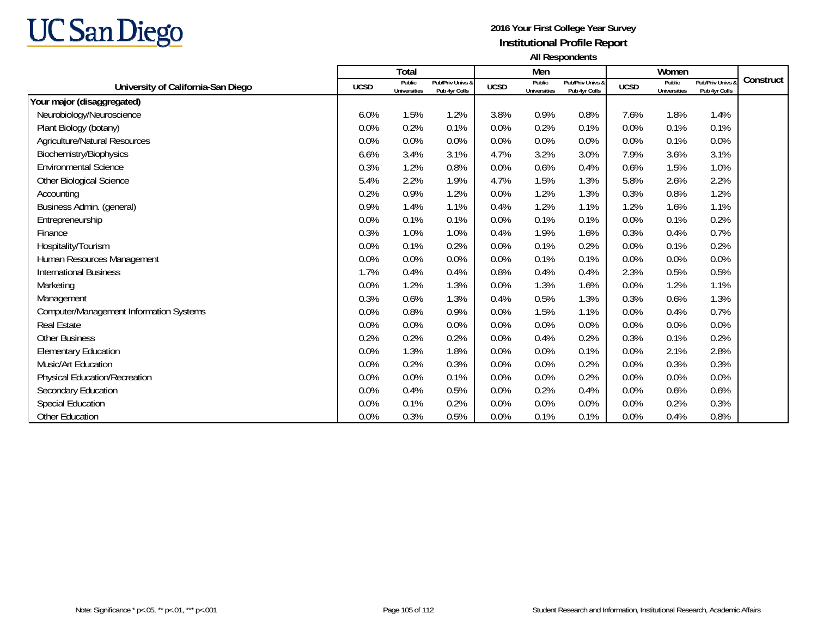

|                                                |             | Total                         |                                   |             | Men                           |                                   |             | Women                         |                                   |           |
|------------------------------------------------|-------------|-------------------------------|-----------------------------------|-------------|-------------------------------|-----------------------------------|-------------|-------------------------------|-----------------------------------|-----------|
| University of California-San Diego             | <b>UCSD</b> | Public<br><b>Universities</b> | Pub/Priv Univs &<br>Pub 4yr Colls | <b>UCSD</b> | Public<br><b>Universities</b> | Pub/Priv Univs &<br>Pub 4yr Colls | <b>UCSD</b> | Public<br><b>Universities</b> | Pub/Priv Univs &<br>Pub 4yr Colls | Construct |
| Your major (disaggregated)                     |             |                               |                                   |             |                               |                                   |             |                               |                                   |           |
| Neurobiology/Neuroscience                      | 6.0%        | 1.5%                          | 1.2%                              | 3.8%        | 0.9%                          | 0.8%                              | 7.6%        | 1.8%                          | 1.4%                              |           |
| Plant Biology (botany)                         | 0.0%        | 0.2%                          | 0.1%                              | 0.0%        | 0.2%                          | 0.1%                              | 0.0%        | 0.1%                          | 0.1%                              |           |
| <b>Agriculture/Natural Resources</b>           | 0.0%        | 0.0%                          | 0.0%                              | 0.0%        | 0.0%                          | 0.0%                              | 0.0%        | 0.1%                          | 0.0%                              |           |
| Biochemistry/Biophysics                        | 6.6%        | 3.4%                          | 3.1%                              | 4.7%        | 3.2%                          | 3.0%                              | 7.9%        | 3.6%                          | 3.1%                              |           |
| <b>Environmental Science</b>                   | 0.3%        | 1.2%                          | 0.8%                              | 0.0%        | 0.6%                          | 0.4%                              | 0.6%        | 1.5%                          | 1.0%                              |           |
| Other Biological Science                       | 5.4%        | 2.2%                          | 1.9%                              | 4.7%        | 1.5%                          | 1.3%                              | 5.8%        | 2.6%                          | 2.2%                              |           |
| Accounting                                     | 0.2%        | 0.9%                          | 1.2%                              | 0.0%        | 1.2%                          | 1.3%                              | 0.3%        | 0.8%                          | 1.2%                              |           |
| Business Admin. (general)                      | 0.9%        | 1.4%                          | 1.1%                              | 0.4%        | 1.2%                          | 1.1%                              | 1.2%        | 1.6%                          | 1.1%                              |           |
| Entrepreneurship                               | 0.0%        | 0.1%                          | 0.1%                              | 0.0%        | 0.1%                          | 0.1%                              | 0.0%        | 0.1%                          | 0.2%                              |           |
| Finance                                        | 0.3%        | 1.0%                          | 1.0%                              | 0.4%        | 1.9%                          | 1.6%                              | 0.3%        | 0.4%                          | 0.7%                              |           |
| Hospitality/Tourism                            | 0.0%        | 0.1%                          | 0.2%                              | 0.0%        | 0.1%                          | 0.2%                              | 0.0%        | 0.1%                          | 0.2%                              |           |
| Human Resources Management                     | 0.0%        | 0.0%                          | 0.0%                              | 0.0%        | 0.1%                          | 0.1%                              | 0.0%        | 0.0%                          | 0.0%                              |           |
| <b>International Business</b>                  | 1.7%        | 0.4%                          | 0.4%                              | 0.8%        | 0.4%                          | 0.4%                              | 2.3%        | 0.5%                          | 0.5%                              |           |
| Marketing                                      | 0.0%        | 1.2%                          | 1.3%                              | 0.0%        | 1.3%                          | 1.6%                              | 0.0%        | 1.2%                          | 1.1%                              |           |
| Management                                     | 0.3%        | 0.6%                          | 1.3%                              | 0.4%        | 0.5%                          | 1.3%                              | 0.3%        | 0.6%                          | 1.3%                              |           |
| <b>Computer/Management Information Systems</b> | 0.0%        | 0.8%                          | 0.9%                              | 0.0%        | 1.5%                          | 1.1%                              | 0.0%        | 0.4%                          | 0.7%                              |           |
| <b>Real Estate</b>                             | 0.0%        | 0.0%                          | 0.0%                              | 0.0%        | 0.0%                          | 0.0%                              | 0.0%        | 0.0%                          | 0.0%                              |           |
| <b>Other Business</b>                          | 0.2%        | 0.2%                          | 0.2%                              | 0.0%        | 0.4%                          | 0.2%                              | 0.3%        | 0.1%                          | 0.2%                              |           |
| <b>Elementary Education</b>                    | 0.0%        | 1.3%                          | 1.8%                              | 0.0%        | 0.0%                          | 0.1%                              | 0.0%        | 2.1%                          | 2.8%                              |           |
| Music/Art Education                            | 0.0%        | 0.2%                          | 0.3%                              | 0.0%        | 0.0%                          | 0.2%                              | 0.0%        | 0.3%                          | 0.3%                              |           |
| <b>Physical Education/Recreation</b>           | 0.0%        | 0.0%                          | 0.1%                              | 0.0%        | 0.0%                          | 0.2%                              | 0.0%        | 0.0%                          | 0.0%                              |           |
| Secondary Education                            | 0.0%        | 0.4%                          | 0.5%                              | 0.0%        | 0.2%                          | 0.4%                              | 0.0%        | 0.6%                          | 0.6%                              |           |
| <b>Special Education</b>                       | 0.0%        | 0.1%                          | 0.2%                              | 0.0%        | 0.0%                          | 0.0%                              | 0.0%        | 0.2%                          | 0.3%                              |           |
| Other Education                                | 0.0%        | 0.3%                          | 0.5%                              | 0.0%        | 0.1%                          | 0.1%                              | 0.0%        | 0.4%                          | 0.8%                              |           |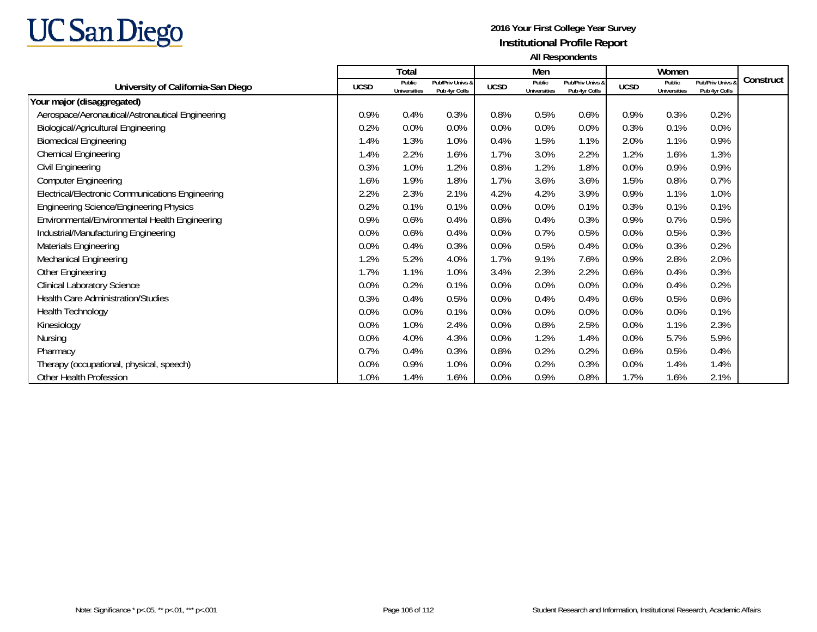

|                                                  |             | Total                         |                                   |             | Men                           |                                   |             | Women                         |                                   |           |
|--------------------------------------------------|-------------|-------------------------------|-----------------------------------|-------------|-------------------------------|-----------------------------------|-------------|-------------------------------|-----------------------------------|-----------|
| University of California-San Diego               | <b>UCSD</b> | Public<br><b>Universities</b> | Pub/Priv Univs &<br>Pub 4yr Colls | <b>UCSD</b> | Public<br><b>Universities</b> | Pub/Priv Univs &<br>Pub 4yr Colls | <b>UCSD</b> | Public<br><b>Universities</b> | Pub/Priv Univs &<br>Pub 4yr Colls | Construct |
| Your major (disaggregated)                       |             |                               |                                   |             |                               |                                   |             |                               |                                   |           |
| Aerospace/Aeronautical/Astronautical Engineering | 0.9%        | 0.4%                          | 0.3%                              | 0.8%        | 0.5%                          | 0.6%                              | 0.9%        | 0.3%                          | 0.2%                              |           |
| <b>Biological/Agricultural Engineering</b>       | 0.2%        | 0.0%                          | 0.0%                              | 0.0%        | 0.0%                          | 0.0%                              | 0.3%        | 0.1%                          | 0.0%                              |           |
| <b>Biomedical Engineering</b>                    | 1.4%        | 1.3%                          | 1.0%                              | 0.4%        | 1.5%                          | 1.1%                              | 2.0%        | 1.1%                          | 0.9%                              |           |
| <b>Chemical Engineering</b>                      | 1.4%        | 2.2%                          | 1.6%                              | 1.7%        | 3.0%                          | 2.2%                              | 1.2%        | 1.6%                          | 1.3%                              |           |
| Civil Engineering                                | 0.3%        | 1.0%                          | 1.2%                              | 0.8%        | 1.2%                          | 1.8%                              | 0.0%        | 0.9%                          | 0.9%                              |           |
| <b>Computer Engineering</b>                      | 1.6%        | 1.9%                          | 1.8%                              | 1.7%        | 3.6%                          | 3.6%                              | 1.5%        | 0.8%                          | 0.7%                              |           |
| Electrical/Electronic Communications Engineering | 2.2%        | 2.3%                          | 2.1%                              | 4.2%        | 4.2%                          | 3.9%                              | 0.9%        | 1.1%                          | 1.0%                              |           |
| <b>Engineering Science/Engineering Physics</b>   | 0.2%        | 0.1%                          | 0.1%                              | 0.0%        | 0.0%                          | 0.1%                              | 0.3%        | 0.1%                          | 0.1%                              |           |
| Environmental/Environmental Health Engineering   | 0.9%        | 0.6%                          | 0.4%                              | 0.8%        | 0.4%                          | 0.3%                              | 0.9%        | 0.7%                          | 0.5%                              |           |
| Industrial/Manufacturing Engineering             | 0.0%        | 0.6%                          | 0.4%                              | 0.0%        | 0.7%                          | 0.5%                              | 0.0%        | 0.5%                          | 0.3%                              |           |
| Materials Engineering                            | 0.0%        | 0.4%                          | 0.3%                              | 0.0%        | 0.5%                          | 0.4%                              | 0.0%        | 0.3%                          | 0.2%                              |           |
| Mechanical Engineering                           | 1.2%        | 5.2%                          | 4.0%                              | 1.7%        | 9.1%                          | 7.6%                              | 0.9%        | 2.8%                          | 2.0%                              |           |
| Other Engineering                                | 1.7%        | 1.1%                          | 1.0%                              | 3.4%        | 2.3%                          | 2.2%                              | 0.6%        | 0.4%                          | 0.3%                              |           |
| <b>Clinical Laboratory Science</b>               | 0.0%        | 0.2%                          | 0.1%                              | 0.0%        | $0.0\%$                       | 0.0%                              | 0.0%        | 0.4%                          | 0.2%                              |           |
| <b>Health Care Administration/Studies</b>        | 0.3%        | 0.4%                          | 0.5%                              | 0.0%        | 0.4%                          | 0.4%                              | 0.6%        | 0.5%                          | 0.6%                              |           |
| <b>Health Technology</b>                         | 0.0%        | 0.0%                          | 0.1%                              | 0.0%        | 0.0%                          | 0.0%                              | 0.0%        | 0.0%                          | 0.1%                              |           |
| Kinesiology                                      | 0.0%        | 1.0%                          | 2.4%                              | 0.0%        | 0.8%                          | 2.5%                              | 0.0%        | 1.1%                          | 2.3%                              |           |
| <b>Nursing</b>                                   | 0.0%        | 4.0%                          | 4.3%                              | 0.0%        | 1.2%                          | 1.4%                              | 0.0%        | 5.7%                          | 5.9%                              |           |
| Pharmacy                                         | 0.7%        | 0.4%                          | 0.3%                              | 0.8%        | 0.2%                          | 0.2%                              | 0.6%        | 0.5%                          | 0.4%                              |           |
| Therapy (occupational, physical, speech)         | 0.0%        | 0.9%                          | 1.0%                              | 0.0%        | 0.2%                          | 0.3%                              | 0.0%        | 1.4%                          | 1.4%                              |           |
| Other Health Profession                          | 1.0%        | 1.4%                          | 1.6%                              | 0.0%        | 0.9%                          | 0.8%                              | 1.7%        | 1.6%                          | 2.1%                              |           |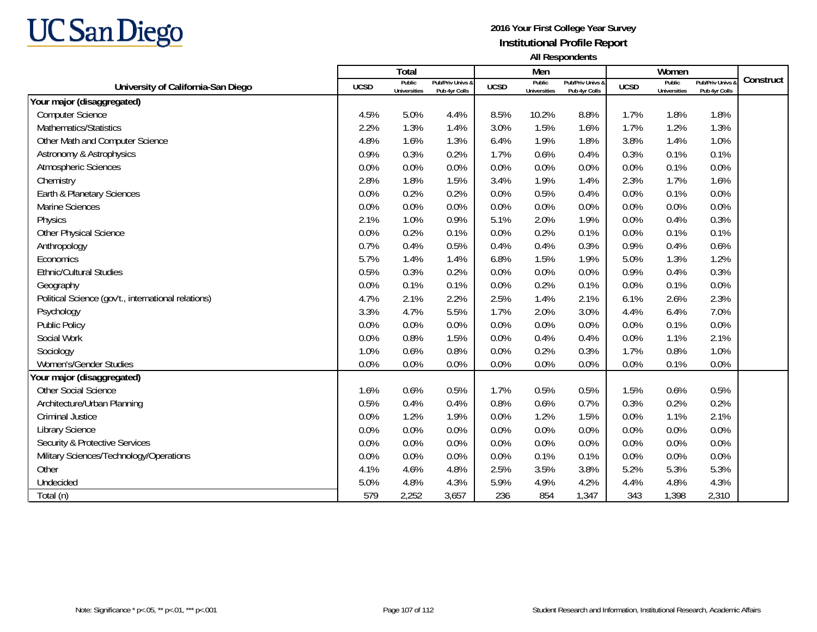

|                                                     |             | <b>Total</b>                  |                                   |             | Men                           |                                   |             | Women                                |                                        |           |
|-----------------------------------------------------|-------------|-------------------------------|-----------------------------------|-------------|-------------------------------|-----------------------------------|-------------|--------------------------------------|----------------------------------------|-----------|
| University of California-San Diego                  | <b>UCSD</b> | Public<br><b>Universities</b> | Pub/Priv Univs &<br>Pub 4yr Colls | <b>UCSD</b> | Public<br><b>Universities</b> | Pub/Priv Univs &<br>Pub 4yr Colls | <b>UCSD</b> | <b>Public</b><br><b>Universities</b> | <b>Pub/Priv Univs</b><br>Pub 4yr Colls | Construct |
| Your major (disaggregated)                          |             |                               |                                   |             |                               |                                   |             |                                      |                                        |           |
| <b>Computer Science</b>                             | 4.5%        | 5.0%                          | 4.4%                              | 8.5%        | 10.2%                         | 8.8%                              | 1.7%        | 1.8%                                 | 1.8%                                   |           |
| Mathematics/Statistics                              | 2.2%        | 1.3%                          | 1.4%                              | 3.0%        | 1.5%                          | 1.6%                              | 1.7%        | 1.2%                                 | 1.3%                                   |           |
| Other Math and Computer Science                     | 4.8%        | 1.6%                          | 1.3%                              | 6.4%        | 1.9%                          | 1.8%                              | 3.8%        | 1.4%                                 | 1.0%                                   |           |
| Astronomy & Astrophysics                            | 0.9%        | 0.3%                          | 0.2%                              | 1.7%        | 0.6%                          | 0.4%                              | 0.3%        | 0.1%                                 | 0.1%                                   |           |
| Atmospheric Sciences                                | 0.0%        | 0.0%                          | 0.0%                              | 0.0%        | 0.0%                          | 0.0%                              | 0.0%        | 0.1%                                 | 0.0%                                   |           |
| Chemistry                                           | 2.8%        | 1.8%                          | 1.5%                              | 3.4%        | 1.9%                          | 1.4%                              | 2.3%        | 1.7%                                 | 1.6%                                   |           |
| Earth & Planetary Sciences                          | 0.0%        | 0.2%                          | 0.2%                              | 0.0%        | 0.5%                          | 0.4%                              | 0.0%        | 0.1%                                 | 0.0%                                   |           |
| Marine Sciences                                     | 0.0%        | 0.0%                          | 0.0%                              | 0.0%        | 0.0%                          | 0.0%                              | 0.0%        | 0.0%                                 | 0.0%                                   |           |
| Physics                                             | 2.1%        | 1.0%                          | 0.9%                              | 5.1%        | 2.0%                          | 1.9%                              | 0.0%        | 0.4%                                 | 0.3%                                   |           |
| Other Physical Science                              | 0.0%        | 0.2%                          | 0.1%                              | 0.0%        | 0.2%                          | 0.1%                              | 0.0%        | 0.1%                                 | 0.1%                                   |           |
| Anthropology                                        | 0.7%        | 0.4%                          | 0.5%                              | 0.4%        | 0.4%                          | 0.3%                              | 0.9%        | 0.4%                                 | 0.6%                                   |           |
| Economics                                           | 5.7%        | 1.4%                          | 1.4%                              | 6.8%        | 1.5%                          | 1.9%                              | 5.0%        | 1.3%                                 | 1.2%                                   |           |
| <b>Ethnic/Cultural Studies</b>                      | 0.5%        | 0.3%                          | 0.2%                              | 0.0%        | 0.0%                          | 0.0%                              | 0.9%        | 0.4%                                 | 0.3%                                   |           |
| Geography                                           | 0.0%        | 0.1%                          | 0.1%                              | 0.0%        | 0.2%                          | 0.1%                              | 0.0%        | 0.1%                                 | 0.0%                                   |           |
| Political Science (gov't., international relations) | 4.7%        | 2.1%                          | 2.2%                              | 2.5%        | 1.4%                          | 2.1%                              | 6.1%        | 2.6%                                 | 2.3%                                   |           |
| Psychology                                          | 3.3%        | 4.7%                          | 5.5%                              | 1.7%        | 2.0%                          | 3.0%                              | 4.4%        | 6.4%                                 | 7.0%                                   |           |
| <b>Public Policy</b>                                | 0.0%        | 0.0%                          | 0.0%                              | 0.0%        | 0.0%                          | 0.0%                              | 0.0%        | 0.1%                                 | 0.0%                                   |           |
| Social Work                                         | 0.0%        | 0.8%                          | 1.5%                              | 0.0%        | 0.4%                          | 0.4%                              | 0.0%        | 1.1%                                 | 2.1%                                   |           |
| Sociology                                           | 1.0%        | 0.6%                          | 0.8%                              | 0.0%        | 0.2%                          | 0.3%                              | 1.7%        | 0.8%                                 | 1.0%                                   |           |
| Women's/Gender Studies                              | 0.0%        | 0.0%                          | 0.0%                              | 0.0%        | 0.0%                          | 0.0%                              | 0.0%        | 0.1%                                 | 0.0%                                   |           |
| Your major (disaggregated)                          |             |                               |                                   |             |                               |                                   |             |                                      |                                        |           |
| <b>Other Social Science</b>                         | 1.6%        | 0.6%                          | 0.5%                              | 1.7%        | 0.5%                          | 0.5%                              | 1.5%        | 0.6%                                 | 0.5%                                   |           |
| Architecture/Urban Planning                         | 0.5%        | 0.4%                          | 0.4%                              | 0.8%        | 0.6%                          | 0.7%                              | 0.3%        | 0.2%                                 | 0.2%                                   |           |
| <b>Criminal Justice</b>                             | 0.0%        | 1.2%                          | 1.9%                              | 0.0%        | 1.2%                          | 1.5%                              | 0.0%        | 1.1%                                 | 2.1%                                   |           |
| Library Science                                     | 0.0%        | 0.0%                          | 0.0%                              | 0.0%        | 0.0%                          | 0.0%                              | 0.0%        | 0.0%                                 | 0.0%                                   |           |
| Security & Protective Services                      | 0.0%        | 0.0%                          | 0.0%                              | 0.0%        | 0.0%                          | 0.0%                              | 0.0%        | 0.0%                                 | 0.0%                                   |           |
| Military Sciences/Technology/Operations             | 0.0%        | 0.0%                          | 0.0%                              | 0.0%        | 0.1%                          | 0.1%                              | 0.0%        | 0.0%                                 | 0.0%                                   |           |
| Other                                               | 4.1%        | 4.6%                          | 4.8%                              | 2.5%        | 3.5%                          | 3.8%                              | 5.2%        | 5.3%                                 | 5.3%                                   |           |
| Undecided                                           | 5.0%        | 4.8%                          | 4.3%                              | 5.9%        | 4.9%                          | 4.2%                              | 4.4%        | 4.8%                                 | 4.3%                                   |           |
| Total (n)                                           | 579         | 2,252                         | 3,657                             | 236         | 854                           | 1,347                             | 343         | 1,398                                | 2,310                                  |           |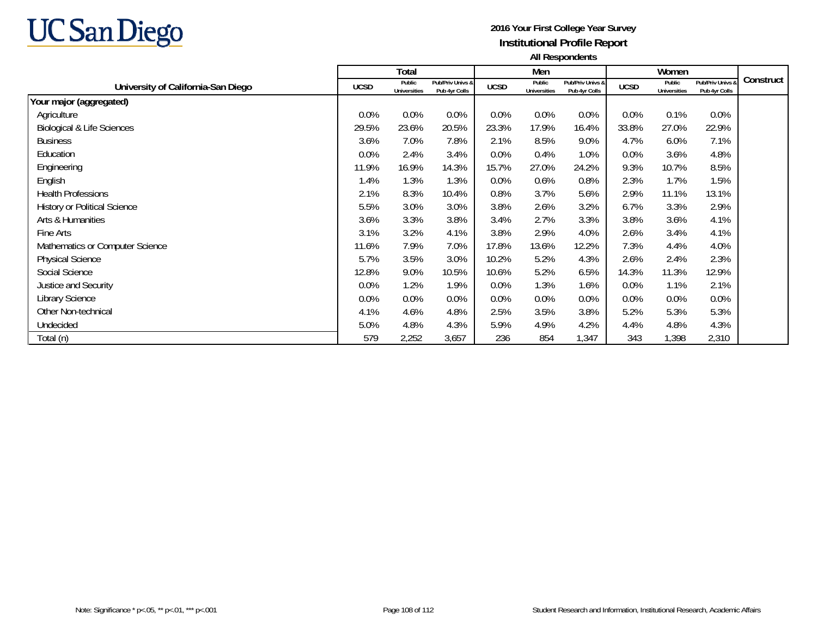

|                                       |             | Total                         |                                   |             | Men                           |                                   |             | Women                         |                                 |           |
|---------------------------------------|-------------|-------------------------------|-----------------------------------|-------------|-------------------------------|-----------------------------------|-------------|-------------------------------|---------------------------------|-----------|
| University of California-San Diego    | <b>UCSD</b> | Public<br><b>Universities</b> | Pub/Priv Univs &<br>Pub 4yr Colls | <b>UCSD</b> | Public<br><b>Universities</b> | Pub/Priv Univs &<br>Pub 4yr Colls | <b>UCSD</b> | Public<br><b>Universities</b> | Pub/Priv Univs<br>Pub 4yr Colls | Construct |
| Your major (aggregated)               |             |                               |                                   |             |                               |                                   |             |                               |                                 |           |
| Agriculture                           | 0.0%        | 0.0%                          | 0.0%                              | 0.0%        | 0.0%                          | 0.0%                              | $0.0\%$     | 0.1%                          | 0.0%                            |           |
| <b>Biological &amp; Life Sciences</b> | 29.5%       | 23.6%                         | 20.5%                             | 23.3%       | 17.9%                         | 16.4%                             | 33.8%       | 27.0%                         | 22.9%                           |           |
| <b>Business</b>                       | 3.6%        | 7.0%                          | 7.8%                              | 2.1%        | 8.5%                          | 9.0%                              | 4.7%        | 6.0%                          | 7.1%                            |           |
| Education                             | 0.0%        | 2.4%                          | 3.4%                              | 0.0%        | 0.4%                          | 1.0%                              | $0.0\%$     | 3.6%                          | 4.8%                            |           |
| Engineering                           | 11.9%       | 16.9%                         | 14.3%                             | 15.7%       | 27.0%                         | 24.2%                             | 9.3%        | 10.7%                         | 8.5%                            |           |
| English                               | 1.4%        | 1.3%                          | 1.3%                              | 0.0%        | 0.6%                          | 0.8%                              | 2.3%        | 1.7%                          | 1.5%                            |           |
| <b>Health Professions</b>             | 2.1%        | 8.3%                          | 10.4%                             | 0.8%        | 3.7%                          | 5.6%                              | 2.9%        | 11.1%                         | 13.1%                           |           |
| <b>History or Political Science</b>   | 5.5%        | 3.0%                          | 3.0%                              | 3.8%        | 2.6%                          | 3.2%                              | 6.7%        | 3.3%                          | 2.9%                            |           |
| Arts & Humanities                     | 3.6%        | 3.3%                          | 3.8%                              | 3.4%        | 2.7%                          | 3.3%                              | 3.8%        | 3.6%                          | 4.1%                            |           |
| Fine Arts                             | 3.1%        | 3.2%                          | 4.1%                              | 3.8%        | 2.9%                          | 4.0%                              | 2.6%        | 3.4%                          | 4.1%                            |           |
| Mathematics or Computer Science       | 11.6%       | 7.9%                          | 7.0%                              | 17.8%       | 13.6%                         | 12.2%                             | 7.3%        | 4.4%                          | 4.0%                            |           |
| <b>Physical Science</b>               | 5.7%        | 3.5%                          | 3.0%                              | 10.2%       | 5.2%                          | 4.3%                              | 2.6%        | 2.4%                          | 2.3%                            |           |
| Social Science                        | 12.8%       | 9.0%                          | 10.5%                             | 10.6%       | 5.2%                          | 6.5%                              | 14.3%       | 11.3%                         | 12.9%                           |           |
| Justice and Security                  | 0.0%        | 1.2%                          | 1.9%                              | 0.0%        | 1.3%                          | 1.6%                              | $0.0\%$     | 1.1%                          | 2.1%                            |           |
| Library Science                       | 0.0%        | 0.0%                          | 0.0%                              | 0.0%        | $0.0\%$                       | 0.0%                              | $0.0\%$     | 0.0%                          | 0.0%                            |           |
| Other Non-technical                   | 4.1%        | 4.6%                          | 4.8%                              | 2.5%        | 3.5%                          | 3.8%                              | 5.2%        | 5.3%                          | 5.3%                            |           |
| Undecided                             | 5.0%        | 4.8%                          | 4.3%                              | 5.9%        | 4.9%                          | 4.2%                              | 4.4%        | 4.8%                          | 4.3%                            |           |
| Total (n)                             | 579         | 2,252                         | 3,657                             | 236         | 854                           | ,347                              | 343         | 1,398                         | 2,310                           |           |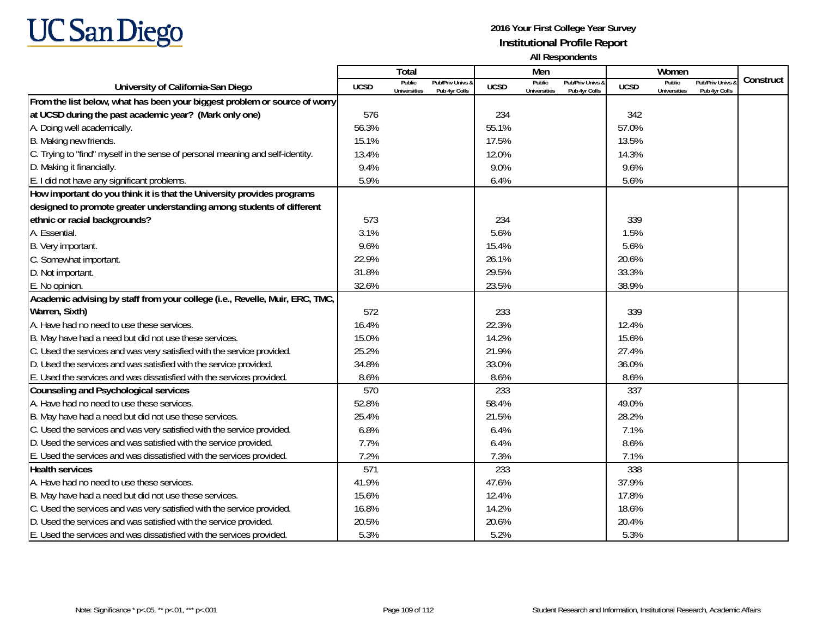

|                                                                                |             | Total                         |                                   |             | Men                                  |                                   |             | Women                         |                                        |           |
|--------------------------------------------------------------------------------|-------------|-------------------------------|-----------------------------------|-------------|--------------------------------------|-----------------------------------|-------------|-------------------------------|----------------------------------------|-----------|
| University of California-San Diego                                             | <b>UCSD</b> | Public<br><b>Universities</b> | Pub/Priv Univs 8<br>Pub 4yr Colls | <b>UCSD</b> | <b>Public</b><br><b>Universities</b> | Pub/Priv Univs &<br>Pub 4yr Colls | <b>UCSD</b> | Public<br><b>Universities</b> | <b>Pub/Priv Univs</b><br>Pub 4yr Colls | Construct |
| From the list below, what has been your biggest problem or source of worry     |             |                               |                                   |             |                                      |                                   |             |                               |                                        |           |
| at UCSD during the past academic year? (Mark only one)                         | 576         |                               |                                   | 234         |                                      |                                   | 342         |                               |                                        |           |
| A. Doing well academically.                                                    | 56.3%       |                               |                                   | 55.1%       |                                      |                                   | 57.0%       |                               |                                        |           |
| B. Making new friends.                                                         | 15.1%       |                               |                                   | 17.5%       |                                      |                                   | 13.5%       |                               |                                        |           |
| C. Trying to "find" myself in the sense of personal meaning and self-identity. | 13.4%       |                               |                                   | 12.0%       |                                      |                                   | 14.3%       |                               |                                        |           |
| D. Making it financially.                                                      | 9.4%        |                               |                                   | 9.0%        |                                      |                                   | 9.6%        |                               |                                        |           |
| E. I did not have any significant problems.                                    | 5.9%        |                               |                                   | 6.4%        |                                      |                                   | 5.6%        |                               |                                        |           |
| How important do you think it is that the University provides programs         |             |                               |                                   |             |                                      |                                   |             |                               |                                        |           |
| designed to promote greater understanding among students of different          |             |                               |                                   |             |                                      |                                   |             |                               |                                        |           |
| ethnic or racial backgrounds?                                                  | 573         |                               |                                   | 234         |                                      |                                   | 339         |                               |                                        |           |
| A. Essential.                                                                  | 3.1%        |                               |                                   | 5.6%        |                                      |                                   | 1.5%        |                               |                                        |           |
| B. Very important.                                                             | 9.6%        |                               |                                   | 15.4%       |                                      |                                   | 5.6%        |                               |                                        |           |
| C. Somewhat important.                                                         | 22.9%       |                               |                                   | 26.1%       |                                      |                                   | 20.6%       |                               |                                        |           |
| D. Not important.                                                              | 31.8%       |                               |                                   | 29.5%       |                                      |                                   | 33.3%       |                               |                                        |           |
| E. No opinion.                                                                 | 32.6%       |                               |                                   | 23.5%       |                                      |                                   | 38.9%       |                               |                                        |           |
| Academic advising by staff from your college (i.e., Revelle, Muir, ERC, TMC,   |             |                               |                                   |             |                                      |                                   |             |                               |                                        |           |
| Warren, Sixth)                                                                 | 572         |                               |                                   | 233         |                                      |                                   | 339         |                               |                                        |           |
| A. Have had no need to use these services.                                     | 16.4%       |                               |                                   | 22.3%       |                                      |                                   | 12.4%       |                               |                                        |           |
| B. May have had a need but did not use these services.                         | 15.0%       |                               |                                   | 14.2%       |                                      |                                   | 15.6%       |                               |                                        |           |
| C. Used the services and was very satisfied with the service provided.         | 25.2%       |                               |                                   | 21.9%       |                                      |                                   | 27.4%       |                               |                                        |           |
| D. Used the services and was satisfied with the service provided.              | 34.8%       |                               |                                   | 33.0%       |                                      |                                   | 36.0%       |                               |                                        |           |
| E. Used the services and was dissatisfied with the services provided.          | 8.6%        |                               |                                   | 8.6%        |                                      |                                   | 8.6%        |                               |                                        |           |
| Counseling and Psychological services                                          | 570         |                               |                                   | 233         |                                      |                                   | 337         |                               |                                        |           |
| A. Have had no need to use these services.                                     | 52.8%       |                               |                                   | 58.4%       |                                      |                                   | 49.0%       |                               |                                        |           |
| B. May have had a need but did not use these services.                         | 25.4%       |                               |                                   | 21.5%       |                                      |                                   | 28.2%       |                               |                                        |           |
| C. Used the services and was very satisfied with the service provided.         | 6.8%        |                               |                                   | 6.4%        |                                      |                                   | 7.1%        |                               |                                        |           |
| D. Used the services and was satisfied with the service provided.              | 7.7%        |                               |                                   | 6.4%        |                                      |                                   | 8.6%        |                               |                                        |           |
| E. Used the services and was dissatisfied with the services provided.          | 7.2%        |                               |                                   | 7.3%        |                                      |                                   | 7.1%        |                               |                                        |           |
| <b>Health services</b>                                                         | 571         |                               |                                   | 233         |                                      |                                   | 338         |                               |                                        |           |
| A. Have had no need to use these services.                                     | 41.9%       |                               |                                   | 47.6%       |                                      |                                   | 37.9%       |                               |                                        |           |
| B. May have had a need but did not use these services.                         | 15.6%       |                               |                                   | 12.4%       |                                      |                                   | 17.8%       |                               |                                        |           |
| C. Used the services and was very satisfied with the service provided.         | 16.8%       |                               |                                   | 14.2%       |                                      |                                   | 18.6%       |                               |                                        |           |
| D. Used the services and was satisfied with the service provided.              | 20.5%       |                               |                                   | 20.6%       |                                      |                                   | 20.4%       |                               |                                        |           |
| E. Used the services and was dissatisfied with the services provided.          | 5.3%        |                               |                                   | 5.2%        |                                      |                                   | 5.3%        |                               |                                        |           |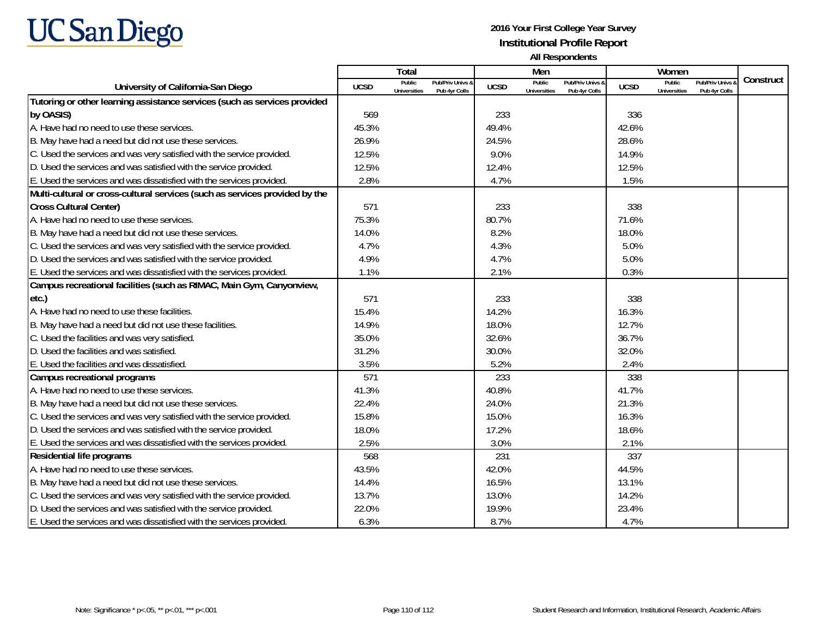

|                                                                             |             | Total                         |                                   |             | Men                           |                                   |             | Women                         |                                          |           |
|-----------------------------------------------------------------------------|-------------|-------------------------------|-----------------------------------|-------------|-------------------------------|-----------------------------------|-------------|-------------------------------|------------------------------------------|-----------|
| University of California-San Diego                                          | <b>UCSD</b> | Public<br><b>Universities</b> | Pub/Priv Univs &<br>Pub 4yr Colls | <b>UCSD</b> | Public<br><b>Universities</b> | Pub/Priv Univs &<br>Pub 4yr Colls | <b>UCSD</b> | Public<br><b>Universities</b> | <b>Pub/Priv Univs a</b><br>Pub 4yr Colls | Construct |
| Tutoring or other learning assistance services (such as services provided   |             |                               |                                   |             |                               |                                   |             |                               |                                          |           |
| by OASIS)                                                                   | 569         |                               |                                   | 233         |                               |                                   | 336         |                               |                                          |           |
| A. Have had no need to use these services.                                  | 45.3%       |                               |                                   | 49.4%       |                               |                                   | 42.6%       |                               |                                          |           |
| B. May have had a need but did not use these services.                      | 26.9%       |                               |                                   | 24.5%       |                               |                                   | 28.6%       |                               |                                          |           |
| C. Used the services and was very satisfied with the service provided.      | 12.5%       |                               |                                   | 9.0%        |                               |                                   | 14.9%       |                               |                                          |           |
| D. Used the services and was satisfied with the service provided.           | 12.5%       |                               |                                   | 12.4%       |                               |                                   | 12.5%       |                               |                                          |           |
| E. Used the services and was dissatisfied with the services provided.       | 2.8%        |                               |                                   | 4.7%        |                               |                                   | 1.5%        |                               |                                          |           |
| Multi-cultural or cross-cultural services (such as services provided by the |             |                               |                                   |             |                               |                                   |             |                               |                                          |           |
| <b>Cross Cultural Center)</b>                                               | 571         |                               |                                   | 233         |                               |                                   | 338         |                               |                                          |           |
| A. Have had no need to use these services.                                  | 75.3%       |                               |                                   | 80.7%       |                               |                                   | 71.6%       |                               |                                          |           |
| B. May have had a need but did not use these services.                      | 14.0%       |                               |                                   | 8.2%        |                               |                                   | 18.0%       |                               |                                          |           |
| C. Used the services and was very satisfied with the service provided.      | 4.7%        |                               |                                   | 4.3%        |                               |                                   | 5.0%        |                               |                                          |           |
| D. Used the services and was satisfied with the service provided.           | 4.9%        |                               |                                   | 4.7%        |                               |                                   | 5.0%        |                               |                                          |           |
| E. Used the services and was dissatisfied with the services provided.       | 1.1%        |                               |                                   | 2.1%        |                               |                                   | 0.3%        |                               |                                          |           |
| Campus recreational facilities (such as RIMAC, Main Gym, Canyonview,        |             |                               |                                   |             |                               |                                   |             |                               |                                          |           |
| etc.)                                                                       | 571         |                               |                                   | 233         |                               |                                   | 338         |                               |                                          |           |
| A. Have had no need to use these facilities.                                | 15.4%       |                               |                                   | 14.2%       |                               |                                   | 16.3%       |                               |                                          |           |
| B. May have had a need but did not use these facilities.                    | 14.9%       |                               |                                   | 18.0%       |                               |                                   | 12.7%       |                               |                                          |           |
| C. Used the facilities and was very satisfied.                              | 35.0%       |                               |                                   | 32.6%       |                               |                                   | 36.7%       |                               |                                          |           |
| D. Used the facilities and was satisfied.                                   | 31.2%       |                               |                                   | 30.0%       |                               |                                   | 32.0%       |                               |                                          |           |
| E. Used the facilities and was dissatisfied.                                | 3.5%        |                               |                                   | 5.2%        |                               |                                   | 2.4%        |                               |                                          |           |
| Campus recreational programs                                                | 571         |                               |                                   | 233         |                               |                                   | 338         |                               |                                          |           |
| A. Have had no need to use these services.                                  | 41.3%       |                               |                                   | 40.8%       |                               |                                   | 41.7%       |                               |                                          |           |
| B. May have had a need but did not use these services.                      | 22.4%       |                               |                                   | 24.0%       |                               |                                   | 21.3%       |                               |                                          |           |
| C. Used the services and was very satisfied with the service provided.      | 15.8%       |                               |                                   | 15.0%       |                               |                                   | 16.3%       |                               |                                          |           |
| D. Used the services and was satisfied with the service provided.           | 18.0%       |                               |                                   | 17.2%       |                               |                                   | 18.6%       |                               |                                          |           |
| E. Used the services and was dissatisfied with the services provided.       | 2.5%        |                               |                                   | 3.0%        |                               |                                   | 2.1%        |                               |                                          |           |
| Residential life programs                                                   | 568         |                               |                                   | 231         |                               |                                   | 337         |                               |                                          |           |
| A. Have had no need to use these services.                                  | 43.5%       |                               |                                   | 42.0%       |                               |                                   | 44.5%       |                               |                                          |           |
| B. May have had a need but did not use these services.                      | 14.4%       |                               |                                   | 16.5%       |                               |                                   | 13.1%       |                               |                                          |           |
| C. Used the services and was very satisfied with the service provided.      | 13.7%       |                               |                                   | 13.0%       |                               |                                   | 14.2%       |                               |                                          |           |
| D. Used the services and was satisfied with the service provided.           | 22.0%       |                               |                                   | 19.9%       |                               |                                   | 23.4%       |                               |                                          |           |
| E. Used the services and was dissatisfied with the services provided.       | 6.3%        |                               |                                   | 8.7%        |                               |                                   | 4.7%        |                               |                                          |           |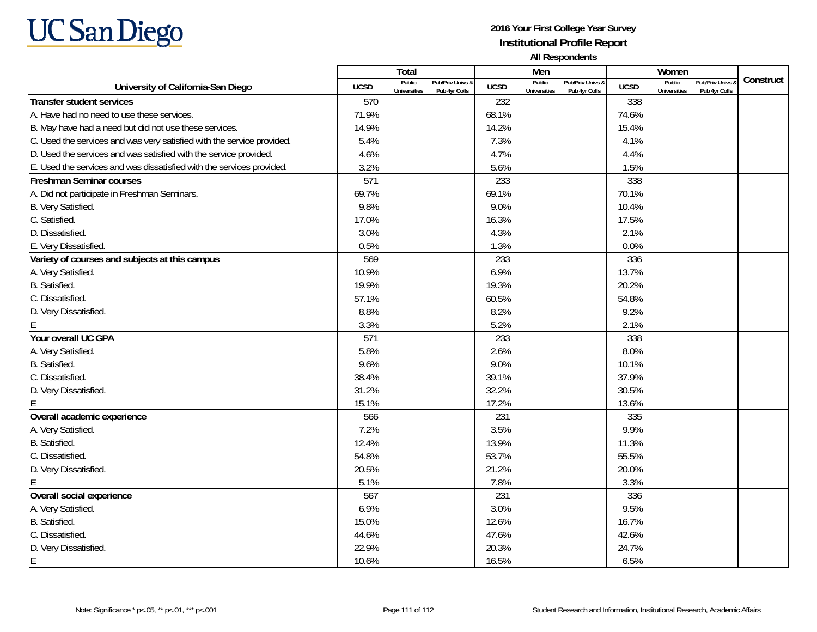

|                                                                        |             | Total                                                              |             | Men                                                                       |             | Women                         |                                        |           |
|------------------------------------------------------------------------|-------------|--------------------------------------------------------------------|-------------|---------------------------------------------------------------------------|-------------|-------------------------------|----------------------------------------|-----------|
| University of California-San Diego                                     | <b>UCSD</b> | Public<br>Pub/Priv Univs &<br><b>Universities</b><br>Pub 4yr Colls | <b>UCSD</b> | <b>Public</b><br>Pub/Priv Univs &<br><b>Universities</b><br>Pub 4yr Colls | <b>UCSD</b> | Public<br><b>Universities</b> | <b>Pub/Priv Univs</b><br>Pub 4yr Colls | Construct |
| <b>Transfer student services</b>                                       | 570         |                                                                    | 232         |                                                                           | 338         |                               |                                        |           |
| A. Have had no need to use these services.                             | 71.9%       |                                                                    | 68.1%       |                                                                           | 74.6%       |                               |                                        |           |
| B. May have had a need but did not use these services.                 | 14.9%       |                                                                    | 14.2%       |                                                                           | 15.4%       |                               |                                        |           |
| C. Used the services and was very satisfied with the service provided. | 5.4%        |                                                                    | 7.3%        |                                                                           | 4.1%        |                               |                                        |           |
| D. Used the services and was satisfied with the service provided.      | 4.6%        |                                                                    | 4.7%        |                                                                           | 4.4%        |                               |                                        |           |
| E. Used the services and was dissatisfied with the services provided.  | 3.2%        |                                                                    | 5.6%        |                                                                           | 1.5%        |                               |                                        |           |
| <b>Freshman Seminar courses</b>                                        | 571         |                                                                    | 233         |                                                                           | 338         |                               |                                        |           |
| A. Did not participate in Freshman Seminars.                           | 69.7%       |                                                                    | 69.1%       |                                                                           | 70.1%       |                               |                                        |           |
| B. Very Satisfied.                                                     | 9.8%        |                                                                    | 9.0%        |                                                                           | 10.4%       |                               |                                        |           |
| C. Satisfied.                                                          | 17.0%       |                                                                    | 16.3%       |                                                                           | 17.5%       |                               |                                        |           |
| D. Dissatisfied.                                                       | 3.0%        |                                                                    | 4.3%        |                                                                           | 2.1%        |                               |                                        |           |
| E. Very Dissatisfied.                                                  | 0.5%        |                                                                    | 1.3%        |                                                                           | 0.0%        |                               |                                        |           |
| Variety of courses and subjects at this campus                         | 569         |                                                                    | 233         |                                                                           | 336         |                               |                                        |           |
| A. Very Satisfied.                                                     | 10.9%       |                                                                    | 6.9%        |                                                                           | 13.7%       |                               |                                        |           |
| B. Satisfied.                                                          | 19.9%       |                                                                    | 19.3%       |                                                                           | 20.2%       |                               |                                        |           |
| C. Dissatisfied.                                                       | 57.1%       |                                                                    | 60.5%       |                                                                           | 54.8%       |                               |                                        |           |
| D. Very Dissatisfied.                                                  | 8.8%        |                                                                    | 8.2%        |                                                                           | 9.2%        |                               |                                        |           |
|                                                                        | 3.3%        |                                                                    | 5.2%        |                                                                           | 2.1%        |                               |                                        |           |
| Your overall UC GPA                                                    | 571         |                                                                    | 233         |                                                                           | 338         |                               |                                        |           |
| A. Very Satisfied.                                                     | 5.8%        |                                                                    | 2.6%        |                                                                           | 8.0%        |                               |                                        |           |
| B. Satisfied.                                                          | 9.6%        |                                                                    | 9.0%        |                                                                           | 10.1%       |                               |                                        |           |
| C. Dissatisfied.                                                       | 38.4%       |                                                                    | 39.1%       |                                                                           | 37.9%       |                               |                                        |           |
| D. Very Dissatisfied.                                                  | 31.2%       |                                                                    | 32.2%       |                                                                           | 30.5%       |                               |                                        |           |
|                                                                        | 15.1%       |                                                                    | 17.2%       |                                                                           | 13.6%       |                               |                                        |           |
| Overall academic experience                                            | 566         |                                                                    | 231         |                                                                           | 335         |                               |                                        |           |
| A. Very Satisfied.                                                     | 7.2%        |                                                                    | 3.5%        |                                                                           | 9.9%        |                               |                                        |           |
| B. Satisfied.                                                          | 12.4%       |                                                                    | 13.9%       |                                                                           | 11.3%       |                               |                                        |           |
| C. Dissatisfied.                                                       | 54.8%       |                                                                    | 53.7%       |                                                                           | 55.5%       |                               |                                        |           |
| D. Very Dissatisfied.                                                  | 20.5%       |                                                                    | 21.2%       |                                                                           | 20.0%       |                               |                                        |           |
|                                                                        | 5.1%        |                                                                    | 7.8%        |                                                                           | 3.3%        |                               |                                        |           |
| Overall social experience                                              | 567         |                                                                    | 231         |                                                                           | 336         |                               |                                        |           |
| A. Very Satisfied.                                                     | 6.9%        |                                                                    | 3.0%        |                                                                           | 9.5%        |                               |                                        |           |
| B. Satisfied.                                                          | 15.0%       |                                                                    | 12.6%       |                                                                           | 16.7%       |                               |                                        |           |
| C. Dissatisfied.                                                       | 44.6%       |                                                                    | 47.6%       |                                                                           | 42.6%       |                               |                                        |           |
| D. Very Dissatisfied.                                                  | 22.9%       |                                                                    | 20.3%       |                                                                           | 24.7%       |                               |                                        |           |
| E                                                                      | 10.6%       |                                                                    | 16.5%       |                                                                           | 6.5%        |                               |                                        |           |